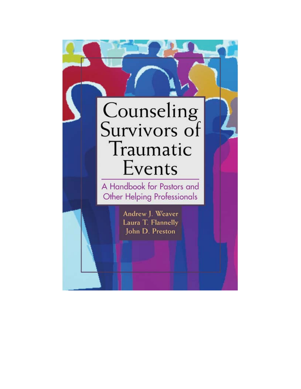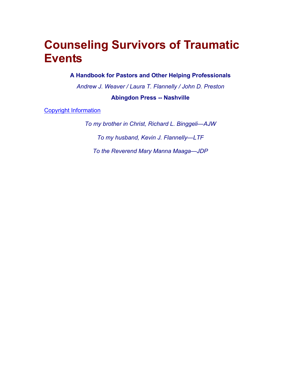# **Counseling Survivors of Traumatic Events**

**A Handbook for Pastors and Other Helping Professionals**

*Andrew J. Weaver / Laura T. Flannelly / John D. Preston*

### **Abingdon Press -- Nashville**

Copyright Information

*To my brother in Christ, Richard L. Binggeli—AJW To my husband, Kevin J. Flannelly—LTF To the Reverend Mary Manna Maaga—JDP*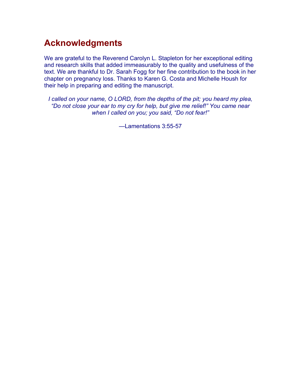## **Acknowledgments**

We are grateful to the Reverend Carolyn L. Stapleton for her exceptional editing and research skills that added immeasurably to the quality and usefulness of the text. We are thankful to Dr. Sarah Fogg for her fine contribution to the book in her chapter on pregnancy loss. Thanks to Karen G. Costa and Michelle Housh for their help in preparing and editing the manuscript.

*I* called on your name, O LORD, from the depths of the pit; you heard my plea, *"Do not close your ear to my cry for help, but give me relief!" You came near when I called on you; you said, "Do not fear!"* 

—Lamentations 3:55-57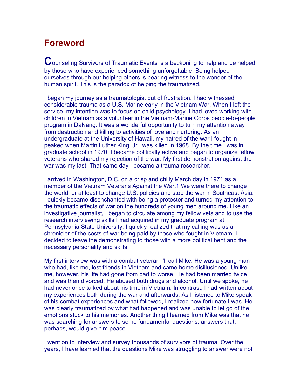## **Foreword**

**C**ounseling Survivors of Traumatic Events is a beckoning to help and be helped by those who have experienced something unforgettable. Being helped ourselves through our helping others is bearing witness to the wonder of the human spirit. This is the paradox of helping the traumatized.

I began my journey as a traumatologist out of frustration. I had witnessed considerable trauma as a U.S. Marine early in the Vietnam War. When I left the service, my intention was to focus on child psychology. I had loved working with children in Vietnam as a volunteer in the Vietnam-Marine Corps people-to-people program in DaNang. It was a wonderful opportunity to turn my attention away from destruction and killing to activities of love and nurturing. As an undergraduate at the University of Hawaii, my hatred of the war I fought in peaked when Martin Luther King, Jr., was killed in 1968. By the time I was in graduate school in 1970, I became politically active and began to organize fellow veterans who shared my rejection of the war. My first demonstration against the war was my last. That same day I became a trauma researcher.

I arrived in Washington, D.C. on a crisp and chilly March day in 1971 as a member of the Vietnam Veterans Against the War.1 We were there to change the world, or at least to change U.S. policies and stop the war in Southeast Asia. I quickly became disenchanted with being a protester and turned my attention to the traumatic effects of war on the hundreds of young men around me. Like an investigative journalist, I began to circulate among my fellow vets and to use the research interviewing skills I had acquired in my graduate program at Pennsylvania State University. I quickly realized that my calling was as a chronicler of the costs of war being paid by those who fought in Vietnam. I decided to leave the demonstrating to those with a more political bent and the necessary personality and skills.

My first interview was with a combat veteran I'll call Mike. He was a young man who had, like me, lost friends in Vietnam and came home disillusioned. Unlike me, however, his life had gone from bad to worse. He had been married twice and was then divorced. He abused both drugs and alcohol. Until we spoke, he had never once talked about his time in Vietnam. In contrast, I had written about my experiences both during the war and afterwards. As I listened to Mike speak of his combat experiences and what followed, I realized how fortunate I was. He was clearly traumatized by what had happened and was unable to let go of the emotions stuck to his memories. Another thing I learned from Mike was that he was searching for answers to some fundamental questions, answers that, perhaps, would give him peace.

I went on to interview and survey thousands of survivors of trauma. Over the years, I have learned that the questions Mike was struggling to answer were not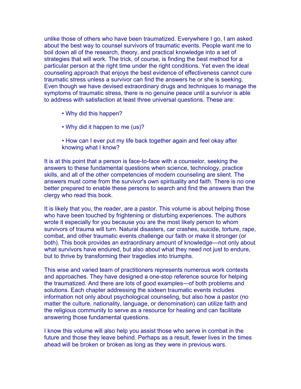unlike those of others who have been traumatized. Everywhere I go, I am asked about the best way to counsel survivors of traumatic events. People want me to boil down all of the research, theory, and practical knowledge into a set of strategies that will work. The trick, of course, is finding the best method for a particular person at the right time under the right conditions. Yet even the ideal counseling approach that enjoys the best evidence of effectiveness cannot cure traumatic stress unless a survivor can find the answers he or she is seeking. Even though we have devised extraordinary drugs and techniques to manage the symptoms of traumatic stress, there is no genuine peace until a survivor is able to address with satisfaction at least three universal questions. These are:

- Why did this happen?
- Why did it happen to me (us)?
- How can I ever put my life back together again and feel okay after knowing what I know?

It is at this point that a person is face-to-face with a counselor, seeking the answers to these fundamental questions when science, technology, practice skills, and all of the other competencies of modern counseling are silent. The answers must come from the survivor's own spirituality and faith. There is no one better prepared to enable these persons to search and find the answers than the clergy who read this book.

It is likely that you, the reader, are a pastor. This volume is about helping those who have been touched by frightening or disturbing experiences. The authors wrote it especially for you because you are the most likely person to whom survivors of trauma will turn. Natural disasters, car crashes, suicide, torture, rape, combat, and other traumatic events challenge our faith or make it stronger (or both). This book provides an extraordinary amount of knowledge—not only about what survivors have endured, but also about what they need not just to endure, but to thrive by transforming their tragedies into triumphs.

This wise and varied team of practitioners represents numerous work contexts and approaches. They have designed a one-stop reference source for helping the traumatized. And there are lots of good examples—of both problems and solutions. Each chapter addressing the sixteen traumatic events includes information not only about psychological counseling, but also how a pastor (no matter the culture, nationality, language, or denomination) can utilize faith and the religious community to serve as a resource for healing and can facilitate answering those fundamental questions.

I know this volume will also help you assist those who serve in combat in the future and those they leave behind. Perhaps as a result, fewer lives in the times ahead will be broken or broken as long as they were in previous wars.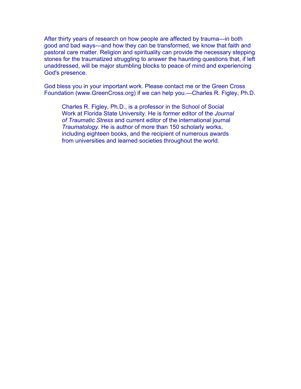After thirty years of research on how people are affected by trauma—in both good and bad ways—and how they can be transformed, we know that faith and pastoral care matter. Religion and spirituality can provide the necessary stepping stones for the traumatized struggling to answer the haunting questions that, if left unaddressed, will be major stumbling blocks to peace of mind and experiencing God's presence.

God bless you in your important work. Please contact me or the Green Cross Foundation (www.GreenCross.org) if we can help you.—Charles R. Figley, Ph.D.

Charles R. Figley, Ph.D., is a professor in the School of Social Work at Florida State University. He is former editor of the *Journal of Traumatic Stress* and current editor of the international journal *Traumatology.* He is author of more than 150 scholarly works, including eighteen books, and the recipient of numerous awards from universities and learned societies throughout the world.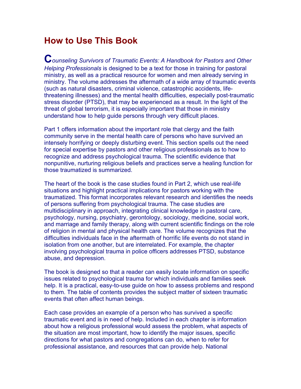## **How to Use This Book**

**C***ounseling Survivors of Traumatic Events: A Handbook for Pastors and Other Helping Professionals* is designed to be a text for those in training for pastoral ministry, as well as a practical resource for women and men already serving in ministry. The volume addresses the aftermath of a wide array of traumatic events (such as natural disasters, criminal violence, catastrophic accidents, lifethreatening illnesses) and the mental health difficulties, especially post-traumatic stress disorder (PTSD), that may be experienced as a result. In the light of the threat of global terrorism, it is especially important that those in ministry understand how to help guide persons through very difficult places.

Part 1 offers information about the important role that clergy and the faith community serve in the mental health care of persons who have survived an intensely horrifying or deeply disturbing event. This section spells out the need for special expertise by pastors and other religious professionals as to how to recognize and address psychological trauma. The scientific evidence that nonpunitive, nurturing religious beliefs and practices serve a healing function for those traumatized is summarized.

The heart of the book is the case studies found in Part 2, which use real-life situations and highlight practical implications for pastors working with the traumatized. This format incorporates relevant research and identifies the needs of persons suffering from psychological trauma. The case studies are multidisciplinary in approach, integrating clinical knowledge in pastoral care, psychology, nursing, psychiatry, gerontology, sociology, medicine, social work, and marriage and family therapy, along with current scientific findings on the role of religion in mental and physical health care. The volume recognizes that the difficulties individuals face in the aftermath of horrific life events do not stand in isolation from one another, but are interrelated. For example, the chapter involving psychological trauma in police officers addresses PTSD, substance abuse, and depression.

The book is designed so that a reader can easily locate information on specific issues related to psychological trauma for which individuals and families seek help. It is a practical, easy-to-use guide on how to assess problems and respond to them. The table of contents provides the subject matter of sixteen traumatic events that often affect human beings.

Each case provides an example of a person who has survived a specific traumatic event and is in need of help. Included in each chapter is information about how a religious professional would assess the problem, what aspects of the situation are most important, how to identify the major issues, specific directions for what pastors and congregations can do, when to refer for professional assistance, and resources that can provide help. National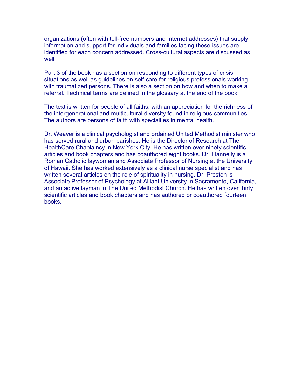organizations (often with toll-free numbers and Internet addresses) that supply information and support for individuals and families facing these issues are identified for each concern addressed. Cross-cultural aspects are discussed as well

Part 3 of the book has a section on responding to different types of crisis situations as well as guidelines on self-care for religious professionals working with traumatized persons. There is also a section on how and when to make a referral. Technical terms are defined in the glossary at the end of the book.

The text is written for people of all faiths, with an appreciation for the richness of the intergenerational and multicultural diversity found in religious communities. The authors are persons of faith with specialties in mental health.

Dr. Weaver is a clinical psychologist and ordained United Methodist minister who has served rural and urban parishes. He is the Director of Research at The HealthCare Chaplaincy in New York City. He has written over ninety scientific articles and book chapters and has coauthored eight books. Dr. Flannelly is a Roman Catholic laywoman and Associate Professor of Nursing at the University of Hawaii. She has worked extensively as a clinical nurse specialist and has written several articles on the role of spirituality in nursing. Dr. Preston is Associate Professor of Psychology at Alliant University in Sacramento, California, and an active layman in The United Methodist Church. He has written over thirty scientific articles and book chapters and has authored or coauthored fourteen books.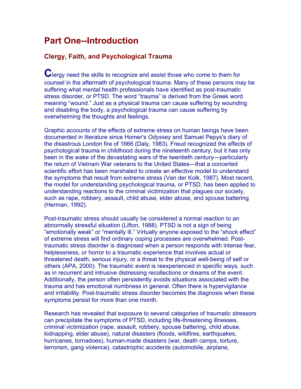## **Part One--Introduction**

## **Clergy, Faith, and Psychological Trauma**

**C**lergy need the skills to recognize and assist those who come to them for counsel in the aftermath of psychological trauma. Many of these persons may be suffering what mental health professionals have identified as post-traumatic stress disorder, or PTSD. The word "trauma" is derived from the Greek word meaning "wound." Just as a physical trauma can cause suffering by wounding and disabling the body, a psychological trauma can cause suffering by overwhelming the thoughts and feelings.

Graphic accounts of the effects of extreme stress on human beings have been documented in literature since Homer's *Odyssey* and Samuel Pepys's diary of the disastrous London fire of 1666 (Daly, 1983). Freud recognized the effects of psychological trauma in childhood during the nineteenth century, but it has only been in the wake of the devastating wars of the twentieth century—particularly the return of Vietnam War veterans to the United States—that a concerted scientific effort has been marshaled to create an effective model to understand the symptoms that result from extreme stress (Van der Kolk, 1987). Most recent, the model for understanding psychological trauma, or PTSD, has been applied to understanding reactions to the criminal victimization that plagues our society, such as rape, robbery, assault, child abuse, elder abuse, and spouse battering (Herman, 1992).

Post-traumatic stress should usually be considered a normal reaction to an abnormally stressful situation (Lifton, 1988). PTSD is not a sign of being "emotionally weak" or "mentally ill." Virtually anyone exposed to the "shock effect" of extreme stress will find ordinary coping processes are overwhelmed. Posttraumatic stress disorder is diagnosed when a person responds with intense fear, helplessness, or horror to a traumatic experience that involves actual or threatened death, serious injury, or a threat to the physical well-being of self or others (APA, 2000). The traumatic event is reexperienced in specific ways, such as in recurrent and intrusive distressing recollections or dreams of the event. Additionally, the person often persistently avoids situations associated with the trauma and has emotional numbness in general. Often there is hypervigilance and irritability. Post-traumatic stress disorder becomes the diagnosis when these symptoms persist for more than one month.

Research has revealed that exposure to several categories of traumatic stressors can precipitate the symptoms of PTSD, including life-threatening illnesses, criminal victimization (rape, assault, robbery, spouse battering, child abuse, kidnapping, elder abuse), natural disasters (floods, wildfires, earthquakes, hurricanes, tornadoes), human-made disasters (war, death camps, torture, terrorism, gang violence), catastrophic accidents (automobile, airplane,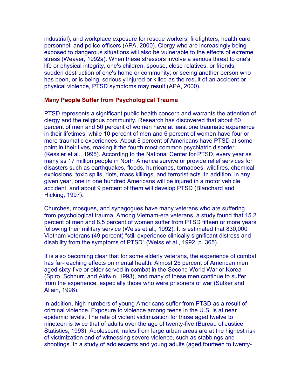industrial), and workplace exposure for rescue workers, firefighters, health care personnel, and police officers (APA, 2000). Clergy who are increasingly being exposed to dangerous situations will also be vulnerable to the effects of extreme stress (Weaver, 1992a). When these stressors involve a serious threat to one's life or physical integrity, one's children, spouse, close relatives, or friends; sudden destruction of one's home or community; or seeing another person who has been, or is being, seriously injured or killed as the result of an accident or physical violence, PTSD symptoms may result (APA, 2000).

#### **Many People Suffer from Psychological Trauma**

PTSD represents a significant public health concern and warrants the attention of clergy and the religious community. Research has discovered that about 60 percent of men and 50 percent of women have at least one traumatic experience in their lifetimes, while 10 percent of men and 6 percent of women have four or more traumatic experiences. About 8 percent of Americans have PTSD at some point in their lives, making it the fourth most common psychiatric disorder (Kessler et al., 1995). According to the National Center for PTSD, every year as many as 17 million people in North America survive or provide relief services for disasters such as earthquakes, floods, hurricanes, tornadoes, wildfires, chemical explosions, toxic spills, riots, mass killings, and terrorist acts. In addition, in any given year, one in one hundred Americans will be injured in a motor vehicle accident, and about 9 percent of them will develop PTSD (Blanchard and Hicking, 1997).

Churches, mosques, and synagogues have many veterans who are suffering from psychological trauma. Among Vietnam-era veterans, a study found that 15.2 percent of men and 8.5 percent of women suffer from PTSD fifteen or more years following their military service (Weiss et al., 1992). It is estimated that 830,000 Vietnam veterans (49 percent) "still experience clinically significant distress and disability from the symptoms of PTSD" (Weiss et al., 1992, p. 365).

It is also becoming clear that for some elderly veterans, the experience of combat has far-reaching effects on mental health. Almost 25 percent of American men aged sixty-five or older served in combat in the Second World War or Korea (Spiro, Schnurr, and Aldwin, 1993), and many of these men continue to suffer from the experience, especially those who were prisoners of war (Sutker and Allain, 1996).

In addition, high numbers of young Americans suffer from PTSD as a result of criminal violence. Exposure to violence among teens in the U.S. is at near epidemic levels. The rate of violent victimization for those aged twelve to nineteen is twice that of adults over the age of twenty-five (Bureau of Justice Statistics, 1993). Adolescent males from large urban areas are at the highest risk of victimization and of witnessing severe violence, such as stabbings and shootings. In a study of adolescents and young adults (aged fourteen to twenty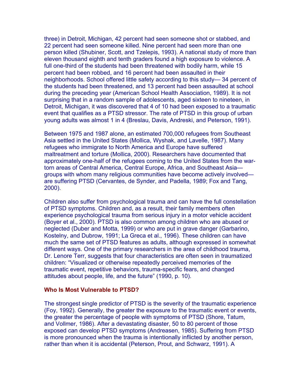three) in Detroit, Michigan, 42 percent had seen someone shot or stabbed, and 22 percent had seen someone killed. Nine percent had seen more than one person killed (Shubiner, Scott, and Tzelepis, 1993). A national study of more than eleven thousand eighth and tenth graders found a high exposure to violence. A full one-third of the students had been threatened with bodily harm, while 15 percent had been robbed, and 16 percent had been assaulted in their neighborhoods. School offered little safety according to this study— 34 percent of the students had been threatened, and 13 percent had been assaulted at school during the preceding year (American School Health Association, 1989). It is not surprising that in a random sample of adolescents, aged sixteen to nineteen, in Detroit, Michigan, it was discovered that 4 of 10 had been exposed to a traumatic event that qualifies as a PTSD stressor. The rate of PTSD in this group of urban young adults was almost 1 in 4 (Breslau, Davis, Andreski, and Peterson, 1991).

Between 1975 and 1987 alone, an estimated 700,000 refugees from Southeast Asia settled in the United States (Mollica, Wyshak, and Lavelle, 1987). Many refugees who immigrate to North America and Europe have suffered maltreatment and torture (Mollica, 2000). Researchers have documented that approximately one-half of the refugees coming to the United States from the wartorn areas of Central America, Central Europe, Africa, and Southeast Asia groups with whom many religious communities have become actively involved are suffering PTSD (Cervantes, de Synder, and Padella, 1989; Fox and Tang, 2000).

Children also suffer from psychological trauma and can have the full constellation of PTSD symptoms. Children and, as a result, their family members often experience psychological trauma from serious injury in a motor vehicle accident (Boyer et al., 2000). PTSD is also common among children who are abused or neglected (Duber and Motta, 1999) or who are put in grave danger (Garbarino, Kostelny, and Dubrow, 1991; La Greca et al., 1996). These children can have much the same set of PTSD features as adults, although expressed in somewhat different ways. One of the primary researchers in the area of childhood trauma, Dr. Lenore Terr, suggests that four characteristics are often seen in traumatized children: "Visualized or otherwise repeatedly perceived memories of the traumatic event, repetitive behaviors, trauma-specific fears, and changed attitudes about people, life, and the future" (1990, p. 10).

#### **Who Is Most Vulnerable to PTSD?**

The strongest single predictor of PTSD is the severity of the traumatic experience (Foy, 1992). Generally, the greater the exposure to the traumatic event or events, the greater the percentage of people with symptoms of PTSD (Shore, Tatum, and Vollmer, 1986). After a devastating disaster, 50 to 80 percent of those exposed can develop PTSD symptoms (Andreasen, 1985). Suffering from PTSD is more pronounced when the trauma is intentionally inflicted by another person, rather than when it is accidental (Peterson, Prout, and Schwarz, 1991). A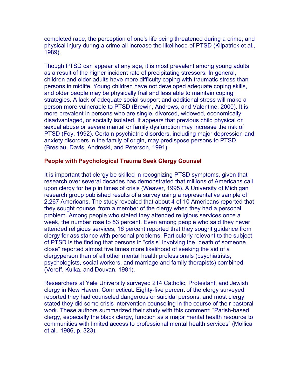completed rape, the perception of one's life being threatened during a crime, and physical injury during a crime all increase the likelihood of PTSD (Kilpatrick et al., 1989).

Though PTSD can appear at any age, it is most prevalent among young adults as a result of the higher incident rate of precipitating stressors. In general, children and older adults have more difficulty coping with traumatic stress than persons in midlife. Young children have not developed adequate coping skills, and older people may be physically frail and less able to maintain coping strategies. A lack of adequate social support and additional stress will make a person more vulnerable to PTSD (Brewin, Andrews, and Valentine, 2000). It is more prevalent in persons who are single, divorced, widowed, economically disadvantaged, or socially isolated. It appears that previous child physical or sexual abuse or severe marital or family dysfunction may increase the risk of PTSD (Foy, 1992). Certain psychiatric disorders, including major depression and anxiety disorders in the family of origin, may predispose persons to PTSD (Breslau, Davis, Andreski, and Peterson, 1991).

#### **People with Psychological Trauma Seek Clergy Counsel**

It is important that clergy be skilled in recognizing PTSD symptoms, given that research over several decades has demonstrated that millions of Americans call upon clergy for help in times of crisis (Weaver, 1995). A University of Michigan research group published results of a survey using a representative sample of 2,267 Americans. The study revealed that about 4 of 10 Americans reported that they sought counsel from a member of the clergy when they had a personal problem. Among people who stated they attended religious services once a week, the number rose to 53 percent. Even among people who said they never attended religious services, 16 percent reported that they sought guidance from clergy for assistance with personal problems. Particularly relevant to the subject of PTSD is the finding that persons in "crisis" involving the "death of someone close" reported almost five times more likelihood of seeking the aid of a clergyperson than of all other mental health professionals (psychiatrists, psychologists, social workers, and marriage and family therapists) combined (Veroff, Kulka, and Douvan, 1981).

Researchers at Yale University surveyed 214 Catholic, Protestant, and Jewish clergy in New Haven, Connecticut. Eighty-five percent of the clergy surveyed reported they had counseled dangerous or suicidal persons, and most clergy stated they did some crisis intervention counseling in the course of their pastoral work. These authors summarized their study with this comment: "Parish-based clergy, especially the black clergy, function as a major mental health resource to communities with limited access to professional mental health services" (Mollica et al., 1986, p. 323).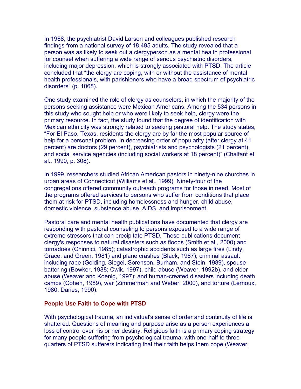In 1988, the psychiatrist David Larson and colleagues published research findings from a national survey of 18,495 adults. The study revealed that a person was as likely to seek out a clergyperson as a mental health professional for counsel when suffering a wide range of serious psychiatric disorders, including major depression, which is strongly associated with PTSD. The article concluded that "the clergy are coping, with or without the assistance of mental health professionals, with parishioners who have a broad spectrum of psychiatric disorders" (p. 1068).

One study examined the role of clergy as counselors, in which the majority of the persons seeking assistance were Mexican Americans. Among the 534 persons in this study who sought help or who were likely to seek help, clergy were the primary resource. In fact, the study found that the degree of identification with Mexican ethnicity was strongly related to seeking pastoral help. The study states, "For El Paso, Texas, residents the clergy are by far the most popular source of help for a personal problem. In decreasing order of popularity (after clergy at 41 percent) are doctors (29 percent), psychiatrists and psychologists (21 percent), and social service agencies (including social workers at 18 percent)" (Chalfant et al., 1990, p. 308).

In 1999, researchers studied African American pastors in ninety-nine churches in urban areas of Connecticut (Williams et al., 1999). Ninety-four of the congregations offered community outreach programs for those in need. Most of the programs offered services to persons who suffer from conditions that place them at risk for PTSD, including homelessness and hunger, child abuse, domestic violence, substance abuse, AIDS, and imprisonment.

Pastoral care and mental health publications have documented that clergy are responding with pastoral counseling to persons exposed to a wide range of extreme stressors that can precipitate PTSD. These publications document clergy's responses to natural disasters such as floods (Smith et al., 2000) and tornadoes (Chinnici, 1985); catastrophic accidents such as large fires (Lindy, Grace, and Green, 1981) and plane crashes (Black, 1987); criminal assault including rape (Golding, Siegel, Sorenson, Burham, and Stein, 1989), spouse battering (Bowker, 1988; Cwik, 1997), child abuse (Weaver, 1992b), and elder abuse (Weaver and Koenig, 1997); and human-created disasters including death camps (Cohen, 1989), war (Zimmerman and Weber, 2000), and torture (Lernoux, 1980; Daries, 1990).

#### **People Use Faith to Cope with PTSD**

With psychological trauma, an individual's sense of order and continuity of life is shattered. Questions of meaning and purpose arise as a person experiences a loss of control over his or her destiny. Religious faith is a primary coping strategy for many people suffering from psychological trauma, with one-half to threequarters of PTSD sufferers indicating that their faith helps them cope (Weaver,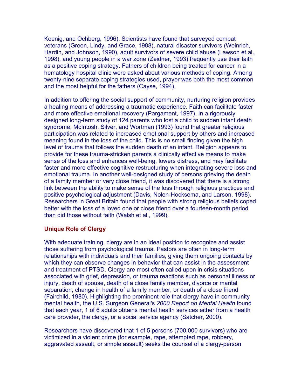Koenig, and Ochberg, 1996). Scientists have found that surveyed combat veterans (Green, Lindy, and Grace, 1988), natural disaster survivors (Weinrich, Hardin, and Johnson, 1990), adult survivors of severe child abuse (Lawson et al., 1998), and young people in a war zone (Zeidner, 1993) frequently use their faith as a positive coping strategy. Fathers of children being treated for cancer in a hematology hospital clinic were asked about various methods of coping. Among twenty-nine separate coping strategies used, prayer was both the most common and the most helpful for the fathers (Cayse, 1994).

In addition to offering the social support of community, nurturing religion provides a healing means of addressing a traumatic experience. Faith can facilitate faster and more effective emotional recovery (Pargament, 1997). In a rigorously designed long-term study of 124 parents who lost a child to sudden infant death syndrome, McIntosh, Silver, and Wortman (1993) found that greater religious participation was related to increased emotional support by others and increased meaning found in the loss of the child. This is no small finding given the high level of trauma that follows the sudden death of an infant. Religion appears to provide for these trauma-stricken parents a clinically effective means to make sense of the loss and enhances well-being, lowers distress, and may facilitate faster and more effective cognitive restructuring when integrating severe loss and emotional trauma. In another well-designed study of persons grieving the death of a family member or very close friend, it was discovered that there is a strong link between the ability to make sense of the loss through religious practices and positive psychological adjustment (Davis, Nolen-Hocksema, and Larson, 1998). Researchers in Great Britain found that people with strong religious beliefs coped better with the loss of a loved one or close friend over a fourteen-month period than did those without faith (Walsh et al., 1999).

#### **Unique Role of Clergy**

With adequate training, clergy are in an ideal position to recognize and assist those suffering from psychological trauma. Pastors are often in long-term relationships with individuals and their families, giving them ongoing contacts by which they can observe changes in behavior that can assist in the assessment and treatment of PTSD. Clergy are most often called upon in crisis situations associated with grief, depression, or trauma reactions such as personal illness or injury, death of spouse, death of a close family member, divorce or marital separation, change in health of a family member, or death of a close friend (Fairchild, 1980). Highlighting the prominent role that clergy have in community mental health, the U.S. Surgeon General's *2000 Report on Mental Health* found that each year, 1 of 6 adults obtains mental health services either from a health care provider, the clergy, or a social service agency (Satcher, 2000).

Researchers have discovered that 1 of 5 persons (700,000 survivors) who are victimized in a violent crime (for example, rape, attempted rape, robbery, aggravated assault, or simple assault) seeks the counsel of a clergy-person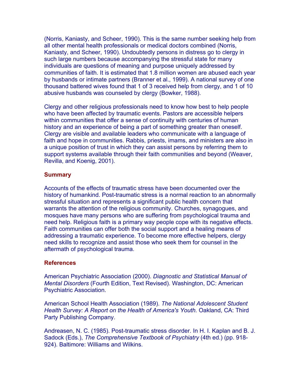(Norris, Kaniasty, and Scheer, 1990). This is the same number seeking help from all other mental health professionals or medical doctors combined (Norris, Kaniasty, and Scheer, 1990). Undoubtedly persons in distress go to clergy in such large numbers because accompanying the stressful state for many individuals are questions of meaning and purpose uniquely addressed by communities of faith. It is estimated that 1.8 million women are abused each year by husbands or intimate partners (Branner et al., 1999). A national survey of one thousand battered wives found that 1 of 3 received help from clergy, and 1 of 10 abusive husbands was counseled by clergy (Bowker, 1988).

Clergy and other religious professionals need to know how best to help people who have been affected by traumatic events. Pastors are accessible helpers within communities that offer a sense of continuity with centuries of human history and an experience of being a part of something greater than oneself. Clergy are visible and available leaders who communicate with a language of faith and hope in communities. Rabbis, priests, imams, and ministers are also in a unique position of trust in which they can assist persons by referring them to support systems available through their faith communities and beyond (Weaver, Revilla, and Koenig, 2001).

#### **Summary**

Accounts of the effects of traumatic stress have been documented over the history of humankind. Post-traumatic stress is a normal reaction to an abnormally stressful situation and represents a significant public health concern that warrants the attention of the religious community. Churches, synagogues, and mosques have many persons who are suffering from psychological trauma and need help. Religious faith is a primary way people cope with its negative effects. Faith communities can offer both the social support and a healing means of addressing a traumatic experience. To become more effective helpers, clergy need skills to recognize and assist those who seek them for counsel in the aftermath of psychological trauma.

#### **References**

American Psychiatric Association (2000). *Diagnostic and Statistical Manual of Mental Disorders* (Fourth Edition, Text Revised). Washington, DC: American Psychiatric Association.

American School Health Association (1989). *The National Adolescent Student Health Survey: A Report on the Health of America's Youth.* Oakland, CA: Third Party Publishing Company.

Andreasen, N. C. (1985). Post-traumatic stress disorder. In H. I. Kaplan and B. J. Sadock (Eds.), *The Comprehensive Textbook of Psychiatry* (4th ed.) (pp. 918- 924). Baltimore: Williams and Wilkins.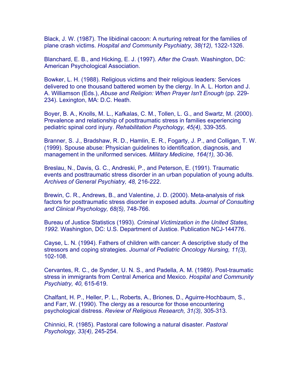Black, J. W. (1987). The libidinal cacoon: A nurturing retreat for the families of plane crash victims. *Hospital and Community Psychiatry, 38(12),* 1322-1326.

Blanchard, E. B., and Hicking, E. J. (1997). *After the Crash.* Washington, DC: American Psychological Association.

Bowker, L. H. (1988). Religious victims and their religious leaders: Services delivered to one thousand battered women by the clergy. In A. L. Horton and J. A. Williamson (Eds.), *Abuse and Religion: When Prayer Isn't Enough* (pp. 229- 234). Lexington, MA: D.C. Heath.

Boyer, B. A., Knolls, M. L., Kafkalas, C. M., Tollen, L. G., and Swartz, M. (2000). Prevalence and relationship of posttraumatic stress in families experiencing pediatric spinal cord injury. *Rehabilitation Psychology, 45(4),* 339-355.

Branner, S. J., Bradshaw, R. D., Hamlin, E. R., Fogarty, J. P., and Colligan, T. W. (1999). Spouse abuse: Physician guidelines to identification, diagnosis, and management in the uniformed services. *Military Medicine, 164(1),* 30-36.

Breslau, N., Davis, G. C., Andreski, P., and Peterson, E. (1991). Traumatic events and posttraumatic stress disorder in an urban population of young adults. *Archives of General Psychiatry, 48,* 216-222.

Brewin, C. R., Andrews, B., and Valentine, J. D. (2000). Meta-analysis of risk factors for posttraumatic stress disorder in exposed adults. *Journal of Consulting and Clinical Psychology, 68(5),* 748-766.

Bureau of Justice Statistics (1993). *Criminal Victimization in the United States, 1992.* Washington, DC: U.S. Department of Justice. Publication NCJ-144776.

Cayse, L. N. (1994). Fathers of children with cancer: A descriptive study of the stressors and coping strategies. *Journal of Pediatric Oncology Nursing, 11(3),* 102-108.

Cervantes, R. C., de Synder, U. N. S., and Padella, A. M. (1989). Post-traumatic stress in immigrants from Central America and Mexico. *Hospital and Community Psychiatry, 40,* 615-619.

Chalfant, H. P., Heller, P. L., Roberts, A., Briones, D., Aguirre-Hochbaum, S., and Farr, W. (1990). The clergy as a resource for those encountering psychological distress. *Review of Religious Research, 31(3),* 305-313.

Chinnici, R. (1985). Pastoral care following a natural disaster. *Pastoral Psychology, 33(4),* 245-254.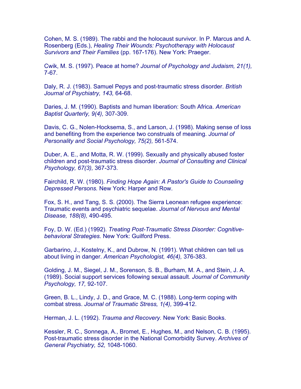Cohen, M. S. (1989). The rabbi and the holocaust survivor. In P. Marcus and A. Rosenberg (Eds.), *Healing Their Wounds: Psychotherapy with Holocaust Survivors and Their Families* (pp. 167-176). New York: Praeger.

Cwik, M. S. (1997). Peace at home? *Journal of Psychology and Judaism, 21(1),* 7-67.

Daly, R. J. (1983). Samuel Pepys and post-traumatic stress disorder. *British Journal of Psychiatry, 143,* 64-68.

Daries, J. M. (1990). Baptists and human liberation: South Africa. *American Baptist Quarterly, 9(4),* 307-309.

Davis, C. G., Nolen-Hocksema, S., and Larson, J. (1998). Making sense of loss and benefiting from the experience two construals of meaning. *Journal of Personality and Social Psychology, 75(2),* 561-574.

Duber, A. E., and Motta, R. W. (1999). Sexually and physically abused foster children and post-traumatic stress disorder. *Journal of Consulting and Clinical Psychology, 67(3),* 367-373.

Fairchild, R. W. (1980). *Finding Hope Again: A Pastor's Guide to Counseling Depressed Persons.* New York: Harper and Row.

Fox, S. H., and Tang, S. S. (2000). The Sierra Leonean refugee experience: Traumatic events and psychiatric sequelae. *Journal of Nervous and Mental Disease, 188(8),* 490-495.

Foy, D. W. (Ed.) (1992). *Treating Post-Traumatic Stress Disorder: Cognitivebehavioral Strategies.* New York: Guilford Press.

Garbarino, J., Kostelny, K., and Dubrow, N. (1991). What children can tell us about living in danger. *American Psychologist, 46(4),* 376-383.

Golding, J. M., Siegel, J. M., Sorenson, S. B., Burham, M. A., and Stein, J. A. (1989). Social support services following sexual assault. *Journal of Community Psychology, 17,* 92-107.

Green, B. L., Lindy, J. D., and Grace, M. C. (1988). Long-term coping with combat stress. *Journal of Traumatic Stress, 1(4),* 399-412.

Herman, J. L. (1992). *Trauma and Recovery.* New York: Basic Books.

Kessler, R. C., Sonnega, A., Bromet, E., Hughes, M., and Nelson, C. B. (1995). Post-traumatic stress disorder in the National Comorbidity Survey. *Archives of General Psychiatry, 52,* 1048-1060.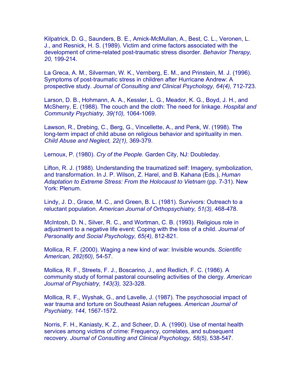Kilpatrick, D. G., Saunders, B. E., Amick-McMullan, A., Best, C. L., Veronen, L. J., and Resnick, H. S. (1989). Victim and crime factors associated with the development of crime-related post-traumatic stress disorder. *Behavior Therapy, 20,* 199-214.

La Greca, A. M., Silverman, W. K., Vernberg, E. M., and Prinstein, M. J. (1996). Symptoms of post-traumatic stress in children after Hurricane Andrew: A prospective study. *Journal of Consulting and Clinical Psychology, 64(4),* 712-723.

Larson, D. B., Hohmann, A. A., Kessler, L. G., Meador, K. G., Boyd, J. H., and McSherry, E. (1988). The couch and the cloth: The need for linkage. *Hospital and Community Psychiatry, 39(10),* 1064-1069.

Lawson, R., Drebing, C., Berg, G., Vincellette, A., and Penk, W. (1998). The long-term impact of child abuse on religious behavior and spirituality in men. *Child Abuse and Neglect, 22(1),* 369-379.

Lernoux, P. (1980). *Cry of the People.* Garden City, NJ: Doubleday.

Lifton, R. J. (1988). Understanding the traumatized self: Imagery, symbolization, and transformation. In J. P. Wilson, Z. Harel, and B. Kahana (Eds.), *Human Adaptation to Extreme Stress: From the Holocaust to Vietnam* (pp. 7-31). New York: Plenum.

Lindy, J. D., Grace, M. C., and Green, B. L. (1981). Survivors: Outreach to a reluctant population. *American Journal of Orthopsychiatry, 51(3),* 468-478.

McIntosh, D. N., Silver, R. C., and Wortman, C. B. (1993). Religious role in adjustment to a negative life event: Coping with the loss of a child. *Journal of Personality and Social Psychology, 65(4),* 812-821.

Mollica, R. F. (2000). Waging a new kind of war: Invisible wounds. *Scientific American, 282(60),* 54-57.

Mollica, R. F., Streets, F. J., Boscarino, J., and Redlich, F. C. (1986). A community study of formal pastoral counseling activities of the clergy. *American Journal of Psychiatry, 143(3),* 323-328.

Mollica, R. F., Wyshak, G., and Lavelle, J. (1987). The psychosocial impact of war trauma and torture on Southeast Asian refugees. *American Journal of Psychiatry, 144,* 1567-1572.

Norris, F. H., Kaniasty, K. Z., and Scheer, D. A. (1990). Use of mental health services among victims of crime: Frequency, correlates, and subsequent recovery. *Journal of Consulting and Clinical Psychology, 58(5),* 538-547.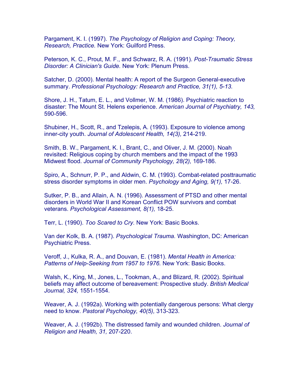Pargament, K. I. (1997). *The Psychology of Religion and Coping: Theory, Research, Practice.* New York: Guilford Press.

Peterson, K. C., Prout, M. F., and Schwarz, R. A. (1991). *Post-Traumatic Stress Disorder: A Clinician's Guide.* New York: Plenum Press.

Satcher, D. (2000). Mental health: A report of the Surgeon General-executive summary. *Professional Psychology: Research and Practice, 31(1), 5-13.* 

Shore, J. H., Tatum, E. L., and Vollmer, W. M. (1986). Psychiatric reaction to disaster: The Mount St. Helens experience. *American Journal of Psychiatry, 143,* 590-596.

Shubiner, H., Scott, R., and Tzelepis, A. (1993). Exposure to violence among inner-city youth. *Journal of Adolescent Health, 14(3),* 214-219.

Smith, B. W., Pargament, K. I., Brant, C., and Oliver, J. M. (2000). Noah revisited: Religious coping by church members and the impact of the 1993 Midwest flood. *Journal of Community Psychology, 28(2),* 169-186.

Spiro, A., Schnurr, P. P., and Aldwin, C. M. (1993). Combat-related posttraumatic stress disorder symptoms in older men. *Psychology and Aging, 9(1),* 17-26.

Sutker, P. B., and Allain, A. N. (1996). Assessment of PTSD and other mental disorders in World War II and Korean Conflict POW survivors and combat veterans. *Psychological Assessment, 8(1),* 18-25.

Terr, L. (1990). *Too Scared to Cry.* New York: Basic Books.

Van der Kolk, B. A. (1987). *Psychological Trauma.* Washington, DC: American Psychiatric Press.

Veroff, J., Kulka, R. A., and Douvan, E. (1981). *Mental Health in America: Patterns of Help-Seeking from 1957 to 1976.* New York: Basic Books.

Walsh, K., King, M., Jones, L., Tookman, A., and Blizard, R. (2002). Spiritual beliefs may affect outcome of bereavement: Prospective study. *British Medical Journal, 324,* 1551-1554.

Weaver, A. J. (1992a). Working with potentially dangerous persons: What clergy need to know. *Pastoral Psychology, 40(5),* 313-323.

Weaver, A. J. (1992b). The distressed family and wounded children. *Journal of Religion and Health, 31,* 207-220.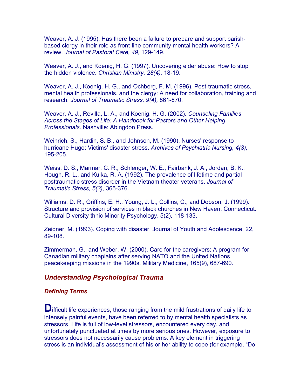Weaver, A. J. (1995). Has there been a failure to prepare and support parishbased clergy in their role as front-line community mental health workers? A review. *Journal of Pastoral Care, 49,* 129-149.

Weaver, A. J., and Koenig, H. G. (1997). Uncovering elder abuse: How to stop the hidden violence*. Christian Ministry, 28(4),* 18-19.

Weaver, A. J., Koenig, H. G., and Ochberg, F. M. (1996). Post-traumatic stress, mental health professionals, and the clergy: A need for collaboration, training and research. *Journal of Traumatic Stress, 9(4),* 861-870.

Weaver, A. J., Revilla, L. A., and Koenig, H. G. (2002). *Counseling Families Across the Stages of Life: A Handbook for Pastors and Other Helping Professionals.* Nashville: Abingdon Press.

Weinrich, S., Hardin, S. B., and Johnson, M. (1990). Nurses' response to hurricane Hugo: Victims' disaster stress. *Archives of Psychiatric Nursing, 4(3),* 195-205.

Weiss, D. S., Marmar, C. R., Schlenger, W. E., Fairbank, J. A., Jordan, B. K., Hough, R. L., and Kulka, R. A. (1992). The prevalence of lifetime and partial posttraumatic stress disorder in the Vietnam theater veterans. *Journal of Traumatic Stress, 5(3),* 365-376.

Williams, D. R., Griffins, E. H., Young, J. L., Collins, C., and Dobson, J. (1999). Structure and provision of services in black churches in New Haven, Connecticut. Cultural Diversity thnic Minority Psychology, 5(2), 118-133.

Zeidner, M. (1993). Coping with disaster. Journal of Youth and Adolescence, 22, 89-108.

Zimmerman, G., and Weber, W. (2000). Care for the caregivers: A program for Canadian military chaplains after serving NATO and the United Nations peacekeeping missions in the 1990s. Military Medicine, 165(9), 687-690.

#### *Understanding Psychological Trauma*

#### *Defining Terms*

**D**ifficult life experiences, those ranging from the mild frustrations of daily life to intensely painful events, have been referred to by mental health specialists as stressors. Life is full of low-level stressors, encountered every day, and unfortunately punctuated at times by more serious ones. However, exposure to stressors does not necessarily cause problems. A key element in triggering stress is an individual's assessment of his or her ability to cope (for example, "Do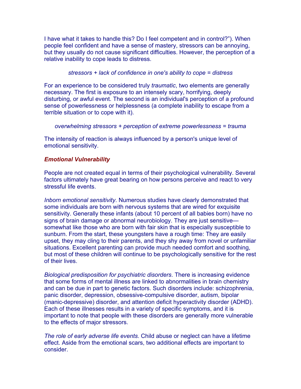I have what it takes to handle this? Do I feel competent and in control?"). When people feel confident and have a sense of mastery, stressors can be annoying, but they usually do not cause significant difficulties. However, the perception of a relative inability to cope leads to distress.

#### *stressors + lack of confidence in one's ability to cope = distress*

For an experience to be considered truly *traumatic*, two elements are generally necessary. The first is exposure to an intensely scary, horrifying, deeply disturbing, or awful event. The second is an individual's perception of a profound sense of powerlessness or helplessness (a complete inability to escape from a terrible situation or to cope with it).

#### *overwhelming stressors + perception of extreme powerlessness = trauma*

The intensity of reaction is always influenced by a person's unique level of emotional sensitivity.

#### *Emotional Vulnerability*

People are not created equal in terms of their psychological vulnerability. Several factors ultimately have great bearing on how persons perceive and react to very stressful life events.

*Inborn emotional sensitivity*. Numerous studies have clearly demonstrated that some individuals are born with nervous systems that are wired for exquisite sensitivity. Generally these infants (about 10 percent of all babies born) have no signs of brain damage or abnormal neurobiology. They are just sensitive somewhat like those who are born with fair skin that is especially susceptible to sunburn. From the start, these youngsters have a rough time: They are easily upset, they may cling to their parents, and they shy away from novel or unfamiliar situations. Excellent parenting can provide much needed comfort and soothing, but most of these children will continue to be psychologically sensitive for the rest of their lives.

*Biological predisposition for psychiatric disorders*. There is increasing evidence that some forms of mental illness are linked to abnormalities in brain chemistry and can be due in part to genetic factors. Such disorders include: schizophrenia, panic disorder, depression, obsessive-compulsive disorder, autism, bipolar (manic-depressive) disorder, and attention deficit hyperactivity disorder (ADHD). Each of these illnesses results in a variety of specific symptoms, and it is important to note that people with these disorders are generally more vulnerable to the effects of major stressors.

*The role of early adverse life events*. Child abuse or neglect can have a lifetime effect. Aside from the emotional scars, two additional effects are important to consider.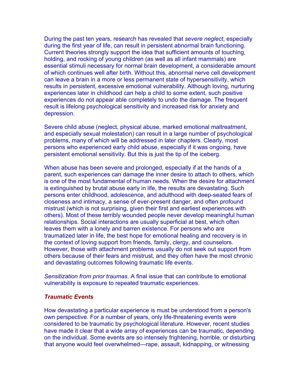During the past ten years, research has revealed that *severe neglect*, especially during the first year of life, can result in persistent abnormal brain functioning. Current theories strongly support the idea that sufficient amounts of touching, holding, and rocking of young children (as well as all infant mammals) are essential stimuli necessary for normal brain development, a considerable amount of which continues well after birth. Without this, abnormal nerve cell development can leave a brain in a more or less permanent state of hypersensitivity, which results in persistent, excessive emotional vulnerability. Although loving, nurturing experiences later in childhood can help a child to some extent, such positive experiences do not appear able completely to undo the damage. The frequent result is lifelong psychological sensitivity and increased risk for anxiety and depression.

Severe child abuse (neglect, physical abuse, marked emotional maltreatment, and especially sexual molestation) can result in a large number of psychological problems, many of which will be addressed in later chapters. Clearly, most persons who experienced early child abuse, especially if it was ongoing, have persistent emotional sensitivity. But this is just the tip of the iceberg.

When abuse has been severe and prolonged, especially if at the hands of a parent, such experiences can damage the inner desire to attach to others, which is one of the most fundamental of human needs. When the desire for attachment is extinguished by brutal abuse early in life, the results are devastating. Such persons enter childhood, adolescence, and adulthood with deep-seated fears of closeness and intimacy, a sense of ever-present danger, and often profound mistrust (which is not surprising, given their first and earliest experiences with others). Most of these terribly wounded people never develop meaningful human relationships. Social interactions are usually superficial at best, which often leaves them with a lonely and barren existence. For persons who are traumatized later in life, the best hope for emotional healing and recovery is in the context of loving support from friends, family, clergy, and counselors. However, those with attachment problems usually do not seek out support from others because of their fears and mistrust, and they often have the most chronic and devastating outcomes following traumatic life events.

*Sensitization from prior traumas*. A final issue that can contribute to emotional vulnerability is exposure to repeated traumatic experiences.

#### *Traumatic Events*

How devastating a particular experience is must be understood from a person's own perspective. For a number of years, only life-threatening events were considered to be traumatic by psychological literature. However, recent studies have made it clear that a wide array of experiences can be traumatic, depending on the individual. Some events are so intensely frightening, horrible, or disturbing that anyone would feel overwhelmed—rape, assault, kidnapping, or witnessing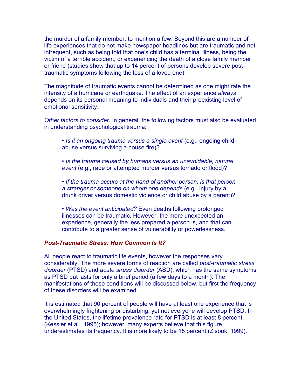the murder of a family member, to mention a few. Beyond this are a number of life experiences that do not make newspaper headlines but are traumatic and not infrequent, such as being told that one's child has a terminal illness, being the victim of a terrible accident, or experiencing the death of a close family member or friend (studies show that up to 14 percent of persons develop severe posttraumatic symptoms following the loss of a loved one).

The magnitude of traumatic events cannot be determined as one might rate the intensity of a hurricane or earthquake. The effect of an experience *always* depends on its personal meaning to individuals and their preexisting level of emotional sensitivity.

*Other factors to consider.* In general, the following factors must also be evaluated in understanding psychological trauma:

- *Is it an ongoing trauma versus a single event* (e.g., ongoing child abuse versus surviving a house fire)?
- *Is the trauma caused by humans versus an unavoidable, natural event* (e.g., rape or attempted murder versus tornado or flood)?
- *If the trauma occurs at the hand of another person, is that person a stranger or someone on whom one depends* (e.g., injury by a drunk driver versus domestic violence or child abuse by a parent)?
- *Was the event anticipated?* Even deaths following prolonged illnesses can be traumatic. However, the more unexpected an experience, generally the less prepared a person is, and that can contribute to a greater sense of vulnerability or powerlessness.

#### *Post-Traumatic Stress: How Common Is It?*

All people react to traumatic life events, however the responses vary considerably. The more severe forms of reaction are called *post-traumatic stress disorder* (PTSD) and *acute stress disorder* (ASD), which has the same symptoms as PTSD but lasts for only a brief period (a few days to a month). The manifestations of these conditions will be discussed below, but first the frequency of these disorders will be examined.

It is estimated that 90 percent of people will have at least one experience that is overwhelmingly frightening or disturbing, yet not everyone will develop PTSD. In the United States, the lifetime prevalence rate for PTSD is at least 8 percent (Kessler et al., 1995); however, many experts believe that this figure underestimates its frequency. It is more likely to be 15 percent (Zisook, 1999).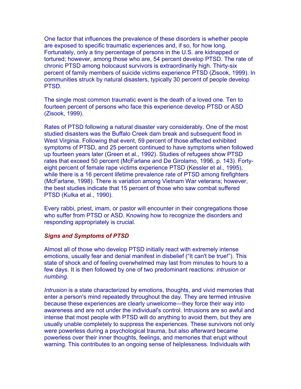One factor that influences the prevalence of these disorders is whether people are exposed to specific traumatic experiences and, if so, for how long. Fortunately, only a tiny percentage of persons in the U.S. are kidnapped or tortured; however, among those who are, 54 percent develop PTSD. The rate of chronic PTSD among holocaust survivors is extraordinarily high. Thirty-six percent of family members of suicide victims experience PTSD (Zisook, 1999). In communities struck by natural disasters, typically 30 percent of people develop PTSD.

The single most common traumatic event is the death of a loved one. Ten to fourteen percent of persons who face this experience develop PTSD or ASD (Zisook, 1999).

Rates of PTSD following a natural disaster vary considerably. One of the most studied disasters was the Buffalo Creek dam break and subsequent flood in West Virginia. Following that event, 59 percent of those affected exhibited symptoms of PTSD, and 25 percent continued to have symptoms when followed up fourteen years later (Green et al., 1992). Studies of refugees show PTSD rates that exceed 50 percent (McFarlane and De Girolamo, 1996, p. 143). Fortyeight percent of female rape victims experience PTSD (Kessler et al., 1995), while there is a 16 percent lifetime prevalence rate of PTSD among firefighters (McFarlane, 1998). There is variation among Vietnam War veterans; however, the best studies indicate that 15 percent of those who saw combat suffered PTSD (Kulka et al., 1990).

Every rabbi, priest, imam, or pastor will encounter in their congregations those who suffer from PTSD or ASD. Knowing how to recognize the disorders and responding appropriately is crucial.

#### *Signs and Symptoms of PTSD*

Almost all of those who develop PTSD initially react with extremely intense emotions, usually fear and denial manifest in disbelief ("It can't be true!"). This state of shock and of feeling overwhelmed may last from minutes to hours to a few days. It is then followed by one of two predominant reactions: *intrusion* or *numbing*.

*Intrusion* is a state characterized by emotions, thoughts, and vivid memories that enter a person's mind repeatedly throughout the day. They are termed intrusive because these experiences are clearly unwelcome—they force their way into awareness and are not under the individual's control. Intrusions are so awful and intense that most people with PTSD will do anything to avoid them, but they are usually unable completely to suppress the experiences. These survivors not only were powerless during a psychological trauma, but also afterward became powerless over their inner thoughts, feelings, and memories that erupt without warning. This contributes to an ongoing sense of helplessness. Individuals with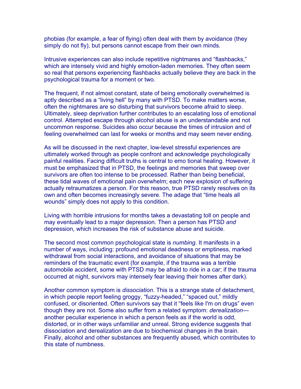phobias (for example, a fear of flying) often deal with them by avoidance (they simply do not fly), but persons cannot escape from their own minds.

Intrusive experiences can also include repetitive nightmares and "flashbacks," which are intensely vivid and highly emotion-laden memories. They often seem so real that persons experiencing flashbacks actually believe they are back in the psychological trauma for a moment or two.

The frequent, if not almost constant, state of being emotionally overwhelmed is aptly described as a "living hell" by many with PTSD. To make matters worse, often the nightmares are so disturbing that survivors become afraid to sleep. Ultimately, sleep deprivation further contributes to an escalating loss of emotional control. Attempted escape through alcohol abuse is an understandable and not uncommon response. Suicides also occur because the times of intrusion and of feeling overwhelmed can last for weeks or months and may seem never ending.

As will be discussed in the next chapter, low-level stressful experiences are ultimately worked through as people confront and acknowledge psychologically painful realities. Facing difficult truths is central to emo tional healing. However, it must be emphasized that in PTSD, the feelings and memories that sweep over survivors are often too intense to be processed. Rather than being beneficial, these tidal waves of emotional pain overwhelm; each new explosion of suffering actually retraumatizes a person. For this reason, true PTSD rarely resolves on its own and often becomes increasingly severe. The adage that "time heals all wounds" simply does not apply to this condition.

Living with horrible intrusions for months takes a devastating toll on people and may eventually lead to a major depression. Then a person has PTSD *and* depression, which increases the risk of substance abuse and suicide.

The second most common psychological state is *numbing*. It manifests in a number of ways, including: profound emotional deadness or emptiness, marked withdrawal from social interactions, and avoidance of situations that may be reminders of the traumatic event (for example, if the trauma was a terrible automobile accident, some with PTSD may be afraid to ride in a car; if the trauma occurred at night, survivors may intensely fear leaving their homes after dark).

Another common symptom is *dissociation*. This is a strange state of detachment, in which people report feeling groggy, "fuzzy-headed," "spaced out," mildly confused, or disoriented. Often survivors say that it "feels like I'm on drugs" even though they are not. Some also suffer from a related symptom: *derealization* another peculiar experience in which a person feels as if the world is odd, distorted, or in other ways unfamiliar and unreal. Strong evidence suggests that dissociation and derealization are due to biochemical changes in the brain. Finally, alcohol and other substances are frequently abused, which contributes to this state of numbness.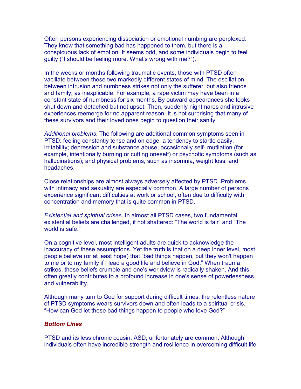Often persons experiencing dissociation or emotional numbing are perplexed. They know that something bad has happened to them, but there is a conspicuous lack of emotion. It seems odd, and some individuals begin to feel guilty ("I should be feeling more. What's wrong with me?").

In the weeks or months following traumatic events, those with PTSD often vacillate between these two markedly different states of mind. The oscillation between intrusion and numbness strikes not only the sufferer, but also friends and family, as inexplicable. For example, a rape victim may have been in a constant state of numbness for six months. By outward appearances she looks shut down and detached but not upset. Then, suddenly nightmares and intrusive experiences reemerge for no apparent reason. It is not surprising that many of these survivors and their loved ones begin to question their sanity.

*Additional problems*. The following are additional common symptoms seen in PTSD: feeling constantly tense and on edge; a tendency to startle easily; irritability; depression and substance abuse; occasionally self- mutilation (for example, intentionally burning or cutting oneself) or psychotic symptoms (such as hallucinations); and physical problems, such as insomnia, weight loss, and headaches.

Close relationships are almost always adversely affected by PTSD. Problems with intimacy and sexuality are especially common. A large number of persons experience significant difficulties at work or school, often due to difficulty with concentration and memory that is quite common in PTSD.

*Existential and spiritual crises*. In almost all PTSD cases, two fundamental existential beliefs are challenged, if not shattered: "The world is fair" and "The world is safe."

On a cognitive level, most intelligent adults are quick to acknowledge the inaccuracy of these assumptions. Yet the truth is that on a deep inner level, most people believe (or at least hope) that "bad things happen, but they won't happen to me or to my family if I lead a good life and believe in God." When trauma strikes, these beliefs crumble and one's worldview is radically shaken. And this often greatly contributes to a profound increase in one's sense of powerlessness and vulnerability.

Although many turn to God for support during difficult times, the relentless nature of PTSD symptoms wears survivors down and often leads to a spiritual crisis. "How can God let these bad things happen to people who love God?"

#### *Bottom Lines*

PTSD and its less chronic cousin, ASD, unfortunately are common. Although individuals often have incredible strength and resilience in overcoming difficult life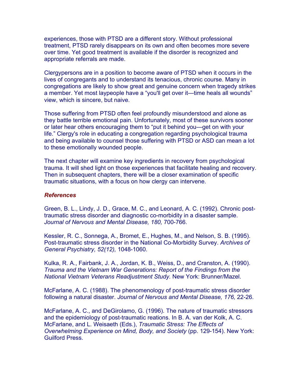experiences, those with PTSD are a different story. Without professional treatment, PTSD rarely disappears on its own and often becomes more severe over time. Yet good treatment is available if the disorder is recognized and appropriate referrals are made.

Clergypersons are in a position to become aware of PTSD when it occurs in the lives of congregants and to understand its tenacious, chronic course. Many in congregations are likely to show great and genuine concern when tragedy strikes a member. Yet most laypeople have a "you'll get over it—time heals all wounds" view, which is sincere, but naive.

Those suffering from PTSD often feel profoundly misunderstood and alone as they battle terrible emotional pain. Unfortunately, most of these survivors sooner or later hear others encouraging them to "put it behind you—get on with your life." Clergy's role in educating a congregation regarding psychological trauma and being available to counsel those suffering with PTSD or ASD can mean a lot to these emotionally wounded people.

The next chapter will examine key ingredients in recovery from psychological trauma. It will shed light on those experiences that facilitate healing and recovery. Then in subsequent chapters, there will be a closer examination of specific traumatic situations, with a focus on how clergy can intervene.

#### *References*

Green, B. L., Lindy, J. D., Grace, M. C., and Leonard, A. C. (1992). Chronic posttraumatic stress disorder and diagnostic co-morbidity in a disaster sample. *Journal of Nervous and Mental Disease, 180,* 700-766.

Kessler, R. C., Sonnega, A., Bromet, E., Hughes, M., and Nelson, S. B. (1995). Post-traumatic stress disorder in the National Co-Morbidity Survey. *Archives of General Psychiatry, 52(12),* 1048-1060.

Kulka, R. A., Fairbank, J. A., Jordan, K. B., Weiss, D., and Cranston, A. (1990). *Trauma and the Vietnam War Generations: Report of the Findings from the National Vietnam Veterans Readjustment Study.* New York: Brunner/Mazel.

McFarlane, A. C. (1988). The phenomenology of post-traumatic stress disorder following a natural disaster. *Journal of Nervous and Mental Disease, 176,* 22-26.

McFarlane, A. C., and DeGirolamo, G. (1996). The nature of traumatic stressors and the epidemiology of post-traumatic reations. In B. A. van der Kolk, A. C. McFarlane, and L. Weisaeth (Eds.), *Traumatic Stress: The Effects of Overwhelming Experience on Mind, Body, and Society* (pp. 129-154). New York: Guilford Press.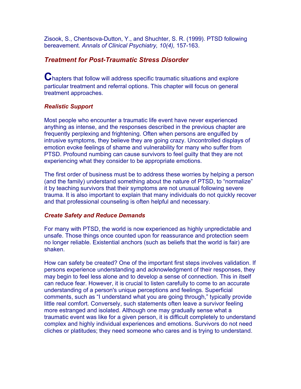Zisook, S., Chentsova-Dutton, Y., and Shuchter, S. R. (1999). PTSD following bereavement. *Annals of Clinical Psychiatry, 10(4),* 157-163.

### *Treatment for Post-Traumatic Stress Disorder*

**C**hapters that follow will address specific traumatic situations and explore particular treatment and referral options. This chapter will focus on general treatment approaches.

### *Realistic Support*

Most people who encounter a traumatic life event have never experienced anything as intense, and the responses described in the previous chapter are frequently perplexing and frightening. Often when persons are engulfed by intrusive symptoms, they believe they are going crazy. Uncontrolled displays of emotion evoke feelings of shame and vulnerability for many who suffer from PTSD. Profound numbing can cause survivors to feel guilty that they are not experiencing what they consider to be appropriate emotions.

The first order of business must be to address these worries by helping a person (and the family) understand something about the nature of PTSD, to "normalize" it by teaching survivors that their symptoms are not unusual following severe trauma. It is also important to explain that many individuals do not quickly recover and that professional counseling is often helpful and necessary.

#### *Create Safety and Reduce Demands*

For many with PTSD, the world is now experienced as highly unpredictable and unsafe. Those things once counted upon for reassurance and protection seem no longer reliable. Existential anchors (such as beliefs that the world is fair) are shaken.

How can safety be created? One of the important first steps involves validation. If persons experience understanding and acknowledgment of their responses, they may begin to feel less alone and to develop a sense of connection. This in itself can reduce fear. However, it is crucial to listen carefully to come to an accurate understanding of a person's unique perceptions and feelings. Superficial comments, such as "I understand what you are going through," typically provide little real comfort. Conversely, such statements often leave a survivor feeling more estranged and isolated. Although one may gradually sense what a traumatic event was like for a given person, it is difficult completely to understand complex and highly individual experiences and emotions. Survivors do not need cliches or platitudes; they need someone who cares and is trying to understand.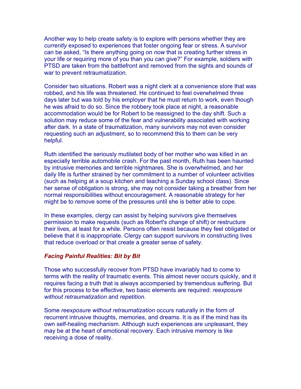Another way to help create safety is to explore with persons whether they are *currently* exposed to experiences that foster ongoing fear or stress. A survivor can be asked, "Is there anything going on *now* that is creating further stress in your life or requiring more of you than you can give?" For example, soldiers with PTSD are taken from the battlefront and removed from the sights and sounds of war to prevent retraumatization.

Consider two situations. Robert was a night clerk at a convenience store that was robbed, and his life was threatened. He continued to feel overwhelmed three days later but was told by his employer that he must return to work, even though he was afraid to do so. Since the robbery took place at night, a reasonable accommodation would be for Robert to be reassigned to the day shift. Such a solution may reduce some of the fear and vulnerability associated with working after dark. In a state of traumatization, many survivors may not even consider requesting such an adjustment, so to recommend this to them can be very helpful.

Ruth identified the seriously mutilated body of her mother who was killed in an especially terrible automobile crash. For the past month, Ruth has been haunted by intrusive memories and terrible nightmares. She is overwhelmed, and her daily life is further strained by her commitment to a number of volunteer activities (such as helping at a soup kitchen and teaching a Sunday school class). Since her sense of obligation is strong, she may not consider taking a breather from her normal responsibilities without encouragement. A reasonable strategy for her might be to remove some of the pressures until she is better able to cope.

In these examples, clergy can assist by helping survivors give themselves permission to make requests (such as Robert's change of shift) or restructure their lives, at least for a while. Persons often resist because they feel obligated or believe that it is inappropriate. Clergy can support survivors in constructing lives that reduce overload or that create a greater sense of safety.

#### *Facing Painful Realities: Bit by Bit*

Those who successfully recover from PTSD have invariably had to come to terms with the reality of traumatic events. This almost never occurs quickly, and it requires facing a truth that is always accompanied by tremendous suffering. But for this process to be effective, two basic elements are required: *reexposure without retraumatization* and *repetition*.

Some *reexposure without retraumatization* occurs naturally in the form of recurrent intrusive thoughts, memories, and dreams. It is as if the mind has its own self-healing mechanism. Although such experiences are unpleasant, they may be at the heart of emotional recovery. Each intrusive memory is like receiving a dose of reality.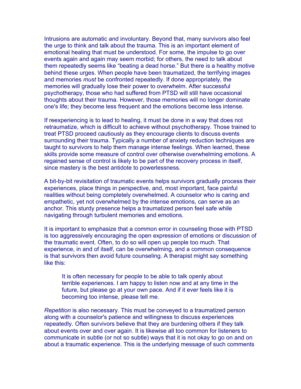Intrusions are automatic and involuntary. Beyond that, many survivors also feel the urge to think and talk about the trauma. This is an important element of emotional healing that must be understood. For some, the impulse to go over events again and again may seem morbid; for others, the need to talk about them repeatedly seems like "beating a dead horse." But there is a healthy motive behind these urges. When people have been traumatized, the terrifying images and memories *must* be confronted repeatedly. If done appropriately, the memories will gradually lose their power to overwhelm. After successful psychotherapy, those who had suffered from PTSD will still have occasional thoughts about their trauma. However, those memories will no longer dominate one's life; they become less frequent and the emotions become less intense.

If reexperiencing is to lead to healing, it must be done in a way that does not retraumatize, which is difficult to achieve without psychotherapy. Those trained to treat PTSD proceed cautiously as they encourage clients to discuss events surrounding their trauma. Typically a number of anxiety reduction techniques are taught to survivors to help them manage intense feelings. When learned, these skills provide some measure of control over otherwise overwhelming emotions. A regained sense of control is likely to be part of the recovery process in itself, since mastery is the best antidote to powerlessness.

A bit-by-bit revisitation of traumatic events helps survivors gradually process their experiences, place things in perspective, and, most important, face painful realities without being completely overwhelmed. A counselor who is caring and empathetic, yet not overwhelmed by the intense emotions, can serve as an anchor. This sturdy presence helps a traumatized person feel safe while navigating through turbulent memories and emotions.

It is important to emphasize that a common error in counseling those with PTSD is too aggressively encouraging the open expression of emotions or discussion of the traumatic event. Often, to do so will open up people too much. That experience, in and of itself, can be overwhelming, and a common consequence is that survivors then avoid future counseling. A therapist might say something like this:

It is often necessary for people to be able to talk openly about terrible experiences. I am happy to listen now and at any time in the future, but please go at your own pace. And if it ever feels like it is becoming too intense, please tell me.

*Repetition* is also necessary. This must be conveyed to a traumatized person along with a counselor's patience and willingness to discuss experiences repeatedly. Often survivors believe that they are burdening others if they talk about events over and over again. It is likewise all too common for listeners to communicate in subtle (or not so subtle) ways that it is not okay to go on and on about a traumatic experience. This is the underlying message of such comments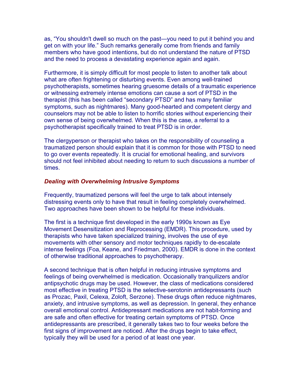as, "You shouldn't dwell so much on the past—you need to put it behind you and get on with your life." Such remarks generally come from friends and family members who have good intentions, but do not understand the nature of PTSD and the need to process a devastating experience again and again.

Furthermore, it is simply difficult for most people to listen to another talk about what are often frightening or disturbing events. Even among well-trained psychotherapists, sometimes hearing gruesome details of a traumatic experience or witnessing extremely intense emotions can cause a sort of PTSD in the therapist (this has been called "secondary PTSD" and has many familiar symptoms, such as nightmares). Many good-hearted and competent clergy and counselors may not be able to listen to horrific stories without experiencing their own sense of being overwhelmed. When this is the case, a referral to a psychotherapist specifically trained to treat PTSD is in order.

The clergyperson or therapist who takes on the responsibility of counseling a traumatized person should explain that it is common for those with PTSD to need to go over events repeatedly. It is crucial for emotional healing, and survivors should not feel inhibited about needing to return to such discussions a number of times.

#### *Dealing with Overwhelming Intrusive Symptoms*

Frequently, traumatized persons will feel the urge to talk about intensely distressing events only to have that result in feeling completely overwhelmed. Two approaches have been shown to be helpful for these individuals.

The first is a technique first developed in the early 1990s known as Eye Movement Desensitization and Reprocessing (EMDR). This procedure, used by therapists who have taken specialized training, involves the use of eye movements with other sensory and motor techniques rapidly to de-escalate intense feelings (Foa, Keane, and Friedman, 2000). EMDR is done in the context of otherwise traditional approaches to psychotherapy.

A second technique that is often helpful in reducing intrusive symptoms and feelings of being overwhelmed is medication. Occasionally tranquilizers and/or antipsychotic drugs may be used. However, the class of medications considered most effective in treating PTSD is the selective-serotonin antidepressants (such as Prozac, Paxil, Celexa, Zoloft, Serzone). These drugs often reduce nightmares, anxiety, and intrusive symptoms, as well as depression. In general, they enhance overall emotional control. Antidepressant medications are not habit-forming and are safe and often effective for treating certain symptoms of PTSD. Once antidepressants are prescribed, it generally takes two to four weeks before the first signs of improvement are noticed. After the drugs begin to take effect, typically they will be used for a period of at least one year.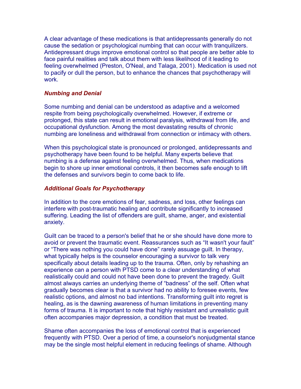A clear advantage of these medications is that antidepressants generally do not cause the sedation or psychological numbing that can occur with tranquilizers. Antidepressant drugs improve emotional control so that people are better able to face painful realities and talk about them with less likelihood of it leading to feeling overwhelmed (Preston, O'Neal, and Talaga, 2001). Medication is used not to pacify or dull the person, but to enhance the chances that psychotherapy will work.

#### *Numbing and Denial*

Some numbing and denial can be understood as adaptive and a welcomed respite from being psychologically overwhelmed. However, if extreme or prolonged, this state can result in emotional paralysis, withdrawal from life, and occupational dysfunction. Among the most devastating results of chronic numbing are loneliness and withdrawal from connection or intimacy with others.

When this psychological state is pronounced or prolonged, antidepressants and psychotherapy have been found to be helpful. Many experts believe that numbing is a defense against feeling overwhelmed. Thus, when medications begin to shore up inner emotional controls, it then becomes safe enough to lift the defenses and survivors begin to come back to life.

### *Additional Goals for Psychotherapy*

In addition to the core emotions of fear, sadness, and loss, other feelings can interfere with post-traumatic healing and contribute significantly to increased suffering. Leading the list of offenders are guilt, shame, anger, and existential anxiety.

Guilt can be traced to a person's belief that he or she should have done more to avoid or prevent the traumatic event. Reassurances such as "It wasn't your fault" or "There was nothing you could have done" rarely assuage guilt. In therapy, what typically helps is the counselor encouraging a survivor to talk very specifically about details leading up to the trauma. Often, only by rehashing an experience can a person with PTSD come to a clear understanding of what realistically could and could not have been done to prevent the tragedy. Guilt almost always carries an underlying theme of "badness" of the self. Often what gradually becomes clear is that a survivor had no ability to foresee events, few realistic options, and almost no bad intentions. Transforming guilt into regret is healing, as is the dawning awareness of human limitations in preventing many forms of trauma. It is important to note that highly resistant and unrealistic guilt often accompanies major depression, a condition that must be treated.

Shame often accompanies the loss of emotional control that is experienced frequently with PTSD. Over a period of time, a counselor's nonjudgmental stance may be the single most helpful element in reducing feelings of shame. Although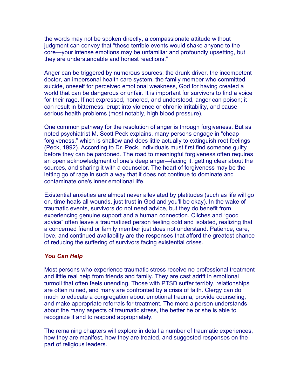the words may not be spoken directly, a compassionate attitude without judgment can convey that "these terrible events would shake anyone to the core—your intense emotions may be unfamiliar and profoundly upsetting, but they are understandable and honest reactions."

Anger can be triggered by numerous sources: the drunk driver, the incompetent doctor, an impersonal health care system, the family member who committed suicide, oneself for perceived emotional weakness, God for having created a world that can be dangerous or unfair. It is important for survivors to find a voice for their rage. If not expressed, honored, and understood, anger can poison; it can result in bitterness, erupt into violence or chronic irritability, and cause serious health problems (most notably, high blood pressure).

One common pathway for the resolution of anger is through forgiveness. But as noted psychiatrist M. Scott Peck explains, many persons engage in "cheap forgiveness," which is shallow and does little actually to extinguish root feelings (Peck, 1992). According to Dr. Peck, individuals must first find someone guilty before they can be pardoned. The road to meaningful forgiveness often requires an open acknowledgment of one's deep anger—facing it, getting clear about the sources, and sharing it with a counselor. The heart of forgiveness may be the letting go of rage in such a way that it does not continue to dominate and contaminate one's inner emotional life.

Existential anxieties are almost never alleviated by platitudes (such as life will go on, time heals all wounds, just trust in God and you'll be okay). In the wake of traumatic events, survivors do not need advice, but they do benefit from experiencing genuine support and a human connection. Cliches and "good advice" often leave a traumatized person feeling cold and isolated, realizing that a concerned friend or family member just does not understand. Patience, care, love, and continued availability are the responses that afford the greatest chance of reducing the suffering of survivors facing existential crises.

#### *You Can Help*

Most persons who experience traumatic stress receive no professional treatment and little real help from friends and family. They are cast adrift in emotional turmoil that often feels unending. Those with PTSD suffer terribly, relationships are often ruined, and many are confronted by a crisis of faith. Clergy can do much to educate a congregation about emotional trauma, provide counseling, and make appropriate referrals for treatment. The more a person understands about the many aspects of traumatic stress, the better he or she is able to recognize it and to respond appropriately.

The remaining chapters will explore in detail a number of traumatic experiences, how they are manifest, how they are treated, and suggested responses on the part of religious leaders.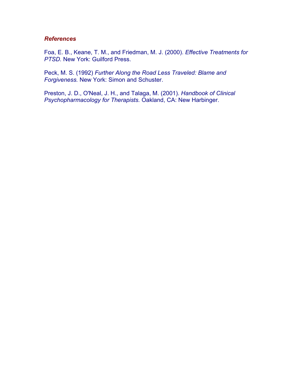#### *References*

Foa, E. B., Keane, T. M., and Friedman, M. J. (2000). *Effective Treatments for PTSD.* New York: Guilford Press.

Peck, M. S. (1992) *Further Along the Road Less Traveled: Blame and Forgiveness.* New York: Simon and Schuster.

Preston, J. D., O'Neal, J. H., and Talaga, M. (2001). *Handbook of Clinical Psychopharmacology for Therapists.* Oakland, CA: New Harbinger.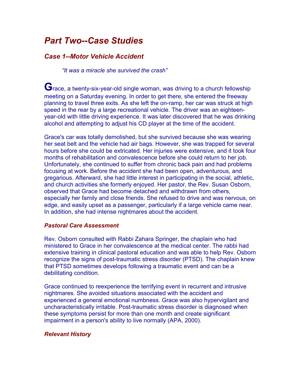## *Part Two--Case Studies*

### *Case 1--Motor Vehicle Accident*

*"It was a miracle she survived the crash"*

**G**race, a twenty-six-year-old single woman, was driving to a church fellowship meeting on a Saturday evening. In order to get there, she entered the freeway planning to travel three exits. As she left the on-ramp, her car was struck at high speed in the rear by a large recreational vehicle. The driver was an eighteenyear-old with little driving experience. It was later discovered that he was drinking alcohol and attempting to adjust his CD player at the time of the accident.

Grace's car was totally demolished, but she survived because she was wearing her seat belt and the vehicle had air bags. However, she was trapped for several hours before she could be extricated. Her injuries were extensive, and it took four months of rehabilitation and convalescence before she could return to her job. Unfortunately, she continued to suffer from chronic back pain and had problems focusing at work. Before the accident she had been open, adventurous, and gregarious. Afterward, she had little interest in participating in the social, athletic, and church activities she formerly enjoyed. Her pastor, the Rev. Susan Osborn, observed that Grace had become detached and withdrawn from others, especially her family and close friends. She refused to drive and was nervous, on edge, and easily upset as a passenger, particularly if a large vehicle came near. In addition, she had intense nightmares about the accident.

#### *Pastoral Care Assessment*

Rev. Osborn consulted with Rabbi Zahara Springer, the chaplain who had ministered to Grace in her convalescence at the medical center. The rabbi had extensive training in clinical pastoral education and was able to help Rev. Osborn recognize the signs of post-traumatic stress disorder (PTSD). The chaplain knew that PTSD sometimes develops following a traumatic event and can be a debilitating condition.

Grace continued to reexperience the terrifying event in recurrent and intrusive nightmares. She avoided situations associated with the accident and experienced a general emotional numbness. Grace was also hypervigilant and uncharacteristically irritable. Post-traumatic stress disorder is diagnosed when these symptoms persist for more than one month and create significant impairment in a person's ability to live normally (APA, 2000).

#### *Relevant History*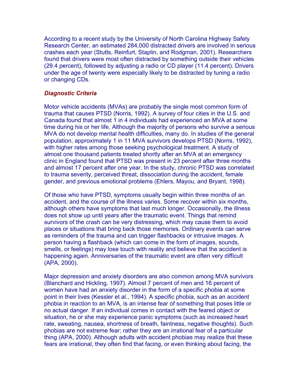According to a recent study by the University of North Carolina Highway Safety Research Center, an estimated 284,000 distracted drivers are involved in serious crashes each year (Stutts, Reinfurt, Staplin, and Rodgman, 2001). Researchers found that drivers were most often distracted by something outside their vehicles (29.4 percent), followed by adjusting a radio or CD player (11.4 percent). Drivers under the age of twenty were especially likely to be distracted by tuning a radio or changing CDs.

#### *Diagnostic Criteria*

Motor vehicle accidents (MVAs) are probably the single most common form of trauma that causes PTSD (Norris, 1992). A survey of four cities in the U.S. and Canada found that almost 1 in 4 individuals had experienced an MVA at some time during his or her life. Although the majority of persons who survive a serious MVA do not develop mental health difficulties, many do. In studies of the general population, approximately 1 in 11 MVA survivors develops PTSD (Norris, 1992), with higher rates among those seeking psychological treatment. A study of almost one thousand patients treated shortly after an MVA at an emergency clinic in England found that PTSD was present in 23 percent after three months and almost 17 percent after one year. In the study, chronic PTSD was correlated to trauma severity, perceived threat, dissociation during the accident, female gender, and previous emotional problems (Ehlers, Mayou, and Bryant, 1998).

Of those who have PTSD, symptoms usually begin within three months of an accident, and the course of the illness varies. Some recover within six months, although others have symptoms that last much longer. Occasionally, the illness does not show up until years after the traumatic event. Things that remind survivors of the crash can be very distressing, which may cause them to avoid places or situations that bring back those memories. Ordinary events can serve as reminders of the trauma and can trigger flashbacks or intrusive images. A person having a flashback (which can come in the form of images, sounds, smells, or feelings) may lose touch with reality and believe that the accident is happening again. Anniversaries of the traumatic event are often very difficult (APA, 2000).

Major depression and anxiety disorders are also common among MVA survivors (Blanchard and Hickling, 1997). Almost 7 percent of men and 16 percent of women have had an anxiety disorder in the form of a specific phobia at some point in their lives (Kessler et al., 1994). A specific phobia, such as an accident phobia in reaction to an MVA, is an intense fear of something that poses little or no actual danger. If an individual comes in contact with the feared object or situation, he or she may experience panic symptoms (such as increased heart rate, sweating, nausea, shortness of breath, faintness, negative thoughts). Such phobias are not extreme fear; rather they are an irrational fear of a particular thing (APA, 2000). Although adults with accident phobias may realize that these fears are irrational, they often find that facing, or even thinking about facing, the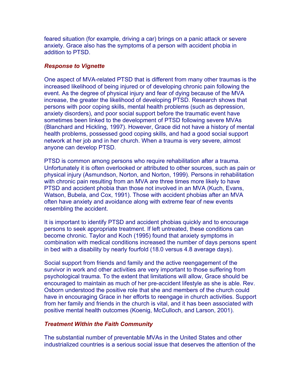feared situation (for example, driving a car) brings on a panic attack or severe anxiety. Grace also has the symptoms of a person with accident phobia in addition to PTSD.

## *Response to Vignette*

One aspect of MVA-related PTSD that is different from many other traumas is the increased likelihood of being injured or of developing chronic pain following the event. As the degree of physical injury and fear of dying because of the MVA increase, the greater the likelihood of developing PTSD. Research shows that persons with poor coping skills, mental health problems (such as depression, anxiety disorders), and poor social support before the traumatic event have sometimes been linked to the development of PTSD following severe MVAs (Blanchard and Hickling, 1997). However, Grace did not have a history of mental health problems, possessed good coping skills, and had a good social support network at her job and in her church. When a trauma is very severe, almost anyone can develop PTSD.

PTSD is common among persons who require rehabilitation after a trauma. Unfortunately it is often overlooked or attributed to other sources, such as pain or physical injury (Asmundson, Norton, and Norton, 1999). Persons in rehabilitation with chronic pain resulting from an MVA are three times more likely to have PTSD and accident phobia than those not involved in an MVA (Kuch, Evans, Watson, Bubela, and Cox, 1991). Those with accident phobias after an MVA often have anxiety and avoidance along with extreme fear of new events resembling the accident.

It is important to identify PTSD and accident phobias quickly and to encourage persons to seek appropriate treatment. If left untreated, these conditions can become chronic. Taylor and Koch (1995) found that anxiety symptoms in combination with medical conditions increased the number of days persons spent in bed with a disability by nearly fourfold (18.0 versus 4.8 average days).

Social support from friends and family and the active reengagement of the survivor in work and other activities are very important to those suffering from psychological trauma. To the extent that limitations will allow, Grace should be encouraged to maintain as much of her pre-accident lifestyle as she is able. Rev. Osborn understood the positive role that she and members of the church could have in encouraging Grace in her efforts to reengage in church activities. Support from her family and friends in the church is vital, and it has been associated with positive mental health outcomes (Koenig, McCulloch, and Larson, 2001).

## *Treatment Within the Faith Community*

The substantial number of preventable MVAs in the United States and other industrialized countries is a serious social issue that deserves the attention of the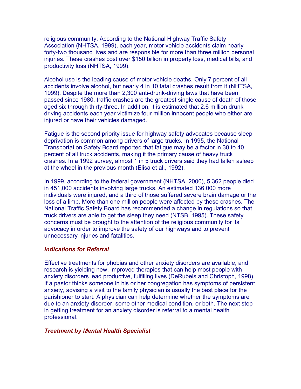religious community. According to the National Highway Traffic Safety Association (NHTSA, 1999), each year, motor vehicle accidents claim nearly forty-two thousand lives and are responsible for more than three million personal injuries. These crashes cost over \$150 billion in property loss, medical bills, and productivity loss (NHTSA, 1999).

Alcohol use is the leading cause of motor vehicle deaths. Only 7 percent of all accidents involve alcohol, but nearly 4 in 10 fatal crashes result from it (NHTSA, 1999). Despite the more than 2,300 anti-drunk-driving laws that have been passed since 1980, traffic crashes are the greatest single cause of death of those aged six through thirty-three. In addition, it is estimated that 2.6 million drunk driving accidents each year victimize four million innocent people who either are injured or have their vehicles damaged.

Fatigue is the second priority issue for highway safety advocates because sleep deprivation is common among drivers of large trucks. In 1995, the National Transportation Safety Board reported that fatigue may be a factor in 30 to 40 percent of all truck accidents, making it the primary cause of heavy truck crashes. In a 1992 survey, almost 1 in 5 truck drivers said they had fallen asleep at the wheel in the previous month (Elisa et al., 1992).

In 1999, according to the federal government (NHTSA, 2000), 5,362 people died in 451,000 accidents involving large trucks. An estimated 136,000 more individuals were injured, and a third of those suffered severe brain damage or the loss of a limb. More than one million people were affected by these crashes. The National Traffic Safety Board has recommended a change in regulations so that truck drivers are able to get the sleep they need (NTSB, 1995). These safety concerns must be brought to the attention of the religious community for its advocacy in order to improve the safety of our highways and to prevent unnecessary injuries and fatalities.

#### *Indications for Referral*

Effective treatments for phobias and other anxiety disorders are available, and research is yielding new, improved therapies that can help most people with anxiety disorders lead productive, fulfilling lives (DeRubeis and Christoph, 1998). If a pastor thinks someone in his or her congregation has symptoms of persistent anxiety, advising a visit to the family physician is usually the best place for the parishioner to start. A physician can help determine whether the symptoms are due to an anxiety disorder, some other medical condition, or both. The next step in getting treatment for an anxiety disorder is referral to a mental health professional.

#### *Treatment by Mental Health Specialist*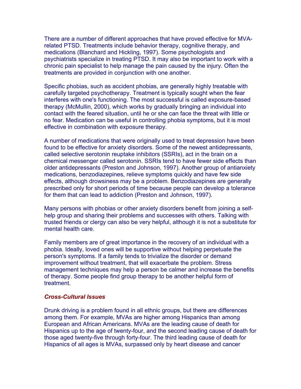There are a number of different approaches that have proved effective for MVArelated PTSD. Treatments include behavior therapy, cognitive therapy, and medications (Blanchard and Hickling, 1997). Some psychologists and psychiatrists specialize in treating PTSD. It may also be important to work with a chronic pain specialist to help manage the pain caused by the injury. Often the treatments are provided in conjunction with one another.

Specific phobias, such as accident phobias, are generally highly treatable with carefully targeted psychotherapy. Treatment is typically sought when the fear interferes with one's functioning. The most successful is called exposure-based therapy (McMullin, 2000), which works by gradually bringing an individual into contact with the feared situation, until he or she can face the threat with little or no fear. Medication can be useful in controlling phobia symptoms, but it is most effective in combination with exposure therapy.

A number of medications that were originally used to treat depression have been found to be effective for anxiety disorders. Some of the newest antidepressants, called selective serotonin reuptake inhibitors (SSRIs), act in the brain on a chemical messenger called serotonin. SSRIs tend to have fewer side effects than older antidepressants (Preston and Johnson, 1997). Another group of antianxiety medications, benzodiazepines, relieve symptoms quickly and have few side effects, although drowsiness may be a problem. Benzodiazepines are generally prescribed only for short periods of time because people can develop a tolerance for them that can lead to addiction (Preston and Johnson, 1997).

Many persons with phobias or other anxiety disorders benefit from joining a selfhelp group and sharing their problems and successes with others. Talking with trusted friends or clergy can also be very helpful, although it is not a substitute for mental health care.

Family members are of great importance in the recovery of an individual with a phobia. Ideally, loved ones will be supportive without helping perpetuate the person's symptoms. If a family tends to trivialize the disorder or demand improvement without treatment, that will exacerbate the problem. Stress management techniques may help a person be calmer and increase the benefits of therapy. Some people find group therapy to be another helpful form of treatment.

#### *Cross-Cultural Issues*

Drunk driving is a problem found in all ethnic groups, but there are differences among them. For example, MVAs are higher among Hispanics than among European and African Americans. MVAs are the leading cause of death for Hispanics up to the age of twenty-four, and the second leading cause of death for those aged twenty-five through forty-four. The third leading cause of death for Hispanics of all ages is MVAs, surpassed only by heart disease and cancer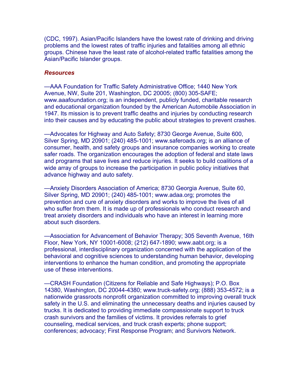(CDC, 1997). Asian/Pacific Islanders have the lowest rate of drinking and driving problems and the lowest rates of traffic injuries and fatalities among all ethnic groups. Chinese have the least rate of alcohol-related traffic fatalities among the Asian/Pacific Islander groups.

#### *Resources*

—AAA Foundation for Traffic Safety Administrative Office; 1440 New York Avenue, NW, Suite 201, Washington, DC 20005; (800) 305-SAFE; www.aaafoundation.org; is an independent, publicly funded, charitable research and educational organization founded by the American Automobile Association in 1947. Its mission is to prevent traffic deaths and injuries by conducting research into their causes and by educating the public about strategies to prevent crashes.

—Advocates for Highway and Auto Safety; 8730 George Avenue, Suite 600, Silver Spring, MD 20901; (240) 485-1001; www.saferoads.org; is an alliance of consumer, health, and safety groups and insurance companies working to create safer roads. The organization encourages the adoption of federal and state laws and programs that save lives and reduce injuries. It seeks to build coalitions of a wide array of groups to increase the participation in public policy initiatives that advance highway and auto safety.

—Anxiety Disorders Association of America; 8730 Georgia Avenue, Suite 60, Silver Spring, MD 20901; (240) 485-1001; www.adaa.org; promotes the prevention and cure of anxiety disorders and works to improve the lives of all who suffer from them. It is made up of professionals who conduct research and treat anxiety disorders and individuals who have an interest in learning more about such disorders.

—Association for Advancement of Behavior Therapy; 305 Seventh Avenue, 16th Floor, New York, NY 10001-6008; (212) 647-1890; www.aabt.org; is a professional, interdisciplinary organization concerned with the application of the behavioral and cognitive sciences to understanding human behavior, developing interventions to enhance the human condition, and promoting the appropriate use of these interventions.

—CRASH Foundation (Citizens for Reliable and Safe Highways); P.O. Box 14380, Washington, DC 20044-4380; www.truck-safety.org; (888) 353-4572; is a nationwide grassroots nonprofit organization committed to improving overall truck safety in the U.S. and eliminating the unnecessary deaths and injuries caused by trucks. It is dedicated to providing immediate compassionate support to truck crash survivors and the families of victims. It provides referrals to grief counseling, medical services, and truck crash experts; phone support; conferences; advocacy; First Response Program; and Survivors Network.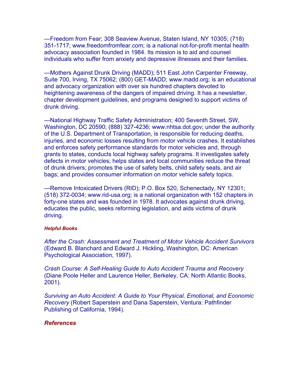—Freedom from Fear; 308 Seaview Avenue, Staten Island, NY 10305; (718) 351-1717; www.freedomfromfear.com; is a national not-for-profit mental health advocacy association founded in 1984. Its mission is to aid and counsel individuals who suffer from anxiety and depressive illnesses and their families.

—Mothers Against Drunk Driving (MADD); 511 East John Carpenter Freeway, Suite 700, Irving, TX 75062; (800) GET-MADD; www.madd.org; is an educational and advocacy organization with over six hundred chapters devoted to heightening awareness of the dangers of impaired driving. It has a newsletter, chapter development guidelines, and programs designed to support victims of drunk driving.

—National Highway Traffic Safety Administration; 400 Seventh Street, SW, Washington, DC 20590; (888) 327-4236; www.nhtsa.dot.gov; under the authority of the U.S. Department of Transportation, is responsible for reducing deaths, injuries, and economic losses resulting from motor vehicle crashes. It establishes and enforces safety performance standards for motor vehicles and, through grants to states, conducts local highway safety programs. It investigates safety defects in motor vehicles; helps states and local communities reduce the threat of drunk drivers; promotes the use of safety belts, child safety seats, and air bags; and provides consumer information on motor vehicle safety topics.

—Remove Intoxicated Drivers (RID); P.O. Box 520, Schenectady, NY 12301; (518) 372-0034; www.rid-usa.org; is a national organization with 152 chapters in forty-one states and was founded in 1978. It advocates against drunk driving, educates the public, seeks reforming legislation, and aids victims of drunk driving.

#### *Helpful Books*

*After the Crash: Assessment and Treatment of Motor Vehicle Accident Survivors* (Edward B. Blanchard and Edward J. Hickling, Washington, DC: American Psychological Association, 1997).

*Crash Course: A Self-Healing Guide to Auto Accident Trauma and Recovery* (Diane Poole Heller and Laurence Heller, Berkeley, CA: North Atlantic Books, 2001).

*Surviving an Auto Accident: A Guide to Your Physical, Emotional, and Economic Recovery* (Robert Saperstein and Dana Saperstein, Ventura: Pathfinder Publishing of California, 1994).

## *References*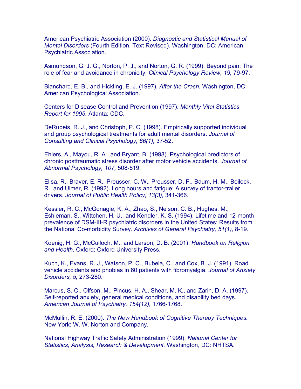American Psychiatric Association (2000). *Diagnostic and Statistical Manual of Mental Disorders* (Fourth Edition, Text Revised). Washington, DC: American Psychiatric Association.

Asmundson, G. J. G., Norton, P. J., and Norton, G. R. (1999). Beyond pain: The role of fear and avoidance in chronicity. *Clinical Psychology Review, 19,* 79-97.

Blanchard, E. B., and Hickling, E. J. (1997). *After the Crash.* Washington, DC: American Psychological Association.

Centers for Disease Control and Prevention (1997). *Monthly Vital Statistics Report for 1995.* Atlanta: CDC.

DeRubeis, R. J., and Christoph, P. C. (1998). Empirically supported individual and group psychological treatments for adult mental disorders. *Journal of Consulting and Clinical Psychology, 66(1),* 37-52.

Ehlers, A., Mayou, R. A., and Bryant, B. (1998). Psychological predictors of chronic posttraumatic stress disorder after motor vehicle accidents. *Journal of Abnormal Psychology, 107,* 508-519.

Elisa, R., Braver, E. R., Preusser, C. W., Preusser, D. F., Baum, H. M., Beilock, R., and Ulmer, R. (1992). Long hours and fatigue: A survey of tractor-trailer drivers. *Journal of Public Health Policy, 13(3),* 341-366.

Kessler, R. C., McGonagle, K. A., Zhao, S., Nelson, C. B., Hughes, M., Eshleman, S., Wittchen, H. U., and Kendler, K. S. (1994). Lifetime and 12-month prevalence of DSM-III-R psychiatric disorders in the United States: Results from the National Co-morbidity Survey. *Archives of General Psychiatry, 51(1),* 8-19.

Koenig, H. G., McCulloch, M., and Larson, D. B. (2001). *Handbook on Religion and Health.* Oxford: Oxford University Press.

Kuch, K., Evans, R. J., Watson, P. C., Bubela, C., and Cox, B. J. (1991). Road vehicle accidents and phobias in 60 patients with fibromyalgia. *Journal of Anxiety Disorders, 5,* 273-280.

Marcus, S. C., Olfson, M., Pincus, H. A., Shear, M. K., and Zarin, D. A. (1997). Self-reported anxiety, general medical conditions, and disability bed days. *American Journal of Psychiatry, 154(12),* 1766-1768.

McMullin, R. E. (2000). *The New Handbook of Cognitive Therapy Techniques.* New York: W. W. Norton and Company.

National Highway Traffic Safety Administration (1999). *National Center for Statistics, Analysis, Research & Development.* Washington, DC: NHTSA.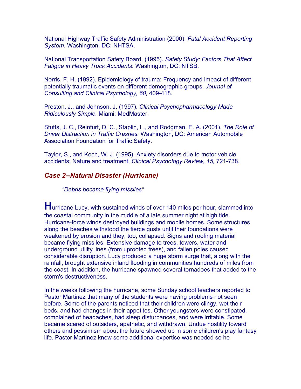National Highway Traffic Safety Administration (2000). *Fatal Accident Reporting System.* Washington, DC: NHTSA.

National Transportation Safety Board. (1995). *Safety Study: Factors That Affect Fatigue in Heavy Truck Accidents.* Washington, DC: NTSB.

Norris, F. H. (1992). Epidemiology of trauma: Frequency and impact of different potentially traumatic events on different demographic groups. *Journal of Consulting and Clinical Psychology, 60,* 409-418.

Preston, J., and Johnson, J. (1997). *Clinical Psychopharmacology Made Ridiculously Simple.* Miami: MedMaster.

Stutts, J. C., Reinfurt, D. C., Staplin, L., and Rodgman, E. A. (2001). *The Role of Driver Distraction in Traffic Crashes.* Washington, DC: American Automobile Association Foundation for Traffic Safety.

Taylor, S., and Koch, W. J. (1995). Anxiety disorders due to motor vehicle accidents: Nature and treatment. *Clinical Psychology Review, 15,* 721-738.

# *Case 2--Natural Disaster (Hurricane)*

*"Debris became flying missiles"*

**H**urricane Lucy, with sustained winds of over 140 miles per hour, slammed into the coastal community in the middle of a late summer night at high tide. Hurricane-force winds destroyed buildings and mobile homes. Some structures along the beaches withstood the fierce gusts until their foundations were weakened by erosion and they, too, collapsed. Signs and roofing material became flying missiles. Extensive damage to trees, towers, water and underground utility lines (from uprooted trees), and fallen poles caused considerable disruption. Lucy produced a huge storm surge that, along with the rainfall, brought extensive inland flooding in communities hundreds of miles from the coast. In addition, the hurricane spawned several tornadoes that added to the storm's destructiveness.

In the weeks following the hurricane, some Sunday school teachers reported to Pastor Martinez that many of the students were having problems not seen before. Some of the parents noticed that their children were clingy, wet their beds, and had changes in their appetites. Other youngsters were constipated, complained of headaches, had sleep disturbances, and were irritable. Some became scared of outsiders, apathetic, and withdrawn. Undue hostility toward others and pessimism about the future showed up in some children's play fantasy life. Pastor Martinez knew some additional expertise was needed so he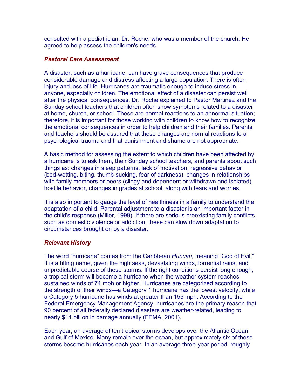consulted with a pediatrician, Dr. Roche, who was a member of the church. He agreed to help assess the children's needs.

## *Pastoral Care Assessment*

A disaster, such as a hurricane, can have grave consequences that produce considerable damage and distress affecting a large population. There is often injury and loss of life. Hurricanes are traumatic enough to induce stress in anyone, especially children. The emotional effect of a disaster can persist well after the physical consequences. Dr. Roche explained to Pastor Martinez and the Sunday school teachers that children often show symptoms related to a disaster at home, church, or school. These are normal reactions to an abnormal situation; therefore, it is important for those working with children to know how to recognize the emotional consequences in order to help children and their families. Parents and teachers should be assured that these changes are normal reactions to a psychological trauma and that punishment and shame are not appropriate.

A basic method for assessing the extent to which children have been affected by a hurricane is to ask them, their Sunday school teachers, and parents about such things as: changes in sleep patterns, lack of motivation, regressive behavior (bed-wetting, biting, thumb-sucking, fear of darkness), changes in relationships with family members or peers (clingy and dependent or withdrawn and isolated), hostile behavior, changes in grades at school, along with fears and worries.

It is also important to gauge the level of healthiness in a family to understand the adaptation of a child. Parental adjustment to a disaster is an important factor in the child's response (Miller, 1999). If there are serious preexisting family conflicts, such as domestic violence or addiction, these can slow down adaptation to circumstances brought on by a disaster.

# *Relevant History*

The word "hurricane" comes from the Caribbean *Hurican,* meaning "God of Evil." It is a fitting name, given the high seas, devastating winds, torrential rains, and unpredictable course of these storms. If the right conditions persist long enough, a tropical storm will become a hurricane when the weather system reaches sustained winds of 74 mph or higher. Hurricanes are categorized according to the strength of their winds—a Category 1 hurricane has the lowest velocity, while a Category 5 hurricane has winds at greater than 155 mph. According to the Federal Emergency Management Agency, hurricanes are the primary reason that 90 percent of all federally declared disasters are weather-related, leading to nearly \$14 billion in damage annually (FEMA, 2001).

Each year, an average of ten tropical storms develops over the Atlantic Ocean and Gulf of Mexico. Many remain over the ocean, but approximately six of these storms become hurricanes each year. In an average three-year period, roughly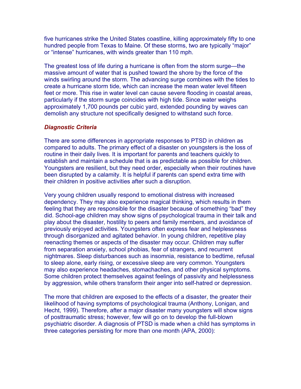five hurricanes strike the United States coastline, killing approximately fifty to one hundred people from Texas to Maine. Of these storms, two are typically "major" or "intense" hurricanes, with winds greater than 110 mph.

The greatest loss of life during a hurricane is often from the storm surge—the massive amount of water that is pushed toward the shore by the force of the winds swirling around the storm. The advancing surge combines with the tides to create a hurricane storm tide, which can increase the mean water level fifteen feet or more. This rise in water level can cause severe flooding in coastal areas, particularly if the storm surge coincides with high tide. Since water weighs approximately 1,700 pounds per cubic yard, extended pounding by waves can demolish any structure not specifically designed to withstand such force.

## *Diagnostic Criteria*

There are some differences in appropriate responses to PTSD in children as compared to adults. The primary effect of a disaster on youngsters is the loss of routine in their daily lives. It is important for parents and teachers quickly to establish and maintain a schedule that is as predictable as possible for children. Youngsters are resilient, but they need order, especially when their routines have been disrupted by a calamity. It is helpful if parents can spend extra time with their children in positive activities after such a disruption.

Very young children usually respond to emotional distress with increased dependency. They may also experience magical thinking, which results in them feeling that they are responsible for the disaster because of something "bad" they did. School-age children may show signs of psychological trauma in their talk and play about the disaster, hostility to peers and family members, and avoidance of previously enjoyed activities. Youngsters often express fear and helplessness through disorganized and agitated behavior. In young children, repetitive play reenacting themes or aspects of the disaster may occur. Children may suffer from separation anxiety, school phobias, fear of strangers, and recurrent nightmares. Sleep disturbances such as insomnia, resistance to bedtime, refusal to sleep alone, early rising, or excessive sleep are very common. Youngsters may also experience headaches, stomachaches, and other physical symptoms. Some children protect themselves against feelings of passivity and helplessness by aggression, while others transform their anger into self-hatred or depression.

The more that children are exposed to the effects of a disaster, the greater their likelihood of having symptoms of psychological trauma (Anthony, Lonigan, and Hecht, 1999). Therefore, after a major disaster many youngsters will show signs of posttraumatic stress; however, few will go on to develop the full-blown psychiatric disorder. A diagnosis of PTSD is made when a child has symptoms in three categories persisting for more than one month (APA, 2000):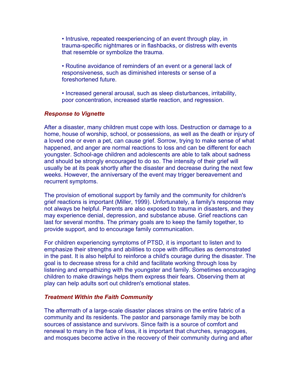• Intrusive, repeated reexperiencing of an event through play, in trauma-specific nightmares or in flashbacks, or distress with events that resemble or symbolize the trauma.

• Routine avoidance of reminders of an event or a general lack of responsiveness, such as diminished interests or sense of a foreshortened future.

• Increased general arousal, such as sleep disturbances, irritability, poor concentration, increased startle reaction, and regression.

## *Response to Vignette*

After a disaster, many children must cope with loss. Destruction or damage to a home, house of worship, school, or possessions, as well as the death or injury of a loved one or even a pet, can cause grief. Sorrow, trying to make sense of what happened, and anger are normal reactions to loss and can be different for each youngster. School-age children and adolescents are able to talk about sadness and should be strongly encouraged to do so. The intensity of their grief will usually be at its peak shortly after the disaster and decrease during the next few weeks. However, the anniversary of the event may trigger bereavement and recurrent symptoms.

The provision of emotional support by family and the community for children's grief reactions is important (Miller, 1999). Unfortunately, a family's response may not always be helpful. Parents are also exposed to trauma in disasters, and they may experience denial, depression, and substance abuse. Grief reactions can last for several months. The primary goals are to keep the family together, to provide support, and to encourage family communication.

For children experiencing symptoms of PTSD, it is important to listen and to emphasize their strengths and abilities to cope with difficulties as demonstrated in the past. It is also helpful to reinforce a child's courage during the disaster. The goal is to decrease stress for a child and facilitate working through loss by listening and empathizing with the youngster and family. Sometimes encouraging children to make drawings helps them express their fears. Observing them at play can help adults sort out children's emotional states.

#### *Treatment Within the Faith Community*

The aftermath of a large-scale disaster places strains on the entire fabric of a community and its residents. The pastor and parsonage family may be both sources of assistance and survivors. Since faith is a source of comfort and renewal to many in the face of loss, it is important that churches, synagogues, and mosques become active in the recovery of their community during and after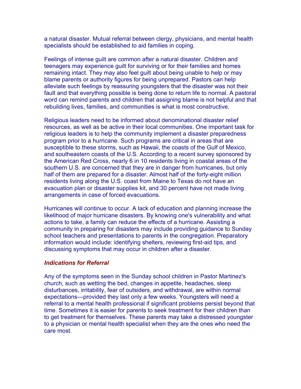a natural disaster. Mutual referral between clergy, physicians, and mental health specialists should be established to aid families in coping.

Feelings of intense guilt are common after a natural disaster. Children and teenagers may experience guilt for surviving or for their families and homes remaining intact. They may also feel guilt about being unable to help or may blame parents or authority figures for being unprepared. Pastors can help alleviate such feelings by reassuring youngsters that the disaster was not their fault and that everything possible is being done to return life to normal. A pastoral word can remind parents and children that assigning blame is not helpful and that rebuilding lives, families, and communities is what is most constructive.

Religious leaders need to be informed about denominational disaster relief resources, as well as be active in their local communities. One important task for religious leaders is to help the community implement a disaster preparedness program prior to a hurricane. Such programs are critical in areas that are susceptible to these storms, such as Hawaii, the coasts of the Gulf of Mexico, and southeastern coasts of the U.S. According to a recent survey sponsored by the American Red Cross, nearly 6 in 10 residents living in coastal areas of the southern U.S. are concerned that they are in danger from hurricanes, but only half of them are prepared for a disaster. Almost half of the forty-eight million residents living along the U.S. coast from Maine to Texas do not have an evacuation plan or disaster supplies kit, and 30 percent have not made living arrangements in case of forced evacuations.

Hurricanes will continue to occur. A lack of education and planning increase the likelihood of major hurricane disasters. By knowing one's vulnerability and what actions to take, a family can reduce the effects of a hurricane. Assisting a community in preparing for disasters may include providing guidance to Sunday school teachers and presentations to parents in the congregation. Preparatory information would include: identifying shelters, reviewing first-aid tips, and discussing symptoms that may occur in children after a disaster.

## *Indications for Referral*

Any of the symptoms seen in the Sunday school children in Pastor Martinez's church, such as wetting the bed, changes in appetite, headaches, sleep disturbances, irritability, fear of outsiders, and withdrawal, are within normal expectations—provided they last only a few weeks. Youngsters will need a referral to a mental health professional if significant problems persist beyond that time. Sometimes it is easier for parents to seek treatment for their children than to get treatment for themselves. These parents may take a distressed youngster to a physician or mental health specialist when they are the ones who need the care most.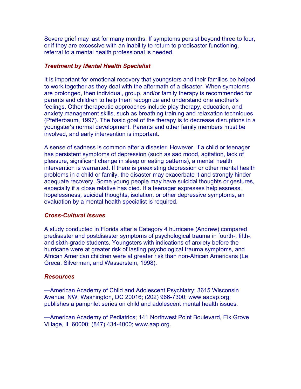Severe grief may last for many months. If symptoms persist beyond three to four, or if they are excessive with an inability to return to predisaster functioning, referral to a mental health professional is needed.

## *Treatment by Mental Health Specialist*

It is important for emotional recovery that youngsters and their families be helped to work together as they deal with the aftermath of a disaster. When symptoms are prolonged, then individual, group, and/or family therapy is recommended for parents and children to help them recognize and understand one another's feelings. Other therapeutic approaches include play therapy, education, and anxiety management skills, such as breathing training and relaxation techniques (Pfefferbaum, 1997). The basic goal of the therapy is to decrease disruptions in a youngster's normal development. Parents and other family members must be involved, and early intervention is important.

A sense of sadness is common after a disaster. However, if a child or teenager has persistent symptoms of depression (such as sad mood, agitation, lack of pleasure, significant change in sleep or eating patterns), a mental health intervention is warranted. If there is preexisting depression or other mental health problems in a child or family, the disaster may exacerbate it and strongly hinder adequate recovery. Some young people may have suicidal thoughts or gestures, especially if a close relative has died. If a teenager expresses helplessness, hopelessness, suicidal thoughts, isolation, or other depressive symptoms, an evaluation by a mental health specialist is required.

## *Cross-Cultural Issues*

A study conducted in Florida after a Category 4 hurricane (Andrew) compared predisaster and postdisaster symptoms of psychological trauma in fourth-, fifth-, and sixth-grade students. Youngsters with indications of anxiety before the hurricane were at greater risk of lasting psychological trauma symptoms, and African American children were at greater risk than non-African Americans (Le Greca, Silverman, and Wasserstein, 1998).

## *Resources*

—American Academy of Child and Adolescent Psychiatry; 3615 Wisconsin Avenue, NW, Washington, DC 20016; (202) 966-7300; www.aacap.org; publishes a pamphlet series on child and adolescent mental health issues.

—American Academy of Pediatrics; 141 Northwest Point Boulevard, Elk Grove Village, IL 60000; (847) 434-4000; www.aap.org.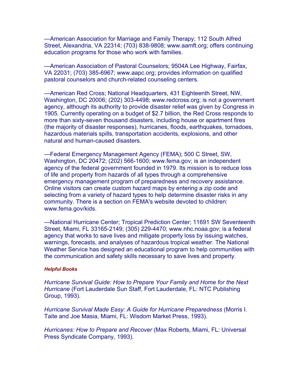—American Association for Marriage and Family Therapy; 112 South Alfred Street, Alexandria, VA 22314; (703) 838-9808; www.aamft.org; offers continuing education programs for those who work with families.

—American Association of Pastoral Counselors; 9504A Lee Highway, Fairfax, VA 22031; (703) 385-6967; www.aapc.org; provides information on qualified pastoral counselors and church-related counseling centers.

—American Red Cross; National Headquarters, 431 Eighteenth Street, NW, Washington, DC 20006; (202) 303-4498; www.redcross.org; is not a government agency, although its authority to provide disaster relief was given by Congress in 1905. Currently operating on a budget of \$2.7 billion, the Red Cross responds to more than sixty-seven thousand disasters, including house or apartment fires (the majority of disaster responses), hurricanes, floods, earthquakes, tornadoes, hazardous materials spills, transportation accidents, explosions, and other natural and human-caused disasters.

—Federal Emergency Management Agency (FEMA); 500 C Street, SW, Washington, DC 20472; (202) 566-1600; www.fema.gov; is an independent agency of the federal government founded in 1979. Its mission is to reduce loss of life and property from hazards of all types through a comprehensive emergency management program of preparedness and recovery assistance. Online visitors can create custom hazard maps by entering a zip code and selecting from a variety of hazard types to help determine disaster risks in any community. There is a section on FEMA's website devoted to children: www.fema.gov/kids.

—National Hurricane Center; Tropical Prediction Center; 11691 SW Seventeenth Street, Miami, FL 33165-2149; (305) 229-4470; www.nhc.noaa.gov; is a federal agency that works to save lives and mitigate property loss by issuing watches, warnings, forecasts, and analyses of hazardous tropical weather. The National Weather Service has designed an educational program to help communities with the communication and safety skills necessary to save lives and property.

#### *Helpful Books*

*Hurricane Survival Guide: How to Prepare Your Family and Home for the Next Hurricane* (Fort Lauderdale Sun Staff, Fort Lauderdale, FL: NTC Publishing Group, 1993).

*Hurricane Survival Made Easy: A Guide for Hurricane Preparedness* (Morris I. Taite and Joe Masia, Miami, FL: Wisdom Market Press, 1993).

*Hurricanes: How to Prepare and Recover* (Max Roberts, Miami, FL: Universal Press Syndicate Company, 1993).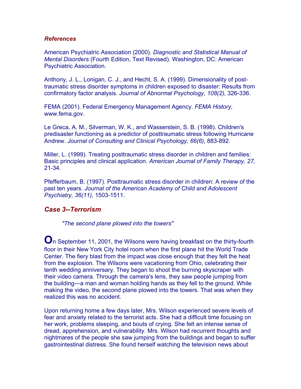## *References*

American Psychiatric Association (2000). *Diagnostic and Statistical Manual of Mental Disorders* (Fourth Edition, Text Revised). Washington, DC: American Psychiatric Association.

Anthony, J. L., Lonigan, C. J., and Hecht, S. A. (1999). Dimensionality of posttraumatic stress disorder symptoms in children exposed to disaster: Results from confirmatory factor analysis. *Journal of Abnormal Psychology, 108(2),* 326-336.

FEMA (2001). Federal Emergency Management Agency. *FEMA History,* www.fema.gov.

Le Greca, A. M., Silverman, W. K., and Wasserstein, S. B. (1998). Children's predisaster functioning as a predictor of posttraumatic stress following Hurricane Andrew. *Journal of Consulting and Clinical Psychology, 66(6),* 883-892.

Miller, L. (1999). Treating posttraumatic stress disorder in children and families: Basic principles and clinical application. *American Journal of Family Therapy, 27,* 21-34.

Pfefferbaum, B. (1997). Posttraumatic stress disorder in children: A review of the past ten years. *Journal of the American Academy of Child and Adolescent Psychiatry, 36(11),* 1503-1511.

# *Case 3--Terrorism*

*"The second plane plowed into the towers"*

**O**n September 11, 2001, the Wilsons were having breakfast on the thirty-fourth floor in their New York City hotel room when the first plane hit the World Trade Center. The fiery blast from the impact was close enough that they felt the heat from the explosion. The Wilsons were vacationing from Ohio, celebrating their tenth wedding anniversary. They began to shoot the burning skyscraper with their video camera. Through the camera's lens, they saw people jumping from the building—a man and woman holding hands as they fell to the ground. While making the video, the second plane plowed into the towers. That was when they realized this was no accident.

Upon returning home a few days later, Mrs. Wilson experienced severe levels of fear and anxiety related to the terrorist acts. She had a difficult time focusing on her work, problems sleeping, and bouts of crying. She felt an intense sense of dread, apprehension, and vulnerability. Mrs. Wilson had recurrent thoughts and nightmares of the people she saw jumping from the buildings and began to suffer gastrointestinal distress. She found herself watching the television news about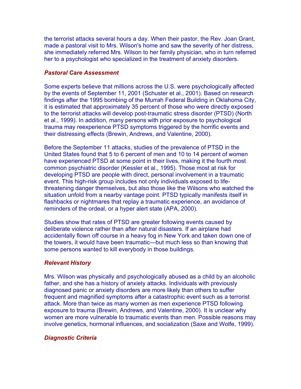the terrorist attacks several hours a day. When their pastor, the Rev. Joan Grant, made a pastoral visit to Mrs. Wilson's home and saw the severity of her distress, she immediately referred Mrs. Wilson to her family physician, who in turn referred her to a psychologist who specialized in the treatment of anxiety disorders.

# *Pastoral Care Assessment*

Some experts believe that millions across the U.S. were psychologically affected by the events of September 11, 2001 (Schuster et al., 2001). Based on research findings after the 1995 bombing of the Murrah Federal Building in Oklahoma City, it is estimated that approximately 35 percent of those who were directly exposed to the terrorist attacks will develop post-traumatic stress disorder (PTSD) (North et al., 1999). In addition, many persons with prior exposure to psychological trauma may reexperience PTSD symptoms triggered by the horrific events and their distressing effects (Brewin, Andrews, and Valentine, 2000).

Before the September 11 attacks, studies of the prevalence of PTSD in the United States found that 5 to 6 percent of men and 10 to 14 percent of women have experienced PTSD at some point in their lives, making it the fourth most common psychiatric disorder (Kessler et al., 1995). Those most at risk for developing PTSD are people with direct, personal involvement in a traumatic event. This high-risk group includes not only individuals exposed to lifethreatening danger themselves, but also those like the Wilsons who watched the situation unfold from a nearby vantage point. PTSD typically manifests itself in flashbacks or nightmares that replay a traumatic experience, an avoidance of reminders of the ordeal, or a hyper alert state (APA, 2000).

Studies show that rates of PTSD are greater following events caused by deliberate violence rather than after natural disasters. If an airplane had accidentally flown off course in a heavy fog in New York and taken down one of the towers, it would have been traumatic—but much less so than knowing that some persons wanted to kill everybody in those buildings.

# *Relevant History*

Mrs. Wilson was physically and psychologically abused as a child by an alcoholic father, and she has a history of anxiety attacks. Individuals with previously diagnosed panic or anxiety disorders are more likely than others to suffer frequent and magnified symptoms after a catastrophic event such as a terrorist attack. More than twice as many women as men experience PTSD following exposure to trauma (Brewin, Andrews, and Valentine, 2000). It is unclear why women are more vulnerable to traumatic events than men. Possible reasons may involve genetics, hormonal influences, and socialization (Saxe and Wolfe, 1999).

# *Diagnostic Criteria*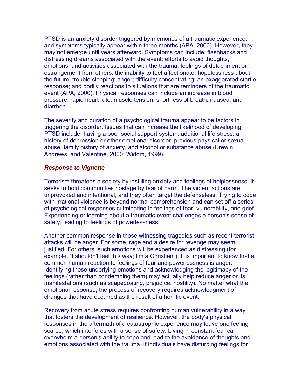PTSD is an anxiety disorder triggered by memories of a traumatic experience, and symptoms typically appear within three months (APA, 2000). However, they may not emerge until years afterward. Symptoms can include: flashbacks and distressing dreams associated with the event; efforts to avoid thoughts, emotions, and activities associated with the trauma; feelings of detachment or estrangement from others; the inability to feel affectionate; hopelessness about the future; trouble sleeping; anger; difficulty concentrating; an exaggerated startle response; and bodily reactions to situations that are reminders of the traumatic event (APA, 2000). Physical responses can include an increase in blood pressure, rapid heart rate, muscle tension, shortness of breath, nausea, and diarrhea.

The severity and duration of a psychological trauma appear to be factors in triggering the disorder. Issues that can increase the likelihood of developing PTSD include: having a poor social support system, additional life stress, a history of depression or other emotional disorder, previous physical or sexual abuse, family history of anxiety, and alcohol or substance abuse (Brewin, Andrews, and Valentine, 2000; Widom, 1999).

## *Response to Vignette*

Terrorism threatens a society by instilling anxiety and feelings of helplessness. It seeks to hold communities hostage by fear of harm. The violent actions are unprovoked and intentional, and they often target the defenseless. Trying to cope with irrational violence is beyond normal comprehension and can set off a series of psychological responses culminating in feelings of fear, vulnerability, and grief. Experiencing or learning about a traumatic event challenges a person's sense of safety, leading to feelings of powerlessness.

Another common response in those witnessing tragedies such as recent terrorist attacks will be anger. For some, rage and a desire for revenge may seem justified. For others, such emotions will be experienced as distressing (for example, "I shouldn't feel this way; I'm a Christian"). It is important to know that a common human reaction to feelings of fear and powerlessness is anger. Identifying those underlying emotions and acknowledging the legitimacy of the feelings (rather than condemning them) may actually help reduce anger or its manifestations (such as scapegoating, prejudice, hostility). No matter what the emotional response, the process of recovery requires acknowledgment of changes that have occurred as the result of a horrific event.

Recovery from acute stress requires confronting human vulnerability in a way that fosters the development of resilience. However, the body's physical responses in the aftermath of a catastrophic experience may leave one feeling scared, which interferes with a sense of safety. Living in constant fear can overwhelm a person's ability to cope and lead to the avoidance of thoughts and emotions associated with the trauma. If individuals have disturbing feelings for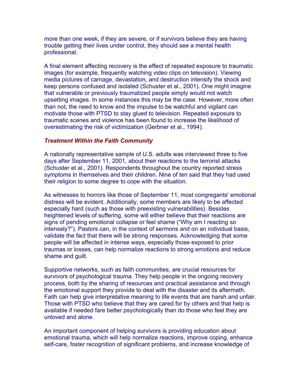more than one week, if they are severe, or if survivors believe they are having trouble getting their lives under control, they should see a mental health professional.

A final element affecting recovery is the effect of repeated exposure to traumatic images (for example, frequently watching video clips on television). Viewing media pictures of carnage, devastation, and destruction intensify the shock and keep persons confused and isolated (Schuster et al., 2001). One might imagine that vulnerable or previously traumatized people simply would not watch upsetting images. In some instances this may be the case. However, more often than not, the need to know and the impulse to be watchful and vigilant can motivate those with PTSD to stay glued to television. Repeated exposure to traumatic scenes and violence has been found to increase the likelihood of overestimating the risk of victimization (Gerbner et al., 1994).

## *Treatment Within the Faith Community*

A nationally representative sample of U.S. adults was interviewed three to five days after September 11, 2001, about their reactions to the terrorist attacks (Schuster et al., 2001). Respondents throughout the country reported stress symptoms in themselves and their children. Nine of ten said that they had used their religion to some degree to cope with the situation.

As witnesses to horrors like those of September 11, most congregants' emotional distress will be evident. Additionally, some members are likely to be affected especially hard (such as those with preexisting vulnerabilities). Besides heightened levels of suffering, some will either believe that their reactions are signs of pending emotional collapse or feel shame ("Why am I reacting so intensely?"). Pastors can, in the context of sermons and on an individual basis, validate the fact that there will be strong responses. Acknowledging that some people will be affected in intense ways, especially those exposed to prior traumas or losses, can help normalize reactions to strong emotions and reduce shame and guilt.

Supportive networks, such as faith communities, are crucial resources for survivors of psychological trauma. They help people in the ongoing recovery process, both by the sharing of resources and practical assistance and through the emotional support they provide to deal with the disaster and its aftermath. Faith can help give interpretative meaning to life events that are harsh and unfair. Those with PTSD who believe that they are cared for by others and that help is available if needed fare better psychologically than do those who feel they are unloved and alone.

An important component of helping survivors is providing education about emotional trauma, which will help normalize reactions, improve coping, enhance self-care, foster recognition of significant problems, and increase knowledge of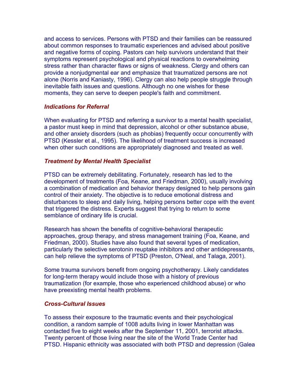and access to services. Persons with PTSD and their families can be reassured about common responses to traumatic experiences and advised about positive and negative forms of coping. Pastors can help survivors understand that their symptoms represent psychological and physical reactions to overwhelming stress rather than character flaws or signs of weakness. Clergy and others can provide a nonjudgmental ear and emphasize that traumatized persons are not alone (Norris and Kaniasty, 1996). Clergy can also help people struggle through inevitable faith issues and questions. Although no one wishes for these moments, they can serve to deepen people's faith and commitment.

## *Indications for Referral*

When evaluating for PTSD and referring a survivor to a mental health specialist, a pastor must keep in mind that depression, alcohol or other substance abuse, and other anxiety disorders (such as phobias) frequently occur concurrently with PTSD (Kessler et al., 1995). The likelihood of treatment success is increased when other such conditions are appropriately diagnosed and treated as well.

## *Treatment by Mental Health Specialist*

PTSD can be extremely debilitating. Fortunately, research has led to the development of treatments (Foa, Keane, and Friedman, 2000), usually involving a combination of medication and behavior therapy designed to help persons gain control of their anxiety. The objective is to reduce emotional distress and disturbances to sleep and daily living, helping persons better cope with the event that triggered the distress. Experts suggest that trying to return to some semblance of ordinary life is crucial.

Research has shown the benefits of cognitive-behavioral therapeutic approaches, group therapy, and stress management training (Foa, Keane, and Friedman, 2000). Studies have also found that several types of medication, particularly the selective serotonin reuptake inhibitors and other antidepressants, can help relieve the symptoms of PTSD (Preston, O'Neal, and Talaga, 2001).

Some trauma survivors benefit from ongoing psychotherapy. Likely candidates for long-term therapy would include those with a history of previous traumatization (for example, those who experienced childhood abuse) or who have preexisting mental health problems.

## *Cross-Cultural Issues*

To assess their exposure to the traumatic events and their psychological condition, a random sample of 1008 adults living in lower Manhattan was contacted five to eight weeks after the September 11, 2001, terrorist attacks. Twenty percent of those living near the site of the World Trade Center had PTSD. Hispanic ethnicity was associated with both PTSD and depression (Galea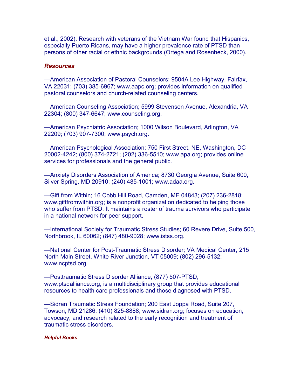et al., 2002). Research with veterans of the Vietnam War found that Hispanics, especially Puerto Ricans, may have a higher prevalence rate of PTSD than persons of other racial or ethnic backgrounds (Ortega and Rosenheck, 2000).

#### *Resources*

—American Association of Pastoral Counselors; 9504A Lee Highway, Fairfax, VA 22031; (703) 385-6967; www.aapc.org; provides information on qualified pastoral counselors and church-related counseling centers.

—American Counseling Association; 5999 Stevenson Avenue, Alexandria, VA 22304; (800) 347-6647; www.counseling.org.

—American Psychiatric Association; 1000 Wilson Boulevard, Arlington, VA 22209; (703) 907-7300; www.psych.org.

—American Psychological Association; 750 First Street, NE, Washington, DC 20002-4242; (800) 374-2721; (202) 336-5510; www.apa.org; provides online services for professionals and the general public.

—Anxiety Disorders Association of America; 8730 Georgia Avenue, Suite 600, Silver Spring, MD 20910; (240) 485-1001; www.adaa.org.

—Gift from Within; 16 Cobb Hill Road, Camden, ME 04843; (207) 236-2818; www.giftfromwithin.org; is a nonprofit organization dedicated to helping those who suffer from PTSD. It maintains a roster of trauma survivors who participate in a national network for peer support.

—International Society for Traumatic Stress Studies; 60 Revere Drive, Suite 500, Northbrook, IL 60062; (847) 480-9028; www.istss.org.

—National Center for Post-Traumatic Stress Disorder; VA Medical Center, 215 North Main Street, White River Junction, VT 05009; (802) 296-5132; www.ncptsd.org.

—Posttraumatic Stress Disorder Alliance, (877) 507-PTSD, www.ptsdalliance.org, is a multidisciplinary group that provides educational resources to health care professionals and those diagnosed with PTSD.

—Sidran Traumatic Stress Foundation; 200 East Joppa Road, Suite 207, Towson, MD 21286; (410) 825-8888; www.sidran.org; focuses on education, advocacy, and research related to the early recognition and treatment of traumatic stress disorders.

#### *Helpful Books*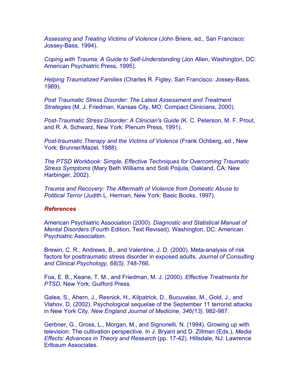*Assessing and Treating Victims of Violence* (John Briere, ed., San Francisco: Jossey-Bass, 1994).

*Coping with Trauma: A Guide to Self-Understanding* (Jon Allen, Washington, DC: American Psychiatric Press, 1995).

*Helping Traumatized Families* (Charles R. Figley, San Francisco: Jossey-Bass, 1989).

*Post Traumatic Stress Disorder: The Latest Assessment and Treatment Strategies* (M. J. Friedman, Kansas City, MO: Compact Clinicians, 2000).

*Post-Traumatic Stress Disorder: A Clinician's Guide* (K. C. Peterson, M. F. Prout, and R. A. Schwarz, New York: Plenum Press, 1991).

*Post-traumatic Therapy and the Victims of Violence* (Frank Ochberg, ed., New York: Brunner/Mazel, 1988).

*The PTSD Workbook: Simple, Effective Techniques for Overcoming Traumatic Stress Symptoms* (Mary Beth Williams and Soili Poijula, Oakland, CA: New Harbinger, 2002).

*Trauma and Recovery: The Aftermath of Violence from Domestic Abuse to Political Terror* (Judith L. Herman, New York: Basic Books, 1997).

#### *References*

American Psychiatric Association (2000). *Diagnostic and Statistical Manual of Mental Disorders* (Fourth Edition, Text Revised). Washington, DC: American Psychiatric Association.

Brewin, C. R., Andrews, B., and Valentine, J. D. (2000). Meta-analysis of risk factors for posttraumatic stress disorder in exposed adults. *Journal of Consulting and Clinical Psychology, 68(5),* 748-766.

Foa, E. B., Keane, T. M., and Friedman, M. J. (2000). *Effective Treatments for PTSD.* New York: Guilford Press.

Galea, S., Ahern, J., Resnick, H., Kilpatrick, D., Bucuvalas, M., Gold, J., and Vlahov, D. (2002). Psychological sequelae of the September 11 terrorist attacks in New York City. *New England Journal of Medicine, 346(13),* 982-987.

Gerbner, G., Gross, L., Morgan, M., and Signorielli, N. (1994). Growing up with television: The cultivation perspective. In J. Bryant and D. Zillman (Eds.), *Media Effects: Advances in Theory and Research* (pp. 17-42). Hillsdale, NJ: Lawrence Erlbaum Associates.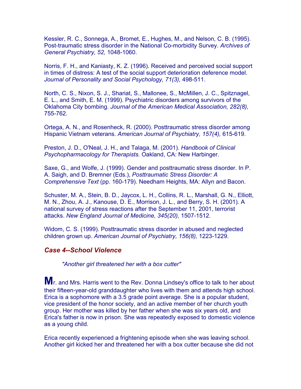Kessler, R. C., Sonnega, A., Bromet, E., Hughes, M., and Nelson, C. B. (1995). Post-traumatic stress disorder in the National Co-morbidity Survey. *Archives of General Psychiatry, 52,* 1048-1060.

Norris, F. H., and Kaniasty, K. Z. (1996). Received and perceived social support in times of distress: A test of the social support deterioration deference model. *Journal of Personality and Social Psychology, 71(3),* 498-511.

North, C. S., Nixon, S. J., Shariat, S., Mallonee, S., McMillen, J. C., Spitznagel, E. L., and Smith, E. M. (1999). Psychiatric disorders among survivors of the Oklahoma City bombing. *Journal of the American Medical Association, 282(8),* 755-762.

Ortega, A. N., and Rosenheck, R. (2000). Posttraumatic stress disorder among Hispanic Vietnam veterans. *American Journal of Psychiatry, 157(4),* 615-619.

Preston, J. D., O'Neal, J. H., and Talaga, M. (2001). *Handbook of Clinical Psychopharmacology for Therapists.* Oakland, CA: New Harbinger.

Saxe, G., and Wolfe, J. (1999). Gender and posttraumatic stress disorder. In P. A. Saigh, and D. Bremner (Eds.), *Posttraumatic Stress Disorder: A Comprehensive Text* (pp. 160-179). Needham Heights, MA: Allyn and Bacon.

Schuster, M. A., Stein, B. D., Jaycox, L. H., Collins, R. L., Marshall, G. N., Elliott, M. N., Zhou, A. J., Kanouse, D. E., Morrison, J. L., and Berry, S. H. (2001). A national survey of stress reactions after the September 11, 2001, terrorist attacks. *New England Journal of Medicine, 345(20),* 1507-1512.

Widom, C. S. (1999). Posttraumatic stress disorder in abused and neglected children grown up. *American Journal of Psychiatry, 156(8),* 1223-1229.

# *Case 4--School Violence*

*"Another girl threatened her with a box cutter"*

**M**r. and Mrs. Harris went to the Rev. Donna Lindsey's office to talk to her about their fifteen-year-old granddaughter who lives with them and attends high school. Erica is a sophomore with a 3.5 grade point average. She is a popular student, vice president of the honor society, and an active member of her church youth group. Her mother was killed by her father when she was six years old, and Erica's father is now in prison. She was repeatedly exposed to domestic violence as a young child.

Erica recently experienced a frightening episode when she was leaving school. Another girl kicked her and threatened her with a box cutter because she did not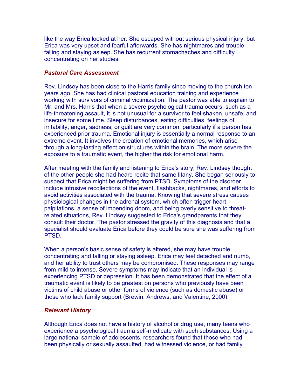like the way Erica looked at her. She escaped without serious physical injury, but Erica was very upset and fearful afterwards. She has nightmares and trouble falling and staying asleep. She has recurrent stomachaches and difficulty concentrating on her studies.

# *Pastoral Care Assessment*

Rev. Lindsey has been close to the Harris family since moving to the church ten years ago. She has had clinical pastoral education training and experience working with survivors of criminal victimization. The pastor was able to explain to Mr. and Mrs. Harris that when a severe psychological trauma occurs, such as a life-threatening assault, it is not unusual for a survivor to feel shaken, unsafe, and insecure for some time. Sleep disturbances, eating difficulties, feelings of irritability, anger, sadness, or guilt are very common, particularly if a person has experienced prior trauma. Emotional injury is essentially a normal response to an extreme event. It involves the creation of emotional memories, which arise through a long-lasting effect on structures within the brain. The more severe the exposure to a traumatic event, the higher the risk for emotional harm.

After meeting with the family and listening to Erica's story, Rev. Lindsey thought of the other people she had heard recite that same litany. She began seriously to suspect that Erica might be suffering from PTSD. Symptoms of the disorder include intrusive recollections of the event, flashbacks, nightmares, and efforts to avoid activities associated with the trauma. Knowing that severe stress causes physiological changes in the adrenal system, which often trigger heart palpitations, a sense of impending doom, and being overly sensitive to threatrelated situations, Rev. Lindsey suggested to Erica's grandparents that they consult their doctor. The pastor stressed the gravity of this diagnosis and that a specialist should evaluate Erica before they could be sure she was suffering from PTSD.

When a person's basic sense of safety is altered, she may have trouble concentrating and falling or staying asleep. Erica may feel detached and numb, and her ability to trust others may be compromised. These responses may range from mild to intense. Severe symptoms may indicate that an individual is experiencing PTSD or depression. It has been demonstrated that the effect of a traumatic event is likely to be greatest on persons who previously have been victims of child abuse or other forms of violence (such as domestic abuse) or those who lack family support (Brewin, Andrews, and Valentine, 2000).

# *Relevant History*

Although Erica does not have a history of alcohol or drug use, many teens who experience a psychological trauma self-medicate with such substances. Using a large national sample of adolescents, researchers found that those who had been physically or sexually assaulted, had witnessed violence, or had family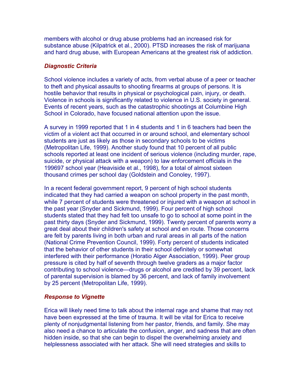members with alcohol or drug abuse problems had an increased risk for substance abuse (Kilpatrick et al., 2000). PTSD increases the risk of marijuana and hard drug abuse, with European Americans at the greatest risk of addiction.

## *Diagnostic Criteria*

School violence includes a variety of acts, from verbal abuse of a peer or teacher to theft and physical assaults to shooting firearms at groups of persons. It is hostile behavior that results in physical or psychological pain, injury, or death. Violence in schools is significantly related to violence in U.S. society in general. Events of recent years, such as the catastrophic shootings at Columbine High School in Colorado, have focused national attention upon the issue.

A survey in 1999 reported that 1 in 4 students and 1 in 6 teachers had been the victim of a violent act that occurred in or around school, and elementary school students are just as likely as those in secondary schools to be victims (Metropolitan Life, 1999). Another study found that 10 percent of all public schools reported at least one incident of serious violence (including murder, rape, suicide, or physical attack with a weapon) to law enforcement officials in the 199697 school year (Heaviside et al., 1998), for a total of almost sixteen thousand crimes per school day (Goldstein and Conoley, 1997).

In a recent federal government report, 9 percent of high school students indicated that they had carried a weapon on school property in the past month, while 7 percent of students were threatened or injured with a weapon at school in the past year (Snyder and Sickmund, 1999). Four percent of high school students stated that they had felt too unsafe to go to school at some point in the past thirty days (Snyder and Sickmund, 1999). Twenty percent of parents worry a great deal about their children's safety at school and en route. Those concerns are felt by parents living in both urban and rural areas in all parts of the nation (National Crime Prevention Council, 1999). Forty percent of students indicated that the behavior of other students in their school definitely or somewhat interfered with their performance (Horatio Alger Association, 1999). Peer group pressure is cited by half of seventh through twelve graders as a major factor contributing to school violence—drugs or alcohol are credited by 39 percent, lack of parental supervision is blamed by 36 percent, and lack of family involvement by 25 percent (Metropolitan Life, 1999).

# *Response to Vignette*

Erica will likely need time to talk about the internal rage and shame that may not have been expressed at the time of trauma. It will be vital for Erica to receive plenty of nonjudgmental listening from her pastor, friends, and family. She may also need a chance to articulate the confusion, anger, and sadness that are often hidden inside, so that she can begin to dispel the overwhelming anxiety and helplessness associated with her attack. She will need strategies and skills to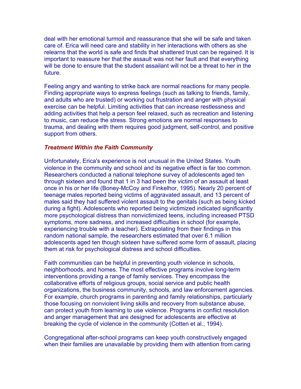deal with her emotional turmoil and reassurance that she will be safe and taken care of. Erica will need care and stability in her interactions with others as she relearns that the world is safe and finds that shattered trust can be regained. It is important to reassure her that the assault was not her fault and that everything will be done to ensure that the student assailant will not be a threat to her in the future.

Feeling angry and wanting to strike back are normal reactions for many people. Finding appropriate ways to express feelings (such as talking to friends, family, and adults who are trusted) or working out frustration and anger with physical exercise can be helpful. Limiting activities that can increase restlessness and adding activities that help a person feel relaxed, such as recreation and listening to music, can reduce the stress. Strong emotions are normal responses to trauma, and dealing with them requires good judgment, self-control, and positive support from others.

#### *Treatment Within the Faith Community*

Unfortunately, Erica's experience is not unusual in the United States. Youth violence in the community and school and its negative effect is far too common. Researchers conducted a national telephone survey of adolescents aged ten through sixteen and found that 1 in 3 had been the victim of an assault at least once in his or her life (Boney-McCoy and Finkelhor, 1995). Nearly 20 percent of teenage males reported being victims of aggravated assault, and 13 percent of males said they had suffered violent assault to the genitals (such as being kicked during a fight). Adolescents who reported being victimized indicated significantly more psychological distress than nonvictimized teens, including increased PTSD symptoms, more sadness, and increased difficulties in school (for example, experiencing trouble with a teacher). Extrapolating from their findings in this random national sample, the researchers estimated that over 6.1 million adolescents aged ten though sixteen have suffered some form of assault, placing them at risk for psychological distress and school difficulties.

Faith communities can be helpful in preventing youth violence in schools, neighborhoods, and homes. The most effective programs involve long-term interventions providing a range of family services. They encompass the collaborative efforts of religious groups, social service and public health organizations, the business community, schools, and law enforcement agencies. For example, church programs in parenting and family relationships, particularly those focusing on nonviolent living skills and recovery from substance abuse, can protect youth from learning to use violence. Programs in conflict resolution and anger management that are designed for adolescents are effective at breaking the cycle of violence in the community (Cotten et al., 1994).

Congregational after-school programs can keep youth constructively engaged when their families are unavailable by providing them with attention from caring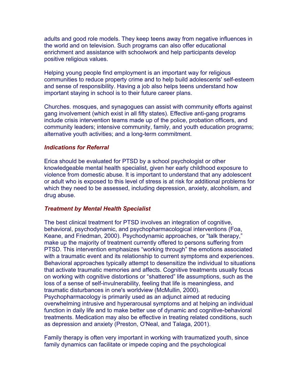adults and good role models. They keep teens away from negative influences in the world and on television. Such programs can also offer educational enrichment and assistance with schoolwork and help participants develop positive religious values.

Helping young people find employment is an important way for religious communities to reduce property crime and to help build adolescents' self-esteem and sense of responsibility. Having a job also helps teens understand how important staying in school is to their future career plans.

Churches. mosques, and synagogues can assist with community efforts against gang involvement (which exist in all fifty states). Effective anti-gang programs include crisis intervention teams made up of the police, probation officers, and community leaders; intensive community, family, and youth education programs; alternative youth activities; and a long-term commitment.

## *Indications for Referral*

Erica should be evaluated for PTSD by a school psychologist or other knowledgeable mental health specialist, given her early childhood exposure to violence from domestic abuse. It is important to understand that any adolescent or adult who is exposed to this level of stress is at risk for additional problems for which they need to be assessed, including depression, anxiety, alcoholism, and drug abuse.

# *Treatment by Mental Health Specialist*

The best clinical treatment for PTSD involves an integration of cognitive, behavioral, psychodynamic, and psychopharmacological interventions (Foa, Keane, and Friedman, 2000). Psychodynamic approaches, or "talk therapy," make up the majority of treatment currently offered to persons suffering from PTSD. This intervention emphasizes "working through" the emotions associated with a traumatic event and its relationship to current symptoms and experiences. Behavioral approaches typically attempt to desensitize the individual to situations that activate traumatic memories and affects. Cognitive treatments usually focus on working with cognitive distortions or "shattered" life assumptions, such as the loss of a sense of self-invulnerability, feeling that life is meaningless, and traumatic disturbances in one's worldview (McMullin, 2000). Psychopharmacology is primarily used as an adjunct aimed at reducing overwhelming intrusive and hyperarousal symptoms and at helping an individual function in daily life and to make better use of dynamic and cognitive-behavioral treatments. Medication may also be effective in treating related conditions, such as depression and anxiety (Preston, O'Neal, and Talaga, 2001).

Family therapy is often very important in working with traumatized youth, since family dynamics can facilitate or impede coping and the psychological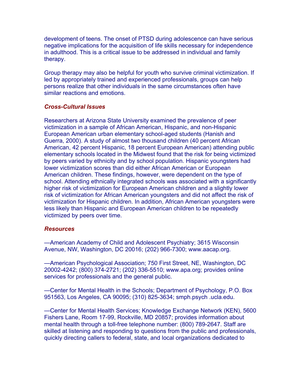development of teens. The onset of PTSD during adolescence can have serious negative implications for the acquisition of life skills necessary for independence in adulthood. This is a critical issue to be addressed in individual and family therapy.

Group therapy may also be helpful for youth who survive criminal victimization. If led by appropriately trained and experienced professionals, groups can help persons realize that other individuals in the same circumstances often have similar reactions and emotions.

## *Cross-Cultural Issues*

Researchers at Arizona State University examined the prevalence of peer victimization in a sample of African American, Hispanic, and non-Hispanic European American urban elementary school-aged students (Hanish and Guerra, 2000). A study of almost two thousand children (40 percent African American, 42 percent Hispanic, 18 percent European American) attending public elementary schools located in the Midwest found that the risk for being victimized by peers varied by ethnicity and by school population. Hispanic youngsters had lower victimization scores than did either African American or European American children. These findings, however, were dependent on the type of school. Attending ethnically integrated schools was associated with a significantly higher risk of victimization for European American children and a slightly lower risk of victimization for African American youngsters and did not affect the risk of victimization for Hispanic children. In addition, African American youngsters were less likely than Hispanic and European American children to be repeatedly victimized by peers over time.

## *Resources*

—American Academy of Child and Adolescent Psychiatry; 3615 Wisconsin Avenue, NW, Washington, DC 20016; (202) 966-7300; www.aacap.org.

—American Psychological Association; 750 First Street, NE, Washington, DC 20002-4242; (800) 374-2721; (202) 336-5510; www.apa.org; provides online services for professionals and the general public.

—Center for Mental Health in the Schools; Department of Psychology, P.O. Box 951563, Los Angeles, CA 90095; (310) 825-3634; smph.psych .ucla.edu.

—Center for Mental Health Services; Knowledge Exchange Network (KEN), 5600 Fishers Lane, Room 17-99, Rockville, MD 20857; provides information about mental health through a toll-free telephone number: (800) 789-2647. Staff are skilled at listening and responding to questions from the public and professionals, quickly directing callers to federal, state, and local organizations dedicated to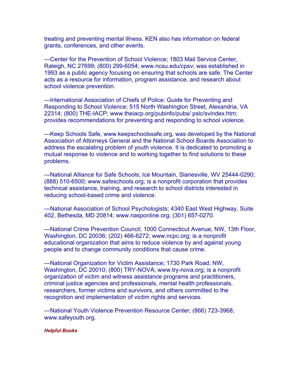treating and preventing mental illness. KEN also has information on federal grants, conferences, and other events.

—Center for the Prevention of School Violence; 1803 Mail Service Center, Raleigh, NC 27699; (800) 299-6054; www.ncsu.edu/cpsv; was established in 1993 as a public agency focusing on ensuring that schools are safe. The Center acts as a resource for information, program assistance, and research about school violence prevention.

—International Association of Chiefs of Police: Guide for Preventing and Responding to School Violence; 515 North Washington Street, Alexandria, VA 22314; (800) THE-IACP; www.theiacp.org/pubinfo/pubs/ pslc/svindex.htm; provides recommendations for preventing and responding to school violence.

—Keep Schools Safe, www.keepschoolssafe.org, was developed by the National Association of Attorneys General and the National School Boards Association to address the escalating problem of youth violence. It is dedicated to promoting a mutual response to violence and to working together to find solutions to these problems.

—National Alliance for Safe Schools; Ice Mountain, Slanesville, WV 25444-0290; (888) 510-6500; www.safeschools.org; is a nonprofit corporation that provides technical assistance, training, and research to school districts interested in reducing school-based crime and violence.

—National Association of School Psychologists; 4340 East West Highway, Suite 402, Bethesda, MD 20814; www.nasponline.org; (301) 657-0270.

—National Crime Prevention Council; 1000 Connecticut Avenue, NW, 13th Floor, Washington, DC 20036; (202) 466-6272; www.ncpc.org; is a nonprofit educational organization that aims to reduce violence by and against young people and to change community conditions that cause crime.

—National Organization for Victim Assistance; 1730 Park Road, NW, Washington, DC 20010; (800) TRY-NOVA; www.try-nova.org; is a nonprofit organization of victim and witness assistance programs and practitioners, criminal justice agencies and professionals, mental health professionals, researchers, former victims and survivors, and others committed to the recognition and implementation of victim rights and services.

—National Youth Violence Prevention Resource Center; (866) 723-3968; www.safeyouth.org.

*Helpful Books*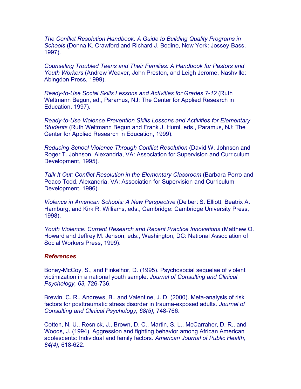*The Conflict Resolution Handbook: A Guide to Building Quality Programs in Schools* (Donna K. Crawford and Richard J. Bodine, New York: Jossey-Bass, 1997).

*Counseling Troubled Teens and Their Families: A Handbook for Pastors and Youth Workers* (Andrew Weaver, John Preston, and Leigh Jerome, Nashville: Abingdon Press, 1999).

*Ready-to-Use Social Skills Lessons and Activities for Grades 7-12* (Ruth Weltmann Begun, ed., Paramus, NJ: The Center for Applied Research in Education, 1997).

*Ready-to-Use Violence Prevention Skills Lessons and Activities for Elementary Students* (Ruth Weltmann Begun and Frank J. Huml, eds., Paramus, NJ: The Center for Applied Research in Education, 1999).

*Reducing School Violence Through Conflict Resolution* (David W. Johnson and Roger T. Johnson, Alexandria, VA: Association for Supervision and Curriculum Development, 1995).

*Talk It Out: Conflict Resolution in the Elementary Classroom* (Barbara Porro and Peaco Todd, Alexandria, VA: Association for Supervision and Curriculum Development, 1996).

*Violence in American Schools: A New Perspective* (Delbert S. Elliott, Beatrix A. Hamburg, and Kirk R. Williams, eds., Cambridge: Cambridge University Press, 1998).

*Youth Violence: Current Research and Recent Practice Innovations* (Matthew O. Howard and Jeffrey M. Jenson, eds., Washington, DC: National Association of Social Workers Press, 1999).

#### *References*

Boney-McCoy, S., and Finkelhor, D. (1995). Psychosocial sequelae of violent victimization in a national youth sample. *Journal of Consulting and Clinical Psychology, 63,* 726-736.

Brewin, C. R., Andrews, B., and Valentine, J. D. (2000). Meta-analysis of risk factors for posttraumatic stress disorder in trauma-exposed adults. *Journal of Consulting and Clinical Psychology, 68(5),* 748-766.

Cotten, N. U., Resnick, J., Brown, D. C., Martin, S. L., McCarraher, D. R., and Woods, J. (1994). Aggression and fighting behavior among African American adolescents: Individual and family factors. *American Journal of Public Health, 84(4),* 618-622.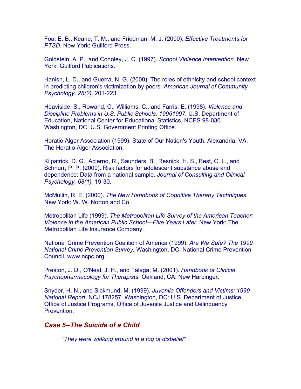Foa, E. B., Keane, T. M., and Friedman, M. J. (2000). *Effective Treatments for PTSD.* New York: Guilford Press.

Goldstein, A. P., and Conoley, J. C. (1997). *School Violence Intervention.* New York: Guilford Publications.

Hanish, L. D., and Guerra, N. G. (2000). The roles of ethnicity and school context in predicting children's victimization by peers. *American Journal of Community Psychology, 28(2),* 201-223.

Heaviside, S., Rowand, C., Williams, C., and Farris, E. (1998). *Violence and Discipline Problems in U.S. Public Schools: 19961997.* U.S. Department of Education, National Center for Educational Statistics, NCES 98-030. Washington, DC: U.S. Government Printing Office.

Horatio Alger Association (1999). State of Our Nation's Youth. Alexandria, VA: The Horatio Alger Association.

Kilpatrick, D. G., Acierno, R., Saunders, B., Resnick, H. S., Best, C. L., and Schnurr, P. P. (2000). Risk factors for adolescent substance abuse and dependence: Data from a national sample. *Journal of Consulting and Clinical Psychology, 68(1),* 19-30.

McMullin, R. E. (2000). *The New Handbook of Cognitive Therapy Techniques.* New York: W. W. Norton and Co.

Metropolitan Life (1999). *The Metropolitan Life Survey of the American Teacher: Violence in the American Public School—Five Years Later.* New York: The Metropolitan Life Insurance Company.

National Crime Prevention Coalition of America (1999). *Are We Safe? The 1999 National Crime Prevention Survey.* Washington, DC: National Crime Prevention Council, www.ncpc.org.

Preston, J. D., O'Neal, J. H., and Talaga, M. (2001). *Handbook of Clinical Psychopharmacology for Therapists.* Oakland, CA: New Harbinger.

Snyder, H. N., and Sickmund, M. (1999). *Juvenile Offenders and Victims: 1999 National Report,* NCJ 178257. Washington, DC: U.S. Department of Justice, Office of Justice Programs, Office of Juvenile Justice and Delinquency Prevention.

# *Case 5--The Suicide of a Child*

*"They were walking around in a fog of disbelief"*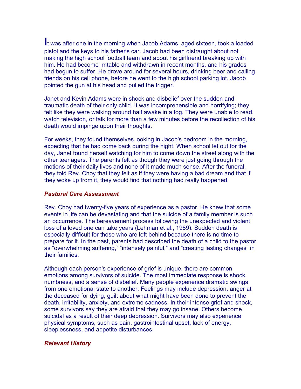**I**t was after one in the morning when Jacob Adams, aged sixteen, took a loaded pistol and the keys to his father's car. Jacob had been distraught about not making the high school football team and about his girlfriend breaking up with him. He had become irritable and withdrawn in recent months, and his grades had begun to suffer. He drove around for several hours, drinking beer and calling friends on his cell phone, before he went to the high school parking lot. Jacob pointed the gun at his head and pulled the trigger.

Janet and Kevin Adams were in shock and disbelief over the sudden and traumatic death of their only child. It was incomprehensible and horrifying; they felt like they were walking around half awake in a fog. They were unable to read, watch television, or talk for more than a few minutes before the recollection of his death would impinge upon their thoughts.

For weeks, they found themselves looking in Jacob's bedroom in the morning, expecting that he had come back during the night. When school let out for the day, Janet found herself watching for him to come down the street along with the other teenagers. The parents felt as though they were just going through the motions of their daily lives and none of it made much sense. After the funeral, they told Rev. Choy that they felt as if they were having a bad dream and that if they woke up from it, they would find that nothing had really happened.

## *Pastoral Care Assessment*

Rev. Choy had twenty-five years of experience as a pastor. He knew that some events in life can be devastating and that the suicide of a family member is such an occurrence. The bereavement process following the unexpected and violent loss of a loved one can take years (Lehman et al., 1989). Sudden death is especially difficult for those who are left behind because there is no time to prepare for it. In the past, parents had described the death of a child to the pastor as "overwhelming suffering," "intensely painful," and "creating lasting changes" in their families.

Although each person's experience of grief is unique, there are common emotions among survivors of suicide. The most immediate response is shock, numbness, and a sense of disbelief. Many people experience dramatic swings from one emotional state to another. Feelings may include depression, anger at the deceased for dying, guilt about what might have been done to prevent the death, irritability, anxiety, and extreme sadness. In their intense grief and shock, some survivors say they are afraid that they may go insane. Others become suicidal as a result of their deep depression. Survivors may also experience physical symptoms, such as pain, gastrointestinal upset, lack of energy, sleeplessness, and appetite disturbances.

## *Relevant History*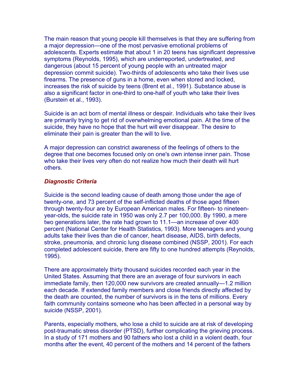The main reason that young people kill themselves is that they are suffering from a major depression—one of the most pervasive emotional problems of adolescents. Experts estimate that about 1 in 20 teens has significant depressive symptoms (Reynolds, 1995), which are underreported, undertreated, and dangerous (about 15 percent of young people with an untreated major depression commit suicide). Two-thirds of adolescents who take their lives use firearms. The presence of guns in a home, even when stored and locked, increases the risk of suicide by teens (Brent et al., 1991). Substance abuse is also a significant factor in one-third to one-half of youth who take their lives (Burstein et al., 1993).

Suicide is an act born of mental illness or despair. Individuals who take their lives are primarily trying to get rid of overwhelming emotional pain. At the time of the suicide, they have no hope that the hurt will ever disappear. The desire to eliminate their pain is greater than the will to live.

A major depression can constrict awareness of the feelings of others to the degree that one becomes focused only on one's own intense inner pain. Those who take their lives very often do not realize how much their death will hurt others.

#### *Diagnostic Criteria*

Suicide is the second leading cause of death among those under the age of twenty-one, and 73 percent of the self-inflicted deaths of those aged fifteen through twenty-four are by European American males. For fifteen- to nineteenyear-olds, the suicide rate in 1950 was only 2.7 per 100,000. By 1990, a mere two generations later, the rate had grown to 11.1—an increase of over 400 percent (National Center for Health Statistics, 1993). More teenagers and young adults take their lives than die of cancer, heart disease, AIDS, birth defects, stroke, pneumonia, and chronic lung disease combined (NSSP, 2001). For each completed adolescent suicide, there are fifty to one hundred attempts (Reynolds, 1995).

There are approximately thirty thousand suicides recorded each year in the United States. Assuming that there are an average of four survivors in each immediate family, then 120,000 new survivors are created annually—1.2 million each decade. If extended family members and close friends directly affected by the death are counted, the number of survivors is in the tens of millions. Every faith community contains someone who has been affected in a personal way by suicide (NSSP, 2001).

Parents, especially mothers, who lose a child to suicide are at risk of developing post-traumatic stress disorder (PTSD), further complicating the grieving process. In a study of 171 mothers and 90 fathers who lost a child in a violent death, four months after the event, 40 percent of the mothers and 14 percent of the fathers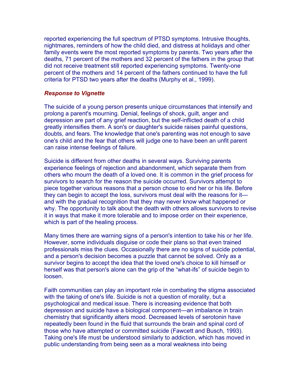reported experiencing the full spectrum of PTSD symptoms. Intrusive thoughts, nightmares, reminders of how the child died, and distress at holidays and other family events were the most reported symptoms by parents. Two years after the deaths, 71 percent of the mothers and 32 percent of the fathers in the group that did not receive treatment still reported experiencing symptoms. Twenty-one percent of the mothers and 14 percent of the fathers continued to have the full criteria for PTSD two years after the deaths (Murphy et al., 1999).

#### *Response to Vignette*

The suicide of a young person presents unique circumstances that intensify and prolong a parent's mourning. Denial, feelings of shock, guilt, anger and depression are part of any grief reaction, but the self-inflicted death of a child greatly intensifies them. A son's or daughter's suicide raises painful questions, doubts, and fears. The knowledge that one's parenting was not enough to save one's child and the fear that others will judge one to have been an unfit parent can raise intense feelings of failure.

Suicide is different from other deaths in several ways. Surviving parents experience feelings of rejection and abandonment, which separate them from others who mourn the death of a loved one. It is common in the grief process for survivors to search for the reason the suicide occurred. Survivors attempt to piece together various reasons that a person chose to end her or his life. Before they can begin to accept the loss, survivors must deal with the reasons for it and with the gradual recognition that they may never know what happened or why. The opportunity to talk about the death with others allows survivors to revise it in ways that make it more tolerable and to impose order on their experience, which is part of the healing process.

Many times there are warning signs of a person's intention to take his or her life. However, some individuals disguise or code their plans so that even trained professionals miss the clues. Occasionally there are no signs of suicide potential, and a person's decision becomes a puzzle that cannot be solved. Only as a survivor begins to accept the idea that the loved one's choice to kill himself or herself was that person's alone can the grip of the "what-ifs" of suicide begin to loosen.

Faith communities can play an important role in combating the stigma associated with the taking of one's life. Suicide is not a question of morality, but a psychological and medical issue. There is increasing evidence that both depression and suicide have a biological component—an imbalance in brain chemistry that significantly alters mood. Decreased levels of serotonin have repeatedly been found in the fluid that surrounds the brain and spinal cord of those who have attempted or committed suicide (Fawcett and Busch, 1993). Taking one's life must be understood similarly to addiction, which has moved in public understanding from being seen as a moral weakness into being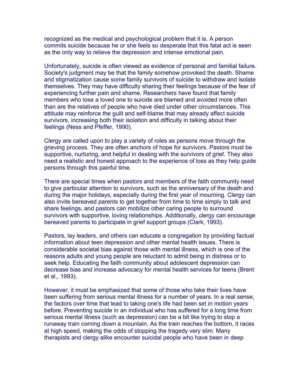recognized as the medical and psychological problem that it is. A person commits suicide because he or she feels so desperate that this fatal act is seen as the only way to relieve the depression and intense emotional pain.

Unfortunately, suicide is often viewed as evidence of personal and familial failure. Society's judgment may be that the family somehow provoked the death. Shame and stigmatization cause some family survivors of suicide to withdraw and isolate themselves. They may have difficulty sharing their feelings because of the fear of experiencing further pain and shame. Researchers have found that family members who lose a loved one to suicide are blamed and avoided more often than are the relatives of people who have died under other circumstances. This attitude may reinforce the guilt and self-blame that may already affect suicide survivors, increasing both their isolation and difficulty in talking about their feelings (Ness and Pfeffer, 1990).

Clergy are called upon to play a variety of roles as persons move through the grieving process. They are often anchors of hope for survivors. Pastors must be supportive, nurturing, and helpful in dealing with the survivors of grief. They also need a realistic and honest approach to the experience of loss as they help guide persons through this painful time.

There are special times when pastors and members of the faith community need to give particular attention to survivors, such as the anniversary of the death and during the major holidays, especially during the first year of mourning. Clergy can also invite bereaved parents to get together from time to time simply to talk and share feelings, and pastors can mobilize other caring people to surround survivors with supportive, loving relationships. Additionally, clergy can encourage bereaved parents to participate in grief support groups (Clark, 1993).

Pastors, lay leaders, and others can educate a congregation by providing factual information about teen depression and other mental health issues. There is considerable societal bias against those with mental illness, which is one of the reasons adults and young people are reluctant to admit being in distress or to seek help. Educating the faith community about adolescent depression can decrease bias and increase advocacy for mental health services for teens (Brent et al., 1993).

However, it must be emphasized that some of those who take their lives have been suffering from serious mental illness for a number of years. In a real sense, the factors over time that lead to taking one's life had been set in motion years before. Preventing suicide in an individual who has suffered for a long time from serious mental illness (such as depression) can be a bit like trying to stop a runaway train coming down a mountain. As the train reaches the bottom, it races at high speed, making the odds of stopping the tragedy very slim. Many therapists and clergy alike encounter suicidal people who have been in deep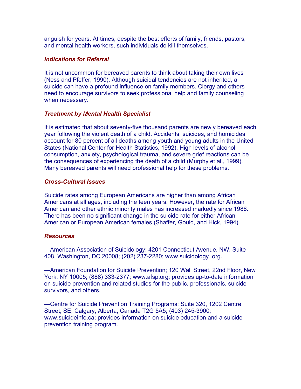anguish for years. At times, despite the best efforts of family, friends, pastors, and mental health workers, such individuals do kill themselves.

## *Indications for Referral*

It is not uncommon for bereaved parents to think about taking their own lives (Ness and Pfeffer, 1990). Although suicidal tendencies are not inherited, a suicide can have a profound influence on family members. Clergy and others need to encourage survivors to seek professional help and family counseling when necessary.

## *Treatment by Mental Health Specialist*

It is estimated that about seventy-five thousand parents are newly bereaved each year following the violent death of a child. Accidents, suicides, and homicides account for 80 percent of all deaths among youth and young adults in the United States (National Center for Health Statistics, 1992). High levels of alcohol consumption, anxiety, psychological trauma, and severe grief reactions can be the consequences of experiencing the death of a child (Murphy et al., 1999). Many bereaved parents will need professional help for these problems.

## *Cross-Cultural Issues*

Suicide rates among European Americans are higher than among African Americans at all ages, including the teen years. However, the rate for African American and other ethnic minority males has increased markedly since 1986. There has been no significant change in the suicide rate for either African American or European American females (Shaffer, Gould, and Hick, 1994).

## *Resources*

—American Association of Suicidology; 4201 Connecticut Avenue, NW, Suite 408, Washington, DC 20008; (202) 237-2280; www.suicidology .org.

—American Foundation for Suicide Prevention; 120 Wall Street, 22nd Floor, New York, NY 10005; (888) 333-2377; www.afsp.org; provides up-to-date information on suicide prevention and related studies for the public, professionals, suicide survivors, and others.

—Centre for Suicide Prevention Training Programs; Suite 320, 1202 Centre Street, SE, Calgary, Alberta, Canada T2G 5A5; (403) 245-3900; www.suicideinfo.ca; provides information on suicide education and a suicide prevention training program.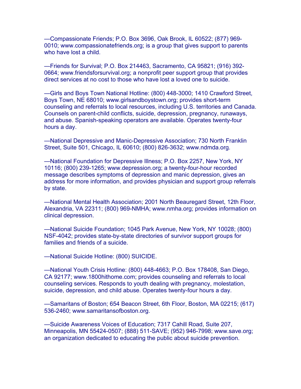—Compassionate Friends; P.O. Box 3696, Oak Brook, IL 60522; (877) 969- 0010; www.compassionatefriends.org; is a group that gives support to parents who have lost a child.

—Friends for Survival; P.O. Box 214463, Sacramento, CA 95821; (916) 392- 0664; www.friendsforsurvival.org; a nonprofit peer support group that provides direct services at no cost to those who have lost a loved one to suicide.

—Girls and Boys Town National Hotline: (800) 448-3000; 1410 Crawford Street, Boys Town, NE 68010; www.girlsandboystown.org; provides short-term counseling and referrals to local resources, including U.S. territories and Canada. Counsels on parent-child conflicts, suicide, depression, pregnancy, runaways, and abuse. Spanish-speaking operators are available. Operates twenty-four hours a day.

—National Depressive and Manic-Depressive Association; 730 North Franklin Street, Suite 501, Chicago, IL 60610; (800) 826-3632; www.ndmda.org.

—National Foundation for Depressive Illness; P.O. Box 2257, New York, NY 10116; (800) 239-1265; www.depression.org; a twenty-four-hour recorded message describes symptoms of depression and manic depression, gives an address for more information, and provides physician and support group referrals by state.

—National Mental Health Association; 2001 North Beauregard Street, 12th Floor, Alexandria, VA 22311; (800) 969-NMHA; www.nmha.org; provides information on clinical depression.

—National Suicide Foundation; 1045 Park Avenue, New York, NY 10028; (800) NSF-4042; provides state-by-state directories of survivor support groups for families and friends of a suicide.

—National Suicide Hotline: (800) SUICIDE.

—National Youth Crisis Hotline: (800) 448-4663; P.O. Box 178408, San Diego, CA 92177; www.1800hithome.com; provides counseling and referrals to local counseling services. Responds to youth dealing with pregnancy, molestation, suicide, depression, and child abuse. Operates twenty-four hours a day.

—Samaritans of Boston; 654 Beacon Street, 6th Floor, Boston, MA 02215; (617) 536-2460; www.samaritansofboston.org.

—Suicide Awareness Voices of Education; 7317 Cahill Road, Suite 207, Minneapolis, MN 55424-0507; (888) 511-SAVE; (952) 946-7998; www.save.org; an organization dedicated to educating the public about suicide prevention.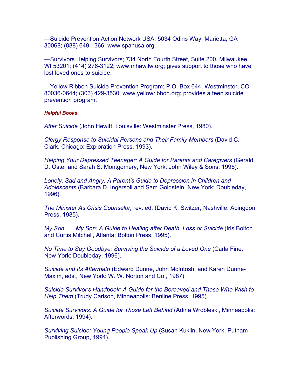—Suicide Prevention Action Network USA; 5034 Odins Way, Marietta, GA 30068; (888) 649-1366; www.spanusa.org.

—Survivors Helping Survivors; 734 North Fourth Street, Suite 200, Milwaukee, WI 53201; (414) 276-3122; www.mhawilw.org; gives support to those who have lost loved ones to suicide.

—Yellow Ribbon Suicide Prevention Program; P.O. Box 644, Westminster, CO 80036-0644; (303) 429-3530; www.yellowribbon.org; provides a teen suicide prevention program.

#### *Helpful Books*

*After Suicide* (John Hewitt, Louisville: Westminster Press, 1980).

*Clergy Response to Suicidal Persons and Their Family Members* (David C. Clark, Chicago: Exploration Press, 1993).

*Helping Your Depressed Teenager: A Guide for Parents and Caregivers* (Gerald D. Oster and Sarah S. Montgomery, New York: John Wiley & Sons, 1995).

*Lonely, Sad and Angry: A Parent's Guide to Depression in Children and Adolescents* (Barbara D. Ingersoll and Sam Goldstein, New York: Doubleday, 1996).

*The Minister As Crisis Counselor,* rev. ed. (David K. Switzer, Nashville: Abingdon Press, 1985).

*My Son . . . My Son: A Guide to Healing after Death, Loss or Suicide* (Iris Bolton and Curtis Mitchell, Atlanta: Bolton Press, 1995).

*No Time to Say Goodbye: Surviving the Suicide of a Loved One* (Carla Fine, New York: Doubleday, 1996).

*Suicide and Its Aftermath* (Edward Dunne, John McIntosh, and Karen Dunne-Maxim, eds., New York: W. W. Norton and Co., 1987).

*Suicide Survivor's Handbook: A Guide for the Bereaved and Those Who Wish to Help Them* (Trudy Carlson, Minneapolis: Benline Press, 1995).

*Suicide Survivors: A Guide for Those Left Behind* (Adina Wrobleski, Minneapolis: Afterwords, 1994).

*Surviving Suicide: Young People Speak Up* (Susan Kuklin, New York: Putnam Publishing Group, 1994).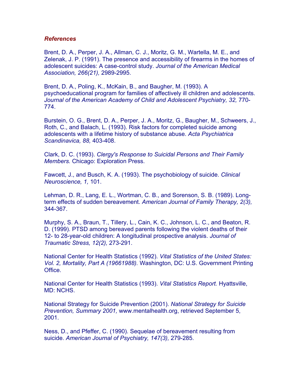### *References*

Brent, D. A., Perper, J. A., Allman, C. J., Moritz, G. M., Wartella, M. E., and Zelenak, J. P. (1991). The presence and accessibility of firearms in the homes of adolescent suicides: A case-control study. *Journal of the American Medical Association, 266(21),* 2989-2995.

Brent, D. A., Poling, K., McKain, B., and Baugher, M. (1993). A psychoeducational program for families of affectively ill children and adolescents. *Journal of the American Academy of Child and Adolescent Psychiatry, 32,* 770- 774.

Burstein, O. G., Brent, D. A., Perper, J. A., Moritz, G., Baugher, M., Schweers, J., Roth, C., and Balach, L. (1993). Risk factors for completed suicide among adolescents with a lifetime history of substance abuse. *Acta Psychiatrica Scandinavica, 88,* 403-408.

Clark, D. C. (1993). *Clergy's Response to Suicidal Persons and Their Family Members.* Chicago: Exploration Press.

Fawcett, J., and Busch, K. A. (1993). The psychobiology of suicide. *Clinical Neuroscience, 1,* 101.

Lehman, D. R., Lang, E. L., Wortman, C. B., and Sorenson, S. B. (1989). Longterm effects of sudden bereavement. *American Journal of Family Therapy, 2(3),* 344-367.

Murphy, S. A., Braun, T., Tillery, L., Cain, K. C., Johnson, L. C., and Beaton, R. D. (1999). PTSD among bereaved parents following the violent deaths of their 12- to 28-year-old children: A longitudinal prospective analysis. *Journal of Traumatic Stress, 12(2),* 273-291.

National Center for Health Statistics (1992). *Vital Statistics of the United States: Vol. 2, Mortality, Part A (19661988).* Washington, DC: U.S. Government Printing Office.

National Center for Health Statistics (1993). *Vital Statistics Report.* Hyattsville, MD: NCHS.

National Strategy for Suicide Prevention (2001). *National Strategy for Suicide Prevention, Summary 2001,* www.mentalhealth.org, retrieved September 5, 2001.

Ness, D., and Pfeffer, C. (1990). Sequelae of bereavement resulting from suicide. *American Journal of Psychiatry, 147(3),* 279-285.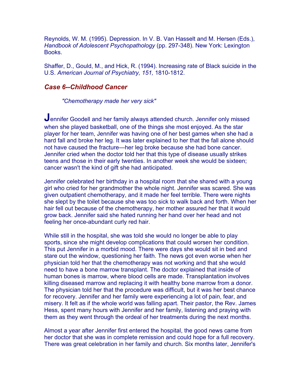Reynolds, W. M. (1995). Depression. In V. B. Van Hasselt and M. Hersen (Eds.), *Handbook of Adolescent Psychopathology* (pp. 297-348). New York: Lexington Books.

Shaffer, D., Gould, M., and Hick, R. (1994). Increasing rate of Black suicide in the U.S. *American Journal of Psychiatry, 151,* 1810-1812.

# *Case 6--Childhood Cancer*

*"Chemotherapy made her very sick"*

**J**ennifer Goodell and her family always attended church. Jennifer only missed when she played basketball, one of the things she most enjoyed. As the star player for her team, Jennifer was having one of her best games when she had a hard fall and broke her leg. It was later explained to her that the fall alone should not have caused the fracture—her leg broke because she had bone cancer. Jennifer cried when the doctor told her that this type of disease usually strikes teens and those in their early twenties. In another week she would be sixteen; cancer wasn't the kind of gift she had anticipated.

Jennifer celebrated her birthday in a hospital room that she shared with a young girl who cried for her grandmother the whole night. Jennifer was scared. She was given outpatient chemotherapy, and it made her feel terrible. There were nights she slept by the toilet because she was too sick to walk back and forth. When her hair fell out because of the chemotherapy, her mother assured her that it would grow back. Jennifer said she hated running her hand over her head and not feeling her once-abundant curly red hair.

While still in the hospital, she was told she would no longer be able to play sports, since she might develop complications that could worsen her condition. This put Jennifer in a morbid mood. There were days she would sit in bed and stare out the window, questioning her faith. The news got even worse when her physician told her that the chemotherapy was not working and that she would need to have a bone marrow transplant. The doctor explained that inside of human bones is marrow, where blood cells are made. Transplantation involves killing diseased marrow and replacing it with healthy bone marrow from a donor. The physician told her that the procedure was difficult, but it was her best chance for recovery. Jennifer and her family were experiencing a lot of pain, fear, and misery. It felt as if the whole world was falling apart. Their pastor, the Rev. James Hess, spent many hours with Jennifer and her family, listening and praying with them as they went through the ordeal of her treatments during the next months.

Almost a year after Jennifer first entered the hospital, the good news came from her doctor that she was in complete remission and could hope for a full recovery. There was great celebration in her family and church. Six months later, Jennifer's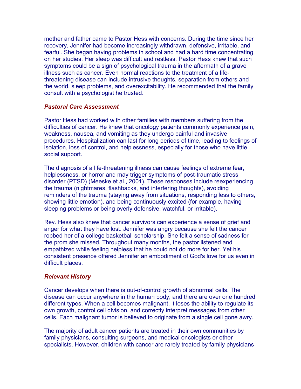mother and father came to Pastor Hess with concerns. During the time since her recovery, Jennifer had become increasingly withdrawn, defensive, irritable, and fearful. She began having problems in school and had a hard time concentrating on her studies. Her sleep was difficult and restless. Pastor Hess knew that such symptoms could be a sign of psychological trauma in the aftermath of a grave illness such as cancer. Even normal reactions to the treatment of a lifethreatening disease can include intrusive thoughts, separation from others and the world, sleep problems, and overexcitability. He recommended that the family consult with a psychologist he trusted.

## *Pastoral Care Assessment*

Pastor Hess had worked with other families with members suffering from the difficulties of cancer. He knew that oncology patients commonly experience pain, weakness, nausea, and vomiting as they undergo painful and invasive procedures. Hospitalization can last for long periods of time, leading to feelings of isolation, loss of control, and helplessness, especially for those who have little social support.

The diagnosis of a life-threatening illness can cause feelings of extreme fear, helplessness, or horror and may trigger symptoms of post-traumatic stress disorder (PTSD) (Meeske et al., 2001). These responses include reexperiencing the trauma (nightmares, flashbacks, and interfering thoughts), avoiding reminders of the trauma (staying away from situations, responding less to others, showing little emotion), and being continuously excited (for example, having sleeping problems or being overly defensive, watchful, or irritable).

Rev. Hess also knew that cancer survivors can experience a sense of grief and anger for what they have lost. Jennifer was angry because she felt the cancer robbed her of a college basketball scholarship. She felt a sense of sadness for the prom she missed. Throughout many months, the pastor listened and empathized while feeling helpless that he could not do more for her. Yet his consistent presence offered Jennifer an embodiment of God's love for us even in difficult places.

# *Relevant History*

Cancer develops when there is out-of-control growth of abnormal cells. The disease can occur anywhere in the human body, and there are over one hundred different types. When a cell becomes malignant, it loses the ability to regulate its own growth, control cell division, and correctly interpret messages from other cells. Each malignant tumor is believed to originate from a single cell gone awry.

The majority of adult cancer patients are treated in their own communities by family physicians, consulting surgeons, and medical oncologists or other specialists. However, children with cancer are rarely treated by family physicians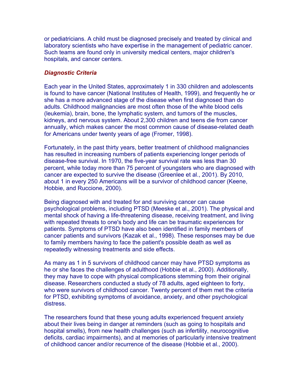or pediatricians. A child must be diagnosed precisely and treated by clinical and laboratory scientists who have expertise in the management of pediatric cancer. Such teams are found only in university medical centers, major children's hospitals, and cancer centers.

### *Diagnostic Criteria*

Each year in the United States, approximately 1 in 330 children and adolescents is found to have cancer (National Institutes of Health, 1999), and frequently he or she has a more advanced stage of the disease when first diagnosed than do adults. Childhood malignancies are most often those of the white blood cells (leukemia), brain, bone, the lymphatic system, and tumors of the muscles, kidneys, and nervous system. About 2,300 children and teens die from cancer annually, which makes cancer the most common cause of disease-related death for Americans under twenty years of age (Fromer, 1998).

Fortunately, in the past thirty years, better treatment of childhood malignancies has resulted in increasing numbers of patients experiencing longer periods of disease-free survival. In 1970, the five-year survival rate was less than 30 percent, while today more than 75 percent of youngsters who are diagnosed with cancer are expected to survive the disease (Greenlee et al., 2001). By 2010, about 1 in every 250 Americans will be a survivor of childhood cancer (Keene, Hobbie, and Ruccione, 2000).

Being diagnosed with and treated for and surviving cancer can cause psychological problems, including PTSD (Meeske et al., 2001). The physical and mental shock of having a life-threatening disease, receiving treatment, and living with repeated threats to one's body and life can be traumatic experiences for patients. Symptoms of PTSD have also been identified in family members of cancer patients and survivors (Kazak et al., 1998). These responses may be due to family members having to face the patient's possible death as well as repeatedly witnessing treatments and side effects.

As many as 1 in 5 survivors of childhood cancer may have PTSD symptoms as he or she faces the challenges of adulthood (Hobbie et al., 2000). Additionally, they may have to cope with physical complications stemming from their original disease. Researchers conducted a study of 78 adults, aged eighteen to forty, who were survivors of childhood cancer. Twenty percent of them met the criteria for PTSD, exhibiting symptoms of avoidance, anxiety, and other psychological distress.

The researchers found that these young adults experienced frequent anxiety about their lives being in danger at reminders (such as going to hospitals and hospital smells), from new health challenges (such as infertility, neurocognitive deficits, cardiac impairments), and at memories of particularly intensive treatment of childhood cancer and/or recurrence of the disease (Hobbie et al., 2000).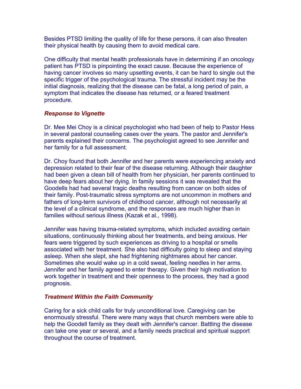Besides PTSD limiting the quality of life for these persons, it can also threaten their physical health by causing them to avoid medical care.

One difficulty that mental health professionals have in determining if an oncology patient has PTSD is pinpointing the exact cause. Because the experience of having cancer involves so many upsetting events, it can be hard to single out the specific trigger of the psychological trauma. The stressful incident may be the initial diagnosis, realizing that the disease can be fatal, a long period of pain, a symptom that indicates the disease has returned, or a feared treatment procedure.

# *Response to Vignette*

Dr. Mee Mei Choy is a clinical psychologist who had been of help to Pastor Hess in several pastoral counseling cases over the years. The pastor and Jennifer's parents explained their concerns. The psychologist agreed to see Jennifer and her family for a full assessment.

Dr. Choy found that both Jennifer and her parents were experiencing anxiety and depression related to their fear of the disease returning. Although their daughter had been given a clean bill of health from her physician, her parents continued to have deep fears about her dying. In family sessions it was revealed that the Goodells had had several tragic deaths resulting from cancer on both sides of their family. Post-traumatic stress symptoms are not uncommon in mothers and fathers of long-term survivors of childhood cancer, although not necessarily at the level of a clinical syndrome, and the responses are much higher than in families without serious illness (Kazak et al., 1998).

Jennifer was having trauma-related symptoms, which included avoiding certain situations, continuously thinking about her treatments, and being anxious. Her fears were triggered by such experiences as driving to a hospital or smells associated with her treatment. She also had difficulty going to sleep and staying asleep. When she slept, she had frightening nightmares about her cancer. Sometimes she would wake up in a cold sweat, feeling needles in her arms. Jennifer and her family agreed to enter therapy. Given their high motivation to work together in treatment and their openness to the process, they had a good prognosis.

### *Treatment Within the Faith Community*

Caring for a sick child calls for truly unconditional love. Caregiving can be enormously stressful. There were many ways that church members were able to help the Goodell family as they dealt with Jennifer's cancer. Battling the disease can take one year or several, and a family needs practical and spiritual support throughout the course of treatment.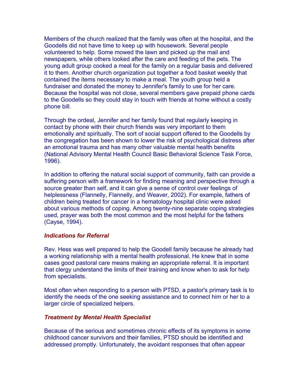Members of the church realized that the family was often at the hospital, and the Goodells did not have time to keep up with housework. Several people volunteered to help. Some mowed the lawn and picked up the mail and newspapers, while others looked after the care and feeding of the pets. The young adult group cooked a meal for the family on a regular basis and delivered it to them. Another church organization put together a food basket weekly that contained the items necessary to make a meal. The youth group held a fundraiser and donated the money to Jennifer's family to use for her care. Because the hospital was not close, several members gave prepaid phone cards to the Goodells so they could stay in touch with friends at home without a costly phone bill.

Through the ordeal, Jennifer and her family found that regularly keeping in contact by phone with their church friends was very important to them emotionally and spiritually. The sort of social support offered to the Goodells by the congregation has been shown to lower the risk of psychological distress after an emotional trauma and has many other valuable mental health benefits (National Advisory Mental Health Council Basic Behavioral Science Task Force, 1996).

In addition to offering the natural social support of community, faith can provide a suffering person with a framework for finding meaning and perspective through a source greater than self, and it can give a sense of control over feelings of helplessness (Flannelly, Flannelly, and Weaver, 2002). For example, fathers of children being treated for cancer in a hematology hospital clinic were asked about various methods of coping. Among twenty-nine separate coping strategies used, prayer was both the most common and the most helpful for the fathers (Cayse, 1994).

#### *Indications for Referral*

Rev. Hess was well prepared to help the Goodell family because he already had a working relationship with a mental health professional. He knew that in some cases good pastoral care means making an appropriate referral. It is important that clergy understand the limits of their training and know when to ask for help from specialists.

Most often when responding to a person with PTSD, a pastor's primary task is to identify the needs of the one seeking assistance and to connect him or her to a larger circle of specialized helpers.

#### *Treatment by Mental Health Specialist*

Because of the serious and sometimes chronic effects of its symptoms in some childhood cancer survivors and their families, PTSD should be identified and addressed promptly. Unfortunately, the avoidant responses that often appear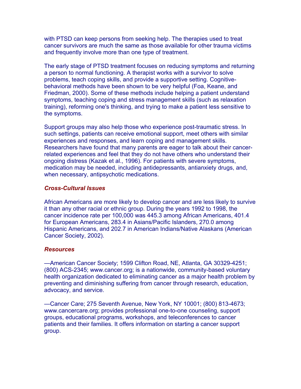with PTSD can keep persons from seeking help. The therapies used to treat cancer survivors are much the same as those available for other trauma victims and frequently involve more than one type of treatment.

The early stage of PTSD treatment focuses on reducing symptoms and returning a person to normal functioning. A therapist works with a survivor to solve problems, teach coping skills, and provide a supportive setting. Cognitivebehavioral methods have been shown to be very helpful (Foa, Keane, and Friedman, 2000). Some of these methods include helping a patient understand symptoms, teaching coping and stress management skills (such as relaxation training), reforming one's thinking, and trying to make a patient less sensitive to the symptoms.

Support groups may also help those who experience post-traumatic stress. In such settings, patients can receive emotional support, meet others with similar experiences and responses, and learn coping and management skills. Researchers have found that many parents are eager to talk about their cancerrelated experiences and feel that they do not have others who understand their ongoing distress (Kazak et al., 1996). For patients with severe symptoms, medication may be needed, including antidepressants, antianxiety drugs, and, when necessary, antipsychotic medications.

## *Cross-Cultural Issues*

African Americans are more likely to develop cancer and are less likely to survive it than any other racial or ethnic group. During the years 1992 to 1998, the cancer incidence rate per 100,000 was 445.3 among African Americans, 401.4 for European Americans, 283.4 in Asians/Pacific Islanders, 270.0 among Hispanic Americans, and 202.7 in American Indians/Native Alaskans (American Cancer Society, 2002).

### *Resources*

—American Cancer Society; 1599 Clifton Road, NE, Atlanta, GA 30329-4251; (800) ACS-2345; www.cancer.org; is a nationwide, community-based voluntary health organization dedicated to eliminating cancer as a major health problem by preventing and diminishing suffering from cancer through research, education, advocacy, and service.

—Cancer Care; 275 Seventh Avenue, New York, NY 10001; (800) 813-4673; www.cancercare.org; provides professional one-to-one counseling, support groups, educational programs, workshops, and teleconferences to cancer patients and their families. It offers information on starting a cancer support group.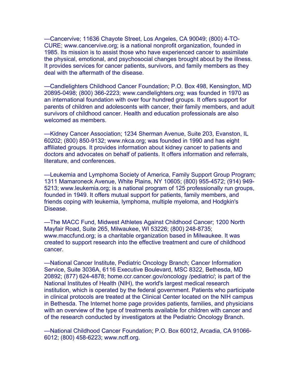—Cancervive; 11636 Chayote Street, Los Angeles, CA 90049; (800) 4-TO-CURE; www.cancervive.org; is a national nonprofit organization, founded in 1985. Its mission is to assist those who have experienced cancer to assimilate the physical, emotional, and psychosocial changes brought about by the illness. It provides services for cancer patients, survivors, and family members as they deal with the aftermath of the disease.

—Candlelighters Childhood Cancer Foundation; P.O. Box 498, Kensington, MD 20895-0498; (800) 366-2223; www.candlelighters.org; was founded in 1970 as an international foundation with over four hundred groups. It offers support for parents of children and adolescents with cancer, their family members, and adult survivors of childhood cancer. Health and education professionals are also welcomed as members.

—Kidney Cancer Association; 1234 Sherman Avenue, Suite 203, Evanston, IL 60202; (800) 850-9132; www.nkca.org; was founded in 1990 and has eight affiliated groups. It provides information about kidney cancer to patients and doctors and advocates on behalf of patients. It offers information and referrals, literature, and conferences.

—Leukemia and Lymphoma Society of America, Family Support Group Program; 1311 Mamaroneck Avenue, White Plains, NY 10605; (800) 955-4572; (914) 949- 5213; www.leukemia.org; is a national program of 125 professionally run groups, founded in 1949. It offers mutual support for patients, family members, and friends coping with leukemia, lymphoma, multiple myeloma, and Hodgkin's Disease.

—The MACC Fund, Midwest Athletes Against Childhood Cancer; 1200 North Mayfair Road, Suite 265, Milwaukee, WI 53226; (800) 248-8735; www.maccfund.org; is a charitable organization based in Milwaukee. It was created to support research into the effective treatment and cure of childhood cancer.

—National Cancer Institute, Pediatric Oncology Branch; Cancer Information Service, Suite 3036A, 6116 Executive Boulevard, MSC 8322, Bethesda, MD 20892; (877) 624-4878; home.ccr.cancer.gov/oncology /pediatric/; is part of the National Institutes of Health (NIH), the world's largest medical research institution, which is operated by the federal government. Patients who participate in clinical protocols are treated at the Clinical Center located on the NIH campus in Bethesda. The Internet home page provides patients, families, and physicians with an overview of the type of treatments available for children with cancer and of the research conducted by investigators at the Pediatric Oncology Branch.

—National Childhood Cancer Foundation; P.O. Box 60012, Arcadia, CA 91066- 6012; (800) 458-6223; www.ncff.org.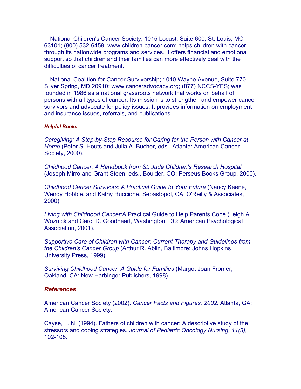—National Children's Cancer Society; 1015 Locust, Suite 600, St. Louis, MO 63101; (800) 532-6459; www.children-cancer.com; helps children with cancer through its nationwide programs and services. It offers financial and emotional support so that children and their families can more effectively deal with the difficulties of cancer treatment.

—National Coalition for Cancer Survivorship; 1010 Wayne Avenue, Suite 770, Silver Spring, MD 20910; www.canceradvocacy.org; (877) NCCS-YES; was founded in 1986 as a national grassroots network that works on behalf of persons with all types of cancer. Its mission is to strengthen and empower cancer survivors and advocate for policy issues. It provides information on employment and insurance issues, referrals, and publications.

#### *Helpful Books*

*Caregiving: A Step-by-Step Resource for Caring for the Person with Cancer at Home* (Peter S. Houts and Julia A. Bucher, eds., Atlanta: American Cancer Society, 2000).

*Childhood Cancer: A Handbook from St. Jude Children's Research Hospital*  (Joseph Mirro and Grant Steen, eds., Boulder, CO: Perseus Books Group, 2000).

*Childhood Cancer Survivors: A Practical Guide to Your Future* (Nancy Keene, Wendy Hobbie, and Kathy Ruccione, Sebastopol, CA: O'Reilly & Associates, 2000).

*Living with Childhood Cancer:*A Practical Guide to Help Parents Cope (Leigh A. Woznick and Carol D. Goodheart, Washington, DC: American Psychological Association, 2001).

*Supportive Care of Children with Cancer: Current Therapy and Guidelines from the Children's Cancer Group* (Arthur R. Ablin, Baltimore: Johns Hopkins University Press, 1999).

*Surviving Childhood Cancer: A Guide for Families* (Margot Joan Fromer, Oakland, CA: New Harbinger Publishers, 1998).

#### *References*

American Cancer Society (2002). *Cancer Facts and Figures, 2002.* Atlanta, GA: American Cancer Society.

Cayse, L. N. (1994). Fathers of children with cancer: A descriptive study of the stressors and coping strategies. *Journal of Pediatric Oncology Nursing, 11(3),* 102-108.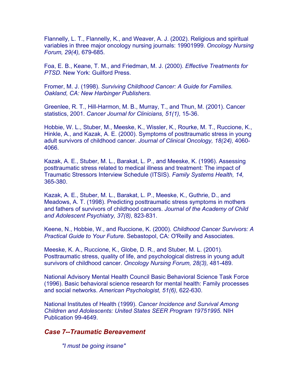Flannelly, L. T., Flannelly, K., and Weaver, A. J. (2002). Religious and spiritual variables in three major oncology nursing journals: 19901999. *Oncology Nursing Forum, 29(4),* 679-685.

Foa, E. B., Keane, T. M., and Friedman, M. J. (2000). *Effective Treatments for PTSD.* New York: Guilford Press.

Fromer, M. J. (1998). *Surviving Childhood Cancer: A Guide for Families. Oakland, CA: New Harbinger Publishers.* 

Greenlee, R. T., Hill-Harmon, M. B., Murray, T., and Thun, M. (2001). Cancer statistics, 2001. *Cancer Journal for Clinicians, 51(1),* 15-36.

Hobbie, W. L., Stuber, M., Meeske, K., Wissler, K., Rourke, M. T., Ruccione, K., Hinkle, A., and Kazak, A. E. (2000). Symptoms of posttraumatic stress in young adult survivors of childhood cancer. *Journal of Clinical Oncology, 18(24),* 4060- 4066.

Kazak, A. E., Stuber, M. L., Barakat, L. P., and Meeske, K. (1996). Assessing posttraumatic stress related to medical illness and treatment: The impact of Traumatic Stressors Interview Schedule (ITSIS). *Family Systems Health, 14,* 365-380.

Kazak, A. E., Stuber, M. L., Barakat, L. P., Meeske, K., Guthrie, D., and Meadows, A. T. (1998). Predicting posttraumatic stress symptoms in mothers and fathers of survivors of childhood cancers. *Journal of the Academy of Child and Adolescent Psychiatry, 37(8),* 823-831.

Keene, N., Hobbie, W., and Ruccione, K. (2000). *Childhood Cancer Survivors: A Practical Guide to Your Future.* Sebastopol, CA: O'Reilly and Associates.

Meeske, K. A., Ruccione, K., Globe, D. R., and Stuber, M. L. (2001). Posttraumatic stress, quality of life, and psychological distress in young adult survivors of childhood cancer. *Oncology Nursing Forum, 28(3),* 481-489.

National Advisory Mental Health Council Basic Behavioral Science Task Force (1996). Basic behavioral science research for mental health: Family processes and social networks. *American Psychologist, 51(6),* 622-630.

National Institutes of Health (1999). *Cancer Incidence and Survival Among Children and Adolescents: United States SEER Program 19751995.* NIH Publication 99-4649.

# *Case 7--Traumatic Bereavement*

*"I must be going insane"*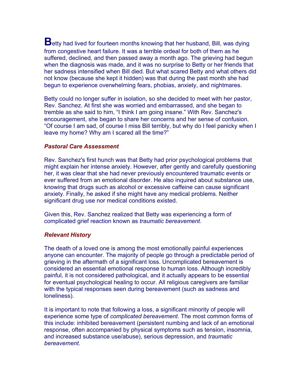**B**etty had lived for fourteen months knowing that her husband, Bill, was dying from congestive heart failure. It was a terrible ordeal for both of them as he suffered, declined, and then passed away a month ago. The grieving had begun when the diagnosis was made, and it was no surprise to Betty or her friends that her sadness intensified when Bill died. But what scared Betty and what others did not know (because she kept it hidden) was that during the past month she had begun to experience overwhelming fears, phobias, anxiety, and nightmares.

Betty could no longer suffer in isolation, so she decided to meet with her pastor, Rev. Sanchez. At first she was worried and embarrassed, and she began to tremble as she said to him, "I think I am going insane." With Rev. Sanchez's encouragement, she began to share her concerns and her sense of confusion. "Of course I am sad, of course I miss Bill terribly, but why do I feel panicky when I leave my home? Why am I scared all the time?"

## *Pastoral Care Assessment*

Rev. Sanchez's first hunch was that Betty had prior psychological problems that might explain her intense anxiety. However, after gently and carefully questioning her, it was clear that she had never previously encountered traumatic events or ever suffered from an emotional disorder. He also inquired about substance use, knowing that drugs such as alcohol or excessive caffeine can cause significant anxiety. Finally, he asked if she might have any medical problems. Neither significant drug use nor medical conditions existed.

Given this, Rev. Sanchez realized that Betty was experiencing a form of complicated grief reaction known as *traumatic bereavement*.

# *Relevant History*

The death of a loved one is among the most emotionally painful experiences anyone can encounter. The majority of people go through a predictable period of grieving in the aftermath of a significant loss. Uncomplicated bereavement is considered an essential emotional response to human loss. Although incredibly painful, it is not considered pathological, and it actually appears to be essential for eventual psychological healing to occur. All religious caregivers are familiar with the typical responses seen during bereavement (such as sadness and loneliness).

It is important to note that following a loss, a significant minority of people will experience some type of *complicated bereavement*. The most common forms of this include: inhibited bereavement (persistent numbing and lack of an emotional response, often accompanied by physical symptoms such as tension, insomnia, and increased substance use/abuse), serious depression, and *traumatic bereavement*.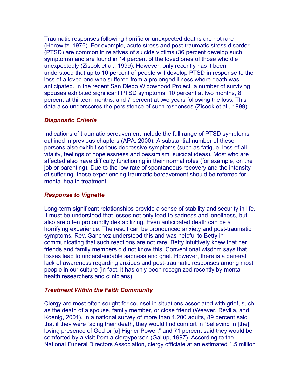Traumatic responses following horrific or unexpected deaths are not rare (Horowitz, 1976). For example, acute stress and post-traumatic stress disorder (PTSD) are common in relatives of suicide victims (36 percent develop such symptoms) and are found in 14 percent of the loved ones of those who die unexpectedly (Zisook et al., 1999). However, only recently has it been understood that up to 10 percent of people will develop PTSD in response to the loss of a loved one who suffered from a prolonged illness where death was anticipated. In the recent San Diego Widowhood Project, a number of surviving spouses exhibited significant PTSD symptoms: 10 percent at two months, 8 percent at thirteen months, and 7 percent at two years following the loss. This data also underscores the persistence of such responses (Zisook et al., 1999).

## *Diagnostic Criteria*

Indications of traumatic bereavement include the full range of PTSD symptoms outlined in previous chapters (APA, 2000). A substantial number of these persons also exhibit serious depressive symptoms (such as fatigue, loss of all vitality, feelings of hopelessness and pessimism, suicidal ideas). Most who are affected also have difficulty functioning in their normal roles (for example, on the job or parenting). Due to the low rate of spontaneous recovery and the intensity of suffering, those experiencing traumatic bereavement should be referred for mental health treatment.

## *Response to Vignette*

Long-term significant relationships provide a sense of stability and security in life. It must be understood that losses not only lead to sadness and loneliness, but also are often profoundly destabilizing. Even anticipated death can be a horrifying experience. The result can be pronounced anxiety and post-traumatic symptoms. Rev. Sanchez understood this and was helpful to Betty in communicating that such reactions are not rare. Betty intuitively knew that her friends and family members did not know this. Conventional wisdom says that losses lead to understandable sadness and grief. However, there is a general lack of awareness regarding anxious and post-traumatic responses among most people in our culture (in fact, it has only been recognized recently by mental health researchers and clinicians).

### *Treatment Within the Faith Community*

Clergy are most often sought for counsel in situations associated with grief, such as the death of a spouse, family member, or close friend (Weaver, Revilla, and Koenig, 2001). In a national survey of more than 1,200 adults, 89 percent said that if they were facing their death, they would find comfort in "believing in [the] loving presence of God or [a] Higher Power," and 71 percent said they would be comforted by a visit from a clergyperson (Gallup, 1997). According to the National Funeral Directors Association, clergy officiate at an estimated 1.5 million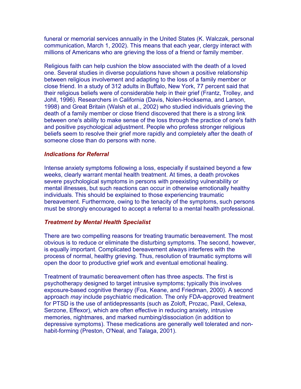funeral or memorial services annually in the United States (K. Walczak, personal communication, March 1, 2002). This means that each year, clergy interact with millions of Americans who are grieving the loss of a friend or family member.

Religious faith can help cushion the blow associated with the death of a loved one. Several studies in diverse populations have shown a positive relationship between religious involvement and adapting to the loss of a family member or close friend. In a study of 312 adults in Buffalo, New York, 77 percent said that their religious beliefs were of considerable help in their grief (Frantz, Trolley, and Johll, 1996). Researchers in California (Davis, Nolen-Hocksema, and Larson, 1998) and Great Britain (Walsh et al., 2002) who studied individuals grieving the death of a family member or close friend discovered that there is a strong link between one's ability to make sense of the loss through the practice of one's faith and positive psychological adjustment. People who profess stronger religious beliefs seem to resolve their grief more rapidly and completely after the death of someone close than do persons with none.

## *Indications for Referral*

Intense anxiety symptoms following a loss, especially if sustained beyond a few weeks, clearly warrant mental health treatment. At times, a death provokes severe psychological symptoms in persons with preexisting vulnerability or mental illnesses, but such reactions can occur in otherwise emotionally healthy individuals. This should be explained to those experiencing traumatic bereavement. Furthermore, owing to the tenacity of the symptoms, such persons must be strongly encouraged to accept a referral to a mental health professional.

### *Treatment by Mental Health Specialist*

There are two compelling reasons for treating traumatic bereavement. The most obvious is to reduce or eliminate the disturbing symptoms. The second, however, is equally important. Complicated bereavement always interferes with the process of normal, healthy grieving. Thus, resolution of traumatic symptoms will open the door to productive grief work and eventual emotional healing.

Treatment of traumatic bereavement often has three aspects. The first is psychotherapy designed to target intrusive symptoms; typically this involves exposure-based cognitive therapy (Foa, Keane, and Friedman, 2000). A second approach *may* include psychiatric medication. The only FDA-approved treatment for PTSD is the use of antidepressants (such as Zoloft, Prozac, Paxil, Celexa, Serzone, Effexor), which are often effective in reducing anxiety, intrusive memories, nightmares, and marked numbing/dissociation (in addition to depressive symptoms). These medications are generally well tolerated and nonhabit-forming (Preston, O'Neal, and Talaga, 2001).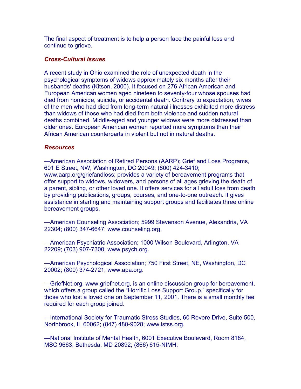The final aspect of treatment is to help a person face the painful loss and continue to grieve.

## *Cross-Cultural Issues*

A recent study in Ohio examined the role of unexpected death in the psychological symptoms of widows approximately six months after their husbands' deaths (Kitson, 2000). It focused on 276 African American and European American women aged nineteen to seventy-four whose spouses had died from homicide, suicide, or accidental death. Contrary to expectation, wives of the men who had died from long-term natural illnesses exhibited more distress than widows of those who had died from both violence and sudden natural deaths combined. Middle-aged and younger widows were more distressed than older ones. European American women reported more symptoms than their African American counterparts in violent but not in natural deaths.

### *Resources*

—American Association of Retired Persons (AARP); Grief and Loss Programs, 601 E Street, NW, Washington, DC 20049; (800) 424-3410; www.aarp.org/griefandloss; provides a variety of bereavement programs that offer support to widows, widowers, and persons of all ages grieving the death of a parent, sibling, or other loved one. It offers services for all adult loss from death by providing publications, groups, courses, and one-to-one outreach. It gives assistance in starting and maintaining support groups and facilitates three online bereavement groups.

—American Counseling Association; 5999 Stevenson Avenue, Alexandria, VA 22304; (800) 347-6647; www.counseling.org.

—American Psychiatric Association; 1000 Wilson Boulevard, Arlington, VA 22209; (703) 907-7300; www.psych.org.

—American Psychological Association; 750 First Street, NE, Washington, DC 20002; (800) 374-2721; www.apa.org.

—GriefNet.org, www.griefnet.org, is an online discussion group for bereavement, which offers a group called the "Horrific Loss Support Group," specifically for those who lost a loved one on September 11, 2001. There is a small monthly fee required for each group joined.

—International Society for Traumatic Stress Studies, 60 Revere Drive, Suite 500, Northbrook, IL 60062; (847) 480-9028; www.istss.org.

—National Institute of Mental Health, 6001 Executive Boulevard, Room 8184, MSC 9663, Bethesda, MD 20892; (866) 615-NIMH;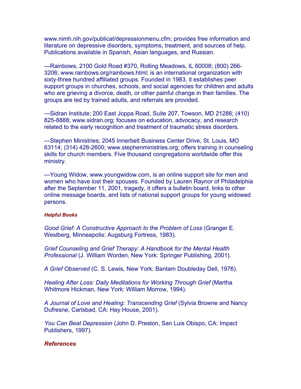www.nimh.nih.gov/publicat/depressionmenu.cfm; provides free information and literature on depressive disorders, symptoms, treatment, and sources of help. Publications available in Spanish, Asian languages, and Russian.

—Rainbows, 2100 Gold Road #370, Rolling Meadows, IL 60008; (800) 266- 3206; www.rainbows.org/rainbows.html; is an international organization with sixty-three hundred affiliated groups. Founded in 1983, it establishes peer support groups in churches, schools, and social agencies for children and adults who are grieving a divorce, death, or other painful change in their families. The groups are led by trained adults, and referrals are provided.

—Sidran Institute; 200 East Joppa Road, Suite 207, Towson, MD 21286; (410) 825-8888; www.sidran.org; focuses on education, advocacy, and research related to the early recognition and treatment of traumatic stress disorders.

—Stephen Ministries; 2045 Innerbelt Business Center Drive, St. Louis, MO 63114; (314) 428-2600; www.stephenministries.org; offers training in counseling skills for church members. Five thousand congregations worldwide offer this ministry.

—Young Widow, www.youngwidow.com, is an online support site for men and women who have lost their spouses. Founded by Lauren Raynor of Philadelphia after the September 11, 2001, tragedy, it offers a bulletin board, links to other online message boards, and lists of national support groups for young widowed persons.

#### *Helpful Books*

*Good Grief: A Constructive Approach to the Problem of Loss* (Granger E. Westberg, Minneapolis: Augsburg Fortress, 1983).

*Grief Counseling and Grief Therapy: A Handbook for the Mental Health Professional* (J. William Worden, New York: Springer Publishing, 2001).

*A Grief Observed* (C. S. Lewis, New York: Bantam Doubleday Dell, 1976).

*Healing After Loss: Daily Meditations for Working Through Grief* (Martha Whitmore Hickman, New York: William Morrow, 1994).

*A Journal of Love and Healing: Transcending Grief* (Sylvia Browne and Nancy Dufresne, Carlsbad, CA: Hay House, 2001).

*You Can Beat Depression* (John D. Preston, San Luis Obispo, CA: Impact Publishers, 1997).

#### *References*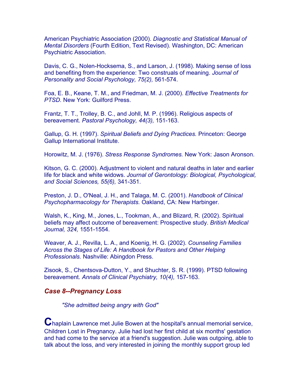American Psychiatric Association (2000). *Diagnostic and Statistical Manual of Mental Disorders* (Fourth Edition, Text Revised). Washington, DC: American Psychiatric Association.

Davis, C. G., Nolen-Hocksema, S., and Larson, J. (1998). Making sense of loss and benefiting from the experience: Two construals of meaning. *Journal of Personality and Social Psychology, 75(2),* 561-574.

Foa, E. B., Keane, T. M., and Friedman, M. J. (2000). *Effective Treatments for PTSD.* New York: Guilford Press.

Frantz, T. T., Trolley, B. C., and Johll, M. P. (1996). Religious aspects of bereavement. *Pastoral Psychology, 44(3),* 151-163.

Gallup, G. H. (1997). *Spiritual Beliefs and Dying Practices.* Princeton: George Gallup International Institute.

Horowitz, M. J. (1976). *Stress Response Syndromes.* New York: Jason Aronson.

Kitson, G. C. (2000). Adjustment to violent and natural deaths in later and earlier life for black and white widows. *Journal of Gerontology: Biological, Psychological, and Social Sciences, 55(6),* 341-351.

Preston, J. D., O'Neal, J. H., and Talaga, M. C. (2001). *Handbook of Clinical Psychopharmacology for Therapists.* Oakland, CA: New Harbinger.

Walsh, K., King, M., Jones, L., Tookman, A., and Blizard, R. (2002). Spiritual beliefs may affect outcome of bereavement: Prospective study. *British Medical Journal, 324,* 1551-1554.

Weaver, A. J., Revilla, L. A., and Koenig, H. G. (2002). *Counseling Families Across the Stages of Life: A Handbook for Pastors and Other Helping Professionals.* Nashville: Abingdon Press.

Zisook, S., Chentsova-Dutton, Y., and Shuchter, S. R. (1999). PTSD following bereavement. *Annals of Clinical Psychiatry, 10(4),* 157-163.

# *Case 8--Pregnancy Loss*

*"She admitted being angry with God"*

**C**haplain Lawrence met Julie Bowen at the hospital's annual memorial service, Children Lost in Pregnancy. Julie had lost her first child at six months' gestation and had come to the service at a friend's suggestion. Julie was outgoing, able to talk about the loss, and very interested in joining the monthly support group led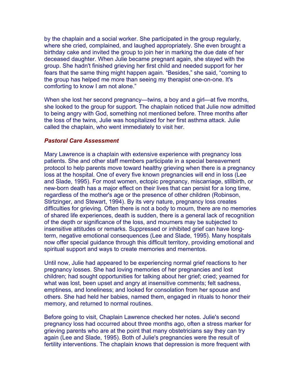by the chaplain and a social worker. She participated in the group regularly, where she cried, complained, and laughed appropriately. She even brought a birthday cake and invited the group to join her in marking the due date of her deceased daughter. When Julie became pregnant again, she stayed with the group. She hadn't finished grieving her first child and needed support for her fears that the same thing might happen again. "Besides," she said, "coming to the group has helped me more than seeing my therapist one-on-one. It's comforting to know I am not alone."

When she lost her second pregnancy—twins, a boy and a girl—at five months, she looked to the group for support. The chaplain noticed that Julie now admitted to being angry with God, something not mentioned before. Three months after the loss of the twins, Julie was hospitalized for her first asthma attack. Julie called the chaplain, who went immediately to visit her.

### *Pastoral Care Assessment*

Mary Lawrence is a chaplain with extensive experience with pregnancy loss patients. She and other staff members participate in a special bereavement protocol to help parents move toward healthy grieving when there is a pregnancy loss at the hospital. One of every five known pregnancies will end in loss (Lee and Slade, 1995). For most women, ectopic pregnancy, miscarriage, stillbirth, or new-born death has a major effect on their lives that can persist for a long time, regardless of the mother's age or the presence of other children (Robinson, Stirtzinger, and Stewart, 1994). By its very nature, pregnancy loss creates difficulties for grieving. Often there is not a body to mourn, there are no memories of shared life experiences, death is sudden, there is a general lack of recognition of the depth or significance of the loss, and mourners may be subjected to insensitive attitudes or remarks. Suppressed or inhibited grief can have longterm, negative emotional consequences (Lee and Slade, 1995). Many hospitals now offer special guidance through this difficult territory, providing emotional and spiritual support and ways to create memories and mementos.

Until now, Julie had appeared to be experiencing normal grief reactions to her pregnancy losses. She had loving memories of her pregnancies and lost children; had sought opportunities for talking about her grief; cried; yearned for what was lost, been upset and angry at insensitive comments; felt sadness, emptiness, and loneliness; and looked for consolation from her spouse and others. She had held her babies, named them, engaged in rituals to honor their memory, and returned to normal routines.

Before going to visit, Chaplain Lawrence checked her notes. Julie's second pregnancy loss had occurred about three months ago, often a stress marker for grieving parents who are at the point that many obstetricians say they can try again (Lee and Slade, 1995). Both of Julie's pregnancies were the result of fertility interventions. The chaplain knows that depression is more frequent with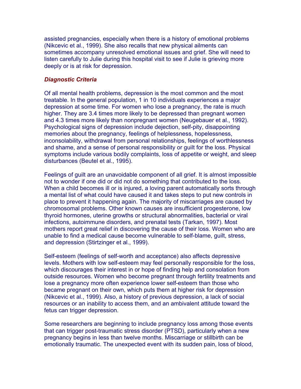assisted pregnancies, especially when there is a history of emotional problems (Nikcevic et al., 1999). She also recalls that new physical ailments can sometimes accompany unresolved emotional issues and grief. She will need to listen carefully to Julie during this hospital visit to see if Julie is grieving more deeply or is at risk for depression.

### *Diagnostic Criteria*

Of all mental health problems, depression is the most common and the most treatable. In the general population, 1 in 10 individuals experiences a major depression at some time. For women who lose a pregnancy, the rate is much higher. They are 3.4 times more likely to be depressed than pregnant women and 4.3 times more likely than nonpregnant women (Neugebauer et al., 1992). Psychological signs of depression include dejection, self-pity, disappointing memories about the pregnancy, feelings of helplessness, hopelessness, inconsolability, withdrawal from personal relationships, feelings of worthlessness and shame, and a sense of personal responsibility or guilt for the loss. Physical symptoms include various bodily complaints, loss of appetite or weight, and sleep disturbances (Beutel et al., 1995).

Feelings of guilt are an unavoidable component of all grief. It is almost impossible not to wonder if one did or did not do something that contributed to the loss. When a child becomes ill or is injured, a loving parent automatically sorts through a mental list of what could have caused it and takes steps to put new controls in place to prevent it happening again. The majority of miscarriages are caused by chromosomal problems. Other known causes are insufficient progesterone, low thyroid hormones, uterine growths or structural abnormalities, bacterial or viral infections, autoimmune disorders, and prenatal tests (Tarkan, 1997). Most mothers report great relief in discovering the cause of their loss. Women who are unable to find a medical cause become vulnerable to self-blame, guilt, stress, and depression (Stirtzinger et al., 1999).

Self-esteem (feelings of self-worth and acceptance) also affects depressive levels. Mothers with low self-esteem may feel personally responsible for the loss, which discourages their interest in or hope of finding help and consolation from outside resources. Women who become pregnant through fertility treatments and lose a pregnancy more often experience lower self-esteem than those who became pregnant on their own, which puts them at higher risk for depression (Nikcevic et al., 1999). Also, a history of previous depression, a lack of social resources or an inability to access them, and an ambivalent attitude toward the fetus can trigger depression.

Some researchers are beginning to include pregnancy loss among those events that can trigger post-traumatic stress disorder (PTSD), particularly when a new pregnancy begins in less than twelve months. Miscarriage or stillbirth can be emotionally traumatic. The unexpected event with its sudden pain, loss of blood,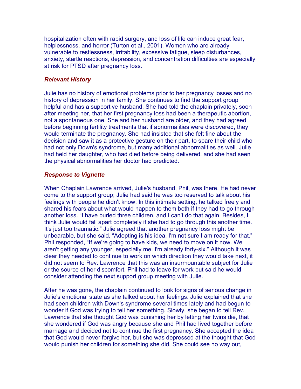hospitalization often with rapid surgery, and loss of life can induce great fear, helplessness, and horror (Turton et al., 2001). Women who are already vulnerable to restlessness, irritability, excessive fatigue, sleep disturbances, anxiety, startle reactions, depression, and concentration difficulties are especially at risk for PTSD after pregnancy loss.

## *Relevant History*

Julie has no history of emotional problems prior to her pregnancy losses and no history of depression in her family. She continues to find the support group helpful and has a supportive husband. She had told the chaplain privately, soon after meeting her, that her first pregnancy loss had been a therapeutic abortion, not a spontaneous one. She and her husband are older, and they had agreed before beginning fertility treatments that if abnormalities were discovered, they would terminate the pregnancy. She had insisted that she felt fine about the decision and saw it as a protective gesture on their part, to spare their child who had not only Down's syndrome, but many additional abnormalities as well. Julie had held her daughter, who had died before being delivered, and she had seen the physical abnormalities her doctor had predicted.

### *Response to Vignette*

When Chaplain Lawrence arrived, Julie's husband, Phil, was there. He had never come to the support group; Julie had said he was too reserved to talk about his feelings with people he didn't know. In this intimate setting, he talked freely and shared his fears about what would happen to them both if they had to go through another loss. "I have buried three children, and I can't do that again. Besides, I think Julie would fall apart completely if she had to go through this another time. It's just too traumatic." Julie agreed that another pregnancy loss might be unbearable, but she said, "Adopting is his idea. I'm not sure I am ready for that." Phil responded, "If we're going to have kids, we need to move on it now. We aren't getting any younger, especially me. I'm already forty-six." Although it was clear they needed to continue to work on which direction they would take next, it did not seem to Rev. Lawrence that this was an insurmountable subject for Julie or the source of her discomfort. Phil had to leave for work but said he would consider attending the next support group meeting with Julie.

After he was gone, the chaplain continued to look for signs of serious change in Julie's emotional state as she talked about her feelings. Julie explained that she had seen children with Down's syndrome several times lately and had begun to wonder if God was trying to tell her something. Slowly, she began to tell Rev. Lawrence that she thought God was punishing her by letting her twins die, that she wondered if God was angry because she and Phil had lived together before marriage and decided not to continue the first pregnancy. She accepted the idea that God would never forgive her, but she was depressed at the thought that God would punish her children for something she did. She could see no way out,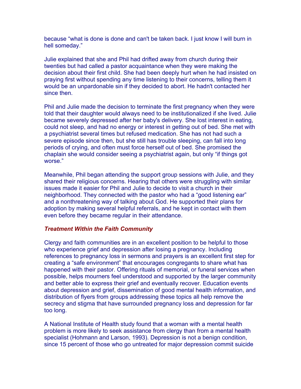because "what is done is done and can't be taken back. I just know I will burn in hell someday."

Julie explained that she and Phil had drifted away from church during their twenties but had called a pastor acquaintance when they were making the decision about their first child. She had been deeply hurt when he had insisted on praying first without spending any time listening to their concerns, telling them it would be an unpardonable sin if they decided to abort. He hadn't contacted her since then.

Phil and Julie made the decision to terminate the first pregnancy when they were told that their daughter would always need to be institutionalized if she lived. Julie became severely depressed after her baby's delivery. She lost interest in eating, could not sleep, and had no energy or interest in getting out of bed. She met with a psychiatrist several times but refused medication. She has not had such a severe episode since then, but she still has trouble sleeping, can fall into long periods of crying, and often must force herself out of bed. She promised the chaplain she would consider seeing a psychiatrist again, but only "if things got worse."

Meanwhile, Phil began attending the support group sessions with Julie, and they shared their religious concerns. Hearing that others were struggling with similar issues made it easier for Phil and Julie to decide to visit a church in their neighborhood. They connected with the pastor who had a "good listening ear" and a nonthreatening way of talking about God. He supported their plans for adoption by making several helpful referrals, and he kept in contact with them even before they became regular in their attendance.

# *Treatment Within the Faith Community*

Clergy and faith communities are in an excellent position to be helpful to those who experience grief and depression after losing a pregnancy. Including references to pregnancy loss in sermons and prayers is an excellent first step for creating a "safe environment" that encourages congregants to share what has happened with their pastor. Offering rituals of memorial, or funeral services when possible, helps mourners feel understood and supported by the larger community and better able to express their grief and eventually recover. Education events about depression and grief, dissemination of good mental health information, and distribution of flyers from groups addressing these topics all help remove the secrecy and stigma that have surrounded pregnancy loss and depression for far too long.

A National Institute of Health study found that a woman with a mental health problem is more likely to seek assistance from clergy than from a mental health specialist (Hohmann and Larson, 1993). Depression is not a benign condition, since 15 percent of those who go untreated for major depression commit suicide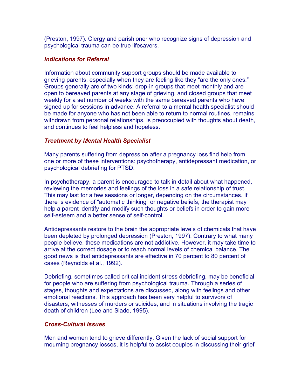(Preston, 1997). Clergy and parishioner who recognize signs of depression and psychological trauma can be true lifesavers.

## *Indications for Referral*

Information about community support groups should be made available to grieving parents, especially when they are feeling like they "are the only ones." Groups generally are of two kinds: drop-in groups that meet monthly and are open to bereaved parents at any stage of grieving, and closed groups that meet weekly for a set number of weeks with the same bereaved parents who have signed up for sessions in advance. A referral to a mental health specialist should be made for anyone who has not been able to return to normal routines, remains withdrawn from personal relationships, is preoccupied with thoughts about death, and continues to feel helpless and hopeless.

## *Treatment by Mental Health Specialist*

Many parents suffering from depression after a pregnancy loss find help from one or more of these interventions: psychotherapy, antidepressant medication, or psychological debriefing for PTSD.

In psychotherapy, a parent is encouraged to talk in detail about what happened, reviewing the memories and feelings of the loss in a safe relationship of trust. This may last for a few sessions or longer, depending on the circumstances. If there is evidence of "automatic thinking" or negative beliefs, the therapist may help a parent identify and modify such thoughts or beliefs in order to gain more self-esteem and a better sense of self-control.

Antidepressants restore to the brain the appropriate levels of chemicals that have been depleted by prolonged depression (Preston, 1997). Contrary to what many people believe, these medications are not addictive. However, it may take time to arrive at the correct dosage or to reach normal levels of chemical balance. The good news is that antidepressants are effective in 70 percent to 80 percent of cases (Reynolds et al., 1992).

Debriefing, sometimes called critical incident stress debriefing, may be beneficial for people who are suffering from psychological trauma. Through a series of stages, thoughts and expectations are discussed, along with feelings and other emotional reactions. This approach has been very helpful to survivors of disasters, witnesses of murders or suicides, and in situations involving the tragic death of children (Lee and Slade, 1995).

# *Cross-Cultural Issues*

Men and women tend to grieve differently. Given the lack of social support for mourning pregnancy losses, it is helpful to assist couples in discussing their grief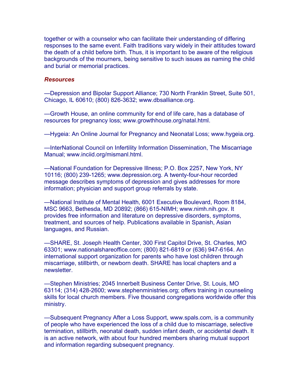together or with a counselor who can facilitate their understanding of differing responses to the same event. Faith traditions vary widely in their attitudes toward the death of a child before birth. Thus, it is important to be aware of the religious backgrounds of the mourners, being sensitive to such issues as naming the child and burial or memorial practices.

#### *Resources*

—Depression and Bipolar Support Alliance; 730 North Franklin Street, Suite 501, Chicago, IL 60610; (800) 826-3632; www.dbsalliance.org.

—Growth House, an online community for end of life care, has a database of resources for pregnancy loss; www.growthhouse.org/natal.html.

—Hygeia: An Online Journal for Pregnancy and Neonatal Loss; www.hygeia.org.

—InterNational Council on Infertility Information Dissemination, The Miscarriage Manual; www.inciid.org/mismanl.html.

—National Foundation for Depressive Illness; P.O. Box 2257, New York, NY 10116; (800) 239-1265; www.depression.org. A twenty-four-hour recorded message describes symptoms of depression and gives addresses for more information; physician and support group referrals by state.

—National Institute of Mental Health, 6001 Executive Boulevard, Room 8184, MSC 9663, Bethesda, MD 20892; (866) 615-NIMH; www.nimh.nih.gov. It provides free information and literature on depressive disorders, symptoms, treatment, and sources of help. Publications available in Spanish, Asian languages, and Russian.

—SHARE, St. Joseph Health Center, 300 First Capitol Drive, St. Charles, MO 63301; www.nationalshareoffice.com; (800) 821-6819 or (636) 947-6164. An international support organization for parents who have lost children through miscarriage, stillbirth, or newborn death. SHARE has local chapters and a newsletter.

—Stephen Ministries; 2045 Innerbelt Business Center Drive, St. Louis, MO 63114; (314) 428-2600; www.stephenministries.org; offers training in counseling skills for local church members. Five thousand congregations worldwide offer this ministry.

—Subsequent Pregnancy After a Loss Support, www.spals.com, is a community of people who have experienced the loss of a child due to miscarriage, selective termination, stillbirth, neonatal death, sudden infant death, or accidental death. It is an active network, with about four hundred members sharing mutual support and information regarding subsequent pregnancy.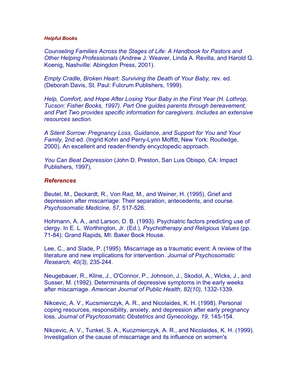#### *Helpful Books*

*Counseling Families Across the Stages of Life: A Handbook for Pastors and Other Helping Professionals* (Andrew J. Weaver, Linda A. Revilla, and Harold G. Koenig, Nashville: Abingdon Press, 2001).

*Empty Cradle, Broken Heart: Surviving the Death of Your Baby, rev. ed.* (Deborah Davis, St. Paul: Fulcrum Publishers, 1999).

*Help, Comfort, and Hope After Losing Your Baby in the First Year (H. Lothrop, Tucson: Fisher Books, 1997). Part One guides parents through bereavement, and Part Two provides specific information for caregivers. Includes an extensive resources section.* 

*A Silent Sorrow: Pregnancy Loss, Guidance, and Support for You and Your Family,* 2nd ed. (Ingrid Kohn and Perry-Lynn Moffitt, New York: Routledge, 2000). An excellent and reader-friendly encyclopedic approach.

*You Can Beat Depression* (John D. Preston, San Luis Obispo, CA: Impact Publishers, 1997).

### *References*

Beutel, M., Deckardt, R., Von Rad, M., and Weiner, H. (1995). Grief and depression after miscarriage: Their separation, antecedents, and course. *Psychosomatic Medicine, 57,* 517-526.

Hohmann, A. A., and Larson, D. B. (1993). Psychiatric factors predicting use of clergy. In E. L. Worthington, Jr. (Ed.), *Psychotherapy and Religious Values* (pp. 71-84). Grand Rapids, MI: Baker Book House.

Lee, C., and Slade, P. (1995). Miscarriage as a traumatic event: A review of the literature and new implications for intervention. *Journal of Psychosomatic Research, 40(3),* 235-244.

Neugebauer, R., Kline, J., O'Connor, P., Johnson, J., Skodol, A., Wicks, J., and Susser, M. (1992). Determinants of depressive symptoms in the early weeks after miscarriage. *American Journal of Public Health, 82(10),* 1332-1339.

Nikcevic, A. V., Kucsmierczyk, A. R., and Nicolaides, K. H. (1998). Personal coping resources, responsibility, anxiety, and depression after early pregnancy loss. *Journal of Psychosomatic Obstetrics and Gynecology, 19,* 145-154.

Nikcevic, A. V., Tunkel, S. A., Kuczmierczyk, A. R., and Nicolaides, K. H. (1999). Investigation of the cause of miscarriage and its influence on women's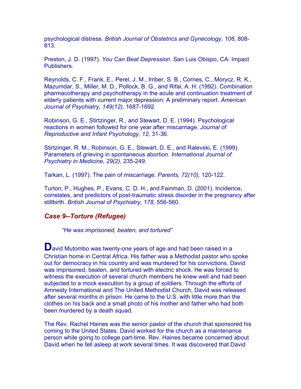psychological distress. *British Journal of Obstetrics and Gynecology, 106,* 808- 813.

Preston, J. D. (1997). *You Can Beat Depression.* San Luis Obispo, CA: Impact Publishers.

Reynolds, C. F., Frank, E., Perel, J. M., Imber, S. B., Cornes, C., Morycz, R. K., Mazumdar, S., Miller, M. D., Pollock, B. G., and Rifai, A. H. (1992). Combination pharmacotherapy and psychotherapy in the acute and continuation treatment of elderly patients with current major depression: A preliminary report. *American Journal of Psychiatry, 149(12),* 1687-1692.

Robinson, G. E., Stirtzinger, R., and Stewart, D. E. (1994). Psychological reactions in women followed for one year after miscarriage. *Journal of Reproductive and Infant Psychology, 12,* 31-36.

Stirtzinger, R. M., Robinson, G. E., Stewart, D. E., and Ralevski, E. (1999). Parameters of grieving in spontaneous abortion. *International Journal of Psychiatry in Medicine, 29(2),* 235-249.

Tarkan, L. (1997). The pain of miscarriage. *Parents, 72(10),* 120-122.

Turton, P., Hughes, P., Evans, C. D. H., and Fainman, D. (2001). Incidence, correlates, and predictors of post-traumatic stress disorder in the pregnancy after stillbirth. *British Journal of Psychiatry, 178,* 556-560.

# *Case 9--Torture (Refugee)*

*"He was imprisoned, beaten, and tortured"*

**D**avid Mutombo was twenty-one years of age and had been raised in a Christian home in Central Africa. His father was a Methodist pastor who spoke out for democracy in his country and was murdered for his convictions. David was imprisoned, beaten, and tortured with electric shock. He was forced to witness the execution of several church members he knew well and had been subjected to a mock execution by a group of soldiers. Through the efforts of Amnesty International and The United Methodist Church, David was released after several months in prison. He came to the U.S. with little more than the clothes on his back and a small photo of his mother and father who had both been murdered by a death squad.

The Rev. Rachel Haines was the senior pastor of the church that sponsored his coming to the United States. David worked for the church as a maintenance person while going to college part-time. Rev. Haines became concerned about David when he fell asleep at work several times. It was discovered that David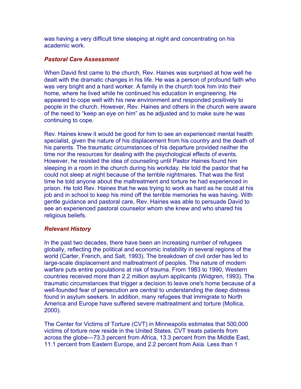was having a very difficult time sleeping at night and concentrating on his academic work.

# *Pastoral Care Assessment*

When David first came to the church, Rev. Haines was surprised at how well he dealt with the dramatic changes in his life. He was a person of profound faith who was very bright and a hard worker. A family in the church took him into their home, where he lived while he continued his education in engineering. He appeared to cope well with his new environment and responded positively to people in the church. However, Rev. Haines and others in the church were aware of the need to "keep an eye on him" as he adjusted and to make sure he was continuing to cope.

Rev. Haines knew it would be good for him to see an experienced mental health specialist, given the nature of his displacement from his country and the death of his parents. The traumatic circumstances of his departure provided neither the time nor the resources for dealing with the psychological effects of events. However, he resisted the idea of counseling until Pastor Haines found him sleeping in a room in the church during his workday. He told the pastor that he could not sleep at night because of the terrible nightmares. That was the first time he told anyone about the maltreatment and torture he had experienced in prison. He told Rev. Haines that he was trying to work as hard as he could at his job and in school to keep his mind off the terrible memories he was having. With gentle guidance and pastoral care, Rev. Haines was able to persuade David to see an experienced pastoral counselor whom she knew and who shared his religious beliefs.

# *Relevant History*

In the past two decades, there have been an increasing number of refugees globally, reflecting the political and economic instability in several regions of the world (Carter, French, and Salt, 1993). The breakdown of civil order has led to large-scale displacement and maltreatment of peoples. The nature of modern warfare puts entire populations at risk of trauma. From 1983 to 1990, Western countries received more than 2.2 million asylum applicants (Widgren, 1993). The traumatic circumstances that trigger a decision to leave one's home because of a well-founded fear of persecution are central to understanding the deep distress found in asylum seekers. In addition, many refugees that immigrate to North America and Europe have suffered severe maltreatment and torture (Mollica, 2000).

The Center for Victims of Torture (CVT) in Minneapolis estimates that 500,000 victims of torture now reside in the United States. CVT treats patients from across the globe—73.3 percent from Africa, 13.3 percent from the Middle East, 11.1 percent from Eastern Europe, and 2.2 percent from Asia. Less than 1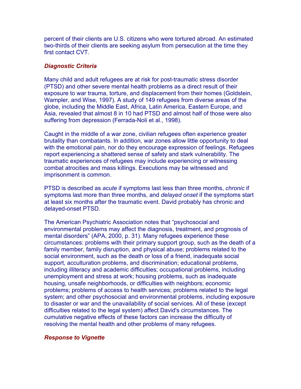percent of their clients are U.S. citizens who were tortured abroad. An estimated two-thirds of their clients are seeking asylum from persecution at the time they first contact CVT.

## *Diagnostic Criteria*

Many child and adult refugees are at risk for post-traumatic stress disorder (PTSD) and other severe mental health problems as a direct result of their exposure to war trauma, torture, and displacement from their homes (Goldstein, Wampler, and Wise, 1997). A study of 149 refugees from diverse areas of the globe, including the Middle East, Africa, Latin America, Eastern Europe, and Asia, revealed that almost 8 in 10 had PTSD and almost half of those were also suffering from depression (Ferrada-Noli et al., 1998).

Caught in the middle of a war zone, civilian refugees often experience greater brutality than combatants. In addition, war zones allow little opportunity to deal with the emotional pain, nor do they encourage expression of feelings. Refugees report experiencing a shattered sense of safety and stark vulnerability. The traumatic experiences of refugees may include experiencing or witnessing combat atrocities and mass killings. Executions may be witnessed and imprisonment is common.

PTSD is described as *acute* if symptoms last less than three months, *chronic* if symptoms last more than three months, and *delayed onset* if the symptoms start at least six months after the traumatic event. David probably has chronic and delayed-onset PTSD.

The American Psychiatric Association notes that "psychosocial and environmental problems may affect the diagnosis, treatment, and prognosis of mental disorders" (APA, 2000, p. 31). Many refugees experience these circumstances: problems with their primary support group, such as the death of a family member, family disruption, and physical abuse; problems related to the social environment, such as the death or loss of a friend, inadequate social support, acculturation problems, and discrimination; educational problems, including illiteracy and academic difficulties; occupational problems, including unemployment and stress at work; housing problems, such as inadequate housing, unsafe neighborhoods, or difficulties with neighbors; economic problems; problems of access to health services; problems related to the legal system; and other psychosocial and environmental problems, including exposure to disaster or war and the unavailability of social services. All of these (except difficulties related to the legal system) affect David's circumstances. The cumulative negative effects of these factors can increase the difficulty of resolving the mental health and other problems of many refugees.

# *Response to Vignette*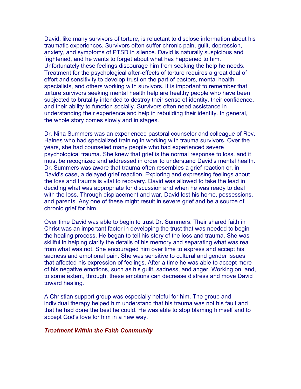David, like many survivors of torture, is reluctant to disclose information about his traumatic experiences. Survivors often suffer chronic pain, guilt, depression, anxiety, and symptoms of PTSD in silence. David is naturally suspicious and frightened, and he wants to forget about what has happened to him. Unfortunately these feelings discourage him from seeking the help he needs. Treatment for the psychological after-effects of torture requires a great deal of effort and sensitivity to develop trust on the part of pastors, mental health specialists, and others working with survivors. It is important to remember that torture survivors seeking mental health help are healthy people who have been subjected to brutality intended to destroy their sense of identity, their confidence, and their ability to function socially. Survivors often need assistance in understanding their experience and help in rebuilding their identity. In general, the whole story comes slowly and in stages.

Dr. Nina Summers was an experienced pastoral counselor and colleague of Rev. Haines who had specialized training in working with trauma survivors. Over the years, she had counseled many people who had experienced severe psychological trauma. She knew that grief is the normal response to loss, and it must be recognized and addressed in order to understand David's mental health. Dr. Summers was aware that trauma often resembles a grief reaction or, in David's case, a delayed grief reaction. Exploring and expressing feelings about the loss and trauma is vital to recovery. David was allowed to take the lead in deciding what was appropriate for discussion and when he was ready to deal with the loss. Through displacement and war, David lost his home, possessions, and parents. Any one of these might result in severe grief and be a source of chronic grief for him.

Over time David was able to begin to trust Dr. Summers. Their shared faith in Christ was an important factor in developing the trust that was needed to begin the healing process. He began to tell his story of the loss and trauma. She was skillful in helping clarify the details of his memory and separating what was real from what was not. She encouraged him over time to express and accept his sadness and emotional pain. She was sensitive to cultural and gender issues that affected his expression of feelings. After a time he was able to accept more of his negative emotions, such as his guilt, sadness, and anger. Working on, and, to some extent, through, these emotions can decrease distress and move David toward healing.

A Christian support group was especially helpful for him. The group and individual therapy helped him understand that his trauma was not his fault and that he had done the best he could. He was able to stop blaming himself and to accept God's love for him in a new way.

### *Treatment Within the Faith Community*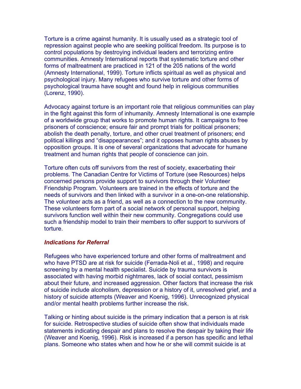Torture is a crime against humanity. It is usually used as a strategic tool of repression against people who are seeking political freedom. Its purpose is to control populations by destroying individual leaders and terrorizing entire communities. Amnesty International reports that systematic torture and other forms of maltreatment are practiced in 121 of the 205 nations of the world (Amnesty International, 1999). Torture inflicts spiritual as well as physical and psychological injury. Many refugees who survive torture and other forms of psychological trauma have sought and found help in religious communities (Lorenz, 1990).

Advocacy against torture is an important role that religious communities can play in the fight against this form of inhumanity. Amnesty International is one example of a worldwide group that works to promote human rights. It campaigns to free prisoners of conscience; ensure fair and prompt trials for political prisoners; abolish the death penalty, torture, and other cruel treatment of prisoners; end political killings and "disappearances"; and it opposes human rights abuses by opposition groups. It is one of several organizations that advocate for humane treatment and human rights that people of conscience can join.

Torture often cuts off survivors from the rest of society, exacerbating their problems. The Canadian Centre for Victims of Torture (see Resources) helps concerned persons provide support to survivors through their Volunteer Friendship Program. Volunteers are trained in the effects of torture and the needs of survivors and then linked with a survivor in a one-on-one relationship. The volunteer acts as a friend, as well as a connection to the new community. These volunteers form part of a social network of personal support, helping survivors function well within their new community. Congregations could use such a friendship model to train their members to offer support to survivors of torture.

### *Indications for Referral*

Refugees who have experienced torture and other forms of maltreatment and who have PTSD are at risk for suicide (Ferrada-Noli et al., 1998) and require screening by a mental health specialist. Suicide by trauma survivors is associated with having morbid nightmares, lack of social contact, pessimism about their future, and increased aggression. Other factors that increase the risk of suicide include alcoholism, depression or a history of it, unresolved grief, and a history of suicide attempts (Weaver and Koenig, 1996). Unrecognized physical and/or mental health problems further increase the risk.

Talking or hinting about suicide is the primary indication that a person is at risk for suicide. Retrospective studies of suicide often show that individuals made statements indicating despair and plans to resolve the despair by taking their life (Weaver and Koenig, 1996). Risk is increased if a person has specific and lethal plans. Someone who states when and how he or she will commit suicide is at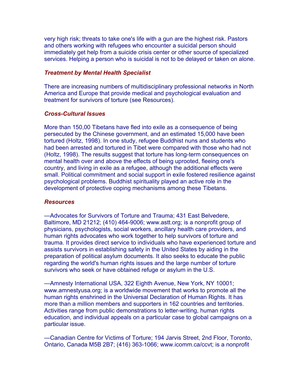very high risk; threats to take one's life with a gun are the highest risk. Pastors and others working with refugees who encounter a suicidal person should immediately get help from a suicide crisis center or other source of specialized services. Helping a person who is suicidal is not to be delayed or taken on alone.

### *Treatment by Mental Health Specialist*

There are increasing numbers of multidisciplinary professional networks in North America and Europe that provide medical and psychological evaluation and treatment for survivors of torture (see Resources).

### *Cross-Cultural Issues*

More than 150,00 Tibetans have fled into exile as a consequence of being persecuted by the Chinese government, and an estimated 15,000 have been tortured (Holtz, 1998). In one study, refugee Buddhist nuns and students who had been arrested and tortured in Tibet were compared with those who had not (Holtz, 1998). The results suggest that torture has long-term consequences on mental health over and above the effects of being uprooted, fleeing one's country, and living in exile as a refugee, although the additional effects were small. Political commitment and social support in exile fostered resilience against psychological problems. Buddhist spirituality played an active role in the development of protective coping mechanisms among these Tibetans.

#### *Resources*

—Advocates for Survivors of Torture and Trauma; 431 East Belvedere, Baltimore, MD 21212; (410) 464-9006; www.astt.org; is a nonprofit group of physicians, psychologists, social workers, ancillary health care providers, and human rights advocates who work together to help survivors of torture and trauma. It provides direct service to individuals who have experienced torture and assists survivors in establishing safety in the United States by aiding in the preparation of political asylum documents. It also seeks to educate the public regarding the world's human rights issues and the large number of torture survivors who seek or have obtained refuge or asylum in the U.S.

—Amnesty International USA, 322 Eighth Avenue, New York, NY 10001; www.amnestyusa.org; is a worldwide movement that works to promote all the human rights enshrined in the Universal Declaration of Human Rights. It has more than a million members and supporters in 162 countries and territories. Activities range from public demonstrations to letter-writing, human rights education, and individual appeals on a particular case to global campaigns on a particular issue.

—Canadian Centre for Victims of Torture; 194 Jarvis Street, 2nd Floor, Toronto, Ontario, Canada M5B 2B7; (416) 363-1066; www.icomm.ca/ccvt; is a nonprofit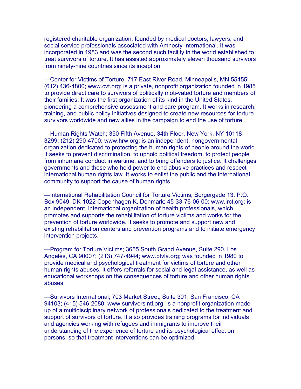registered charitable organization, founded by medical doctors, lawyers, and social service professionals associated with Amnesty International. It was incorporated in 1983 and was the second such facility in the world established to treat survivors of torture. It has assisted approximately eleven thousand survivors from ninety-nine countries since its inception.

—Center for Victims of Torture; 717 East River Road, Minneapolis, MN 55455; (612) 436-4800; www.cvt.org; is a private, nonprofit organization founded in 1985 to provide direct care to survivors of politically moti-vated torture and members of their families. It was the first organization of its kind in the United States, pioneering a comprehensive assessment and care program. It works in research, training, and public policy initiatives designed to create new resources for torture survivors worldwide and new allies in the campaign to end the use of torture.

—Human Rights Watch; 350 Fifth Avenue, 34th Floor, New York, NY 10118- 3299; (212) 290-4700; www.hrw.org; is an independent, nongovernmental organization dedicated to protecting the human rights of people around the world. It seeks to prevent discrimination, to uphold political freedom, to protect people from inhumane conduct in wartime, and to bring offenders to justice. It challenges governments and those who hold power to end abusive practices and respect international human rights law. It works to enlist the public and the international community to support the cause of human rights.

—International Rehabilitation Council for Torture Victims; Borgergade 13, P.O. Box 9049, DK-1022 Copenhagen K, Denmark; 45-33-76-06-00; www.irct.org; is an independent, international organization of health professionals, which promotes and supports the rehabilitation of torture victims and works for the prevention of torture worldwide. It seeks to promote and support new and existing rehabilitation centers and prevention programs and to initiate emergency intervention projects.

—Program for Torture Victims; 3655 South Grand Avenue, Suite 290, Los Angeles, CA 90007; (213) 747-4944; www.ptvla.org; was founded in 1980 to provide medical and psychological treatment for victims of torture and other human rights abuses. It offers referrals for social and legal assistance, as well as educational workshops on the consequences of torture and other human rights abuses.

—Survivors International; 703 Market Street, Suite 301, San Francisco, CA 94103; (415) 546-2080; www.survivorsintl.org; is a nonprofit organization made up of a multidisciplinary network of professionals dedicated to the treatment and support of survivors of torture. It also provides training programs for individuals and agencies working with refugees and immigrants to improve their understanding of the experience of torture and its psychological effect on persons, so that treatment interventions can be optimized.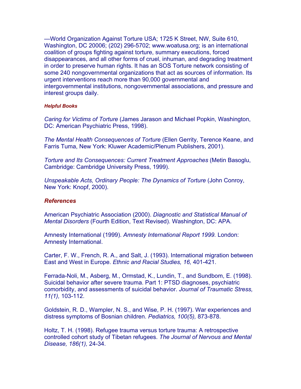—World Organization Against Torture USA; 1725 K Street, NW, Suite 610, Washington, DC 20006; (202) 296-5702; www.woatusa.org; is an international coalition of groups fighting against torture, summary executions, forced disappearances, and all other forms of cruel, inhuman, and degrading treatment in order to preserve human rights. It has an SOS Torture network consisting of some 240 nongovernmental organizations that act as sources of information. Its urgent interventions reach more than 90,000 governmental and intergovernmental institutions, nongovernmental associations, and pressure and interest groups daily.

#### *Helpful Books*

*Caring for Victims of Torture* (James Jarason and Michael Popkin, Washington, DC: American Psychiatric Press, 1998).

*The Mental Health Consequences of Torture* (Ellen Gerrity, Terence Keane, and Farris Tuma, New York: Kluwer Academic/Plenum Publishers, 2001).

*Torture and Its Consequences: Current Treatment Approaches* (Metin Basoglu, Cambridge: Cambridge University Press, 1999).

*Unspeakable Acts, Ordinary People: The Dynamics of Torture* (John Conroy, New York: Knopf, 2000).

### *References*

American Psychiatric Association (2000). *Diagnostic and Statistical Manual of Mental Disorders* (Fourth Edition, Text Revised). Washington, DC: APA.

Amnesty International (1999). *Amnesty International Report 1999.* London: Amnesty International.

Carter, F. W., French, R. A., and Salt, J. (1993). International migration between East and West in Europe. *Ethnic and Racial Studies, 16,* 401-421.

Ferrada-Noli, M., Asberg, M., Ormstad, K., Lundin, T., and Sundbom, E. (1998). Suicidal behavior after severe trauma. Part 1: PTSD diagnoses, psychiatric comorbidity, and assessments of suicidal behavior. *Journal of Traumatic Stress, 11(1),* 103-112.

Goldstein, R. D., Wampler, N. S., and Wise, P. H. (1997). War experiences and distress symptoms of Bosnian children. *Pediatrics, 100(5),* 873-878.

Holtz, T. H. (1998). Refugee trauma versus torture trauma: A retrospective controlled cohort study of Tibetan refugees. *The Journal of Nervous and Mental Disease, 186(1),* 24-34.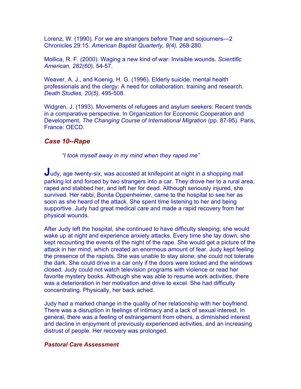Lorenz, W. (1990). For we are strangers before Thee and sojourners—2 Chronicles 29:15. *American Baptist Quarterly, 9(4),* 268-280.

Mollica, R. F. (2000). Waging a new kind of war: Invisible wounds. *Scientific American, 282(60),* 54-57.

Weaver, A. J., and Koenig, H. G. (1996). Elderly suicide, mental health professionals and the clergy: A need for collaboration, training and research. *Death Studies, 20(5),* 495-508.

Widgren, J. (1993). Movements of refugees and asylum seekers: Recent trends in a comparative perspective. In Organization for Economic Cooperation and Development, *The Changing Course of International Migration* (pp. 87-95). Paris, France: OECD.

# *Case 10--Rape*

*"I took myself away in my mind when they raped me"*

**J**udy, age twenty-six, was accosted at knifepoint at night in a shopping mall parking lot and forced by two strangers into a car. They drove her to a rural area, raped and stabbed her, and left her for dead. Although seriously injured, she survived. Her rabbi, Bonita Oppenheimer, came to the hospital to see her as soon as she heard of the attack. She spent time listening to her and being supportive. Judy had great medical care and made a rapid recovery from her physical wounds.

After Judy left the hospital, she continued to have difficulty sleeping; she would wake up at night and experience anxiety attacks. Every time she lay down, she kept recounting the events of the night of the rape. She would get a picture of the attack in her mind, which created an enormous amount of fear. Judy kept feeling the presence of the rapists. She was unable to stay alone; she could not tolerate the dark. She could drive in a car only if the doors were locked and the windows closed. Judy could not watch television programs with violence or read her favorite mystery books. Although she was able to resume work activities, there was a deterioration in her motivation and drive to excel. She had difficulty concentrating. Physically, her back ached.

Judy had a marked change in the quality of her relationship with her boyfriend. There was a disruption in feelings of intimacy and a lack of sexual interest. In general, there was a feeling of estrangement from others, a diminished interest and decline in enjoyment of previously experienced activities, and an increasing distrust of people. Her recovery was prolonged.

# *Pastoral Care Assessment*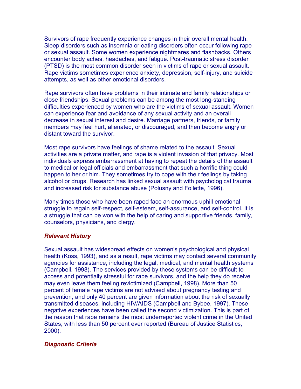Survivors of rape frequently experience changes in their overall mental health. Sleep disorders such as insomnia or eating disorders often occur following rape or sexual assault. Some women experience nightmares and flashbacks. Others encounter body aches, headaches, and fatigue. Post-traumatic stress disorder (PTSD) is the most common disorder seen in victims of rape or sexual assault. Rape victims sometimes experience anxiety, depression, self-injury, and suicide attempts, as well as other emotional disorders.

Rape survivors often have problems in their intimate and family relationships or close friendships. Sexual problems can be among the most long-standing difficulties experienced by women who are the victims of sexual assault. Women can experience fear and avoidance of any sexual activity and an overall decrease in sexual interest and desire. Marriage partners, friends, or family members may feel hurt, alienated, or discouraged, and then become angry or distant toward the survivor.

Most rape survivors have feelings of shame related to the assault. Sexual activities are a private matter, and rape is a violent invasion of that privacy. Most individuals express embarrassment at having to repeat the details of the assault to medical or legal officials and embarrassment that such a horrific thing could happen to her or him. They sometimes try to cope with their feelings by taking alcohol or drugs. Research has linked sexual assault with psychological trauma and increased risk for substance abuse (Polusny and Follette, 1996).

Many times those who have been raped face an enormous uphill emotional struggle to regain self-respect, self-esteem, self-assurance, and self-control. It is a struggle that can be won with the help of caring and supportive friends, family, counselors, physicians, and clergy.

### *Relevant History*

Sexual assault has widespread effects on women's psychological and physical health (Koss, 1993), and as a result, rape victims may contact several community agencies for assistance, including the legal, medical, and mental health systems (Campbell, 1998). The services provided by these systems can be difficult to access and potentially stressful for rape survivors, and the help they do receive may even leave them feeling revictimized (Campbell, 1998). More than 50 percent of female rape victims are not advised about pregnancy testing and prevention, and only 40 percent are given information about the risk of sexually transmitted diseases, including HIV/AIDS (Campbell and Bybee, 1997). These negative experiences have been called the second victimization. This is part of the reason that rape remains the most underreported violent crime in the United States, with less than 50 percent ever reported (Bureau of Justice Statistics, 2000).

### *Diagnostic Criteria*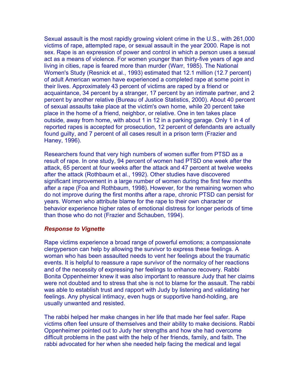Sexual assault is the most rapidly growing violent crime in the U.S., with 261,000 victims of rape, attempted rape, or sexual assault in the year 2000. Rape is not sex. Rape is an expression of power and control in which a person uses a sexual act as a means of violence. For women younger than thirty-five years of age and living in cities, rape is feared more than murder (Warr, 1985). The National Women's Study (Resnick et al., 1993) estimated that 12.1 million (12.7 percent) of adult American women have experienced a completed rape at some point in their lives. Approximately 43 percent of victims are raped by a friend or acquaintance, 34 percent by a stranger, 17 percent by an intimate partner, and 2 percent by another relative (Bureau of Justice Statistics, 2000). About 40 percent of sexual assaults take place at the victim's own home, while 20 percent take place in the home of a friend, neighbor, or relative. One in ten takes place outside, away from home, with about 1 in 12 in a parking garage. Only 1 in 4 of reported rapes is accepted for prosecution, 12 percent of defendants are actually found guilty, and 7 percent of all cases result in a prison term (Frazier and Haney, 1996).

Researchers found that very high numbers of women suffer from PTSD as a result of rape. In one study, 94 percent of women had PTSD one week after the attack, 65 percent at four weeks after the attack and 47 percent at twelve weeks after the attack (Rothbaum et al., 1992). Other studies have discovered significant improvement in a large number of women during the first few months after a rape (Foa and Rothbaum, 1998). However, for the remaining women who do not improve during the first months after a rape, chronic PTSD can persist for years. Women who attribute blame for the rape to their own character or behavior experience higher rates of emotional distress for longer periods of time than those who do not (Frazier and Schauben, 1994).

#### *Response to Vignette*

Rape victims experience a broad range of powerful emotions; a compassionate clergyperson can help by allowing the survivor to express these feelings. A woman who has been assaulted needs to vent her feelings about the traumatic events. It is helpful to reassure a rape survivor of the normalcy of her reactions and of the necessity of expressing her feelings to enhance recovery. Rabbi Bonita Oppenheimer knew it was also important to reassure Judy that her claims were not doubted and to stress that she is not to blame for the assault. The rabbi was able to establish trust and rapport with Judy by listening and validating her feelings. Any physical intimacy, even hugs or supportive hand-holding, are usually unwanted and resisted.

The rabbi helped her make changes in her life that made her feel safer. Rape victims often feel unsure of themselves and their ability to make decisions. Rabbi Oppenheimer pointed out to Judy her strengths and how she had overcome difficult problems in the past with the help of her friends, family, and faith. The rabbi advocated for her when she needed help facing the medical and legal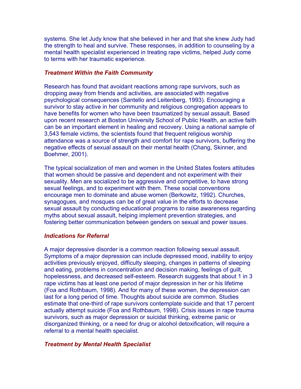systems. She let Judy know that she believed in her and that she knew Judy had the strength to heal and survive. These responses, in addition to counseling by a mental health specialist experienced in treating rape victims, helped Judy come to terms with her traumatic experience.

## *Treatment Within the Faith Community*

Research has found that avoidant reactions among rape survivors, such as dropping away from friends and activities, are associated with negative psychological consequences (Santello and Leitenberg, 1993). Encouraging a survivor to stay active in her community and religious congregation appears to have benefits for women who have been traumatized by sexual assault. Based upon recent research at Boston University School of Public Health, an active faith can be an important element in healing and recovery. Using a national sample of 3,543 female victims, the scientists found that frequent religious worship attendance was a source of strength and comfort for rape survivors, buffering the negative effects of sexual assault on their mental health (Chang, Skinner, and Boehmer, 2001).

The typical socialization of men and women in the United States fosters attitudes that women should be passive and dependent and not experiment with their sexuality. Men are socialized to be aggressive and competitive, to have strong sexual feelings, and to experiment with them. These social conventions encourage men to dominate and abuse women (Berkowitz, 1992). Churches, synagogues, and mosques can be of great value in the efforts to decrease sexual assault by conducting educational programs to raise awareness regarding myths about sexual assault, helping implement prevention strategies, and fostering better communication between genders on sexual and power issues.

# *Indications for Referral*

A major depressive disorder is a common reaction following sexual assault. Symptoms of a major depression can include depressed mood, inability to enjoy activities previously enjoyed, difficulty sleeping, changes in patterns of sleeping and eating, problems in concentration and decision making, feelings of guilt, hopelessness, and decreased self-esteem. Research suggests that about 1 in 3 rape victims has at least one period of major depression in her or his lifetime (Foa and Rothbaum, 1998). And for many of these women, the depression can last for a long period of time. Thoughts about suicide are common. Studies estimate that one-third of rape survivors contemplate suicide and that 17 percent actually attempt suicide (Foa and Rothbaum, 1998). Crisis issues in rape trauma survivors, such as major depression or suicidal thinking, extreme panic or disorganized thinking, or a need for drug or alcohol detoxification, will require a referral to a mental health specialist.

# *Treatment by Mental Health Specialist*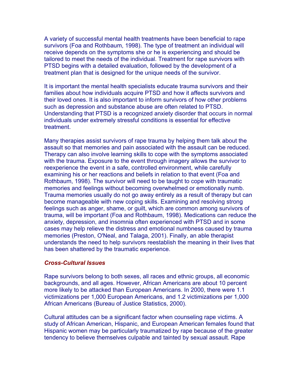A variety of successful mental health treatments have been beneficial to rape survivors (Foa and Rothbaum, 1998). The type of treatment an individual will receive depends on the symptoms she or he is experiencing and should be tailored to meet the needs of the individual. Treatment for rape survivors with PTSD begins with a detailed evaluation, followed by the development of a treatment plan that is designed for the unique needs of the survivor.

It is important the mental health specialists educate trauma survivors and their families about how individuals acquire PTSD and how it affects survivors and their loved ones. It is also important to inform survivors of how other problems such as depression and substance abuse are often related to PTSD. Understanding that PTSD is a recognized anxiety disorder that occurs in normal individuals under extremely stressful conditions is essential for effective treatment.

Many therapies assist survivors of rape trauma by helping them talk about the assault so that memories and pain associated with the assault can be reduced. Therapy can also involve learning skills to cope with the symptoms associated with the trauma. Exposure to the event through imagery allows the survivor to reexperience the event in a safe, controlled environment, while carefully examining his or her reactions and beliefs in relation to that event (Foa and Rothbaum, 1998). The survivor will need to be taught to cope with traumatic memories and feelings without becoming overwhelmed or emotionally numb. Trauma memories usually do not go away entirely as a result of therapy but can become manageable with new coping skills. Examining and resolving strong feelings such as anger, shame, or guilt, which are common among survivors of trauma, will be important (Foa and Rothbaum, 1998). Medications can reduce the anxiety, depression, and insomnia often experienced with PTSD and in some cases may help relieve the distress and emotional numbness caused by trauma memories (Preston, O'Neal, and Talaga, 2001). Finally, an able therapist understands the need to help survivors reestablish the meaning in their lives that has been shattered by the traumatic experience.

#### *Cross-Cultural Issues*

Rape survivors belong to both sexes, all races and ethnic groups, all economic backgrounds, and all ages. However, African Americans are about 10 percent more likely to be attacked than European Americans. In 2000, there were 1.1 victimizations per 1,000 European Americans, and 1.2 victimizations per 1,000 African Americans (Bureau of Justice Statistics, 2000).

Cultural attitudes can be a significant factor when counseling rape victims. A study of African American, Hispanic, and European American females found that Hispanic women may be particularly traumatized by rape because of the greater tendency to believe themselves culpable and tainted by sexual assault. Rape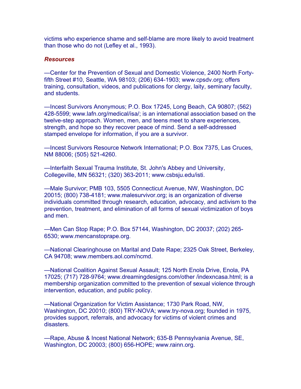victims who experience shame and self-blame are more likely to avoid treatment than those who do not (Lefley et al., 1993).

#### *Resources*

—Center for the Prevention of Sexual and Domestic Violence, 2400 North Fortyfifth Street #10, Seattle, WA 98103; (206) 634-1903; www.cpsdv.org; offers training, consultation, videos, and publications for clergy, laity, seminary faculty, and students.

—Incest Survivors Anonymous; P.O. Box 17245, Long Beach, CA 90807; (562) 428-5599; www.lafn.org/medical/isa/; is an international association based on the twelve-step approach. Women, men, and teens meet to share experiences, strength, and hope so they recover peace of mind. Send a self-addressed stamped envelope for information, if you are a survivor.

—Incest Survivors Resource Network International; P.O. Box 7375, Las Cruces, NM 88006; (505) 521-4260.

—Interfaith Sexual Trauma Institute, St. John's Abbey and University, Collegeville, MN 56321; (320) 363-2011; www.csbsju.edu/isti.

—Male Survivor; PMB 103, 5505 Connecticut Avenue, NW, Washington, DC 20015; (800) 738-4181; www.malesurvivor.org; is an organization of diverse individuals committed through research, education, advocacy, and activism to the prevention, treatment, and elimination of all forms of sexual victimization of boys and men.

—Men Can Stop Rape; P.O. Box 57144, Washington, DC 20037; (202) 265- 6530; www.mencanstoprape.org.

—National Clearinghouse on Marital and Date Rape; 2325 Oak Street, Berkeley, CA 94708; www.members.aol.com/ncmd.

—National Coalition Against Sexual Assault; 125 North Enola Drive, Enola, PA 17025; (717) 728-9764; www.dreamingdesigns.com/other /indexncasa.html; is a membership organization committed to the prevention of sexual violence through intervention, education, and public policy.

—National Organization for Victim Assistance; 1730 Park Road, NW, Washington, DC 20010; (800) TRY-NOVA; www.try-nova.org; founded in 1975, provides support, referrals, and advocacy for victims of violent crimes and disasters.

—Rape, Abuse & Incest National Network; 635-B Pennsylvania Avenue, SE, Washington, DC 20003; (800) 656-HOPE; www.rainn.org.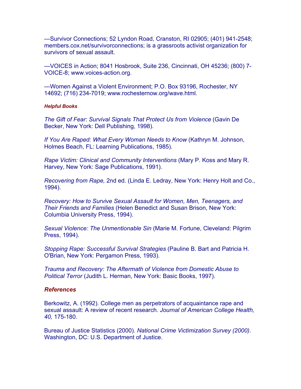—Survivor Connections; 52 Lyndon Road, Cranston, RI 02905; (401) 941-2548; members.cox.net/survivorconnections; is a grassroots activist organization for survivors of sexual assault.

—VOICES in Action; 8041 Hosbrook, Suite 236, Cincinnati, OH 45236; (800) 7- VOICE-8; www.voices-action.org.

—Women Against a Violent Environment; P.O. Box 93196, Rochester, NY 14692; (716) 234-7019; www.rochesternow.org/wave.html.

#### *Helpful Books*

*The Gift of Fear: Survival Signals That Protect Us from Violence* (Gavin De Becker, New York: Dell Publishing, 1998).

*If You Are Raped: What Every Woman Needs to Know* (Kathryn M. Johnson, Holmes Beach, FL: Learning Publications, 1985).

*Rape Victim: Clinical and Community Interventions* (Mary P. Koss and Mary R. Harvey, New York: Sage Publications, 1991).

*Recovering from Rape,* 2nd ed. (Linda E. Ledray, New York: Henry Holt and Co., 1994).

*Recovery: How to Survive Sexual Assault for Women, Men, Teenagers, and Their Friends and Families* (Helen Benedict and Susan Brison, New York: Columbia University Press, 1994).

*Sexual Violence: The Unmentionable Sin* (Marie M. Fortune, Cleveland: Pilgrim Press, 1994).

*Stopping Rape: Successful Survival Strategies* (Pauline B. Bart and Patricia H. O'Brian, New York: Pergamon Press, 1993).

*Trauma and Recovery: The Aftermath of Violence from Domestic Abuse to Political Terror* (Judith L. Herman, New York: Basic Books, 1997).

## *References*

Berkowitz, A. (1992). College men as perpetrators of acquaintance rape and sexual assault: A review of recent research. *Journal of American College Health, 40,* 175-180.

Bureau of Justice Statistics (2000). *National Crime Victimization Survey (2000).* Washington, DC: U.S. Department of Justice.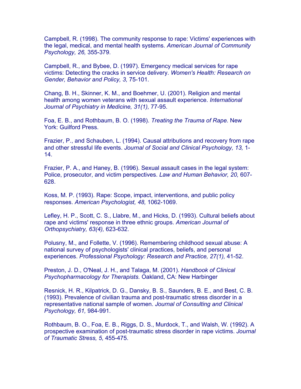Campbell, R. (1998). The community response to rape: Victims' experiences with the legal, medical, and mental health systems. *American Journal of Community Psychology, 26,* 355-379.

Campbell, R., and Bybee, D. (1997). Emergency medical services for rape victims: Detecting the cracks in service delivery. *Women's Health: Research on Gender, Behavior and Policy, 3,* 75-101.

Chang, B. H., Skinner, K. M., and Boehmer, U. (2001). Religion and mental health among women veterans with sexual assault experience. *International Journal of Psychiatry in Medicine, 31(1),* 77-95.

Foa, E. B., and Rothbaum, B. O. (1998). *Treating the Trauma of Rape.* New York: Guilford Press.

Frazier, P., and Schauben, L. (1994). Causal attributions and recovery from rape and other stressful life events. *Journal of Social and Clinical Psychology, 13,* 1- 14.

Frazier, P. A., and Haney, B. (1996). Sexual assault cases in the legal system: Police, prosecutor, and victim perspectives. *Law and Human Behavior, 20,* 607- 628.

Koss, M. P. (1993). Rape: Scope, impact, interventions, and public policy responses. *American Psychologist, 48,* 1062-1069.

Lefley, H. P., Scott, C. S., Llabre, M., and Hicks, D. (1993). Cultural beliefs about rape and victims' response in three ethnic groups. *American Journal of Orthopsychiatry, 63(4),* 623-632.

Polusny, M., and Follette, V. (1996). Remembering childhood sexual abuse: A national survey of psychologists' clinical practices, beliefs, and personal experiences. *Professional Psychology: Research and Practice, 27(1),* 41-52.

Preston, J. D., O'Neal, J. H., and Talaga, M. (2001). *Handbook of Clinical Psychopharmacology for Therapists.* Oakland, CA: New Harbinger

Resnick, H. R., Kilpatrick, D. G., Dansky, B. S., Saunders, B. E., and Best, C. B. (1993). Prevalence of civilian trauma and post-traumatic stress disorder in a representative national sample of women. *Journal of Consulting and Clinical Psychology, 61,* 984-991.

Rothbaum, B. O., Foa, E. B., Riggs, D. S., Murdock, T., and Walsh, W. (1992). A prospective examination of post-traumatic stress disorder in rape victims. *Journal of Traumatic Stress, 5,* 455-475.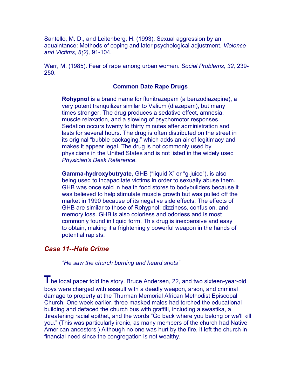Santello, M. D., and Leitenberg, H. (1993). Sexual aggression by an aquaintance: Methods of coping and later psychological adjustment. *Violence and Victims, 8(2),* 91-104.

Warr, M. (1985). Fear of rape among urban women. *Social Problems, 32,* 239- 250.

### **Common Date Rape Drugs**

**Rohypnol** is a brand name for flunitrazepam (a benzodiazepine), a very potent tranquilizer similar to Valium (diazepam), but many times stronger. The drug produces a sedative effect, amnesia, muscle relaxation, and a slowing of psychomotor responses. Sedation occurs twenty to thirty minutes after administration and lasts for several hours. The drug is often distributed on the street in its original "bubble packaging," which adds an air of legitimacy and makes it appear legal. The drug is not commonly used by physicians in the United States and is not listed in the widely used *Physician's Desk Reference*.

**Gamma-hydroxybutryate,** GHB ("liquid X" or "g-juice"), is also being used to incapacitate victims in order to sexually abuse them. GHB was once sold in health food stores to bodybuilders because it was believed to help stimulate muscle growth but was pulled off the market in 1990 because of its negative side effects. The effects of GHB are similar to those of Rohypnol: dizziness, confusion, and memory loss. GHB is also colorless and odorless and is most commonly found in liquid form. This drug is inexpensive and easy to obtain, making it a frighteningly powerful weapon in the hands of potential rapists.

## *Case 11--Hate Crime*

*"He saw the church burning and heard shots"*

**T**he local paper told the story. Bruce Andersen, 22, and two sixteen-year-old boys were charged with assault with a deadly weapon, arson, and criminal damage to property at the Thurman Memorial African Methodist Episcopal Church. One week earlier, three masked males had torched the educational building and defaced the church bus with graffiti, including a swastika, a threatening racial epithet, and the words "Go back where you belong or we'll kill you." (This was particularly ironic, as many members of the church had Native American ancestors.) Although no one was hurt by the fire, it left the church in financial need since the congregation is not wealthy.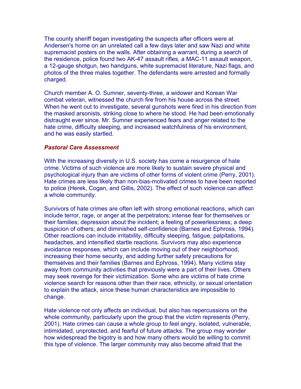The county sheriff began investigating the suspects after officers were at Andersen's home on an unrelated call a few days later and saw Nazi and white supremacist posters on the walls. After obtaining a warrant, during a search of the residence, police found two AK-47 assault rifles, a MAC-11 assault weapon, a 12-gauge shotgun, two handguns, white supremacist literature, Nazi flags, and photos of the three males together. The defendants were arrested and formally charged.

Church member A. O. Sumner, seventy-three, a widower and Korean War combat veteran, witnessed the church fire from his house across the street. When he went out to investigate, several gunshots were fired in his direction from the masked arsonists, striking close to where he stood. He had been emotionally distraught ever since. Mr. Sumner experienced fears and anger related to the hate crime, difficulty sleeping, and increased watchfulness of his environment, and he was easily startled.

### *Pastoral Care Assessment*

With the increasing diversity in U.S. society has come a resurgence of hate crime. Victims of such violence are more likely to sustain severe physical and psychological injury than are victims of other forms of violent crime (Perry, 2001). Hate crimes are less likely than non-bias-motivated crimes to have been reported to police (Herek, Cogan, and Gillis, 2002). The effect of such violence can affect a whole community.

Survivors of hate crimes are often left with strong emotional reactions, which can include terror, rage, or anger at the perpetrators; intense fear for themselves or their families; depression about the incident; a feeling of powerlessness; a deep suspicion of others; and diminished self-confidence (Barnes and Ephross, 1994). Other reactions can include irritability, difficulty sleeping, fatigue, palpitations, headaches, and intensified startle reactions. Survivors may also experience avoidance responses, which can include moving out of their neighborhood, increasing their home security, and adding further safety precautions for themselves and their families (Barnes and Ephross, 1994). Many victims stay away from community activities that previously were a part of their lives. Others may seek revenge for their victimization. Some who are victims of hate crime violence search for reasons other than their race, ethnicity, or sexual orientation to explain the attack, since these human characteristics are impossible to change.

Hate violence not only affects an individual, but also has repercussions on the whole community, particularly upon the group that the victim represents (Perry, 2001). Hate crimes can cause a whole group to feel angry, isolated, vulnerable, intimidated, unprotected, and fearful of future attacks. The group may wonder how widespread the bigotry is and how many others would be willing to commit this type of violence. The larger community may also become afraid that the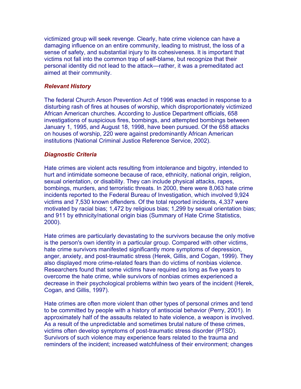victimized group will seek revenge. Clearly, hate crime violence can have a damaging influence on an entire community, leading to mistrust, the loss of a sense of safety, and substantial injury to its cohesiveness. It is important that victims not fall into the common trap of self-blame, but recognize that their personal identity did not lead to the attack—rather, it was a premeditated act aimed at their community.

#### *Relevant History*

The federal Church Arson Prevention Act of 1996 was enacted in response to a disturbing rash of fires at houses of worship, which disproportionately victimized African American churches. According to Justice Department officials, 658 investigations of suspicious fires, bombings, and attempted bombings between January 1, 1995, and August 18, 1998, have been pursued. Of the 658 attacks on houses of worship, 220 were against predominantly African American institutions (National Criminal Justice Reference Service, 2002).

#### *Diagnostic Criteria*

Hate crimes are violent acts resulting from intolerance and bigotry, intended to hurt and intimidate someone because of race, ethnicity, national origin, religion, sexual orientation, or disability. They can include physical attacks, rapes, bombings, murders, and terroristic threats. In 2000, there were 8,063 hate crime incidents reported to the Federal Bureau of Investigation, which involved 9,924 victims and 7,530 known offenders. Of the total reported incidents, 4,337 were motivated by racial bias; 1,472 by religious bias; 1,299 by sexual orientation bias; and 911 by ethnicity/national origin bias (Summary of Hate Crime Statistics, 2000).

Hate crimes are particularly devastating to the survivors because the only motive is the person's own identity in a particular group. Compared with other victims, hate crime survivors manifested significantly more symptoms of depression, anger, anxiety, and post-traumatic stress (Herek, Gillis, and Cogan, 1999). They also displayed more crime-related fears than do victims of nonbias violence. Researchers found that some victims have required as long as five years to overcome the hate crime, while survivors of nonbias crimes experienced a decrease in their psychological problems within two years of the incident (Herek, Cogan, and Gillis, 1997).

Hate crimes are often more violent than other types of personal crimes and tend to be committed by people with a history of antisocial behavior (Perry, 2001). In approximately half of the assaults related to hate violence, a weapon is involved. As a result of the unpredictable and sometimes brutal nature of these crimes, victims often develop symptoms of post-traumatic stress disorder (PTSD). Survivors of such violence may experience fears related to the trauma and reminders of the incident; increased watchfulness of their environment; changes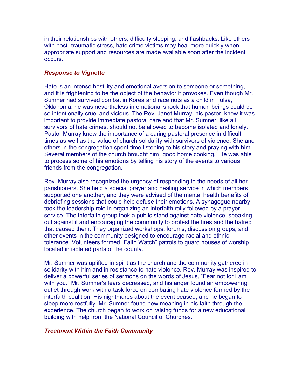in their relationships with others; difficulty sleeping; and flashbacks. Like others with post- traumatic stress, hate crime victims may heal more quickly when appropriate support and resources are made available soon after the incident occurs.

### *Response to Vignette*

Hate is an intense hostility and emotional aversion to someone or something, and it is frightening to be the object of the behavior it provokes. Even though Mr. Sumner had survived combat in Korea and race riots as a child in Tulsa, Oklahoma, he was nevertheless in emotional shock that human beings could be so intentionally cruel and vicious. The Rev. Janet Murray, his pastor, knew it was important to provide immediate pastoral care and that Mr. Sumner, like all survivors of hate crimes, should not be allowed to become isolated and lonely. Pastor Murray knew the importance of a caring pastoral presence in difficult times as well as the value of church solidarity with survivors of violence. She and others in the congregation spent time listening to his story and praying with him. Several members of the church brought him "good home cooking." He was able to process some of his emotions by telling his story of the events to various friends from the congregation.

Rev. Murray also recognized the urgency of responding to the needs of all her parishioners. She held a special prayer and healing service in which members supported one another, and they were advised of the mental health benefits of debriefing sessions that could help defuse their emotions. A synagogue nearby took the leadership role in organizing an interfaith rally followed by a prayer service. The interfaith group took a public stand against hate violence, speaking out against it and encouraging the community to protest the fires and the hatred that caused them. They organized workshops, forums, discussion groups, and other events in the community designed to encourage racial and ethnic tolerance. Volunteers formed "Faith Watch" patrols to guard houses of worship located in isolated parts of the county.

Mr. Sumner was uplifted in spirit as the church and the community gathered in solidarity with him and in resistance to hate violence. Rev. Murray was inspired to deliver a powerful series of sermons on the words of Jesus, "Fear not for I am with you." Mr. Sumner's fears decreased, and his anger found an empowering outlet through work with a task force on combating hate violence formed by the interfaith coalition. His nightmares about the event ceased, and he began to sleep more restfully. Mr. Sumner found new meaning in his faith through the experience. The church began to work on raising funds for a new educational building with help from the National Council of Churches.

### *Treatment Within the Faith Community*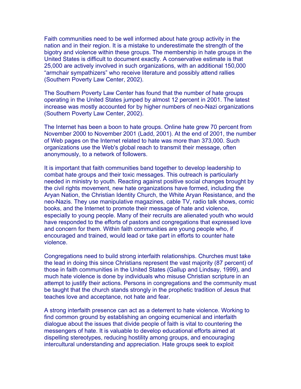Faith communities need to be well informed about hate group activity in the nation and in their region. It is a mistake to underestimate the strength of the bigotry and violence within these groups. The membership in hate groups in the United States is difficult to document exactly. A conservative estimate is that 25,000 are actively involved in such organizations, with an additional 150,000 "armchair sympathizers" who receive literature and possibly attend rallies (Southern Poverty Law Center, 2002).

The Southern Poverty Law Center has found that the number of hate groups operating in the United States jumped by almost 12 percent in 2001. The latest increase was mostly accounted for by higher numbers of neo-Nazi organizations (Southern Poverty Law Center, 2002).

The Internet has been a boon to hate groups. Online hate grew 70 percent from November 2000 to November 2001 (Ladd, 2001). At the end of 2001, the number of Web pages on the Internet related to hate was more than 373,000. Such organizations use the Web's global reach to transmit their message, often anonymously, to a network of followers.

It is important that faith communities band together to develop leadership to combat hate groups and their toxic messages. This outreach is particularly needed in ministry to youth. Reacting against positive social changes brought by the civil rights movement, new hate organizations have formed, including the Aryan Nation, the Christian Identity Church, the White Aryan Resistance, and the neo-Nazis. They use manipulative magazines, cable TV, radio talk shows, comic books, and the Internet to promote their message of hate and violence, especially to young people. Many of their recruits are alienated youth who would have responded to the efforts of pastors and congregations that expressed love and concern for them. Within faith communities are young people who, if encouraged and trained, would lead or take part in efforts to counter hate violence.

Congregations need to build strong interfaith relationships. Churches must take the lead in doing this since Christians represent the vast majority (87 percent) of those in faith communities in the United States (Gallup and Lindsay, 1999), and much hate violence is done by individuals who misuse Christian scripture in an attempt to justify their actions. Persons in congregations and the community must be taught that the church stands strongly in the prophetic tradition of Jesus that teaches love and acceptance, not hate and fear.

A strong interfaith presence can act as a deterrent to hate violence. Working to find common ground by establishing an ongoing ecumenical and interfaith dialogue about the issues that divide people of faith is vital to countering the messengers of hate. It is valuable to develop educational efforts aimed at dispelling stereotypes, reducing hostility among groups, and encouraging intercultural understanding and appreciation. Hate groups seek to exploit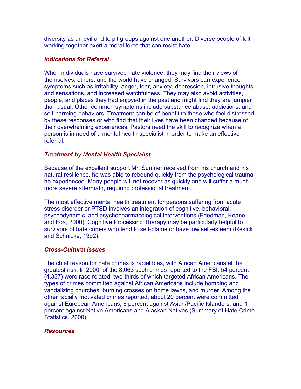diversity as an evil and to pit groups against one another. Diverse people of faith working together exert a moral force that can resist hate.

### *Indications for Referral*

When individuals have survived hate violence, they may find their views of themselves, others, and the world have changed. Survivors can experience symptoms such as irritability, anger, fear, anxiety, depression, intrusive thoughts and sensations, and increased watchfulness. They may also avoid activities, people, and places they had enjoyed in the past and might find they are jumpier than usual. Other common symptoms include substance abuse, addictions, and self-harming behaviors. Treatment can be of benefit to those who feel distressed by these responses or who find that their lives have been changed because of their overwhelming experiences. Pastors need the skill to recognize when a person is in need of a mental health specialist in order to make an effective referral.

## *Treatment by Mental Health Specialist*

Because of the excellent support Mr. Sumner received from his church and his natural resilience, he was able to rebound quickly from the psychological trauma he experienced. Many people will not recover as quickly and will suffer a much more severe aftermath, requiring professional treatment.

The most effective mental health treatment for persons suffering from acute stress disorder or PTSD involves an integration of cognitive, behavioral, psychodynamic, and psychopharmacological interventions (Friedman, Keane, and Foa, 2000). Cognitive Processing Therapy may be particularly helpful to survivors of hate crimes who tend to self-blame or have low self-esteem (Resick and Schnicke, 1992).

## *Cross-Cultural Issues*

The chief reason for hate crimes is racial bias, with African Americans at the greatest risk. In 2000, of the 8,063 such crimes reported to the FBI, 54 percent (4,337) were race related, two-thirds of which targeted African Americans. The types of crimes committed against African Americans include bombing and vandalizing churches, burning crosses on home lawns, and murder. Among the other racially motivated crimes reported, about 20 percent were committed against European Americans, 6 percent against Asian/Pacific Islanders, and 1 percent against Native Americans and Alaskan Natives (Summary of Hate Crime Statistics, 2000).

## *Resources*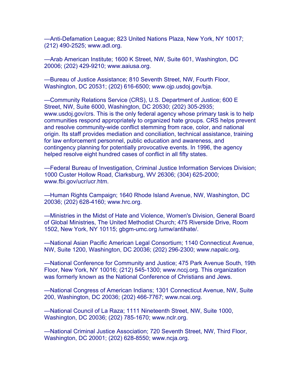—Anti-Defamation League; 823 United Nations Plaza, New York, NY 10017; (212) 490-2525; www.adl.org.

—Arab American Institute; 1600 K Street, NW, Suite 601, Washington, DC 20006; (202) 429-9210; www.aaiusa.org.

—Bureau of Justice Assistance; 810 Seventh Street, NW, Fourth Floor, Washington, DC 20531; (202) 616-6500; www.ojp.usdoj.gov/bja.

—Community Relations Service (CRS), U.S. Department of Justice; 600 E Street, NW, Suite 6000, Washington, DC 20530; (202) 305-2935; www.usdoj.gov/crs. This is the only federal agency whose primary task is to help communities respond appropriately to organized hate groups. CRS helps prevent and resolve community-wide conflict stemming from race, color, and national origin. Its staff provides mediation and conciliation, technical assistance, training for law enforcement personnel, public education and awareness, and contingency planning for potentially provocative events. In 1996, the agency helped resolve eight hundred cases of conflict in all fifty states.

—Federal Bureau of Investigation, Criminal Justice Information Services Division; 1000 Custer Hollow Road, Clarksburg, WV 26306; (304) 625-2000; www.fbi.gov/ucr/ucr.htm.

—Human Rights Campaign; 1640 Rhode Island Avenue, NW, Washington, DC 20036; (202) 628-4160; www.hrc.org.

—Ministries in the Midst of Hate and Violence, Women's Division, General Board of Global Ministries, The United Methodist Church; 475 Riverside Drive, Room 1502, New York, NY 10115; gbgm-umc.org /umw/antihate/.

—National Asian Pacific American Legal Consortium; 1140 Connecticut Avenue, NW, Suite 1200, Washington, DC 20036; (202) 296-2300; www.napalc.org.

—National Conference for Community and Justice; 475 Park Avenue South, 19th Floor, New York, NY 10016; (212) 545-1300; www.nccj.org. This organization was formerly known as the National Conference of Christians and Jews.

—National Congress of American Indians; 1301 Connecticut Avenue, NW, Suite 200, Washington, DC 20036; (202) 466-7767; www.ncai.org.

—National Council of La Raza; 1111 Nineteenth Street, NW, Suite 1000, Washington, DC 20036; (202) 785-1670; www.nclr.org.

—National Criminal Justice Association; 720 Seventh Street, NW, Third Floor, Washington, DC 20001; (202) 628-8550; www.ncja.org.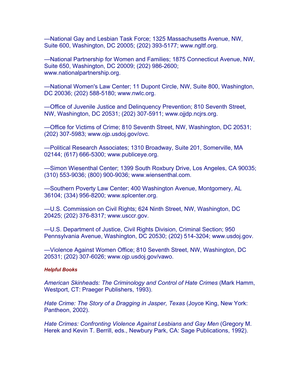—National Gay and Lesbian Task Force; 1325 Massachusetts Avenue, NW, Suite 600, Washington, DC 20005; (202) 393-5177; www.ngltf.org.

—National Partnership for Women and Families; 1875 Connecticut Avenue, NW, Suite 650, Washington, DC 20009; (202) 986-2600; www.nationalpartnership.org.

—National Women's Law Center; 11 Dupont Circle, NW, Suite 800, Washington, DC 20036; (202) 588-5180; www.nwlc.org.

—Office of Juvenile Justice and Delinquency Prevention; 810 Seventh Street, NW, Washington, DC 20531; (202) 307-5911; www.ojjdp.ncjrs.org.

—Office for Victims of Crime; 810 Seventh Street, NW, Washington, DC 20531; (202) 307-5983; www.ojp.usdoj.gov/ovc.

—Political Research Associates; 1310 Broadway, Suite 201, Somerville, MA 02144; (617) 666-5300; www.publiceye.org.

—Simon Wiesenthal Center; 1399 South Roxbury Drive, Los Angeles, CA 90035; (310) 553-9036; (800) 900-9036; www.wiensenthal.com.

—Southern Poverty Law Center; 400 Washington Avenue, Montgomery, AL 36104; (334) 956-8200; www.splcenter.org.

—U.S. Commission on Civil Rights; 624 Ninth Street, NW, Washington, DC 20425; (202) 376-8317; www.usccr.gov.

—U.S. Department of Justice, Civil Rights Division, Criminal Section; 950 Pennsylvania Avenue, Washington, DC 20530; (202) 514-3204; www.usdoj.gov.

—Violence Against Women Office; 810 Seventh Street, NW, Washington, DC 20531; (202) 307-6026; www.ojp.usdoj.gov/vawo.

#### *Helpful Books*

*American Skinheads: The Criminology and Control of Hate Crimes* (Mark Hamm, Westport, CT: Praeger Publishers, 1993).

*Hate Crime: The Story of a Dragging in Jasper, Texas* (Joyce King, New York: Pantheon, 2002).

*Hate Crimes: Confronting Violence Against Lesbians and Gay Men* (Gregory M. Herek and Kevin T. Berrill, eds., Newbury Park, CA: Sage Publications, 1992).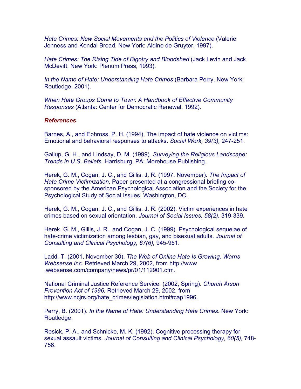*Hate Crimes: New Social Movements and the Politics of Violence* (Valerie Jenness and Kendal Broad, New York: Aldine de Gruyter, 1997).

*Hate Crimes: The Rising Tide of Bigotry and Bloodshed* (Jack Levin and Jack McDevitt, New York: Plenum Press, 1993).

*In the Name of Hate: Understanding Hate Crimes* (Barbara Perry, New York: Routledge, 2001).

*When Hate Groups Come to Town: A Handbook of Effective Community Responses* (Atlanta: Center for Democratic Renewal, 1992).

#### *References*

Barnes, A., and Ephross, P. H. (1994). The impact of hate violence on victims: Emotional and behavioral responses to attacks. *Social Work, 39(3),* 247-251.

Gallup, G. H., and Lindsay, D. M. (1999). *Surveying the Religious Landscape: Trends in U.S. Beliefs.* Harrisburg, PA: Morehouse Publishing.

Herek, G. M., Cogan, J. C., and Gillis, J. R. (1997, November). *The Impact of Hate Crime Victimization.* Paper presented at a congressional briefing cosponsored by the American Psychological Association and the Society for the Psychological Study of Social Issues, Washington, DC.

Herek, G. M., Cogan, J. C., and Gillis, J. R. (2002). Victim experiences in hate crimes based on sexual orientation. *Journal of Social Issues, 58(2),* 319-339.

Herek, G. M., Gillis, J. R., and Cogan, J. C. (1999). Psychological sequelae of hate-crime victimization among lesbian, gay, and bisexual adults. *Journal of Consulting and Clinical Psychology, 67(6),* 945-951.

Ladd, T. (2001, November 30). *The Web of Online Hate Is Growing, Warns Websense Inc.* Retrieved March 29, 2002, from http://www .websense.com/company/news/pr/01/112901.cfm.

National Criminal Justice Reference Service. (2002, Spring). *Church Arson Prevention Act of 1996.* Retrieved March 29, 2002, from http://www.ncjrs.org/hate\_crimes/legislation.html#cap1996.

Perry, B. (2001). *In the Name of Hate: Understanding Hate Crimes.* New York: Routledge.

Resick, P. A., and Schnicke, M. K. (1992). Cognitive processing therapy for sexual assault victims. *Journal of Consulting and Clinical Psychology, 60(5),* 748- 756.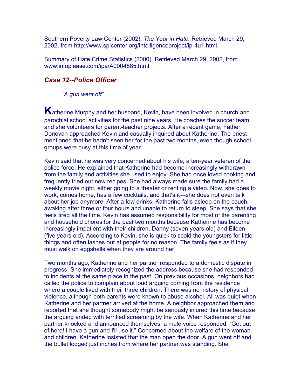Southern Poverty Law Center (2002). *The Year in Hate.* Retrieved March 29, 2002, from http://www.splcenter.org/intelligenceproject/ip-4u1.html.

Summary of Hate Crime Statistics (2000). Retrieved March 29, 2002, from www.infoplease.com/ipa/A0004885.html.

# *Case 12--Police Officer*

*"A gun went off"*

**K**atherine Murphy and her husband, Kevin, have been involved in church and parochial school activities for the past nine years. He coaches the soccer team, and she volunteers for parent-teacher projects. After a recent game, Father Donovan approached Kevin and casually inquired about Katherine. The priest mentioned that he hadn't seen her for the past two months, even though school groups were busy at this time of year.

Kevin said that he was very concerned about his wife, a ten-year veteran of the police force. He explained that Katherine had become increasingly withdrawn from the family and activities she used to enjoy. She had once loved cooking and frequently tried out new recipes. She had always made sure the family had a weekly movie night, either going to a theater or renting a video. Now, she goes to work, comes home, has a few cocktails, and that's it—she does not even talk about her job anymore. After a few drinks, Katherine falls asleep on the couch, awaking after three or four hours and unable to return to sleep. She says that she feels tired all the time. Kevin has assumed responsibility for most of the parenting and household chores for the past two months because Katherine has become increasingly impatient with their children, Danny (seven years old) and Eileen (five years old). According to Kevin, she is quick to scold the youngsters for little things and often lashes out at people for no reason. The family feels as if they must walk on eggshells when they are around her.

Two months ago, Katherine and her partner responded to a domestic dispute in progress. She immediately recognized the address because she had responded to incidents at the same place in the past. On previous occasions, neighbors had called the police to complain about loud arguing coming from the residence where a couple lived with their three children. There was no history of physical violence, although both parents were known to abuse alcohol. All was quiet when Katherine and her partner arrived at the home. A neighbor approached them and reported that she thought somebody might be seriously injured this time because the arguing ended with terrified screaming by the wife. When Katherine and her partner knocked and announced themselves, a male voice responded, "Get out of here! I have a gun and I'll use it." Concerned about the welfare of the woman and children, Katherine insisted that the man open the door. A gun went off and the bullet lodged just inches from where her partner was standing. She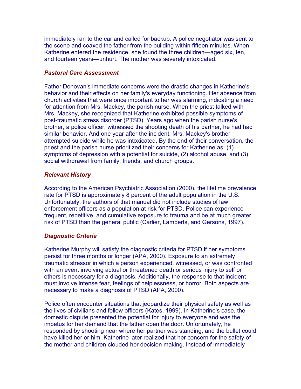immediately ran to the car and called for backup. A police negotiator was sent to the scene and coaxed the father from the building within fifteen minutes. When Katherine entered the residence, she found the three children—aged six, ten, and fourteen years—unhurt. The mother was severely intoxicated.

## *Pastoral Care Assessment*

Father Donovan's immediate concerns were the drastic changes in Katherine's behavior and their effects on her family's everyday functioning. Her absence from church activities that were once important to her was alarming, indicating a need for attention from Mrs. Mackey, the parish nurse. When the priest talked with Mrs. Mackey, she recognized that Katherine exhibited possible symptoms of post-traumatic stress disorder (PTSD). Years ago when the parish nurse's brother, a police officer, witnessed the shooting death of his partner, he had had similar behavior. And one year after the incident, Mrs. Mackey's brother attempted suicide while he was intoxicated. By the end of their conversation, the priest and the parish nurse prioritized their concerns for Katherine as: (1) symptoms of depression with a potential for suicide, (2) alcohol abuse, and (3) social withdrawal from family, friends, and church groups.

## *Relevant History*

According to the American Psychiatric Association (2000), the lifetime prevalence rate for PTSD is approximately 8 percent of the adult population in the U.S. Unfortunately, the authors of that manual did not include studies of law enforcement officers as a population at risk for PTSD. Police can experience frequent, repetitive, and cumulative exposure to trauma and be at much greater risk of PTSD than the general public (Carlier, Lamberts, and Gersons, 1997).

## *Diagnostic Criteria*

Katherine Murphy will satisfy the diagnostic criteria for PTSD if her symptoms persist for three months or longer (APA, 2000). Exposure to an extremely traumatic stressor in which a person experienced, witnessed, or was confronted with an event involving actual or threatened death or serious injury to self or others is necessary for a diagnosis. Additionally, the response to that incident must involve intense fear, feelings of helplessness, or horror. Both aspects are necessary to make a diagnosis of PTSD (APA, 2000).

Police often encounter situations that jeopardize their physical safety as well as the lives of civilians and fellow officers (Kates, 1999). In Katherine's case, the domestic dispute presented the potential for injury to everyone and was the impetus for her demand that the father open the door. Unfortunately, he responded by shooting near where her partner was standing, and the bullet could have killed her or him. Katherine later realized that her concern for the safety of the mother and children clouded her decision making. Instead of immediately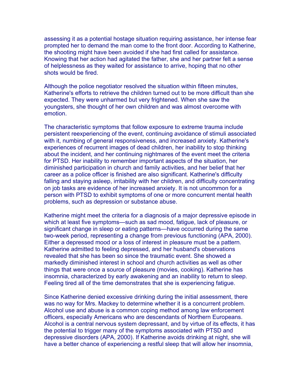assessing it as a potential hostage situation requiring assistance, her intense fear prompted her to demand the man come to the front door. According to Katherine, the shooting might have been avoided if she had first called for assistance. Knowing that her action had agitated the father, she and her partner felt a sense of helplessness as they waited for assistance to arrive, hoping that no other shots would be fired.

Although the police negotiator resolved the situation within fifteen minutes, Katherine's efforts to retrieve the children turned out to be more difficult than she expected. They were unharmed but very frightened. When she saw the youngsters, she thought of her own children and was almost overcome with emotion.

The characteristic symptoms that follow exposure to extreme trauma include persistent reexperiencing of the event, continuing avoidance of stimuli associated with it, numbing of general responsiveness, and increased anxiety. Katherine's experiences of recurrent images of dead children, her inability to stop thinking about the incident, and her continuing nightmares of the event meet the criteria for PTSD. Her inability to remember important aspects of the situation, her diminished participation in church and family activities, and her belief that her career as a police officer is finished are also significant. Katherine's difficulty falling and staying asleep, irritability with her children, and difficulty concentrating on job tasks are evidence of her increased anxiety. It is not uncommon for a person with PTSD to exhibit symptoms of one or more concurrent mental health problems, such as depression or substance abuse.

Katherine might meet the criteria for a diagnosis of a major depressive episode in which at least five symptoms—such as sad mood, fatigue, lack of pleasure, or significant change in sleep or eating patterns—have occurred during the same two-week period, representing a change from previous functioning (APA, 2000). Either a depressed mood or a loss of interest in pleasure must be a pattern. Katherine admitted to feeling depressed, and her husband's observations revealed that she has been so since the traumatic event. She showed a markedly diminished interest in school and church activities as well as other things that were once a source of pleasure (movies, cooking). Katherine has insomnia, characterized by early awakening and an inability to return to sleep. Feeling tired all of the time demonstrates that she is experiencing fatigue.

Since Katherine denied excessive drinking during the initial assessment, there was no way for Mrs. Mackey to determine whether it is a concurrent problem. Alcohol use and abuse is a common coping method among law enforcement officers, especially Americans who are descendants of Northern Europeans. Alcohol is a central nervous system depressant, and by virtue of its effects, it has the potential to trigger many of the symptoms associated with PTSD and depressive disorders (APA, 2000). If Katherine avoids drinking at night, she will have a better chance of experiencing a restful sleep that will allow her insomnia,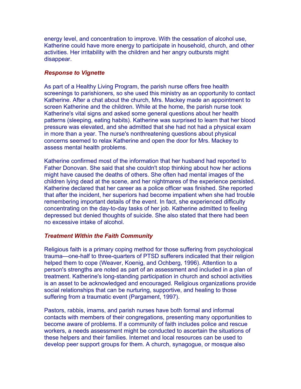energy level, and concentration to improve. With the cessation of alcohol use, Katherine could have more energy to participate in household, church, and other activities. Her irritability with the children and her angry outbursts might disappear.

### *Response to Vignette*

As part of a Healthy Living Program, the parish nurse offers free health screenings to parishioners, so she used this ministry as an opportunity to contact Katherine. After a chat about the church, Mrs. Mackey made an appointment to screen Katherine and the children. While at the home, the parish nurse took Katherine's vital signs and asked some general questions about her health patterns (sleeping, eating habits). Katherine was surprised to learn that her blood pressure was elevated, and she admitted that she had not had a physical exam in more than a year. The nurse's nonthreatening questions about physical concerns seemed to relax Katherine and open the door for Mrs. Mackey to assess mental health problems.

Katherine confirmed most of the information that her husband had reported to Father Donovan. She said that she couldn't stop thinking about how her actions might have caused the deaths of others. She often had mental images of the children lying dead at the scene, and her nightmares of the experience persisted. Katherine declared that her career as a police officer was finished. She reported that after the incident, her superiors had become impatient when she had trouble remembering important details of the event. In fact, she experienced difficulty concentrating on the day-to-day tasks of her job. Katherine admitted to feeling depressed but denied thoughts of suicide. She also stated that there had been no excessive intake of alcohol.

## *Treatment Within the Faith Community*

Religious faith is a primary coping method for those suffering from psychological trauma—one-half to three-quarters of PTSD sufferers indicated that their religion helped them to cope (Weaver, Koenig, and Ochberg, 1996). Attention to a person's strengths are noted as part of an assessment and included in a plan of treatment. Katherine's long-standing participation in church and school activities is an asset to be acknowledged and encouraged. Religious organizations provide social relationships that can be nurturing, supportive, and healing to those suffering from a traumatic event (Pargament, 1997).

Pastors, rabbis, imams, and parish nurses have both formal and informal contacts with members of their congregations, presenting many opportunities to become aware of problems. If a community of faith includes police and rescue workers, a needs assessment might be conducted to ascertain the situations of these helpers and their families. Internet and local resources can be used to develop peer support groups for them. A church, synagogue, or mosque also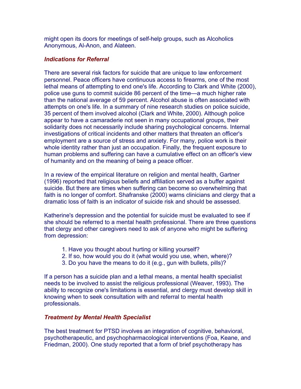might open its doors for meetings of self-help groups, such as Alcoholics Anonymous, Al-Anon, and Alateen.

### *Indications for Referral*

There are several risk factors for suicide that are unique to law enforcement personnel. Peace officers have continuous access to firearms, one of the most lethal means of attempting to end one's life. According to Clark and White (2000), police use guns to commit suicide 86 percent of the time—a much higher rate than the national average of 59 percent. Alcohol abuse is often associated with attempts on one's life. In a summary of nine research studies on police suicide, 35 percent of them involved alcohol (Clark and White, 2000). Although police appear to have a camaraderie not seen in many occupational groups, their solidarity does not necessarily include sharing psychological concerns. Internal investigations of critical incidents and other matters that threaten an officer's employment are a source of stress and anxiety. For many, police work is their whole identity rather than just an occupation. Finally, the frequent exposure to human problems and suffering can have a cumulative effect on an officer's view of humanity and on the meaning of being a peace officer.

In a review of the empirical literature on religion and mental health, Gartner (1996) reported that religious beliefs and affiliation served as a buffer against suicide. But there are times when suffering can become so overwhelming that faith is no longer of comfort. Shafranske (2000) warns clinicians and clergy that a dramatic loss of faith is an indicator of suicide risk and should be assessed.

Katherine's depression and the potential for suicide must be evaluated to see if she should be referred to a mental health professional. There are three questions that clergy and other caregivers need to ask of anyone who might be suffering from depression:

- 1. Have you thought about hurting or killing yourself?
- 2. If so, how would you do it (what would you use, when, where)?
- 3. Do you have the means to do it (e.g., gun with bullets, pills)?

If a person has a suicide plan and a lethal means, a mental health specialist needs to be involved to assist the religious professional (Weaver, 1993). The ability to recognize one's limitations is essential, and clergy must develop skill in knowing when to seek consultation with and referral to mental health professionals.

## *Treatment by Mental Health Specialist*

The best treatment for PTSD involves an integration of cognitive, behavioral, psychotherapeutic, and psychopharmacological interventions (Foa, Keane, and Friedman, 2000). One study reported that a form of brief psychotherapy has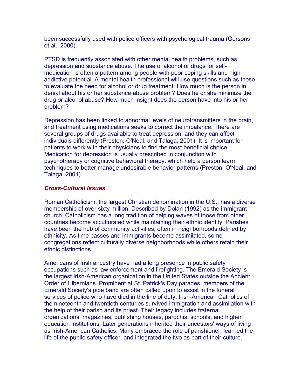been successfully used with police officers with psychological trauma (Gersons et al., 2000).

PTSD is frequently associated with other mental health problems, such as depression and substance abuse. The use of alcohol or drugs for selfmedication is often a pattern among people with poor coping skills and high addictive potential. A mental health professional will use questions such as these to evaluate the need for alcohol or drug treatment: How much is the person in denial about his or her substance abuse problem? Does he or she minimize the drug or alcohol abuse? How much insight does the person have into his or her problem?

Depression has been linked to abnormal levels of neurotransmitters in the brain, and treatment using medications seeks to correct the imbalance. There are several groups of drugs available to treat depression, and they can affect individuals differently (Preston, O'Neal, and Talaga, 2001). It is important for patients to work with their physicians to find the most beneficial choice. Medication for depression is usually prescribed in conjunction with psychotherapy or cognitive behavioral therapy, which help a person learn techniques to better manage undesirable behavior patterns (Preston, O'Neal, and Talaga, 2001).

## *Cross-Cultural Issues*

Roman Catholicism, the largest Christian denomination in the U.S., has a diverse membership of over sixty million. Described by Dolan (1992) as the immigrant church, Catholicism has a long tradition of helping waves of those from other countries become acculturated while maintaining their ethnic identity. Parishes have been the hub of community activities, often in neighborhoods defined by ethnicity. As time passes and immigrants become assimilated, some congregations reflect culturally diverse neighborhoods while others retain their ethnic distinctions.

Americans of Irish ancestry have had a long presence in public safety occupations such as law enforcement and firefighting. The Emerald Society is the largest Irish-American organization in the United States outside the Ancient Order of Hibernians. Prominent at St. Patrick's Day parades, members of the Emerald Society's pipe band are often called upon to assist in the funeral services of police who have died in the line of duty. Irish-American Catholics of the nineteenth and twentieth centuries survived immigration and assimilation with the help of their parish and its priest. Their legacy includes fraternal organizations, magazines, publishing houses, parochial schools, and higher education institutions. Later generations inherited their ancestors' ways of living as Irish-American Catholics. Many embraced the role of parishioner, learned the life of the public safety officer, and integrated the two as part of their culture.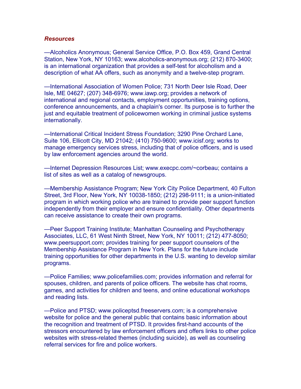#### *Resources*

—Alcoholics Anonymous; General Service Office, P.O. Box 459, Grand Central Station, New York, NY 10163; www.alcoholics-anonymous.org; (212) 870-3400; is an international organization that provides a self-test for alcoholism and a description of what AA offers, such as anonymity and a twelve-step program.

—International Association of Women Police; 731 North Deer Isle Road, Deer Isle, ME 04627; (207) 348-6976; www.iawp.org; provides a network of international and regional contacts, employment opportunities, training options, conference announcements, and a chaplain's corner. Its purpose is to further the just and equitable treatment of policewomen working in criminal justice systems internationally.

—International Critical Incident Stress Foundation; 3290 Pine Orchard Lane, Suite 106, Ellicott City, MD 21042; (410) 750-9600; www.icisf.org; works to manage emergency services stress, including that of police officers, and is used by law enforcement agencies around the world.

—Internet Depression Resources List; www.execpc.com/~corbeau; contains a list of sites as well as a catalog of newsgroups.

—Membership Assistance Program; New York City Police Department, 40 Fulton Street, 3rd Floor, New York, NY 10038-1850; (212) 298-9111; is a union-initiated program in which working police who are trained to provide peer support function independently from their employer and ensure confidentiality. Other departments can receive assistance to create their own programs.

—Peer Support Training Institute; Manhattan Counseling and Psychotherapy Associates, LLC, 61 West Ninth Street, New York, NY 10011; (212) 477-8050; www.peersupport.com; provides training for peer support counselors of the Membership Assistance Program in New York. Plans for the future include training opportunities for other departments in the U.S. wanting to develop similar programs.

—Police Families; www.policefamilies.com; provides information and referral for spouses, children, and parents of police officers. The website has chat rooms, games, and activities for children and teens, and online educational workshops and reading lists.

—Police and PTSD; www.policeptsd.freeservers.com; is a comprehensive website for police and the general public that contains basic information about the recognition and treatment of PTSD. It provides first-hand accounts of the stressors encountered by law enforcement officers and offers links to other police websites with stress-related themes (including suicide), as well as counseling referral services for fire and police workers.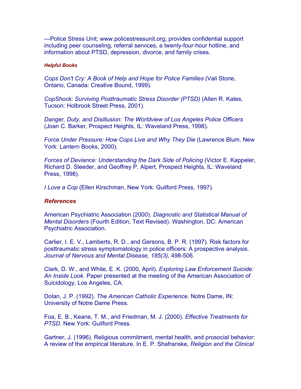—Police Stress Unit; www.policestressunit.org; provides confidential support including peer counseling, referral services, a twenty-four-hour hotline, and information about PTSD, depression, divorce, and family crises.

#### *Helpful Books*

*Cops Don't Cry: A Book of Help and Hope for Police Families* (Vali Stone, Ontario, Canada: Creative Bound, 1999).

*CopShock: Surviving Posttraumatic Stress Disorder (PTSD)* (Allen R. Kates, Tucson: Holbrook Street Press, 2001).

*Danger, Duty, and Disillusion: The Worldview of Los Angeles Police Officers* (Joan C. Barker, Prospect Heights, IL: Waveland Press, 1998).

*Force Under Pressure: How Cops Live and Why They Die* (Lawrence Blum, New York: Lantern Books, 2000).

*Forces of Deviance: Understanding the Dark Side of Policing* (Victor E. Kappeler, Richard D. Sleeder, and Geoffrey P. Alpert, Prospect Heights, IL: Waveland Press, 1998).

*I Love a Cop* (Ellen Kirschman, New York: Guilford Press, 1997).

### *References*

American Psychiatric Association (2000). *Diagnostic and Statistical Manual of Mental Disorders* (Fourth Edition, Text Revised). Washington, DC: American Psychiatric Association.

Carlier, I. E. V., Lamberts, R. D., and Gersons, B. P. R. (1997). Risk factors for posttraumatic stress symptomatology in police officers: A prospective analysis. *Journal of Nervous and Mental Disease, 185(3),* 498-506.

Clark, D. W., and White, E. K. (2000, April). *Exploring Law Enforcement Suicide: An Inside Look.* Paper presented at the meeting of the American Association of Suicidology, Los Angeles, CA.

Dolan, J. P. (1992). *The American Catholic Experience.* Notre Dame, IN: University of Notre Dame Press.

Foa, E. B., Keane, T. M., and Friedman, M. J. (2000). *Effective Treatments for PTSD.* New York: Guilford Press.

Gartner, J. (1996). Religious commitment, mental health, and prosocial behavior: A review of the empirical literature. In E. P. Shafranske, *Religion and the Clinical*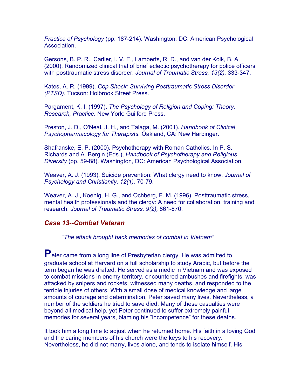*Practice of Psychology* (pp. 187-214). Washington, DC: American Psychological **Association** 

Gersons, B. P. R., Carlier, I. V. E., Lamberts, R. D., and van der Kolk, B. A. (2000). Randomized clinical trial of brief eclectic psychotherapy for police officers with posttraumatic stress disorder. *Journal of Traumatic Stress, 13(2),* 333-347.

Kates, A. R. (1999). *Cop Shock: Surviving Posttraumatic Stress Disorder (PTSD).* Tucson: Holbrook Street Press.

Pargament, K. I. (1997). *The Psychology of Religion and Coping: Theory, Research, Practice.* New York: Guilford Press.

Preston, J. D., O'Neal, J. H., and Talaga, M. (2001). *Handbook of Clinical Psychopharmacology for Therapists.* Oakland, CA: New Harbinger.

Shafranske, E. P. (2000). Psychotherapy with Roman Catholics. In P. S. Richards and A. Bergin (Eds.), *Handbook of Psychotherapy and Religious Diversity* (pp. 59-88). Washington, DC: American Psychological Association.

Weaver, A. J. (1993). Suicide prevention: What clergy need to know. *Journal of Psychology and Christianity, 12(1),* 70-79.

Weaver, A. J., Koenig, H. G., and Ochberg, F. M. (1996). Posttraumatic stress, mental health professionals and the clergy: A need for collaboration, training and research. *Journal of Traumatic Stress, 9(2),* 861-870.

# *Case 13--Combat Veteran*

*"The attack brought back memories of combat in Vietnam"*

Peter came from a long line of Presbyterian clergy. He was admitted to graduate school at Harvard on a full scholarship to study Arabic, but before the term began he was drafted. He served as a medic in Vietnam and was exposed to combat missions in enemy territory, encountered ambushes and firefights, was attacked by snipers and rockets, witnessed many deaths, and responded to the terrible injuries of others. With a small dose of medical knowledge and large amounts of courage and determination, Peter saved many lives. Nevertheless, a number of the soldiers he tried to save died. Many of these casualties were beyond all medical help, yet Peter continued to suffer extremely painful memories for several years, blaming his "incompetence" for these deaths.

It took him a long time to adjust when he returned home. His faith in a loving God and the caring members of his church were the keys to his recovery. Nevertheless, he did not marry, lives alone, and tends to isolate himself. His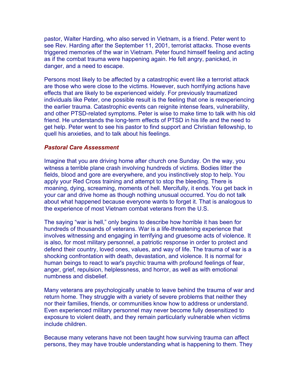pastor, Walter Harding, who also served in Vietnam, is a friend. Peter went to see Rev. Harding after the September 11, 2001, terrorist attacks. Those events triggered memories of the war in Vietnam. Peter found himself feeling and acting as if the combat trauma were happening again. He felt angry, panicked, in danger, and a need to escape.

Persons most likely to be affected by a catastrophic event like a terrorist attack are those who were close to the victims. However, such horrifying actions have effects that are likely to be experienced widely. For previously traumatized individuals like Peter, one possible result is the feeling that one is reexperiencing the earlier trauma. Catastrophic events can reignite intense fears, vulnerability, and other PTSD-related symptoms. Peter is wise to make time to talk with his old friend. He understands the long-term effects of PTSD in his life and the need to get help. Peter went to see his pastor to find support and Christian fellowship, to quell his anxieties, and to talk about his feelings.

#### *Pastoral Care Assessment*

Imagine that you are driving home after church one Sunday. On the way, you witness a terrible plane crash involving hundreds of victims. Bodies litter the fields, blood and gore are everywhere, and you instinctively stop to help. You apply your Red Cross training and attempt to stop the bleeding. There is moaning, dying, screaming, moments of hell. Mercifully, it ends. You get back in your car and drive home as though nothing unusual occurred. You do not talk about what happened because everyone wants to forget it. That is analogous to the experience of most Vietnam combat veterans from the U.S.

The saying "war is hell," only begins to describe how horrible it has been for hundreds of thousands of veterans. War is a life-threatening experience that involves witnessing and engaging in terrifying and gruesome acts of violence. It is also, for most military personnel, a patriotic response in order to protect and defend their country, loved ones, values, and way of life. The trauma of war is a shocking confrontation with death, devastation, and violence. It is normal for human beings to react to war's psychic trauma with profound feelings of fear, anger, grief, repulsion, helplessness, and horror, as well as with emotional numbness and disbelief.

Many veterans are psychologically unable to leave behind the trauma of war and return home. They struggle with a variety of severe problems that neither they nor their families, friends, or communities know how to address or understand. Even experienced military personnel may never become fully desensitized to exposure to violent death, and they remain particularly vulnerable when victims include children.

Because many veterans have not been taught how surviving trauma can affect persons, they may have trouble understanding what is happening to them. They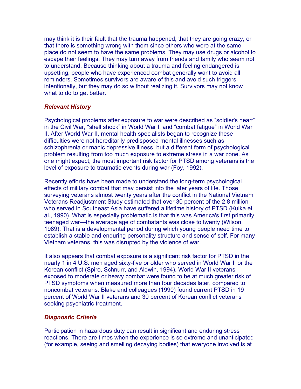may think it is their fault that the trauma happened, that they are going crazy, or that there is something wrong with them since others who were at the same place do not seem to have the same problems. They may use drugs or alcohol to escape their feelings. They may turn away from friends and family who seem not to understand. Because thinking about a trauma and feeling endangered is upsetting, people who have experienced combat generally want to avoid all reminders. Sometimes survivors are aware of this and avoid such triggers intentionally, but they may do so without realizing it. Survivors may not know what to do to get better.

## *Relevant History*

Psychological problems after exposure to war were described as "soldier's heart" in the Civil War, "shell shock" in World War I, and "combat fatigue" in World War II. After World War II, mental health specialists began to recognize these difficulties were not hereditarily predisposed mental illnesses such as schizophrenia or manic depressive illness, but a different form of psychological problem resulting from too much exposure to extreme stress in a war zone. As one might expect, the most important risk factor for PTSD among veterans is the level of exposure to traumatic events during war (Foy, 1992).

Recently efforts have been made to understand the long-term psychological effects of military combat that may persist into the later years of life. Those surveying veterans almost twenty years after the conflict in the National Vietnam Veterans Readjustment Study estimated that over 30 percent of the 2.8 million who served in Southeast Asia have suffered a lifetime history of PTSD (Kulka et al., 1990). What is especially problematic is that this was America's first primarily teenaged war—the average age of combatants was close to twenty (Wilson, 1989). That is a developmental period during which young people need time to establish a stable and enduring personality structure and sense of self. For many Vietnam veterans, this was disrupted by the violence of war.

It also appears that combat exposure is a significant risk factor for PTSD in the nearly 1 in 4 U.S. men aged sixty-five or older who served in World War II or the Korean conflict (Spiro, Schnurr, and Aldwin, 1994). World War II veterans exposed to moderate or heavy combat were found to be at much greater risk of PTSD symptoms when measured more than four decades later, compared to noncombat veterans. Blake and colleagues (1990) found current PTSD in 19 percent of World War II veterans and 30 percent of Korean conflict veterans seeking psychiatric treatment.

### *Diagnostic Criteria*

Participation in hazardous duty can result in significant and enduring stress reactions. There are times when the experience is so extreme and unanticipated (for example, seeing and smelling decaying bodies) that everyone involved is at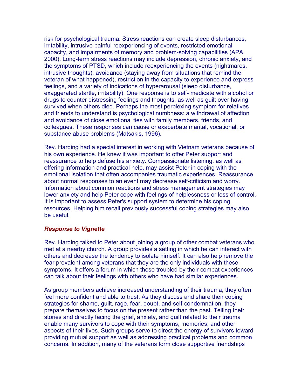risk for psychological trauma. Stress reactions can create sleep disturbances, irritability, intrusive painful reexperiencing of events, restricted emotional capacity, and impairments of memory and problem-solving capabilities (APA, 2000). Long-term stress reactions may include depression, chronic anxiety, and the symptoms of PTSD, which include reexperiencing the events (nightmares, intrusive thoughts), avoidance (staying away from situations that remind the veteran of what happened), restriction in the capacity to experience and express feelings, and a variety of indications of hyperarousal (sleep disturbance, exaggerated startle, irritability). One response is to self- medicate with alcohol or drugs to counter distressing feelings and thoughts, as well as guilt over having survived when others died. Perhaps the most perplexing symptom for relatives and friends to understand is psychological numbness: a withdrawal of affection and avoidance of close emotional ties with family members, friends, and colleagues. These responses can cause or exacerbate marital, vocational, or substance abuse problems (Matsakis, 1996).

Rev. Harding had a special interest in working with Vietnam veterans because of his own experience. He knew it was important to offer Peter support and reassurance to help defuse his anxiety. Compassionate listening, as well as offering information and practical help, may assist Peter in coping with the emotional isolation that often accompanies traumatic experiences. Reassurance about normal responses to an event may decrease self-criticism and worry. Information about common reactions and stress management strategies may lower anxiety and help Peter cope with feelings of helplessness or loss of control. It is important to assess Peter's support system to determine his coping resources. Helping him recall previously successful coping strategies may also be useful.

#### *Response to Vignette*

Rev. Harding talked to Peter about joining a group of other combat veterans who met at a nearby church. A group provides a setting in which he can interact with others and decrease the tendency to isolate himself. It can also help remove the fear prevalent among veterans that they are the only individuals with these symptoms. It offers a forum in which those troubled by their combat experiences can talk about their feelings with others who have had similar experiences.

As group members achieve increased understanding of their trauma, they often feel more confident and able to trust. As they discuss and share their coping strategies for shame, guilt, rage, fear, doubt, and self-condemnation, they prepare themselves to focus on the present rather than the past. Telling their stories and directly facing the grief, anxiety, and guilt related to their trauma enable many survivors to cope with their symptoms, memories, and other aspects of their lives. Such groups serve to direct the energy of survivors toward providing mutual support as well as addressing practical problems and common concerns. In addition, many of the veterans form close supportive friendships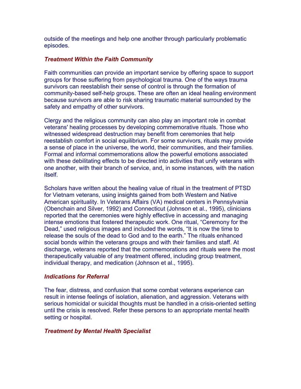outside of the meetings and help one another through particularly problematic episodes.

### *Treatment Within the Faith Community*

Faith communities can provide an important service by offering space to support groups for those suffering from psychological trauma. One of the ways trauma survivors can reestablish their sense of control is through the formation of community-based self-help groups. These are often an ideal healing environment because survivors are able to risk sharing traumatic material surrounded by the safety and empathy of other survivors.

Clergy and the religious community can also play an important role in combat veterans' healing processes by developing commemorative rituals. Those who witnessed widespread destruction may benefit from ceremonies that help reestablish comfort in social equilibrium. For some survivors, rituals may provide a sense of place in the universe, the world, their communities, and their families. Formal and informal commemorations allow the powerful emotions associated with these debilitating effects to be directed into activities that unify veterans with one another, with their branch of service, and, in some instances, with the nation itself.

Scholars have written about the healing value of ritual in the treatment of PTSD for Vietnam veterans, using insights gained from both Western and Native American spirituality. In Veterans Affairs (VA) medical centers in Pennsylvania (Obenchain and Silver, 1992) and Connecticut (Johnson et al., 1995), clinicians reported that the ceremonies were highly effective in accessing and managing intense emotions that fostered therapeutic work. One ritual, "Ceremony for the Dead," used religious images and included the words, "It is now the time to release the souls of the dead to God and to the earth." The rituals enhanced social bonds within the veterans groups and with their families and staff. At discharge, veterans reported that the commemorations and rituals were the most therapeutically valuable of any treatment offered, including group treatment, individual therapy, and medication (Johnson et al., 1995).

## *Indications for Referral*

The fear, distress, and confusion that some combat veterans experience can result in intense feelings of isolation, alienation, and aggression. Veterans with serious homicidal or suicidal thoughts must be handled in a crisis-oriented setting until the crisis is resolved. Refer these persons to an appropriate mental health setting or hospital.

### *Treatment by Mental Health Specialist*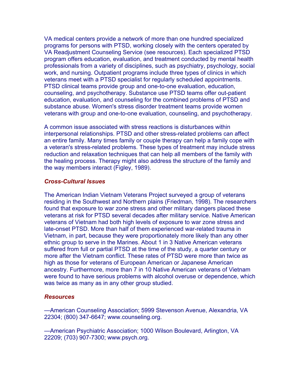VA medical centers provide a network of more than one hundred specialized programs for persons with PTSD, working closely with the centers operated by VA Readjustment Counseling Service (see resources). Each specialized PTSD program offers education, evaluation, and treatment conducted by mental health professionals from a variety of disciplines, such as psychiatry, psychology, social work, and nursing. Outpatient programs include three types of clinics in which veterans meet with a PTSD specialist for regularly scheduled appointments. PTSD clinical teams provide group and one-to-one evaluation, education, counseling, and psychotherapy. Substance use PTSD teams offer out-patient education, evaluation, and counseling for the combined problems of PTSD and substance abuse. Women's stress disorder treatment teams provide women veterans with group and one-to-one evaluation, counseling, and psychotherapy.

A common issue associated with stress reactions is disturbances within interpersonal relationships. PTSD and other stress-related problems can affect an entire family. Many times family or couple therapy can help a family cope with a veteran's stress-related problems. These types of treatment may include stress reduction and relaxation techniques that can help all members of the family with the healing process. Therapy might also address the structure of the family and the way members interact (Figley, 1989).

### *Cross-Cultural Issues*

The American Indian Vietnam Veterans Project surveyed a group of veterans residing in the Southwest and Northern plains (Friedman, 1998). The researchers found that exposure to war zone stress and other military dangers placed these veterans at risk for PTSD several decades after military service. Native American veterans of Vietnam had both high levels of exposure to war zone stress and late-onset PTSD. More than half of them experienced war-related trauma in Vietnam, in part, because they were proportionately more likely than any other ethnic group to serve in the Marines. About 1 in 3 Native American veterans suffered from full or partial PTSD at the time of the study, a quarter century or more after the Vietnam conflict. These rates of PTSD were more than twice as high as those for veterans of European American or Japanese American ancestry. Furthermore, more than 7 in 10 Native American veterans of Vietnam were found to have serious problems with alcohol overuse or dependence, which was twice as many as in any other group studied.

#### *Resources*

—American Counseling Association; 5999 Stevenson Avenue, Alexandria, VA 22304; (800) 347-6647; www.counseling.org.

—American Psychiatric Association; 1000 Wilson Boulevard, Arlington, VA 22209; (703) 907-7300; www.psych.org.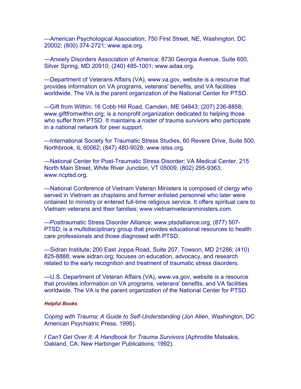—American Psychological Association; 750 First Street, NE, Washington, DC 20002; (800) 374-2721; www.apa.org.

—Anxiety Disorders Association of America; 8730 Georgia Avenue, Suite 600, Silver Spring, MD 20910; (240) 485-1001; www.adaa.org.

—Department of Veterans Affairs (VA), www.va.gov, website is a resource that provides information on VA programs, veterans' benefits, and VA facilities worldwide. The VA is the parent organization of the National Center for PTSD.

—Gift from Within; 16 Cobb Hill Road, Camden, ME 04843; (207) 236-8858; www.giftfromwithin.org; is a nonprofit organization dedicated to helping those who suffer from PTSD. It maintains a roster of trauma survivors who participate in a national network for peer support.

—International Society for Traumatic Stress Studies, 60 Revere Drive, Suite 500, Northbrook, IL 60062; (847) 480-9028; www.istss.org.

—National Center for Post-Traumatic Stress Disorder; VA Medical Center, 215 North Main Street, White River Junction, VT 05009; (802) 295-9363; www.ncptsd.org.

—National Conference of Vietnam Veteran Ministers is composed of clergy who served in Vietnam as chaplains and former enlisted personnel who later were ordained to ministry or entered full-time religious service. It offers spiritual care to Vietnam veterans and their families; www.vietnamveteranministers.com.

—Posttraumatic Stress Disorder Alliance; www.ptsdalliance.org; (877) 507- PTSD; is a multidisciplinary group that provides educational resources to health care professionals and those diagnosed with PTSD.

—Sidran Institute; 200 East Joppa Road, Suite 207, Towson, MD 21286; (410) 825-8888; www.sidran.org; focuses on education, advocacy, and research related to the early recognition and treatment of traumatic stress disorders.

—U.S. Department of Veteran Affairs (VA), www.va.gov, website is a resource that provides information on VA programs, veterans' benefits, and VA facilities worldwide. The VA is the parent organization of the National Center for PTSD.

#### *Helpful Books*

*Coping with Trauma: A Guide to Self-Understanding* (Jon Allen, Washington, DC: American Psychiatric Press, 1995).

*I Can't Get Over It: A Handbook for Trauma Survivors* (Aphrodite Matsakis, Oakland, CA: New Harbinger Publications, 1992).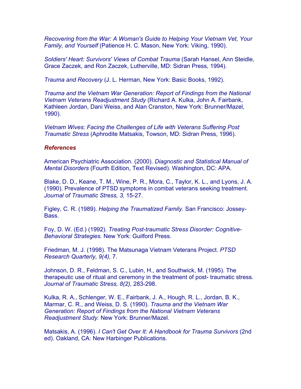*Recovering from the War: A Woman's Guide to Helping Your Vietnam Vet, Your Family, and Yourself* (Patience H. C. Mason, New York: Viking, 1990).

*Soldiers' Heart: Survivors' Views of Combat Trauma* (Sarah Hansel, Ann Steidle, Grace Zaczek, and Ron Zaczek, Lutherville, MD: Sidran Press, 1994).

*Trauma and Recovery* (J. L. Herman, New York: Basic Books, 1992).

*Trauma and the Vietnam War Generation: Report of Findings from the National Vietnam Veterans Readjustment Study* (Richard A. Kulka, John A. Fairbank, Kathleen Jordan, Dani Weiss, and Alan Cranston, New York: Brunner/Mazel, 1990).

*Vietnam Wives: Facing the Challenges of Life with Veterans Suffering Post Traumatic Stress* (Aphrodite Matsakis, Towson, MD: Sidran Press, 1996).

#### *References*

American Psychiatric Association. (2000). *Diagnostic and Statistical Manual of Mental Disorders* (Fourth Edition, Text Revised). Washington, DC: APA.

Blake, D. D., Keane, T. M., Wine, P. R., Mora, C., Taylor, K. L., and Lyons, J. A. (1990). Prevalence of PTSD symptoms in combat veterans seeking treatment. *Journal of Traumatic Stress, 3,* 15-27.

Figley, C. R. (1989). *Helping the Traumatized Family.* San Francisco: Jossey-Bass.

Foy, D. W. (Ed.) (1992). *Treating Post-traumatic Stress Disorder: Cognitive-Behavioral Strategies.* New York: Guilford Press.

Friedman, M. J. (1998). The Matsunaga Vietnam Veterans Project. *PTSD Research Quarterly, 9(4),* 7.

Johnson, D. R., Feldman, S. C., Lubin, H., and Southwick, M. (1995). The therapeutic use of ritual and ceremony in the treatment of post- traumatic stress. *Journal of Traumatic Stress, 8(2),* 283-298.

Kulka, R. A., Schlenger, W. E., Fairbank, J. A., Hough, R. L., Jordan, B. K., Marmar, C. R., and Weiss, D. S. (1990). *Trauma and the Vietnam War Generation: Report of Findings from the National Vietnam Veterans Readjustment Study.* New York: Brunner/Mazel.

Matsakis, A. (1996). *I Can't Get Over It: A Handbook for Trauma Survivors* (2nd ed). Oakland, CA: New Harbinger Publications.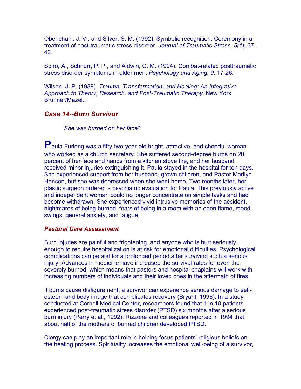Obenchain, J. V., and Silver, S. M. (1992). Symbolic recognition: Ceremony in a treatment of post-traumatic stress disorder. *Journal of Traumatic Stress, 5(1),* 37- 43.

Spiro, A., Schnurr, P. P., and Aldwin, C. M. (1994). Combat-related posttraumatic stress disorder symptoms in older men. *Psychology and Aging, 9,* 17-26.

Wilson, J. P. (1989). *Trauma, Transformation, and Healing: An Integrative Approach to Theory, Research, and Post-Traumatic Therapy.* New York: Brunner/Mazel.

# *Case 14--Burn Survivor*

*"She was burned on her face"*

**P**aula Furlong was a fifty-two-year-old bright, attractive, and cheerful woman who worked as a church secretary. She suffered second-degree burns on 20 percent of her face and hands from a kitchen stove fire, and her husband received minor injuries extinguishing it. Paula stayed in the hospital for ten days. She experienced support from her husband, grown children, and Pastor Marilyn Hanson, but she was depressed when she went home. Two months later, her plastic surgeon ordered a psychiatric evaluation for Paula. This previously active and independent woman could no longer concentrate on simple tasks and had become withdrawn. She experienced vivid intrusive memories of the accident, nightmares of being burned, fears of being in a room with an open flame, mood swings, general anxiety, and fatigue.

## *Pastoral Care Assessment*

Burn injuries are painful and frightening, and anyone who is hurt seriously enough to require hospitalization is at risk for emotional difficulties. Psychological complications can persist for a prolonged period after surviving such a serious injury. Advances in medicine have increased the survival rates for even the severely burned, which means that pastors and hospital chaplains will work with increasing numbers of individuals and their loved ones in the aftermath of fires.

If burns cause disfigurement, a survivor can experience serious damage to selfesteem and body image that complicates recovery (Bryant, 1996). In a study conducted at Cornell Medical Center, researchers found that 4 in 10 patients experienced post-traumatic stress disorder (PTSD) six months after a serious burn injury (Perry et al., 1992). Rizzone and colleagues reported in 1994 that about half of the mothers of burned children developed PTSD.

Clergy can play an important role in helping focus patients' religious beliefs on the healing process. Spirituality increases the emotional well-being of a survivor,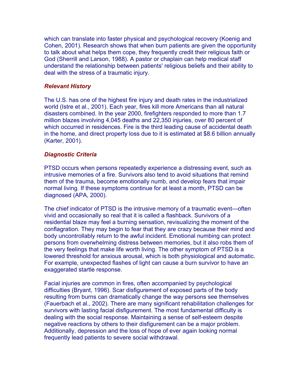which can translate into faster physical and psychological recovery (Koenig and Cohen, 2001). Research shows that when burn patients are given the opportunity to talk about what helps them cope, they frequently credit their religious faith or God (Sherrill and Larson, 1988). A pastor or chaplain can help medical staff understand the relationship between patients' religious beliefs and their ability to deal with the stress of a traumatic injury.

### *Relevant History*

The U.S. has one of the highest fire injury and death rates in the industrialized world (Istre et al., 2001). Each year, fires kill more Americans than all natural disasters combined. In the year 2000, firefighters responded to more than 1.7 million blazes involving 4,045 deaths and 22,350 injuries, over 80 percent of which occurred in residences. Fire is the third leading cause of accidental death in the home, and direct property loss due to it is estimated at \$8.6 billion annually (Karter, 2001).

### *Diagnostic Criteria*

PTSD occurs when persons repeatedly experience a distressing event, such as intrusive memories of a fire. Survivors also tend to avoid situations that remind them of the trauma, become emotionally numb, and develop fears that impair normal living. If these symptoms continue for at least a month, PTSD can be diagnosed (APA, 2000).

The chief indicator of PTSD is the intrusive memory of a traumatic event—often vivid and occasionally so real that it is called a flashback. Survivors of a residential blaze may feel a burning sensation, revisualizing the moment of the conflagration. They may begin to fear that they are crazy because their mind and body uncontrollably return to the awful incident. Emotional numbing can protect persons from overwhelming distress between memories, but it also robs them of the very feelings that make life worth living. The other symptom of PTSD is a lowered threshold for anxious arousal, which is both physiological and automatic. For example, unexpected flashes of light can cause a burn survivor to have an exaggerated startle response.

Facial injuries are common in fires, often accompanied by psychological difficulties (Bryant, 1996). Scar disfigurement of exposed parts of the body resulting from burns can dramatically change the way persons see themselves (Fauerbach et al., 2002). There are many significant rehabilitation challenges for survivors with lasting facial disfigurement. The most fundamental difficulty is dealing with the social response. Maintaining a sense of self-esteem despite negative reactions by others to their disfigurement can be a major problem. Additionally, depression and the loss of hope of ever again looking normal frequently lead patients to severe social withdrawal.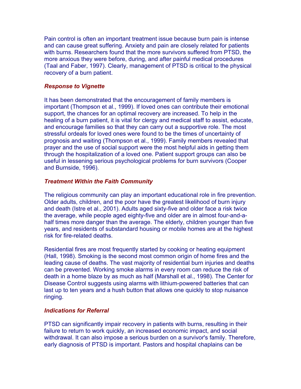Pain control is often an important treatment issue because burn pain is intense and can cause great suffering. Anxiety and pain are closely related for patients with burns. Researchers found that the more survivors suffered from PTSD, the more anxious they were before, during, and after painful medical procedures (Taal and Faber, 1997). Clearly, management of PTSD is critical to the physical recovery of a burn patient.

### *Response to Vignette*

It has been demonstrated that the encouragement of family members is important (Thompson et al., 1999). If loved ones can contribute their emotional support, the chances for an optimal recovery are increased. To help in the healing of a burn patient, it is vital for clergy and medical staff to assist, educate, and encourage families so that they can carry out a supportive role. The most stressful ordeals for loved ones were found to be the times of uncertainty of prognosis and waiting (Thompson et al., 1999). Family members revealed that prayer and the use of social support were the most helpful aids in getting them through the hospitalization of a loved one. Patient support groups can also be useful in lessening serious psychological problems for burn survivors (Cooper and Burnside, 1996).

#### *Treatment Within the Faith Community*

The religious community can play an important educational role in fire prevention. Older adults, children, and the poor have the greatest likelihood of burn injury and death (Istre et al., 2001). Adults aged sixty-five and older face a risk twice the average, while people aged eighty-five and older are in almost four-and-ahalf times more danger than the average. The elderly, children younger than five years, and residents of substandard housing or mobile homes are at the highest risk for fire-related deaths.

Residential fires are most frequently started by cooking or heating equipment (Hall, 1998). Smoking is the second most common origin of home fires and the leading cause of deaths. The vast majority of residential burn injuries and deaths can be prevented. Working smoke alarms in every room can reduce the risk of death in a home blaze by as much as half (Marshall et al., 1998). The Center for Disease Control suggests using alarms with lithium-powered batteries that can last up to ten years and a hush button that allows one quickly to stop nuisance ringing.

#### *Indications for Referral*

PTSD can significantly impair recovery in patients with burns, resulting in their failure to return to work quickly, an increased economic impact, and social withdrawal. It can also impose a serious burden on a survivor's family. Therefore, early diagnosis of PTSD is important. Pastors and hospital chaplains can be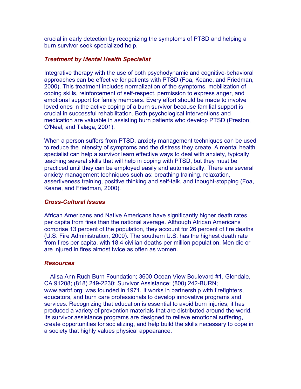crucial in early detection by recognizing the symptoms of PTSD and helping a burn survivor seek specialized help.

## *Treatment by Mental Health Specialist*

Integrative therapy with the use of both psychodynamic and cognitive-behavioral approaches can be effective for patients with PTSD (Foa, Keane, and Friedman, 2000). This treatment includes normalization of the symptoms, mobilization of coping skills, reinforcement of self-respect, permission to express anger, and emotional support for family members. Every effort should be made to involve loved ones in the active coping of a burn survivor because familial support is crucial in successful rehabilitation. Both psychological interventions and medication are valuable in assisting burn patients who develop PTSD (Preston, O'Neal, and Talaga, 2001).

When a person suffers from PTSD, anxiety management techniques can be used to reduce the intensity of symptoms and the distress they create. A mental health specialist can help a survivor learn effective ways to deal with anxiety, typically teaching several skills that will help in coping with PTSD, but they must be practiced until they can be employed easily and automatically. There are several anxiety management techniques such as: breathing training, relaxation, assertiveness training, positive thinking and self-talk, and thought-stopping (Foa, Keane, and Friedman, 2000).

# *Cross-Cultural Issues*

African Americans and Native Americans have significantly higher death rates per capita from fires than the national average. Although African Americans comprise 13 percent of the population, they account for 26 percent of fire deaths (U.S. Fire Administration, 2000). The southern U.S. has the highest death rate from fires per capita, with 18.4 civilian deaths per million population. Men die or are injured in fires almost twice as often as women.

## *Resources*

—Alisa Ann Ruch Burn Foundation; 3600 Ocean View Boulevard #1, Glendale, CA 91208; (818) 249-2230; Survivor Assistance: (800) 242-BURN; www.aarbf.org; was founded in 1971. It works in partnership with firefighters, educators, and burn care professionals to develop innovative programs and services. Recognizing that education is essential to avoid burn injuries, it has produced a variety of prevention materials that are distributed around the world. Its survivor assistance programs are designed to relieve emotional suffering, create opportunities for socializing, and help build the skills necessary to cope in a society that highly values physical appearance.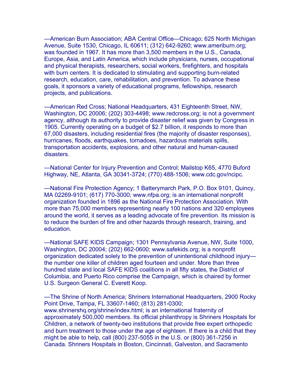—American Burn Association; ABA Central Office—Chicago; 625 North Michigan Avenue, Suite 1530, Chicago, IL 60611; (312) 642-9260; www.ameriburn.org; was founded in 1967. It has more than 3,500 members in the U.S., Canada, Europe, Asia, and Latin America, which include physicians, nurses, occupational and physical therapists, researchers, social workers, firefighters, and hospitals with burn centers. It is dedicated to stimulating and supporting burn-related research, education, care, rehabilitation, and prevention. To advance these goals, it sponsors a variety of educational programs, fellowships, research projects, and publications.

—American Red Cross; National Headquarters, 431 Eighteenth Street, NW, Washington, DC 20006; (202) 303-4498; www.redcross.org; is not a government agency, although its authority to provide disaster relief was given by Congress in 1905. Currently operating on a budget of \$2.7 billion, it responds to more than 67,000 disasters, including residential fires (the majority of disaster responses), hurricanes, floods, earthquakes, tornadoes, hazardous materials spills, transportation accidents, explosions, and other natural and human-caused disasters.

—National Center for Injury Prevention and Control; Mailstop K65, 4770 Buford Highway, NE, Atlanta, GA 30341-3724; (770) 488-1506; www.cdc.gov/ncipc.

—National Fire Protection Agency; 1 Batterymarch Park, P.O. Box 9101, Quincy, MA 02269-9101; (617) 770-3000; www.nfpa.org; is an international nonprofit organization founded in 1896 as the National Fire Protection Association. With more than 75,000 members representing nearly 100 nations and 320 employees around the world, it serves as a leading advocate of fire prevention. Its mission is to reduce the burden of fire and other hazards through research, training, and education.

—National SAFE KIDS Campaign; 1301 Pennsylvania Avenue, NW, Suite 1000, Washington, DC 20004; (202) 662-0600; www.safekids.org; is a nonprofit organization dedicated solely to the prevention of unintentional childhood injury the number one killer of children aged fourteen and under. More than three hundred state and local SAFE KIDS coalitions in all fifty states, the District of Columbia, and Puerto Rico comprise the Campaign, which is chaired by former U.S. Surgeon General C. Everett Koop.

—The Shrine of North America; Shriners International Headquarters, 2900 Rocky Point Drive, Tampa, FL 33607-1460; (813) 281-0300; www.shrinershq.org/shrine/index.html; is an international fraternity of approximately 500,000 members. Its official philanthropy is Shriners Hospitals for Children, a network of twenty-two institutions that provide free expert orthopedic and burn treatment to those under the age of eighteen. If there is a child that they might be able to help, call (800) 237-5055 in the U.S. or (800) 361-7256 in Canada. Shriners Hospitals in Boston, Cincinnati, Galveston, and Sacramento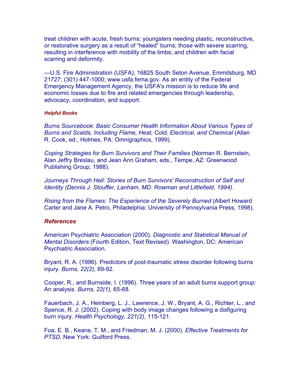treat children with acute, fresh burns; youngsters needing plastic, reconstructive, or restorative surgery as a result of "healed" burns; those with severe scarring, resulting in interference with mobility of the limbs; and children with facial scarring and deformity.

—U.S. Fire Administration (USFA); 16825 South Seton Avenue, Emmitsburg, MD 21727; (301) 447-1000; www.usfa.fema.gov. As an entity of the Federal Emergency Management Agency, the USFA's mission is to reduce life and economic losses due to fire and related emergencies through leadership, advocacy, coordination, and support.

#### *Helpful Books*

*Burns Sourcebook: Basic Consumer Health Information About Various Types of Burns and Scalds, Including Flame, Heat, Cold, Electrical, and Chemical* (Allan R. Cook, ed., Holmes, PA: Omnigraphics, 1999).

*Coping Strategies for Burn Survivors and Their Families* (Norman R. Bernstein, Alan Jeffry Breslau, and Jean Ann Graham, eds., Tempe, AZ: Greenwood Publishing Group, 1988).

*Journeys Through Hell: Stories of Burn Survivors' Reconstruction of Self and Identity (Dennis J. Stouffer, Lanham, MD: Rowman and Littlefield, 1994).* 

*Rising from the Flames: The Experience of the Severely Burned* (Albert Howard Carter and Jane A. Petro, Philadelphia: University of Pennsylvania Press, 1998).

### *References*

American Psychiatric Association (2000). *Diagnostic and Statistical Manual of Mental Disorders* (Fourth Edition, Text Revised). Washington, DC: American Psychiatric Association.

Bryant, R. A. (1996). Predictors of post-traumatic stress disorder following burns injury. *Burns, 22(2),* 89-92.

Cooper, R., and Burnside, I. (1996). Three years of an adult burns support group: An analysis. *Burns, 22(1),* 65-68.

Fauerbach, J. A., Heinberg, L. J., Lawrence, J. W., Bryant, A. G., Richter, L., and Spence, R. J. (2002). Coping with body image changes following a disfiguring burn injury. *Health Psychology, 221(2),* 115-121.

Foa, E. B., Keane, T. M., and Friedman, M. J. (2000). *Effective Treatments for PTSD.* New York: Guilford Press.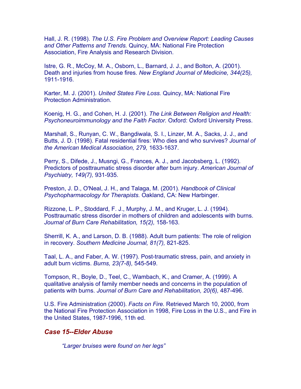Hall, J. R. (1998). *The U.S. Fire Problem and Overview Report: Leading Causes and Other Patterns and Trends.* Quincy, MA: National Fire Protection Association, Fire Analysis and Research Division.

Istre, G. R., McCoy, M. A., Osborn, L., Barnard, J. J., and Bolton, A. (2001). Death and injuries from house fires. *New England Journal of Medicine, 344(25),* 1911-1916.

Karter, M. J. (2001). *United States Fire Loss.* Quincy, MA: National Fire Protection Administration.

Koenig, H. G., and Cohen, H. J. (2001). *The Link Between Religion and Health: Psychoneuroimmunology and the Faith Factor.* Oxford: Oxford University Press.

Marshall, S., Runyan, C. W., Bangdiwala, S. I., Linzer, M. A., Sacks, J. J., and Butts, J. D. (1998). Fatal residential fires: Who dies and who survives? *Journal of the American Medical Association, 279,* 1633-1637.

Perry, S., Difede, J., Musngi, G., Frances, A. J., and Jacobsberg, L. (1992). Predictors of posttraumatic stress disorder after burn injury. *American Journal of Psychiatry, 149(7),* 931-935.

Preston, J. D., O'Neal, J. H., and Talaga, M. (2001). *Handbook of Clinical Psychopharmacology for Therapists.* Oakland, CA: New Harbinger.

Rizzone, L. P., Stoddard, F. J., Murphy, J. M., and Kruger, L. J. (1994). Posttraumatic stress disorder in mothers of children and adolescents with burns. *Journal of Burn Care Rehabilitation, 15(2),* 158-163.

Sherrill, K. A., and Larson, D. B. (1988). Adult burn patients: The role of religion in recovery. *Southern Medicine Journal, 81(7),* 821-825.

Taal, L. A., and Faber, A. W. (1997). Post-traumatic stress, pain, and anxiety in adult burn victims. *Burns, 23(7-8),* 545-549.

Tompson, R., Boyle, D., Teel, C., Wambach, K., and Cramer, A. (1999). A qualitative analysis of family member needs and concerns in the population of patients with burns. *Journal of Burn Care and Rehabilitation, 20(6),* 487-496.

U.S. Fire Administration (2000). *Facts on Fire.* Retrieved March 10, 2000, from the National Fire Protection Association in 1998, Fire Loss in the U.S., and Fire in the United States, 1987-1996, 11th ed.

# *Case 15--Elder Abuse*

*"Larger bruises were found on her legs"*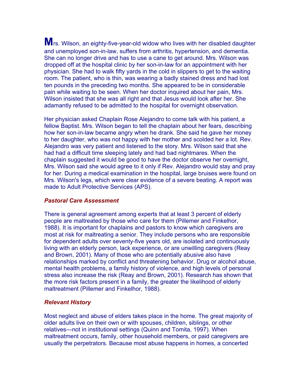**M**rs. Wilson, an eighty-five-year-old widow who lives with her disabled daughter and unemployed son-in-law, suffers from arthritis, hypertension, and dementia. She can no longer drive and has to use a cane to get around. Mrs. Wilson was dropped off at the hospital clinic by her son-in-law for an appointment with her physician. She had to walk fifty yards in the cold in slippers to get to the waiting room. The patient, who is thin, was wearing a badly stained dress and had lost ten pounds in the preceding two months. She appeared to be in considerable pain while waiting to be seen. When her doctor inquired about her pain, Mrs. Wilson insisted that she was all right and that Jesus would look after her. She adamantly refused to be admitted to the hospital for overnight observation.

Her physician asked Chaplain Rose Alejandro to come talk with his patient, a fellow Baptist. Mrs. Wilson began to tell the chaplain about her fears, describing how her son-in-law became angry when he drank. She said he gave her money to her daughter, who was not happy with her mother and scolded her a lot. Rev. Alejandro was very patient and listened to the story. Mrs. Wilson said that she had had a difficult time sleeping lately and had bad nightmares. When the chaplain suggested it would be good to have the doctor observe her overnight, Mrs. Wilson said she would agree to it only if Rev. Alejandro would stay and pray for her. During a medical examination in the hospital, large bruises were found on Mrs. Wilson's legs, which were clear evidence of a severe beating. A report was made to Adult Protective Services (APS).

## *Pastoral Care Assessment*

There is general agreement among experts that at least 3 percent of elderly people are maltreated by those who care for them (Pillemer and Finkelhor, 1988). It is important for chaplains and pastors to know which caregivers are most at risk for maltreating a senior. They include persons who are responsible for dependent adults over seventy-five years old, are isolated and continuously living with an elderly person, lack experience, or are unwilling caregivers (Reay and Brown, 2001). Many of those who are potentially abusive also have relationships marked by conflict and threatening behavior. Drug or alcohol abuse, mental health problems, a family history of violence, and high levels of personal stress also increase the risk (Reay and Brown, 2001). Research has shown that the more risk factors present in a family, the greater the likelihood of elderly maltreatment (Pillemer and Finkelhor, 1988).

### *Relevant History*

Most neglect and abuse of elders takes place in the home. The great majority of older adults live on their own or with spouses, children, siblings, or other relatives—not in institutional settings (Quinn and Tomita, 1997). When maltreatment occurs, family, other household members, or paid caregivers are usually the perpetrators. Because most abuse happens in homes, a concerted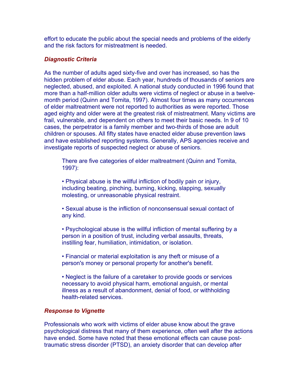effort to educate the public about the special needs and problems of the elderly and the risk factors for mistreatment is needed.

## *Diagnostic Criteria*

As the number of adults aged sixty-five and over has increased, so has the hidden problem of elder abuse. Each year, hundreds of thousands of seniors are neglected, abused, and exploited. A national study conducted in 1996 found that more than a half-million older adults were victims of neglect or abuse in a twelvemonth period (Quinn and Tomita, 1997). Almost four times as many occurrences of elder maltreatment were not reported to authorities as were reported. Those aged eighty and older were at the greatest risk of mistreatment. Many victims are frail, vulnerable, and dependent on others to meet their basic needs. In 9 of 10 cases, the perpetrator is a family member and two-thirds of those are adult children or spouses. All fifty states have enacted elder abuse prevention laws and have established reporting systems. Generally, APS agencies receive and investigate reports of suspected neglect or abuse of seniors.

There are five categories of elder maltreatment (Quinn and Tomita, 1997):

• Physical abuse is the willful infliction of bodily pain or injury, including beating, pinching, burning, kicking, slapping, sexually molesting, or unreasonable physical restraint.

• Sexual abuse is the infliction of nonconsensual sexual contact of any kind.

• Psychological abuse is the willful infliction of mental suffering by a person in a position of trust, including verbal assaults, threats, instilling fear, humiliation, intimidation, or isolation.

• Financial or material exploitation is any theft or misuse of a person's money or personal property for another's benefit.

• Neglect is the failure of a caretaker to provide goods or services necessary to avoid physical harm, emotional anguish, or mental illness as a result of abandonment, denial of food, or withholding health-related services.

## *Response to Vignette*

Professionals who work with victims of elder abuse know about the grave psychological distress that many of them experience, often well after the actions have ended. Some have noted that these emotional effects can cause posttraumatic stress disorder (PTSD), an anxiety disorder that can develop after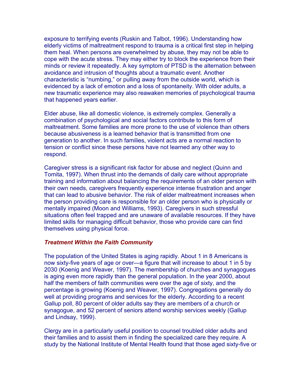exposure to terrifying events (Ruskin and Talbot, 1996). Understanding how elderly victims of maltreatment respond to trauma is a critical first step in helping them heal. When persons are overwhelmed by abuse, they may not be able to cope with the acute stress. They may either try to block the experience from their minds or review it repeatedly. A key symptom of PTSD is the alternation between avoidance and intrusion of thoughts about a traumatic event. Another characteristic is "numbing," or pulling away from the outside world, which is evidenced by a lack of emotion and a loss of spontaneity. With older adults, a new traumatic experience may also reawaken memories of psychological trauma that happened years earlier.

Elder abuse, like all domestic violence, is extremely complex. Generally a combination of psychological and social factors contribute to this form of maltreatment. Some families are more prone to the use of violence than others because abusiveness is a learned behavior that is transmitted from one generation to another. In such families, violent acts are a normal reaction to tension or conflict since these persons have not learned any other way to respond.

Caregiver stress is a significant risk factor for abuse and neglect (Quinn and Tomita, 1997). When thrust into the demands of daily care without appropriate training and information about balancing the requirements of an older person with their own needs, caregivers frequently experience intense frustration and anger that can lead to abusive behavior. The risk of elder maltreatment increases when the person providing care is responsible for an older person who is physically or mentally impaired (Moon and Williams, 1993). Caregivers in such stressful situations often feel trapped and are unaware of available resources. If they have limited skills for managing difficult behavior, those who provide care can find themselves using physical force.

#### *Treatment Within the Faith Community*

The population of the United States is aging rapidly. About 1 in 8 Americans is now sixty-five years of age or over—a figure that will increase to about 1 in 5 by 2030 (Koenig and Weaver, 1997). The membership of churches and synagogues is aging even more rapidly than the general population. In the year 2000, about half the members of faith communities were over the age of sixty, and the percentage is growing (Koenig and Weaver, 1997). Congregations generally do well at providing programs and services for the elderly. According to a recent Gallup poll, 80 percent of older adults say they are members of a church or synagogue, and 52 percent of seniors attend worship services weekly (Gallup and Lindsay, 1999).

Clergy are in a particularly useful position to counsel troubled older adults and their families and to assist them in finding the specialized care they require. A study by the National Institute of Mental Health found that those aged sixty-five or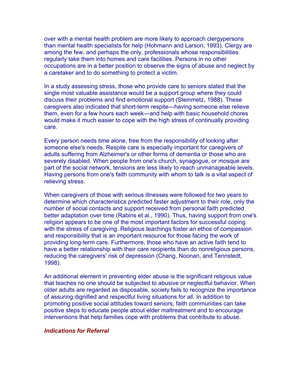over with a mental health problem are more likely to approach clergypersons than mental health specialists for help (Hohmann and Larson, 1993). Clergy are among the few, and perhaps the only, professionals whose responsibilities regularly take them into homes and care facilities. Persons in no other occupations are in a better position to observe the signs of abuse and neglect by a caretaker and to do something to protect a victim.

In a study assessing stress, those who provide care to seniors stated that the single most valuable assistance would be a support group where they could discuss their problems and find emotional support (Steinmetz, 1988). These caregivers also indicated that short-term respite—having someone else relieve them, even for a few hours each week—and help with basic household chores would make it much easier to cope with the high stress of continually providing care.

Every person needs time alone, free from the responsibility of looking after someone else's needs. Respite care is especially important for caregivers of adults suffering from Alzheimer's or other forms of dementia or those who are severely disabled. When people from one's church, synagogue, or mosque are part of the social network, tensions are less likely to reach unmanageable levels. Having persons from one's faith community with whom to talk is a vital aspect of relieving stress.

When caregivers of those with serious illnesses were followed for two years to determine which characteristics predicted faster adjustment to their role, only the number of social contacts and support received from personal faith predicted better adaptation over time (Rabins et al., 1990). Thus, having support from one's religion appears to be one of the most important factors for successful coping with the stress of caregiving. Religious teachings foster an ethos of compassion and responsibility that is an important resource for those facing the work of providing long-term care. Furthermore, those who have an active faith tend to have a better relationship with their care recipients than do nonreligious persons, reducing the caregivers' risk of depression (Chang, Noonan, and Tennstedt, 1998).

An additional element in preventing elder abuse is the significant religious value that teaches no one should be subjected to abusive or neglectful behavior. When older adults are regarded as disposable, society fails to recognize the importance of assuring dignified and respectful living situations for all. In addition to promoting positive social attitudes toward seniors, faith communities can take positive steps to educate people about elder maltreatment and to encourage interventions that help families cope with problems that contribute to abuse.

## *Indications for Referral*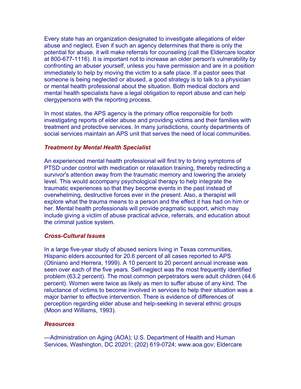Every state has an organization designated to investigate allegations of elder abuse and neglect. Even if such an agency determines that there is only the potential for abuse, it will make referrals for counseling (call the Eldercare locator at 800-677-1116). It is important not to increase an older person's vulnerability by confronting an abuser yourself, unless you have permission and are in a position immediately to help by moving the victim to a safe place. If a pastor sees that someone is being neglected or abused, a good strategy is to talk to a physician or mental health professional about the situation. Both medical doctors and mental health specialists have a legal obligation to report abuse and can help clergypersons with the reporting process.

In most states, the APS agency is the primary office responsible for both investigating reports of elder abuse and providing victims and their families with treatment and protective services. In many jurisdictions, county departments of social services maintain an APS unit that serves the need of local communities.

## *Treatment by Mental Health Specialist*

An experienced mental health professional will first try to bring symptoms of PTSD under control with medication or relaxation training, thereby redirecting a survivor's attention away from the traumatic memory and lowering the anxiety level. This would accompany psychological therapy to help integrate the traumatic experiences so that they become events in the past instead of overwhelming, destructive forces ever in the present. Also, a therapist will explore what the trauma means to a person and the effect it has had on him or her. Mental health professionals will provide pragmatic support, which may include giving a victim of abuse practical advice, referrals, and education about the criminal justice system.

#### *Cross-Cultural Issues*

In a large five-year study of abused seniors living in Texas communities, Hispanic elders accounted for 20.6 percent of all cases reported to APS (Otiniano and Herrera, 1999). A 10 percent to 20 percent annual increase was seen over each of the five years. Self-neglect was the most frequently identified problem (63.2 percent). The most common perpetrators were adult children (44.6 percent). Women were twice as likely as men to suffer abuse of any kind. The reluctance of victims to become involved in services to help their situation was a major barrier to effective intervention. There is evidence of differences of perception regarding elder abuse and help-seeking in several ethnic groups (Moon and Williams, 1993).

# *Resources*

—Administration on Aging (AOA); U.S. Department of Health and Human Services, Washington, DC 20201; (202) 619-0724; www.aoa.gov; Eldercare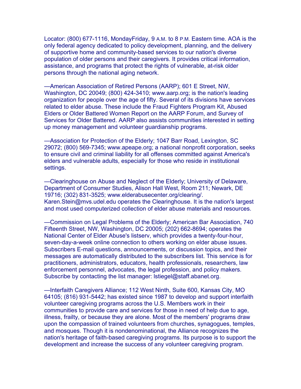Locator: (800) 677-1116, MondayFriday, 9 A.M. to 8 P.M. Eastern time. AOA is the only federal agency dedicated to policy development, planning, and the delivery of supportive home and community-based services to our nation's diverse population of older persons and their caregivers. It provides critical information, assistance, and programs that protect the rights of vulnerable, at-risk older persons through the national aging network.

—American Association of Retired Persons (AARP); 601 E Street, NW, Washington, DC 20049; (800) 424-3410; www.aarp.org; is the nation's leading organization for people over the age of fifty. Several of its divisions have services related to elder abuse. These include the Fraud Fighters Program Kit, Abused Elders or Older Battered Women Report on the AARP Forum, and Survey of Services for Older Battered. AARP also assists communities interested in setting up money management and volunteer guardianship programs.

—Association for Protection of the Elderly; 1047 Barr Road, Lexington, SC 29072; (800) 569-7345; www.apeape.org; a national nonprofit corporation, seeks to ensure civil and criminal liability for all offenses committed against America's elders and vulnerable adults, especially for those who reside in institutional settings.

—Clearinghouse on Abuse and Neglect of the Elderly; University of Delaware, Department of Consumer Studies, Alison Hall West, Room 211; Newark, DE 19716; (302) 831-3525; www.elderabusecenter.org/clearing/. Karen.Stein@mvs.udel.edu operates the Clearinghouse. It is the nation's largest and most used computerized collection of elder abuse materials and resources.

—Commission on Legal Problems of the Elderly; American Bar Association, 740 Fifteenth Street, NW, Washington, DC 20005; (202) 662-8694; operates the National Center of Elder Abuse's listserv, which provides a twenty-four-hour, seven-day-a-week online connection to others working on elder abuse issues. Subscribers E-mail questions, announcements, or discussion topics, and their messages are automatically distributed to the subscribers list. This service is for practitioners, administrators, educators, health professionals, researchers, law enforcement personnel, advocates, the legal profession, and policy makers. Subscribe by contacting the list manager: lstiegel@staff.abanet.org.

—Interfaith Caregivers Alliance; 112 West Ninth, Suite 600, Kansas City, MO 64105; (816) 931-5442; has existed since 1987 to develop and support interfaith volunteer caregiving programs across the U.S. Members work in their communities to provide care and services for those in need of help due to age, illness, frailty, or because they are alone. Most of the members' programs draw upon the compassion of trained volunteers from churches, synagogues, temples, and mosques. Though it is nondenominational, the Alliance recognizes the nation's heritage of faith-based caregiving programs. Its purpose is to support the development and increase the success of any volunteer caregiving program.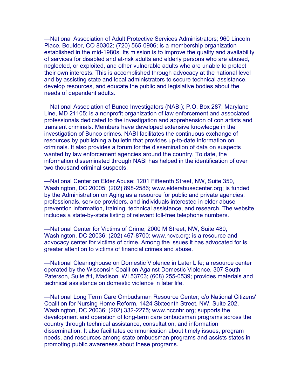—National Association of Adult Protective Services Administrators; 960 Lincoln Place, Boulder, CO 80302; (720) 565-0906; is a membership organization established in the mid-1980s. Its mission is to improve the quality and availability of services for disabled and at-risk adults and elderly persons who are abused, neglected, or exploited, and other vulnerable adults who are unable to protect their own interests. This is accomplished through advocacy at the national level and by assisting state and local administrators to secure technical assistance, develop resources, and educate the public and legislative bodies about the needs of dependent adults.

—National Association of Bunco Investigators (NABI); P.O. Box 287; Maryland Line, MD 21105; is a nonprofit organization of law enforcement and associated professionals dedicated to the investigation and apprehension of con artists and transient criminals. Members have developed extensive knowledge in the investigation of Bunco crimes. NABI facilitates the continuous exchange of resources by publishing a bulletin that provides up-to-date information on criminals. It also provides a forum for the dissemination of data on suspects wanted by law enforcement agencies around the country. To date, the information disseminated through NABI has helped in the identification of over two thousand criminal suspects.

—National Center on Elder Abuse; 1201 Fifteenth Street, NW, Suite 350, Washington, DC 20005; (202) 898-2586; www.elderabusecenter.org; is funded by the Administration on Aging as a resource for public and private agencies, professionals, service providers, and individuals interested in elder abuse prevention information, training, technical assistance, and research. The website includes a state-by-state listing of relevant toll-free telephone numbers.

—National Center for Victims of Crime; 2000 M Street, NW, Suite 480, Washington, DC 20036; (202) 467-8700; www.ncvc.org; is a resource and advocacy center for victims of crime. Among the issues it has advocated for is greater attention to victims of financial crimes and abuse.

—National Clearinghouse on Domestic Violence in Later Life; a resource center operated by the Wisconsin Coalition Against Domestic Violence, 307 South Paterson, Suite #1, Madison, WI 53703; (608) 255-0539; provides materials and technical assistance on domestic violence in later life.

—National Long Term Care Ombudsman Resource Center; c/o National Citizens' Coalition for Nursing Home Reform, 1424 Sixteenth Street, NW, Suite 202, Washington, DC 20036; (202) 332-2275; www.nccnhr.org; supports the development and operation of long-term care ombudsman programs across the country through technical assistance, consultation, and information dissemination. It also facilitates communication about timely issues, program needs, and resources among state ombudsman programs and assists states in promoting public awareness about these programs.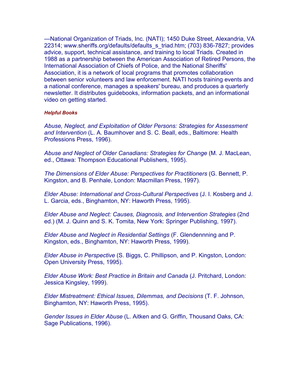—National Organization of Triads, Inc. (NATI); 1450 Duke Street, Alexandria, VA 22314; www.sheriffs.org/defaults/defaults\_s\_triad.htm; (703) 836-7827; provides advice, support, technical assistance, and training to local Triads. Created in 1988 as a partnership between the American Association of Retired Persons, the International Association of Chiefs of Police, and the National Sheriffs' Association, it is a network of local programs that promotes collaboration between senior volunteers and law enforcement. NATI hosts training events and a national conference, manages a speakers' bureau, and produces a quarterly newsletter. It distributes guidebooks, information packets, and an informational video on getting started.

#### *Helpful Books*

*Abuse, Neglect, and Exploitation of Older Persons: Strategies for Assessment and Intervention* (L. A. Baumhover and S. C. Beall, eds., Baltimore: Health Professions Press, 1996).

*Abuse and Neglect of Older Canadians: Strategies for Change* (M. J. MacLean, ed., Ottawa: Thompson Educational Publishers, 1995).

*The Dimensions of Elder Abuse: Perspectives for Practitioners* (G. Bennett, P. Kingston, and B. Penhale, London: Macmillan Press, 1997).

*Elder Abuse: International and Cross-Cultural Perspectives* (J. I. Kosberg and J. L. Garcia, eds., Binghamton, NY: Haworth Press, 1995).

*Elder Abuse and Neglect: Causes, Diagnosis, and Intervention Strategies* (2nd ed.) (M. J. Quinn and S. K. Tomita, New York: Springer Publishing, 1997).

*Elder Abuse and Neglect in Residential Settings* (F. Glendennning and P. Kingston, eds., Binghamton, NY: Haworth Press, 1999).

*Elder Abuse in Perspective* (S. Biggs, C. Phillipson, and P. Kingston, London: Open University Press, 1995).

*Elder Abuse Work: Best Practice in Britain and Canada* (J. Pritchard, London: Jessica Kingsley, 1999).

*Elder Mistreatment: Ethical Issues, Dilemmas, and Decisions* (T. F. Johnson, Binghamton, NY: Haworth Press, 1995).

*Gender Issues in Elder Abuse* (L. Aitken and G. Griffin, Thousand Oaks, CA: Sage Publications, 1996).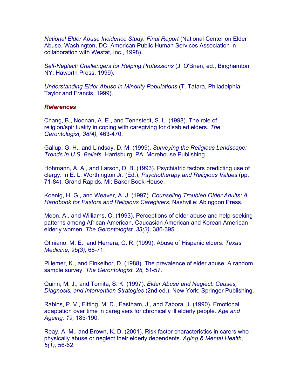*National Elder Abuse Incidence Study: Final Report* (National Center on Elder Abuse, Washington, DC: American Public Human Services Association in collaboration with Westat, Inc., 1998).

*Self-Neglect: Challengers for Helping Professions* (J. O'Brien, ed., Binghamton, NY: Haworth Press, 1999).

*Understanding Elder Abuse in Minority Populations* (T. Tatara, Philadelphia: Taylor and Francis, 1999).

#### *References*

Chang, B., Noonan, A. E., and Tennstedt, S. L. (1998). The role of religion/spirituality in coping with caregiving for disabled elders. *The Gerontologist, 38(4),* 463-470.

Gallup, G. H., and Lindsay, D. M. (1999). *Surveying the Religious Landscape: Trends in U.S. Beliefs.* Harrisburg, PA: Morehouse Publishing.

Hohmann, A. A., and Larson, D. B. (1993). Psychiatric factors predicting use of clergy. In E. L. Worthington Jr. (Ed.), *Psychotherapy and Religious Values* (pp. 71-84). Grand Rapids, MI: Baker Book House.

Koenig, H. G., and Weaver, A. J. (1997). *Counseling Troubled Older Adults: A Handbook for Pastors and Religious Caregivers.* Nashville: Abingdon Press.

Moon, A., and Williams, O. (1993). Perceptions of elder abuse and help-seeking patterns among African American, Caucasian American and Korean American elderly women. *The Gerontologist, 33(3),* 386-395.

Otiniano, M. E., and Herrera, C. R. (1999). Abuse of Hispanic elders. *Texas Medicine, 95(3),* 68-71.

Pillemer, K., and Finkelhor, D. (1988). The prevalence of elder abuse: A random sample survey. *The Gerontologist, 28,* 51-57.

Quinn, M. J., and Tomita, S. K. (1997). *Elder Abuse and Neglect: Causes, Diagnosis, and Intervention Strategies* (2nd ed.). New York: Springer Publishing.

Rabins, P. V., Fitting, M. D., Eastham, J., and Zabora, J. (1990). Emotional adaptation over time in caregivers for chronically ill elderly people. *Age and Ageing, 19,* 185-190.

Reay, A. M., and Brown, K. D. (2001). Risk factor characteristics in carers who physically abuse or neglect their elderly dependents. *Aging & Mental Health, 5(1),* 56-62.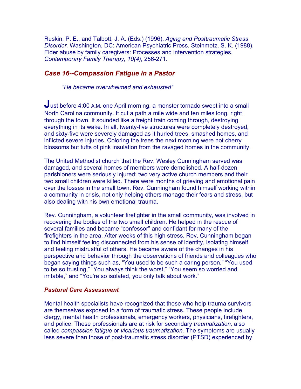Ruskin, P. E., and Talbott, J. A. (Eds.) (1996). *Aging and Posttraumatic Stress Disorder.* Washington, DC: American Psychiatric Press. Steinmetz, S. K. (1988). Elder abuse by family caregivers: Processes and intervention strategies. *Contemporary Family Therapy, 10(4),* 256-271.

# *Case 16--Compassion Fatigue in a Pastor*

*"He became overwhelmed and exhausted"*

**J**ust before 4:00 A.M. one April morning, a monster tornado swept into a small North Carolina community. It cut a path a mile wide and ten miles long, right through the town. It sounded like a freight train coming through, destroying everything in its wake. In all, twenty-five structures were completely destroyed, and sixty-five were severely damaged as it hurled trees, smashed homes, and inflicted severe injuries. Coloring the trees the next morning were not cherry blossoms but tufts of pink insulation from the ravaged homes in the community.

The United Methodist church that the Rev. Wesley Cunningham served was damaged, and several homes of members were demolished. A half-dozen parishioners were seriously injured; two very active church members and their two small children were killed. There were months of grieving and emotional pain over the losses in the small town. Rev. Cunningham found himself working within a community in crisis, not only helping others manage their fears and stress, but also dealing with his own emotional trauma.

Rev. Cunningham, a volunteer firefighter in the small community, was involved in recovering the bodies of the two small children. He helped in the rescue of several families and became "confessor" and confidant for many of the firefighters in the area. After weeks of this high stress, Rev. Cunningham began to find himself feeling disconnected from his sense of identity, isolating himself and feeling mistrustful of others. He became aware of the changes in his perspective and behavior through the observations of friends and colleagues who began saying things such as, "You used to be such a caring person," "You used to be so trusting," "You always think the worst," "You seem so worried and irritable," and "You're so isolated, you only talk about work."

#### *Pastoral Care Assessment*

Mental health specialists have recognized that those who help trauma survivors are themselves exposed to a form of traumatic stress. These people include clergy, mental health professionals, emergency workers, physicians, firefighters, and police. These professionals are at risk for secondary *traumatization,* also called *compassion fatigue* or *vicarious traumatization.* The symptoms are usually less severe than those of post-traumatic stress disorder (PTSD) experienced by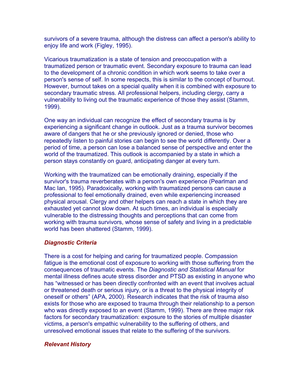survivors of a severe trauma, although the distress can affect a person's ability to enjoy life and work (Figley, 1995).

Vicarious traumatization is a state of tension and preoccupation with a traumatized person or traumatic event. Secondary exposure to trauma can lead to the development of a chronic condition in which work seems to take over a person's sense of self. In some respects, this is similar to the concept of burnout. However, burnout takes on a special quality when it is combined with exposure to secondary traumatic stress. All professional helpers, including clergy, carry a vulnerability to living out the traumatic experience of those they assist (Stamm, 1999).

One way an individual can recognize the effect of secondary trauma is by experiencing a significant change in outlook. Just as a trauma survivor becomes aware of dangers that he or she previously ignored or denied, those who repeatedly listen to painful stories can begin to see the world differently. Over a period of time, a person can lose a balanced sense of perspective and enter the world of the traumatized. This outlook is accompanied by a state in which a person stays constantly on guard, anticipating danger at every turn.

Working with the traumatized can be emotionally draining, especially if the survivor's trauma reverberates with a person's own experience (Pearlman and Mac Ian, 1995). Paradoxically, working with traumatized persons can cause a professional to feel emotionally drained, even while experiencing increased physical arousal. Clergy and other helpers can reach a state in which they are exhausted yet cannot slow down. At such times, an individual is especially vulnerable to the distressing thoughts and perceptions that can come from working with trauma survivors, whose sense of safety and living in a predictable world has been shattered (Stamm, 1999).

# *Diagnostic Criteria*

There is a cost for helping and caring for traumatized people. Compassion fatigue is the emotional cost of exposure to working with those suffering from the consequences of traumatic events. The *Diagnostic and Statistical Manual* for mental illness defines acute stress disorder and PTSD as existing in anyone who has "witnessed or has been directly confronted with an event that involves actual or threatened death or serious injury, or is a threat to the physical integrity of oneself or others" (APA, 2000). Research indicates that the risk of trauma also exists for those who are exposed to trauma through their relationship to a person who was directly exposed to an event (Stamm, 1999). There are three major risk factors for secondary traumatization: exposure to the stories of multiple disaster victims, a person's empathic vulnerability to the suffering of others, and unresolved emotional issues that relate to the suffering of the survivors.

# *Relevant History*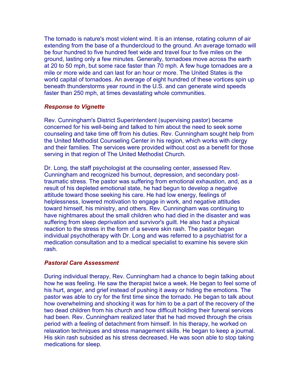The tornado is nature's most violent wind. It is an intense, rotating column of air extending from the base of a thundercloud to the ground. An average tornado will be four hundred to five hundred feet wide and travel four to five miles on the ground, lasting only a few minutes. Generally, tornadoes move across the earth at 20 to 50 mph, but some race faster than 70 mph. A few huge tornadoes are a mile or more wide and can last for an hour or more. The United States is the world capital of tornadoes. An average of eight hundred of these vortices spin up beneath thunderstorms year round in the U.S. and can generate wind speeds faster than 250 mph, at times devastating whole communities.

## *Response to Vignette*

Rev. Cunningham's District Superintendent (supervising pastor) became concerned for his well-being and talked to him about the need to seek some counseling and take time off from his duties. Rev. Cunningham sought help from the United Methodist Counseling Center in his region, which works with clergy and their families. The services were provided without cost as a benefit for those serving in that region of The United Methodist Church.

Dr. Long, the staff psychologist at the counseling center, assessed Rev. Cunningham and recognized his burnout, depression, and secondary posttraumatic stress. The pastor was suffering from emotional exhaustion, and, as a result of his depleted emotional state, he had begun to develop a negative attitude toward those seeking his care. He had low energy, feelings of helplessness, lowered motivation to engage in work, and negative attitudes toward himself, his ministry, and others. Rev. Cunningham was continuing to have nightmares about the small children who had died in the disaster and was suffering from sleep deprivation and survivor's guilt. He also had a physical reaction to the stress in the form of a severe skin rash. The pastor began individual psychotherapy with Dr. Long and was referred to a psychiatrist for a medication consultation and to a medical specialist to examine his severe skin rash.

# *Pastoral Care Assessment*

During individual therapy, Rev. Cunningham had a chance to begin talking about how he was feeling. He saw the therapist twice a week. He began to feel some of his hurt, anger, and grief instead of pushing it away or hiding the emotions. The pastor was able to cry for the first time since the tornado. He began to talk about how overwhelming and shocking it was for him to be a part of the recovery of the two dead children from his church and how difficult holding their funeral services had been. Rev. Cunningham realized later that he had moved through the crisis period with a feeling of detachment from himself. In his therapy, he worked on relaxation techniques and stress management skills. He began to keep a journal. His skin rash subsided as his stress decreased. He was soon able to stop taking medications for sleep.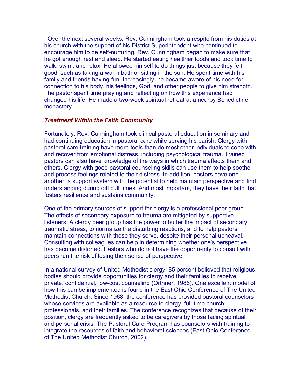Over the next several weeks, Rev. Cunningham took a respite from his duties at his church with the support of his District Superintendent who continued to encourage him to be self-nurturing. Rev. Cunningham began to make sure that he got enough rest and sleep. He started eating healthier foods and took time to walk, swim, and relax. He allowed himself to do things just because they felt good, such as taking a warm bath or sitting in the sun. He spent time with his family and friends having fun. Increasingly, he became aware of his need for connection to his body, his feelings, God, and other people to give him strength. The pastor spent time praying and reflecting on how this experience had changed his life. He made a two-week spiritual retreat at a nearby Benedictine monastery.

#### *Treatment Within the Faith Community*

Fortunately, Rev. Cunningham took clinical pastoral education in seminary and had continuing education in pastoral care while serving his parish. Clergy with pastoral care training have more tools than do most other individuals to cope with and recover from emotional distress, including psychological trauma. Trained pastors can also have knowledge of the ways in which trauma affects them and others. Clergy with good pastoral counseling skills can use them to help soothe and process feelings related to their distress. In addition, pastors have one another, a support system with the potential to help maintain perspective and find understanding during difficult times. And most important, they have their faith that fosters resilience and sustains community.

One of the primary sources of support for clergy is a professional peer group. The effects of secondary exposure to trauma are mitigated by supportive listeners. A clergy peer group has the power to buffer the impact of secondary traumatic stress, to normalize the disturbing reactions, and to help pastors maintain connections with those they serve, despite their personal upheaval. Consulting with colleagues can help in determining whether one's perspective has become distorted. Pastors who do not have the opportu-nity to consult with peers run the risk of losing their sense of perspective.

In a national survey of United Methodist clergy, 85 percent believed that religious bodies should provide opportunities for clergy and their families to receive private, confidential, low-cost counseling (Orthner, 1986). One excellent model of how this can be implemented is found in the East Ohio Conference of The United Methodist Church. Since 1968, the conference has provided pastoral counselors whose services are available as a resource to clergy, full-time church professionals, and their families. The conference recognizes that because of their position, clergy are frequently asked to be caregivers by those facing spiritual and personal crisis. The Pastoral Care Program has counselors with training to integrate the resources of faith and behavioral sciences (East Ohio Conference of The United Methodist Church, 2002).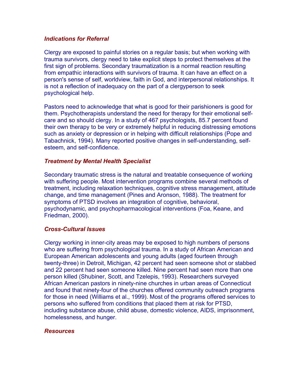### *Indications for Referral*

Clergy are exposed to painful stories on a regular basis; but when working with trauma survivors, clergy need to take explicit steps to protect themselves at the first sign of problems. Secondary traumatization is a normal reaction resulting from empathic interactions with survivors of trauma. It can have an effect on a person's sense of self, worldview, faith in God, and interpersonal relationships. It is not a reflection of inadequacy on the part of a clergyperson to seek psychological help.

Pastors need to acknowledge that what is good for their parishioners is good for them. Psychotherapists understand the need for therapy for their emotional selfcare and so should clergy. In a study of 467 psychologists, 85.7 percent found their own therapy to be very or extremely helpful in reducing distressing emotions such as anxiety or depression or in helping with difficult relationships (Pope and Tabachnick, 1994). Many reported positive changes in self-understanding, selfesteem, and self-confidence.

## *Treatment by Mental Health Specialist*

Secondary traumatic stress is the natural and treatable consequence of working with suffering people. Most intervention programs combine several methods of treatment, including relaxation techniques, cognitive stress management, attitude change, and time management (Pines and Aronson, 1988). The treatment for symptoms of PTSD involves an integration of cognitive, behavioral, psychodynamic, and psychopharmacological interventions (Foa, Keane, and Friedman, 2000).

# *Cross-Cultural Issues*

Clergy working in inner-city areas may be exposed to high numbers of persons who are suffering from psychological trauma. In a study of African American and European American adolescents and young adults (aged fourteen through twenty-three) in Detroit, Michigan, 42 percent had seen someone shot or stabbed and 22 percent had seen someone killed. Nine percent had seen more than one person killed (Shubiner, Scott, and Tzelepis, 1993). Researchers surveyed African American pastors in ninety-nine churches in urban areas of Connecticut and found that ninety-four of the churches offered community outreach programs for those in need (Williams et al., 1999). Most of the programs offered services to persons who suffered from conditions that placed them at risk for PTSD, including substance abuse, child abuse, domestic violence, AIDS, imprisonment, homelessness, and hunger.

# *Resources*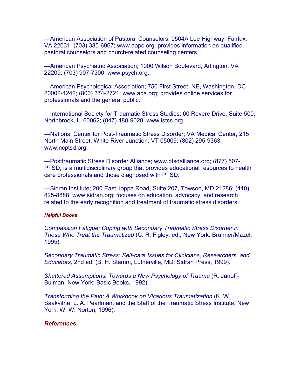—American Association of Pastoral Counselors; 9504A Lee Highway, Fairfax, VA 22031; (703) 385-6967; www.aapc.org; provides information on qualified pastoral counselors and church-related counseling centers.

—American Psychiatric Association; 1000 Wilson Boulevard, Arlington, VA 22209; (703) 907-7300; www.psych.org.

—American Psychological Association; 750 First Street, NE, Washington, DC 20002-4242; (800) 374-2721; www.apa.org; provides online services for professionals and the general public.

—International Society for Traumatic Stress Studies; 60 Revere Drive, Suite 500, Northbrook, IL 60062; (847) 480-9028; www.istss.org.

—National Center for Post-Traumatic Stress Disorder; VA Medical Center, 215 North Main Street, White River Junction, VT 05009; (802) 295-9363; www.ncptsd.org.

—Posttraumatic Stress Disorder Alliance; www.ptsdalliance.org; (877) 507- PTSD; is a multidisciplinary group that provides educational resources to health care professionals and those diagnosed with PTSD.

—Sidran Institute; 200 East Joppa Road, Suite 207, Towson, MD 21286; (410) 825-8888; www.sidran.org; focuses on education, advocacy, and research related to the early recognition and treatment of traumatic stress disorders.

#### *Helpful Books*

*Compassion Fatigue: Coping with Secondary Traumatic Stress Disorder in Those Who Treat the Traumatized* (C. R. Figley, ed., New York: Brunner/Mazel, 1995).

*Secondary Traumatic Stress: Self-care Issues for Clinicians, Researchers, and Educators,* 2nd ed. (B. H. Stamm, Lutherville, MD: Sidran Press, 1999).

*Shattered Assumptions: Towards a New Psychology of Trauma* (R. Janoff-Bulman, New York: Basic Books, 1992).

*Transforming the Pain: A Workbook on Vicarious Traumatization* (K. W. Saakvitne, L. A. Pearlman, and the Staff of the Traumatic Stress Institute, New York: W. W. Norton, 1996).

## *References*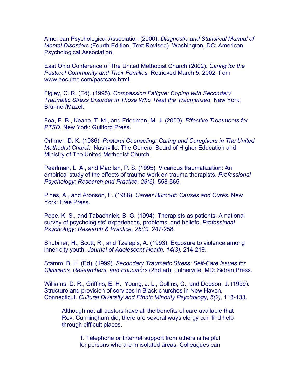American Psychological Association (2000). *Diagnostic and Statistical Manual of Mental Disorders* (Fourth Edition, Text Revised). Washington, DC: American Psychological Association.

East Ohio Conference of The United Methodist Church (2002). *Caring for the Pastoral Community and Their Families.* Retrieved March 5, 2002, from www.eocumc.com/pastcare.html.

Figley, C. R. (Ed). (1995). *Compassion Fatigue: Coping with Secondary Traumatic Stress Disorder in Those Who Treat the Traumatized.* New York: Brunner/Mazel.

Foa, E. B., Keane, T. M., and Friedman, M. J. (2000). *Effective Treatments for PTSD.* New York: Guilford Press.

Orthner, D. K. (1986). *Pastoral Counseling: Caring and Caregivers in The United Methodist Church.* Nashville: The General Board of Higher Education and Ministry of The United Methodist Church.

Pearlman, L. A., and Mac Ian, P. S. (1995). Vicarious traumatization: An empirical study of the effects of trauma work on trauma therapists. *Professional Psychology: Research and Practice, 26(6),* 558-565.

Pines, A., and Aronson, E. (1988). *Career Burnout: Causes and Cures.* New York: Free Press.

Pope, K. S., and Tabachnick, B. G. (1994). Therapists as patients: A national survey of psychologists' experiences, problems, and beliefs. *Professional Psychology: Research & Practice, 25(3),* 247-258.

Shubiner, H., Scott, R., and Tzelepis, A. (1993). Exposure to violence among inner-city youth. *Journal of Adolescent Health, 14(3),* 214-219.

Stamm, B. H. (Ed). (1999). *Secondary Traumatic Stress: Self-Care Issues for Clinicians, Researchers, and Educators* (2nd ed). Lutherville, MD: Sidran Press.

Williams, D. R., Griffins, E. H., Young, J. L., Collins, C., and Dobson, J. (1999). Structure and provision of services in Black churches in New Haven, Connecticut. *Cultural Diversity and Ethnic Minority Psychology, 5(2),* 118-133.

Although not all pastors have all the benefits of care available that Rev. Cunningham did, there are several ways clergy can find help through difficult places.

1. Telephone or Internet support from others is helpful for persons who are in isolated areas. Colleagues can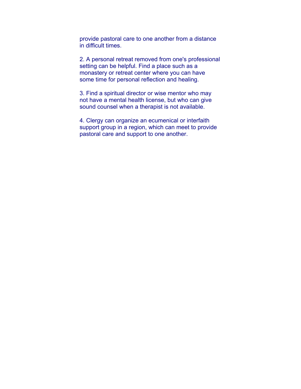provide pastoral care to one another from a distance in difficult times.

2. A personal retreat removed from one's professional setting can be helpful. Find a place such as a monastery or retreat center where you can have some time for personal reflection and healing.

3. Find a spiritual director or wise mentor who may not have a mental health license, but who can give sound counsel when a therapist is not available.

4. Clergy can organize an ecumenical or interfaith support group in a region, which can meet to provide pastoral care and support to one another.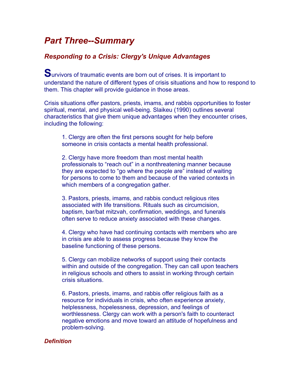# *Part Three--Summary*

# *Responding to a Crisis: Clergy's Unique Advantages*

**S**urvivors of traumatic events are born out of crises. It is important to understand the nature of different types of crisis situations and how to respond to them. This chapter will provide guidance in those areas.

Crisis situations offer pastors, priests, imams, and rabbis opportunities to foster spiritual, mental, and physical well-being. Slaikeu (1990) outlines several characteristics that give them unique advantages when they encounter crises, including the following:

1. Clergy are often the first persons sought for help before someone in crisis contacts a mental health professional.

2. Clergy have more freedom than most mental health professionals to "reach out" in a nonthreatening manner because they are expected to "go where the people are" instead of waiting for persons to come to them and because of the varied contexts in which members of a congregation gather.

3. Pastors, priests, imams, and rabbis conduct religious rites associated with life transitions. Rituals such as circumcision, baptism, bar/bat mitzvah, confirmation, weddings, and funerals often serve to reduce anxiety associated with these changes.

4. Clergy who have had continuing contacts with members who are in crisis are able to assess progress because they know the baseline functioning of these persons.

5. Clergy can mobilize networks of support using their contacts within and outside of the congregation. They can call upon teachers in religious schools and others to assist in working through certain crisis situations.

6. Pastors, priests, imams, and rabbis offer religious faith as a resource for individuals in crisis, who often experience anxiety, helplessness, hopelessness, depression, and feelings of worthlessness. Clergy can work with a person's faith to counteract negative emotions and move toward an attitude of hopefulness and problem-solving.

#### *Definition*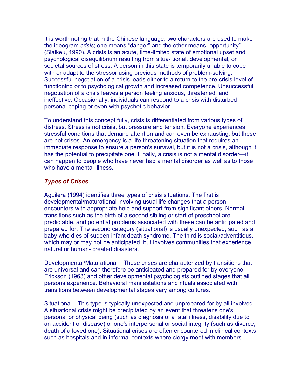It is worth noting that in the Chinese language, two characters are used to make the ideogram *crisis*; one means "danger" and the other means "opportunity" (Slaikeu, 1990). A crisis is an acute, time-limited state of emotional upset and psychological disequilibrium resulting from situa- tional, developmental, or societal sources of stress. A person in this state is temporarily unable to cope with or adapt to the stressor using previous methods of problem-solving. Successful negotiation of a crisis leads either to a return to the pre-crisis level of functioning or to psychological growth and increased competence. Unsuccessful negotiation of a crisis leaves a person feeling anxious, threatened, and ineffective. Occasionally, individuals can respond to a crisis with disturbed personal coping or even with psychotic behavior.

To understand this concept fully, crisis is differentiated from various types of distress. Stress is not crisis, but pressure and tension. Everyone experiences stressful conditions that demand attention and can even be exhausting, but these are not crises. An emergency is a life-threatening situation that requires an immediate response to ensure a person's survival, but it is not a crisis, although it has the potential to precipitate one. Finally, a crisis is not a mental disorder—it can happen to people who have never had a mental disorder as well as to those who have a mental illness.

## *Types of Crises*

Aguilera (1994) identifies three types of crisis situations. The first is developmental/maturational involving usual life changes that a person encounters with appropriate help and support from significant others. Normal transitions such as the birth of a second sibling or start of preschool are predictable, and potential problems associated with these can be anticipated and prepared for. The second category (situational) is usually unexpected, such as a baby who dies of sudden infant death syndrome. The third is social/adventitious, which may or may not be anticipated, but involves communities that experience natural or human- created disasters.

Developmental/Maturational—These crises are characterized by transitions that are universal and can therefore be anticipated and prepared for by everyone. Erickson (1963) and other developmental psychologists outlined stages that all persons experience. Behavioral manifestations and rituals associated with transitions between developmental stages vary among cultures.

Situational—This type is typically unexpected and unprepared for by all involved. A situational crisis might be precipitated by an event that threatens one's personal or physical being (such as diagnosis of a fatal illness, disability due to an accident or disease) or one's interpersonal or social integrity (such as divorce, death of a loved one). Situational crises are often encountered in clinical contexts such as hospitals and in informal contexts where clergy meet with members.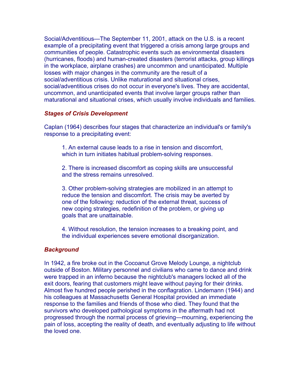Social/Adventitious—The September 11, 2001, attack on the U.S. is a recent example of a precipitating event that triggered a crisis among large groups and communities of people. Catastrophic events such as environmental disasters (hurricanes, floods) and human-created disasters (terrorist attacks, group killings in the workplace, airplane crashes) are uncommon and unanticipated. Multiple losses with major changes in the community are the result of a social/adventitious crisis. Unlike maturational and situational crises, social/adventitious crises do not occur in everyone's lives. They are accidental, uncommon, and unanticipated events that involve larger groups rather than maturational and situational crises, which usually involve individuals and families.

## *Stages of Crisis Development*

Caplan (1964) describes four stages that characterize an individual's or family's response to a precipitating event:

1. An external cause leads to a rise in tension and discomfort, which in turn initiates habitual problem-solving responses.

2. There is increased discomfort as coping skills are unsuccessful and the stress remains unresolved.

3. Other problem-solving strategies are mobilized in an attempt to reduce the tension and discomfort. The crisis may be averted by one of the following: reduction of the external threat, success of new coping strategies, redefinition of the problem, or giving up goals that are unattainable.

4. Without resolution, the tension increases to a breaking point, and the individual experiences severe emotional disorganization.

# *Background*

In 1942, a fire broke out in the Cocoanut Grove Melody Lounge, a nightclub outside of Boston. Military personnel and civilians who came to dance and drink were trapped in an inferno because the nightclub's managers locked all of the exit doors, fearing that customers might leave without paying for their drinks. Almost five hundred people perished in the conflagration. Lindemann (1944) and his colleagues at Massachusetts General Hospital provided an immediate response to the families and friends of those who died. They found that the survivors who developed pathological symptoms in the aftermath had not progressed through the normal process of grieving—mourning, experiencing the pain of loss, accepting the reality of death, and eventually adjusting to life without the loved one.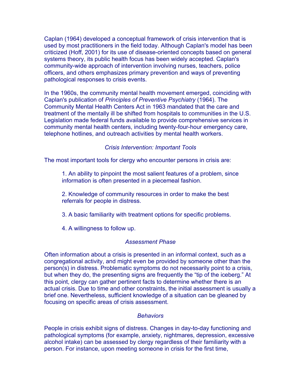Caplan (1964) developed a conceptual framework of crisis intervention that is used by most practitioners in the field today. Although Caplan's model has been criticized (Hoff, 2001) for its use of disease-oriented concepts based on general systems theory, its public health focus has been widely accepted. Caplan's community-wide approach of intervention involving nurses, teachers, police officers, and others emphasizes primary prevention and ways of preventing pathological responses to crisis events.

In the 1960s, the community mental health movement emerged, coinciding with Caplan's publication of *Principles of Preventive Psychiatry* (1964). The Community Mental Health Centers Act in 1963 mandated that the care and treatment of the mentally ill be shifted from hospitals to communities in the U.S. Legislation made federal funds available to provide comprehensive services in community mental health centers, including twenty-four-hour emergency care, telephone hotlines, and outreach activities by mental health workers.

#### *Crisis Intervention: Important Tools*

The most important tools for clergy who encounter persons in crisis are:

1. An ability to pinpoint the most salient features of a problem, since information is often presented in a piecemeal fashion.

2. Knowledge of community resources in order to make the best referrals for people in distress.

3. A basic familiarity with treatment options for specific problems.

4. A willingness to follow up.

#### *Assessment Phase*

Often information about a crisis is presented in an informal context, such as a congregational activity, and might even be provided by someone other than the person(s) in distress. Problematic symptoms do not necessarily point to a crisis, but when they do, the presenting signs are frequently the "tip of the iceberg." At this point, clergy can gather pertinent facts to determine whether there is an actual crisis. Due to time and other constraints, the initial assessment is usually a brief one. Nevertheless, sufficient knowledge of a situation can be gleaned by focusing on specific areas of crisis assessment.

### *Behaviors*

People in crisis exhibit signs of distress. Changes in day-to-day functioning and pathological symptoms (for example, anxiety, nightmares, depression, excessive alcohol intake) can be assessed by clergy regardless of their familiarity with a person. For instance, upon meeting someone in crisis for the first time,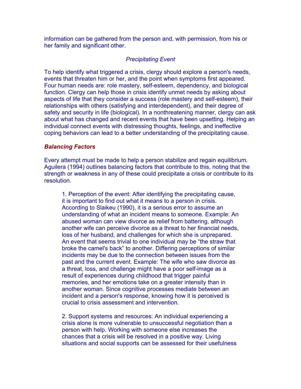information can be gathered from the person and, with permission, from his or her family and significant other.

## *Precipitating Event*

To help identify what triggered a crisis, clergy should explore a person's needs, events that threaten him or her, and the point when symptoms first appeared. Four human needs are: role mastery, self-esteem, dependency, and biological function. Clergy can help those in crisis identify unmet needs by asking about aspects of life that they consider a success (role mastery and self-esteem), their relationships with others (satisfying and interdependent), and their degree of safety and security in life (biological). In a nonthreatening manner, clergy can ask about what has changed and recent events that have been upsetting. Helping an individual connect events with distressing thoughts, feelings, and ineffective coping behaviors can lead to a better understanding of the precipitating cause.

#### *Balancing Factors*

Every attempt must be made to help a person stabilize and regain equilibrium. Aguilera (1994) outlines balancing factors that contribute to this, noting that the strength or weakness in any of these could precipitate a crisis or contribute to its resolution.

1. Perception of the event: After identifying the precipitating cause, it is important to find out what it means to a person in crisis. According to Slaikeu (1990), it is a serious error to assume an understanding of what an incident means to someone. Example: An abused woman can view divorce as relief from battering, although another wife can perceive divorce as a threat to her financial needs, loss of her husband, and challenges for which she is unprepared. An event that seems trivial to one individual may be "the straw that broke the camel's back" to another. Differing perceptions of similar incidents may be due to the connection between issues from the past and the current event. Example: The wife who saw divorce as a threat, loss, and challenge might have a poor self-image as a result of experiences during childhood that trigger painful memories, and her emotions take on a greater intensity than in another woman. Since cognitive processes mediate between an incident and a person's response, knowing how it is perceived is crucial to crisis assessment and intervention.

2. Support systems and resources: An individual experiencing a crisis alone is more vulnerable to unsuccessful negotiation than a person with help. Working with someone else increases the chances that a crisis will be resolved in a positive way. Living situations and social supports can be assessed for their usefulness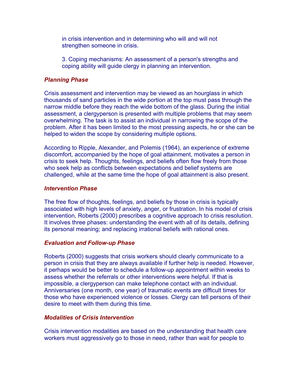in crisis intervention and in determining who will and will not strengthen someone in crisis.

3. Coping mechanisms: An assessment of a person's strengths and coping ability will guide clergy in planning an intervention.

# *Planning Phase*

Crisis assessment and intervention may be viewed as an hourglass in which thousands of sand particles in the wide portion at the top must pass through the narrow middle before they reach the wide bottom of the glass. During the initial assessment, a clergyperson is presented with multiple problems that may seem overwhelming. The task is to assist an individual in narrowing the scope of the problem. After it has been limited to the most pressing aspects, he or she can be helped to widen the scope by considering multiple options.

According to Ripple, Alexander, and Polemis (1964), an experience of extreme discomfort, accompanied by the hope of goal attainment, motivates a person in crisis to seek help. Thoughts, feelings, and beliefs often flow freely from those who seek help as conflicts between expectations and belief systems are challenged, while at the same time the hope of goal attainment is also present.

# *Intervention Phase*

The free flow of thoughts, feelings, and beliefs by those in crisis is typically associated with high levels of anxiety, anger, or frustration. In his model of crisis intervention, Roberts (2000) prescribes a cognitive approach to crisis resolution. It involves three phases: understanding the event with all of its details, defining its personal meaning; and replacing irrational beliefs with rational ones.

# *Evaluation and Follow-up Phase*

Roberts (2000) suggests that crisis workers should clearly communicate to a person in crisis that they are always available if further help is needed. However, it perhaps would be better to schedule a follow-up appointment within weeks to assess whether the referrals or other interventions were helpful. If that is impossible, a clergyperson can make telephone contact with an individual. Anniversaries (one month, one year) of traumatic events are difficult times for those who have experienced violence or losses. Clergy can tell persons of their desire to meet with them during this time.

# *Modalities of Crisis Intervention*

Crisis intervention modalities are based on the understanding that health care workers must aggressively go to those in need, rather than wait for people to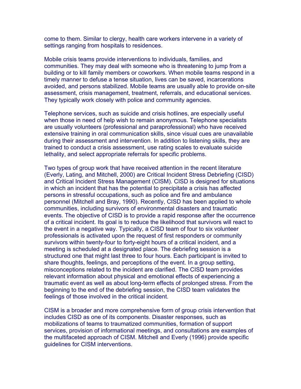come to them. Similar to clergy, health care workers intervene in a variety of settings ranging from hospitals to residences.

Mobile crisis teams provide interventions to individuals, families, and communities. They may deal with someone who is threatening to jump from a building or to kill family members or coworkers. When mobile teams respond in a timely manner to defuse a tense situation, lives can be saved, incarcerations avoided, and persons stabilized. Mobile teams are usually able to provide on-site assessment, crisis management, treatment, referrals, and educational services. They typically work closely with police and community agencies.

Telephone services, such as suicide and crisis hotlines, are especially useful when those in need of help wish to remain anonymous. Telephone specialists are usually volunteers (professional and paraprofessional) who have received extensive training in oral communication skills, since visual cues are unavailable during their assessment and intervention. In addition to listening skills, they are trained to conduct a crisis assessment, use rating scales to evaluate suicide lethality, and select appropriate referrals for specific problems.

Two types of group work that have received attention in the recent literature (Everly, Lating, and Mitchell, 2000) are Critical Incident Stress Debriefing (CISD) and Critical Incident Stress Management (CISM). CISD is designed for situations in which an incident that has the potential to precipitate a crisis has affected persons in stressful occupations, such as police and fire and ambulance personnel (Mitchell and Bray, 1990). Recently, CISD has been applied to whole communities, including survivors of environmental disasters and traumatic events. The objective of CISD is to provide a rapid response after the occurrence of a critical incident. Its goal is to reduce the likelihood that survivors will react to the event in a negative way. Typically, a CISD team of four to six volunteer professionals is activated upon the request of first responders or community survivors within twenty-four to forty-eight hours of a critical incident, and a meeting is scheduled at a designated place. The debriefing session is a structured one that might last three to four hours. Each participant is invited to share thoughts, feelings, and perceptions of the event. In a group setting, misconceptions related to the incident are clarified. The CISD team provides relevant information about physical and emotional effects of experiencing a traumatic event as well as about long-term effects of prolonged stress. From the beginning to the end of the debriefing session, the CISD team validates the feelings of those involved in the critical incident.

CISM is a broader and more comprehensive form of group crisis intervention that includes CISD as one of its components. Disaster responses, such as mobilizations of teams to traumatized communities, formation of support services, provision of informational meetings, and consultations are examples of the multifaceted approach of CISM. Mitchell and Everly (1996) provide specific guidelines for CISM interventions.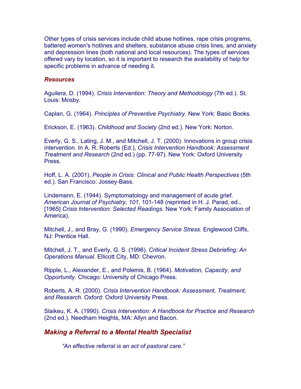Other types of crisis services include child abuse hotlines, rape crisis programs, battered women's hotlines and shelters, substance abuse crisis lines, and anxiety and depression lines (both national and local resources). The types of services offered vary by location, so it is important to research the availability of help for specific problems in advance of needing it.

#### *Resources*

Aguilera, D. (1994). *Crisis Intervention: Theory and Methodology* (7th ed.). St. Louis: Mosby.

Caplan, G. (1964). *Principles of Preventive Psychiatry.* New York: Basic Books.

Erickson, E. (1963). *Childhood and Society* (2nd ed.). New York: Norton.

Everly, G. S., Lating, J. M., and Mitchell, J. T. (2000). Innovations in group crisis intervention. In A. R. Roberts (Ed.), *Crisis Intervention Handbook: Assessment Treatment and Research* (2nd ed.) (pp. 77-97). New York: Oxford University **Press** 

Hoff, L. A. (2001). *People in Crisis: Clinical and Public Health Perspectives* (5th ed.). San Francisco: Jossey-Bass.

Lindemann, E. (1944). Symptomatology and management of acute grief. *American Journal of Psychiatry, 101,* 101-148 (reprinted in H. J. Parad, ed., [1965] *Crisis Intervention: Selected Readings.* New York: Family Association of America).

Mitchell, J., and Bray, G. (1990). *Emergency Service Stress.* Englewood Cliffs, NJ: Prentice Hall.

Mitchell, J. T., and Everly, G. S. (1996). *Critical Incident Stress Debriefing: An Operations Manual.* Ellicott City, MD: Chevron.

Ripple, L., Alexander, E., and Polemis, B. (1964). *Motivation, Capacity, and Opportunity.* Chicago: University of Chicago Press.

Roberts, A. R. (2000). *Crisis Intervention Handbook: Assessment, Treatment, and Research.* Oxford: Oxford University Press.

Slaikeu, K. A. (1990). *Crisis Intervention: A Handbook for Practice and Research*  (2nd ed.). Needham Heights, MA: Allyn and Bacon.

# *Making a Referral to a Mental Health Specialist*

*"An effective referral is an act of pastoral care."*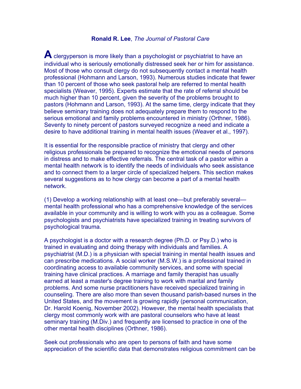#### **Ronald R. Lee**, *The Journal of Pastoral Care*

**A** clergyperson is more likely than a psychologist or psychiatrist to have an individual who is seriously emotionally distressed seek her or him for assistance. Most of those who consult clergy do not subsequently contact a mental health professional (Hohmann and Larson, 1993). Numerous studies indicate that fewer than 10 percent of those who seek pastoral help are referred to mental health specialists (Weaver, 1995). Experts estimate that the rate of referral should be much higher than 10 percent, given the severity of the problems brought to pastors (Hohmann and Larson, 1993). At the same time, clergy indicate that they believe seminary training does not adequately prepare them to respond to the serious emotional and family problems encountered in ministry (Orthner, 1986). Seventy to ninety percent of pastors surveyed recognize a need and indicate a desire to have additional training in mental health issues (Weaver et al., 1997).

It is essential for the responsible practice of ministry that clergy and other religious professionals be prepared to recognize the emotional needs of persons in distress and to make effective referrals. The central task of a pastor within a mental health network is to identify the needs of individuals who seek assistance and to connect them to a larger circle of specialized helpers. This section makes several suggestions as to how clergy can become a part of a mental health network.

(1) Develop a working relationship with at least one—but preferably several mental health professional who has a comprehensive knowledge of the services available in your community and is willing to work with you as a colleague. Some psychologists and psychiatrists have specialized training in treating survivors of psychological trauma.

A psychologist is a doctor with a research degree (Ph.D. or Psy.D.) who is trained in evaluating and doing therapy with individuals and families. A psychiatrist (M.D.) is a physician with special training in mental health issues and can prescribe medications. A social worker (M.S.W.) is a professional trained in coordinating access to available community services, and some with special training have clinical practices. A marriage and family therapist has usually earned at least a master's degree training to work with marital and family problems. And some nurse practitioners have received specialized training in counseling. There are also more than seven thousand parish-based nurses in the United States, and the movement is growing rapidly (personal communication, Dr. Harold Koenig, November 2002). However, the mental health specialists that clergy most commonly work with are pastoral counselors who have at least seminary training (M.Div.) and frequently are licensed to practice in one of the other mental health disciplines (Orthner, 1986).

Seek out professionals who are open to persons of faith and have some appreciation of the scientific data that demonstrates religious commitment can be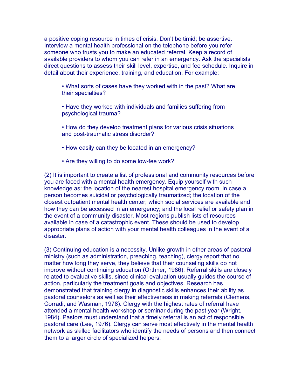a positive coping resource in times of crisis. Don't be timid; be assertive. Interview a mental health professional on the telephone before you refer someone who trusts you to make an educated referral. Keep a record of available providers to whom you can refer in an emergency. Ask the specialists direct questions to assess their skill level, expertise, and fee schedule. Inquire in detail about their experience, training, and education. For example:

• What sorts of cases have they worked with in the past? What are their specialties?

• Have they worked with individuals and families suffering from psychological trauma?

- How do they develop treatment plans for various crisis situations and post-traumatic stress disorder?
- How easily can they be located in an emergency?
- Are they willing to do some low-fee work?

(2) It is important to create a list of professional and community resources before you are faced with a mental health emergency. Equip yourself with such knowledge as: the location of the nearest hospital emergency room, in case a person becomes suicidal or psychologically traumatized; the location of the closest outpatient mental health center; which social services are available and how they can be accessed in an emergency; and the local relief or safety plan in the event of a community disaster. Most regions publish lists of resources available in case of a catastrophic event. These should be used to develop appropriate plans of action with your mental health colleagues in the event of a disaster.

(3) Continuing education is a necessity. Unlike growth in other areas of pastoral ministry (such as administration, preaching, teaching), clergy report that no matter how long they serve, they believe that their counseling skills do not improve without continuing education (Orthner, 1986). Referral skills are closely related to evaluative skills, since clinical evaluation usually guides the course of action, particularly the treatment goals and objectives. Research has demonstrated that training clergy in diagnostic skills enhances their ability as pastoral counselors as well as their effectiveness in making referrals (Clemens, Corradi, and Wasman, 1978). Clergy with the highest rates of referral have attended a mental health workshop or seminar during the past year (Wright, 1984). Pastors must understand that a timely referral is an act of responsible pastoral care (Lee, 1976). Clergy can serve most effectively in the mental health network as skilled facilitators who identify the needs of persons and then connect them to a larger circle of specialized helpers.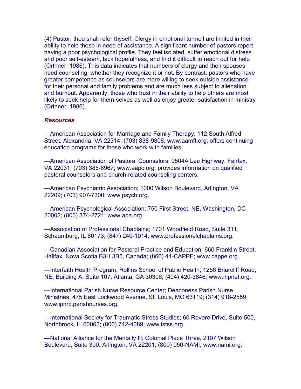(4) Pastor, thou shall refer thyself. Clergy in emotional turmoil are limited in their ability to help those in need of assistance. A significant number of pastors report having a poor psychological profile. They feel isolated, suffer emotional distress and poor self-esteem, lack hopefulness, and find it difficult to reach out for help (Orthner, 1986). This data indicates that numbers of clergy and their spouses need counseling, whether they recognize it or not. By contrast, pastors who have greater competence as counselors are more willing to seek outside assistance for their personal and family problems and are much less subject to alienation and burnout. Apparently, those who trust in their ability to help others are most likely to seek help for them-selves as well as enjoy greater satisfaction in ministry (Orthner, 1986).

#### *Resources*

—American Association for Marriage and Family Therapy; 112 South Alfred Street, Alexandria, VA 22314; (703) 838-9808; www.aamft.org; offers continuing education programs for those who work with families.

—American Association of Pastoral Counselors; 9504A Lee Highway, Fairfax, VA 22031; (703) 385-6967; www.aapc.org; provides information on qualified pastoral counselors and church-related counseling centers.

—American Psychiatric Association; 1000 Wilson Boulevard, Arlington, VA 22209; (703) 907-7300; www.psych.org.

—American Psychological Association; 750 First Street, NE, Washington, DC 20002; (800) 374-2721; www.apa.org.

—Association of Professional Chaplains; 1701 Woodfield Road, Suite 311, Schaumburg, IL 60173; (847) 240-1014; www.professionalchaplains.org.

—Canadian Association for Pastoral Practice and Education; 660 Franklin Street, Halifax, Nova Scotia B3H 3B5, Canada; (866) 44-CAPPE; www.cappe.org.

—Interfaith Health Program, Rollins School of Public Health; 1256 Briarcliff Road, NE, Building A, Suite 107, Atlanta, GA 30306; (404) 420-3846; www.ihpnet.org.

—International Parish Nurse Resource Center; Deaconess Parish Nurse Ministries, 475 East Lockwood Avenue, St. Louis, MO 63119; (314) 918-2559; www.ipnrc.parishnurses.org.

—International Society for Traumatic Stress Studies; 60 Revere Drive, Suite 500, Northbrook, IL 60062; (800) 742-4089; www.istss.org.

—National Alliance for the Mentally Ill; Colonial Place Three, 2107 Wilson Boulevard, Suite 300, Arlington, VA 22201; (800) 950-NAMI; www.nami.org;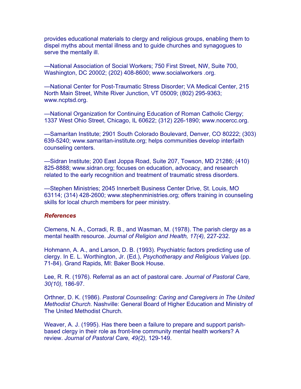provides educational materials to clergy and religious groups, enabling them to dispel myths about mental illness and to guide churches and synagogues to serve the mentally ill.

—National Association of Social Workers; 750 First Street, NW, Suite 700, Washington, DC 20002; (202) 408-8600; www.socialworkers .org.

—National Center for Post-Traumatic Stress Disorder; VA Medical Center, 215 North Main Street, White River Junction, VT 05009; (802) 295-9363; www.ncptsd.org.

—National Organization for Continuing Education of Roman Catholic Clergy; 1337 West Ohio Street, Chicago, IL 60622; (312) 226-1890; www.nocercc.org.

—Samaritan Institute; 2901 South Colorado Boulevard, Denver, CO 80222; (303) 639-5240; www.samaritan-institute.org; helps communities develop interfaith counseling centers.

—Sidran Institute; 200 East Joppa Road, Suite 207, Towson, MD 21286; (410) 825-8888; www.sidran.org; focuses on education, advocacy, and research related to the early recognition and treatment of traumatic stress disorders.

—Stephen Ministries; 2045 Innerbelt Business Center Drive, St. Louis, MO 63114; (314) 428-2600; www.stephenministries.org; offers training in counseling skills for local church members for peer ministry.

#### *References*

Clemens, N. A., Corradi, R. B., and Wasman, M. (1978). The parish clergy as a mental health resource. *Journal of Religion and Health, 17(4),* 227-232.

Hohmann, A. A., and Larson, D. B. (1993). Psychiatric factors predicting use of clergy. In E. L. Worthington, Jr. (Ed.), *Psychotherapy and Religious Values* (pp. 71-84). Grand Rapids, MI: Baker Book House.

Lee, R. R. (1976). Referral as an act of pastoral care. *Journal of Pastoral Care, 30(10),* 186-97.

Orthner, D. K. (1986). *Pastoral Counseling: Caring and Caregivers in The United Methodist Church.* Nashville: General Board of Higher Education and Ministry of The United Methodist Church.

Weaver, A. J. (1995). Has there been a failure to prepare and support parishbased clergy in their role as front-line community mental health workers? A review. *Journal of Pastoral Care, 49(2),* 129-149.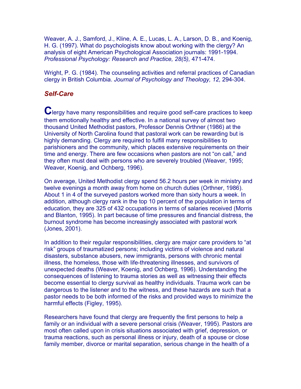Weaver, A. J., Samford, J., Kline, A. E., Lucas, L. A., Larson, D. B., and Koenig, H. G. (1997). What do psychologists know about working with the clergy? An analysis of eight American Psychological Association journals: 1991-1994. *Professional Psychology: Research and Practice, 28(5),* 471-474.

Wright, P. G. (1984). The counseling activities and referral practices of Canadian clergy in British Columbia. *Journal of Psychology and Theology, 12,* 294-304.

# *Self-Care*

**C**lergy have many responsibilities and require good self-care practices to keep them emotionally healthy and effective. In a national survey of almost two thousand United Methodist pastors, Professor Dennis Orthner (1986) at the University of North Carolina found that pastoral work can be rewarding but is highly demanding. Clergy are required to fulfill many responsibilities to parishioners and the community, which places extensive requirements on their time and energy. There are few occasions when pastors are not "on call," and they often must deal with persons who are severely troubled (Weaver, 1995; Weaver, Koenig, and Ochberg, 1996).

On average, United Methodist clergy spend 56.2 hours per week in ministry and twelve evenings a month away from home on church duties (Orthner, 1986). About 1 in 4 of the surveyed pastors worked more than sixty hours a week. In addition, although clergy rank in the top 10 percent of the population in terms of education, they are 325 of 432 occupations in terms of salaries received (Morris and Blanton, 1995). In part because of time pressures and financial distress, the burnout syndrome has become increasingly associated with pastoral work (Jones, 2001).

In addition to their regular responsibilities, clergy are major care providers to "at risk" groups of traumatized persons; including victims of violence and natural disasters, substance abusers, new immigrants, persons with chronic mental illness, the homeless, those with life-threatening illnesses, and survivors of unexpected deaths (Weaver, Koenig, and Ochberg, 1996). Understanding the consequences of listening to trauma stories as well as witnessing their effects become essential to clergy survival as healthy individuals. Trauma work can be dangerous to the listener and to the witness, and these hazards are such that a pastor needs to be both informed of the risks and provided ways to minimize the harmful effects (Figley, 1995).

Researchers have found that clergy are frequently the first persons to help a family or an individual with a severe personal crisis (Weaver, 1995). Pastors are most often called upon in crisis situations associated with grief, depression, or trauma reactions, such as personal illness or injury, death of a spouse or close family member, divorce or marital separation, serious change in the health of a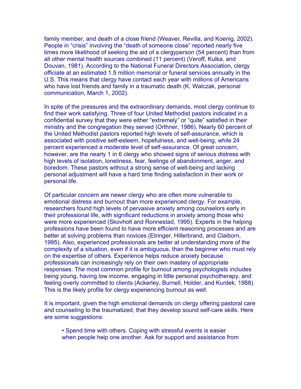family member, and death of a close friend (Weaver, Revilla, and Koenig, 2002). People in "crisis" involving the "death of someone close" reported nearly five times more likelihood of seeking the aid of a clergyperson (54 percent) than from all other mental health sources combined (11 percent) (Veroff, Kulka, and Douvan, 1981). According to the National Funeral Directors Association, clergy officiate at an estimated 1.5 million memorial or funeral services annually in the U.S. This means that clergy have contact each year with millions of Americans who have lost friends and family in a traumatic death (K. Walczak, personal communication, March 1, 2002).

In spite of the pressures and the extraordinary demands, most clergy continue to find their work satisfying. Three of four United Methodist pastors indicated in a confidential survey that they were either "extremely" or "quite" satisfied in their ministry and the congregation they served (Orthner, 1986). Nearly 60 percent of the United Methodist pastors reported high levels of self-assurance, which is associated with positive self-esteem, hopefulness, and well-being, while 24 percent experienced a moderate level of self-assurance. Of great concern, however, are the nearly 1 in 6 clergy who showed signs of serious distress with high levels of isolation, loneliness, fear, feelings of abandonment, anger, and boredom. These pastors without a strong sense of well-being and lacking personal adjustment will have a hard time finding satisfaction in their work or personal life.

Of particular concern are newer clergy who are often more vulnerable to emotional distress and burnout than more experienced clergy. For example, researchers found high levels of pervasive anxiety among counselors early in their professional life, with significant reductions in anxiety among those who were more experienced (Skovholt and Ronnestad, 1995). Experts in the helping professions have been found to have more efficient reasoning processes and are better at solving problems than novices (Etringer, Hillerbrand, and Claiborn, 1995). Also, experienced professionals are better at understanding more of the complexity of a situation, even if it is ambiguous, than the beginner who must rely on the expertise of others. Experience helps reduce anxiety because professionals can increasingly rely on their own mastery of appropriate responses. The most common profile for burnout among psychologists includes being young, having low income, engaging in little personal psychotherapy, and feeling overly committed to clients (Ackerley, Burnell, Holder, and Kurdek, 1988). This is the likely profile for clergy experiencing burnout as well.

It is important, given the high emotional demands on clergy offering pastoral care and counseling to the traumatized, that they develop sound self-care skills. Here are some suggestions:

• Spend time with others. Coping with stressful events is easier when people help one another. Ask for support and assistance from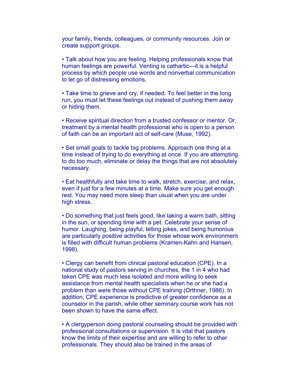your family, friends, colleagues, or community resources. Join or create support groups.

• Talk about how you are feeling. Helping professionals know that human feelings are powerful. Venting is cathartic—it is a helpful process by which people use words and nonverbal communication to let go of distressing emotions.

• Take time to grieve and cry, if needed. To feel better in the long run, you must let these feelings out instead of pushing them away or hiding them.

• Receive spiritual direction from a trusted confessor or mentor. Or, treatment by a mental health professional who is open to a person of faith can be an important act of self-care (Muse, 1992).

• Set small goals to tackle big problems. Approach one thing at a time instead of trying to do everything at once. If you are attempting to do too much, eliminate or delay the things that are not absolutely necessary.

• Eat healthfully and take time to walk, stretch, exercise, and relax, even if just for a few minutes at a time. Make sure you get enough rest. You may need more sleep than usual when you are under high stress.

• Do something that just feels good, like taking a warm bath, sitting in the sun, or spending time with a pet. Celebrate your sense of humor. Laughing, being playful, telling jokes, and being humorous are particularly positive activities for those whose work environment is filled with difficult human problems (Kramen-Kahn and Hansen, 1998).

• Clergy can benefit from clinical pastoral education (CPE). In a national study of pastors serving in churches, the 1 in 4 who had taken CPE was much less isolated and more willing to seek assistance from mental health specialists when he or she had a problem than were those without CPE training (Orthner, 1986). In addition, CPE experience is predictive of greater confidence as a counselor in the parish, while other seminary course work has not been shown to have the same effect.

• A clergyperson doing pastoral counseling should be provided with professional consultations or supervision. It is vital that pastors know the limits of their expertise and are willing to refer to other professionals. They should also be trained in the areas of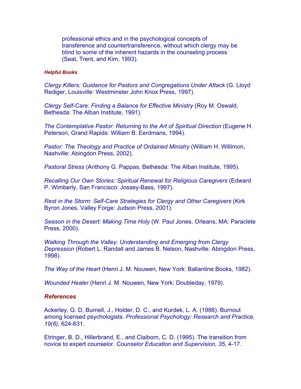professional ethics and in the psychological concepts of transference and countertransference, without which clergy may be blind to some of the inherent hazards in the counseling process (Seat, Trent, and Kim, 1993).

#### *Helpful Books*

*Clergy Killers: Guidance for Pastors and Congregations Under Attack* (G. Lloyd Rediger, Louisville: Westminster John Knox Press, 1997).

*Clergy Self-Care: Finding a Balance for Effective Ministry* (Roy M. Oswald, Bethesda: The Alban Institute, 1991).

*The Contemplative Pastor: Returning to the Art of Spiritual Direction* (Eugene H. Peterson, Grand Rapids: William B. Eerdmans, 1994).

*Pastor: The Theology and Practice of Ordained Ministry* (William H. Willimon, Nashville: Abingdon Press, 2002).

*Pastoral Stress* (Anthony G. Pappas, Bethesda: The Alban Institute, 1995).

*Recalling Our Own Stories: Spiritual Renewal for Religious Caregivers* (Edward P. Wimberly, San Francisco: Jossey-Bass, 1997).

*Rest in the Storm: Self-Care Strategies for Clergy and Other Caregivers* (Kirk Byron Jones, Valley Forge: Judson Press, 2001).

*Season in the Desert: Making Time Holy* (W. Paul Jones, Orleans, MA: Paraclete Press, 2000).

*Walking Through the Valley: Understanding and Emerging from Clergy Depression* (Robert L. Randall and James B. Nelson, Nashville: Abingdon Press, 1998).

*The Way of the Heart* (Henri J. M. Nouwen, New York: Ballantine Books, 1982).

*Wounded Healer* (Henri J. M. Nouwen, New York: Doubleday, 1979).

#### *References*

Ackerley, G. D, Burnell, J., Holder, D. C., and Kurdek, L. A. (1988). Burnout among licensed psychologists. *Professional Psychology: Research and Practice, 19(6),* 624-631.

Etringer, B. D., Hillerbrand, E., and Claiborn, C. D. (1995). The transition from novice to expert counselor. *Counselor Education and Supervision, 35,* 4-17.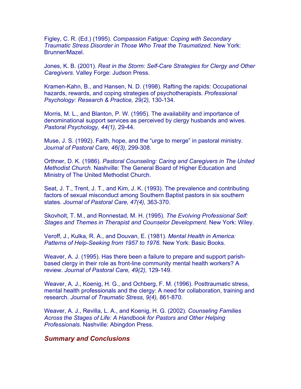Figley, C. R. (Ed.) (1995). *Compassion Fatigue: Coping with Secondary Traumatic Stress Disorder in Those Who Treat the Traumatized.* New York: Brunner/Mazel.

Jones, K. B. (2001). *Rest in the Storm: Self-Care Strategies for Clergy and Other Caregivers.* Valley Forge: Judson Press.

Kramen-Kahn, B., and Hansen, N. D. (1998). Rafting the rapids: Occupational hazards, rewards, and coping strategies of psychotherapists. *Professional Psychology: Research & Practice, 29(2),* 130-134.

Morris, M. L., and Blanton, P. W. (1995). The availability and importance of denominational support services as perceived by clergy husbands and wives. *Pastoral Psychology, 44(1),* 29-44.

Muse, J. S. (1992). Faith, hope, and the "urge to merge" in pastoral ministry. *Journal of Pastoral Care, 46(3),* 299-308.

Orthner, D. K. (1986). *Pastoral Counseling: Caring and Caregivers in The United Methodist Church.* Nashville: The General Board of Higher Education and Ministry of The United Methodist Church.

Seat, J. T., Trent, J. T., and Kim, J. K. (1993). The prevalence and contributing factors of sexual misconduct among Southern Baptist pastors in six southern states. *Journal of Pastoral Care, 47(4),* 363-370.

Skovholt, T. M., and Ronnestad, M. H. (1995). *The Evolving Professional Self: Stages and Themes in Therapist and Counselor Development.* New York: Wiley.

Veroff, J., Kulka, R. A., and Douvan, E. (1981). *Mental Health in America: Patterns of Help-Seeking from 1957 to 1976.* New York: Basic Books.

Weaver, A. J. (1995). Has there been a failure to prepare and support parishbased clergy in their role as front-line community mental health workers? A review. *Journal of Pastoral Care, 49(2),* 129-149.

Weaver, A. J., Koenig, H. G., and Ochberg, F. M. (1996). Posttraumatic stress, mental health professionals and the clergy: A need for collaboration, training and research. *Journal of Traumatic Stress, 9(4),* 861-870.

Weaver, A. J., Revilla, L. A., and Koenig, H. G. (2002). *Counseling Families Across the Stages of Life: A Handbook for Pastors and Other Helping Professionals.* Nashville: Abingdon Press.

# *Summary and Conclusions*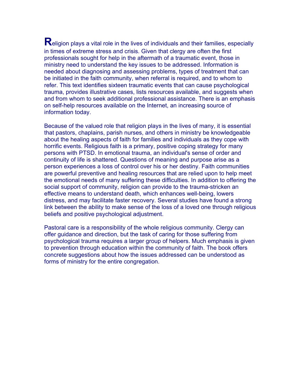**R**eligion plays a vital role in the lives of individuals and their families, especially in times of extreme stress and crisis. Given that clergy are often the first professionals sought for help in the aftermath of a traumatic event, those in ministry need to understand the key issues to be addressed. Information is needed about diagnosing and assessing problems, types of treatment that can be initiated in the faith community, when referral is required, and to whom to refer. This text identifies sixteen traumatic events that can cause psychological trauma, provides illustrative cases, lists resources available, and suggests when and from whom to seek additional professional assistance. There is an emphasis on self-help resources available on the Internet, an increasing source of information today.

Because of the valued role that religion plays in the lives of many, it is essential that pastors, chaplains, parish nurses, and others in ministry be knowledgeable about the healing aspects of faith for families and individuals as they cope with horrific events. Religious faith is a primary, positive coping strategy for many persons with PTSD. In emotional trauma, an individual's sense of order and continuity of life is shattered. Questions of meaning and purpose arise as a person experiences a loss of control over his or her destiny. Faith communities are powerful preventive and healing resources that are relied upon to help meet the emotional needs of many suffering these difficulties. In addition to offering the social support of community, religion can provide to the trauma-stricken an effective means to understand death, which enhances well-being, lowers distress, and may facilitate faster recovery. Several studies have found a strong link between the ability to make sense of the loss of a loved one through religious beliefs and positive psychological adjustment.

Pastoral care is a responsibility of the whole religious community. Clergy can offer guidance and direction, but the task of caring for those suffering from psychological trauma requires a larger group of helpers. Much emphasis is given to prevention through education within the community of faith. The book offers concrete suggestions about how the issues addressed can be understood as forms of ministry for the entire congregation.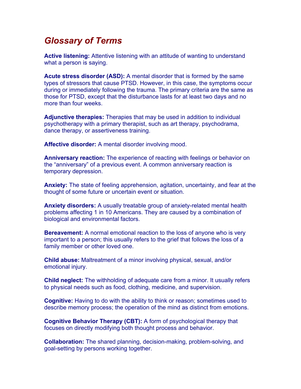# *Glossary of Terms*

**Active listening:** Attentive listening with an attitude of wanting to understand what a person is saying.

**Acute stress disorder (ASD):** A mental disorder that is formed by the same types of stressors that cause PTSD. However, in this case, the symptoms occur during or immediately following the trauma. The primary criteria are the same as those for PTSD, except that the disturbance lasts for at least two days and no more than four weeks.

**Adjunctive therapies:** Therapies that may be used in addition to individual psychotherapy with a primary therapist, such as art therapy, psychodrama, dance therapy, or assertiveness training.

**Affective disorder:** A mental disorder involving mood.

**Anniversary reaction:** The experience of reacting with feelings or behavior on the "anniversary" of a previous event. A common anniversary reaction is temporary depression.

**Anxiety:** The state of feeling apprehension, agitation, uncertainty, and fear at the thought of some future or uncertain event or situation.

**Anxiety disorders:** A usually treatable group of anxiety-related mental health problems affecting 1 in 10 Americans. They are caused by a combination of biological and environmental factors.

**Bereavement:** A normal emotional reaction to the loss of anyone who is very important to a person; this usually refers to the grief that follows the loss of a family member or other loved one.

**Child abuse:** Maltreatment of a minor involving physical, sexual, and/or emotional injury.

**Child neglect:** The withholding of adequate care from a minor. It usually refers to physical needs such as food, clothing, medicine, and supervision.

**Cognitive:** Having to do with the ability to think or reason; sometimes used to describe memory process; the operation of the mind as distinct from emotions.

**Cognitive Behavior Therapy (CBT):** A form of psychological therapy that focuses on directly modifying both thought process and behavior.

**Collaboration:** The shared planning, decision-making, problem-solving, and goal-setting by persons working together.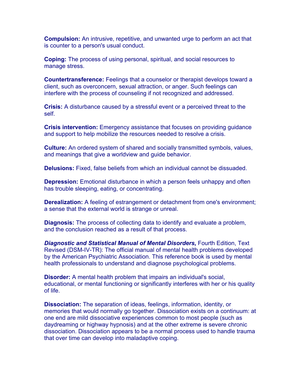**Compulsion:** An intrusive, repetitive, and unwanted urge to perform an act that is counter to a person's usual conduct.

**Coping:** The process of using personal, spiritual, and social resources to manage stress.

**Countertransference:** Feelings that a counselor or therapist develops toward a client, such as overconcern, sexual attraction, or anger. Such feelings can interfere with the process of counseling if not recognized and addressed.

**Crisis:** A disturbance caused by a stressful event or a perceived threat to the self.

**Crisis intervention:** Emergency assistance that focuses on providing guidance and support to help mobilize the resources needed to resolve a crisis.

**Culture:** An ordered system of shared and socially transmitted symbols, values, and meanings that give a worldview and guide behavior.

**Delusions:** Fixed, false beliefs from which an individual cannot be dissuaded.

**Depression:** Emotional disturbance in which a person feels unhappy and often has trouble sleeping, eating, or concentrating.

**Derealization:** A feeling of estrangement or detachment from one's environment; a sense that the external world is strange or unreal.

**Diagnosis:** The process of collecting data to identify and evaluate a problem, and the conclusion reached as a result of that process.

*Diagnostic and Statistical Manual of Mental Disorders,* Fourth Edition, Text Revised (DSM-IV-TR): The official manual of mental health problems developed by the American Psychiatric Association. This reference book is used by mental health professionals to understand and diagnose psychological problems.

**Disorder:** A mental health problem that impairs an individual's social, educational, or mental functioning or significantly interferes with her or his quality of life.

**Dissociation:** The separation of ideas, feelings, information, identity, or memories that would normally go together. Dissociation exists on a continuum: at one end are mild dissociative experiences common to most people (such as daydreaming or highway hypnosis) and at the other extreme is severe chronic dissociation. Dissociation appears to be a normal process used to handle trauma that over time can develop into maladaptive coping.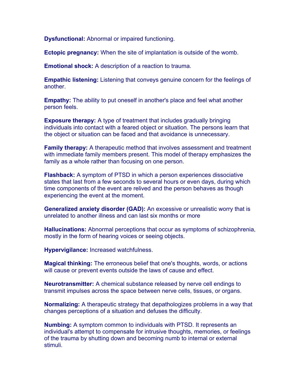**Dysfunctional:** Abnormal or impaired functioning.

**Ectopic pregnancy:** When the site of implantation is outside of the womb.

**Emotional shock:** A description of a reaction to trauma.

**Empathic listening:** Listening that conveys genuine concern for the feelings of another.

**Empathy:** The ability to put oneself in another's place and feel what another person feels.

**Exposure therapy:** A type of treatment that includes gradually bringing individuals into contact with a feared object or situation. The persons learn that the object or situation can be faced and that avoidance is unnecessary.

**Family therapy:** A therapeutic method that involves assessment and treatment with immediate family members present. This model of therapy emphasizes the family as a whole rather than focusing on one person.

**Flashback:** A symptom of PTSD in which a person experiences dissociative states that last from a few seconds to several hours or even days, during which time components of the event are relived and the person behaves as though experiencing the event at the moment.

**Generalized anxiety disorder (GAD):** An excessive or unrealistic worry that is unrelated to another illness and can last six months or more

**Hallucinations:** Abnormal perceptions that occur as symptoms of schizophrenia, mostly in the form of hearing voices or seeing objects.

**Hypervigilance:** Increased watchfulness.

**Magical thinking:** The erroneous belief that one's thoughts, words, or actions will cause or prevent events outside the laws of cause and effect.

**Neurotransmitter:** A chemical substance released by nerve cell endings to transmit impulses across the space between nerve cells, tissues, or organs.

**Normalizing:** A therapeutic strategy that depathologizes problems in a way that changes perceptions of a situation and defuses the difficulty.

**Numbing:** A symptom common to individuals with PTSD. It represents an individual's attempt to compensate for intrusive thoughts, memories, or feelings of the trauma by shutting down and becoming numb to internal or external stimuli.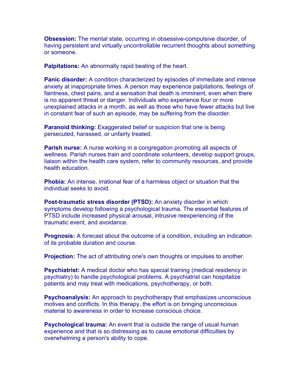**Obsession:** The mental state, occurring in obsessive-compulsive disorder, of having persistent and virtually uncontrollable recurrent thoughts about something or someone.

**Palpitations:** An abnormally rapid beating of the heart.

**Panic disorder:** A condition characterized by episodes of immediate and intense anxiety at inappropriate times. A person may experience palpitations, feelings of faintness, chest pains, and a sensation that death is imminent, even when there is no apparent threat or danger. Individuals who experience four or more unexplained attacks in a month, as well as those who have fewer attacks but live in constant fear of such an episode, may be suffering from the disorder.

**Paranoid thinking:** Exaggerated belief or suspicion that one is being persecuted, harassed, or unfairly treated.

**Parish nurse:** A nurse working in a congregation promoting all aspects of wellness. Parish nurses train and coordinate volunteers, develop support groups, liaison within the health care system, refer to community resources, and provide health education.

**Phobia:** An intense, irrational fear of a harmless object or situation that the individual seeks to avoid.

**Post-traumatic stress disorder (PTSD):** An anxiety disorder in which symptoms develop following a psychological trauma. The essential features of PTSD include increased physical arousal, intrusive reexperiencing of the traumatic event, and avoidance.

**Prognosis:** A forecast about the outcome of a condition, including an indication of its probable duration and course.

**Projection:** The act of attributing one's own thoughts or impulses to another.

**Psychiatrist:** A medical doctor who has special training (medical residency in psychiatry) to handle psychological problems. A psychiatrist can hospitalize patients and may treat with medications, psychotherapy, or both.

**Psychoanalysis:** An approach to psychotherapy that emphasizes unconscious motives and conflicts. In this therapy, the effort is on bringing unconscious material to awareness in order to increase conscious choice.

**Psychological trauma:** An event that is outside the range of usual human experience and that is so distressing as to cause emotional difficulties by overwhelming a person's ability to cope.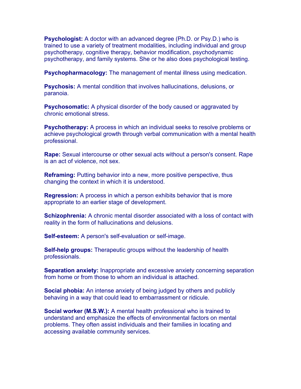**Psychologist:** A doctor with an advanced degree (Ph.D. or Psy.D.) who is trained to use a variety of treatment modalities, including individual and group psychotherapy, cognitive therapy, behavior modification, psychodynamic psychotherapy, and family systems. She or he also does psychological testing.

**Psychopharmacology:** The management of mental illness using medication.

**Psychosis:** A mental condition that involves hallucinations, delusions, or paranoia.

**Psychosomatic:** A physical disorder of the body caused or aggravated by chronic emotional stress.

**Psychotherapy:** A process in which an individual seeks to resolve problems or achieve psychological growth through verbal communication with a mental health professional.

**Rape:** Sexual intercourse or other sexual acts without a person's consent. Rape is an act of violence, not sex.

**Reframing:** Putting behavior into a new, more positive perspective, thus changing the context in which it is understood.

**Regression:** A process in which a person exhibits behavior that is more appropriate to an earlier stage of development.

**Schizophrenia:** A chronic mental disorder associated with a loss of contact with reality in the form of hallucinations and delusions.

**Self-esteem:** A person's self-evaluation or self-image.

**Self-help groups:** Therapeutic groups without the leadership of health professionals.

**Separation anxiety:** Inappropriate and excessive anxiety concerning separation from home or from those to whom an individual is attached.

**Social phobia:** An intense anxiety of being judged by others and publicly behaving in a way that could lead to embarrassment or ridicule.

**Social worker (M.S.W.):** A mental health professional who is trained to understand and emphasize the effects of environmental factors on mental problems. They often assist individuals and their families in locating and accessing available community services.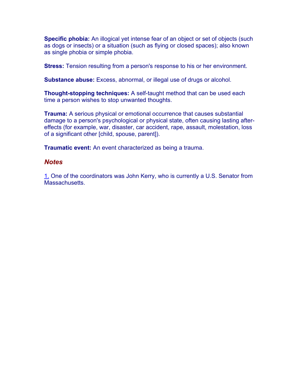**Specific phobia:** An illogical yet intense fear of an object or set of objects (such as dogs or insects) or a situation (such as flying or closed spaces); also known as single phobia or simple phobia.

**Stress:** Tension resulting from a person's response to his or her environment.

**Substance abuse:** Excess, abnormal, or illegal use of drugs or alcohol.

**Thought-stopping techniques:** A self-taught method that can be used each time a person wishes to stop unwanted thoughts.

**Trauma:** A serious physical or emotional occurrence that causes substantial damage to a person's psychological or physical state, often causing lasting aftereffects (for example, war, disaster, car accident, rape, assault, molestation, loss of a significant other [child, spouse, parent]).

**Traumatic event:** An event characterized as being a trauma.

### *Notes*

1. One of the coordinators was John Kerry, who is currently a U.S. Senator from Massachusetts.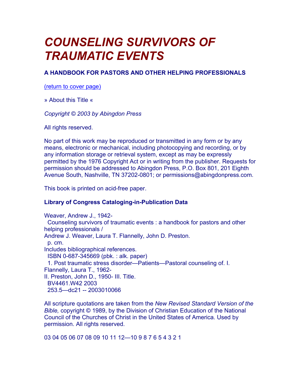# *COUNSELING SURVIVORS OF TRAUMATIC EVENTS*

## **A HANDBOOK FOR PASTORS AND OTHER HELPING PROFESSIONALS**

#### (return to cover page)

» About this Title «

*Copyright © 2003 by Abingdon Press*

All rights reserved.

No part of this work may be reproduced or transmitted in any form or by any means, electronic or mechanical, including photocopying and recording, or by any information storage or retrieval system, except as may be expressly permitted by the 1976 Copyright Act or in writing from the publisher. Requests for permission should be addressed to Abingdon Press, P.O. Box 801, 201 Eighth Avenue South, Nashville, TN 37202-0801; or permissions@abingdonpress.com.

This book is printed on acid-free paper.

#### **Library of Congress Cataloging-in-Publication Data**

Weaver, Andrew J., 1942- Counseling survivors of traumatic events : a handbook for pastors and other helping professionals / Andrew J. Weaver, Laura T. Flannelly, John D. Preston. p. cm. Includes bibliographical references. ISBN 0-687-345669 (pbk. : alk. paper) 1. Post traumatic stress disorder—Patients—Pastoral counseling of. I. Flannelly, Laura T., 1962- II. Preston, John D., 1950- III. Title. BV4461.W42 2003 253.5—dc21 -- 2003010066

All scripture quotations are taken from the *New Revised Standard Version of the Bible,* copyright © 1989, by the Division of Christian Education of the National Council of the Churches of Christ in the United States of America. Used by permission. All rights reserved.

03 04 05 06 07 08 09 10 11 12—10 9 8 7 6 5 4 3 2 1